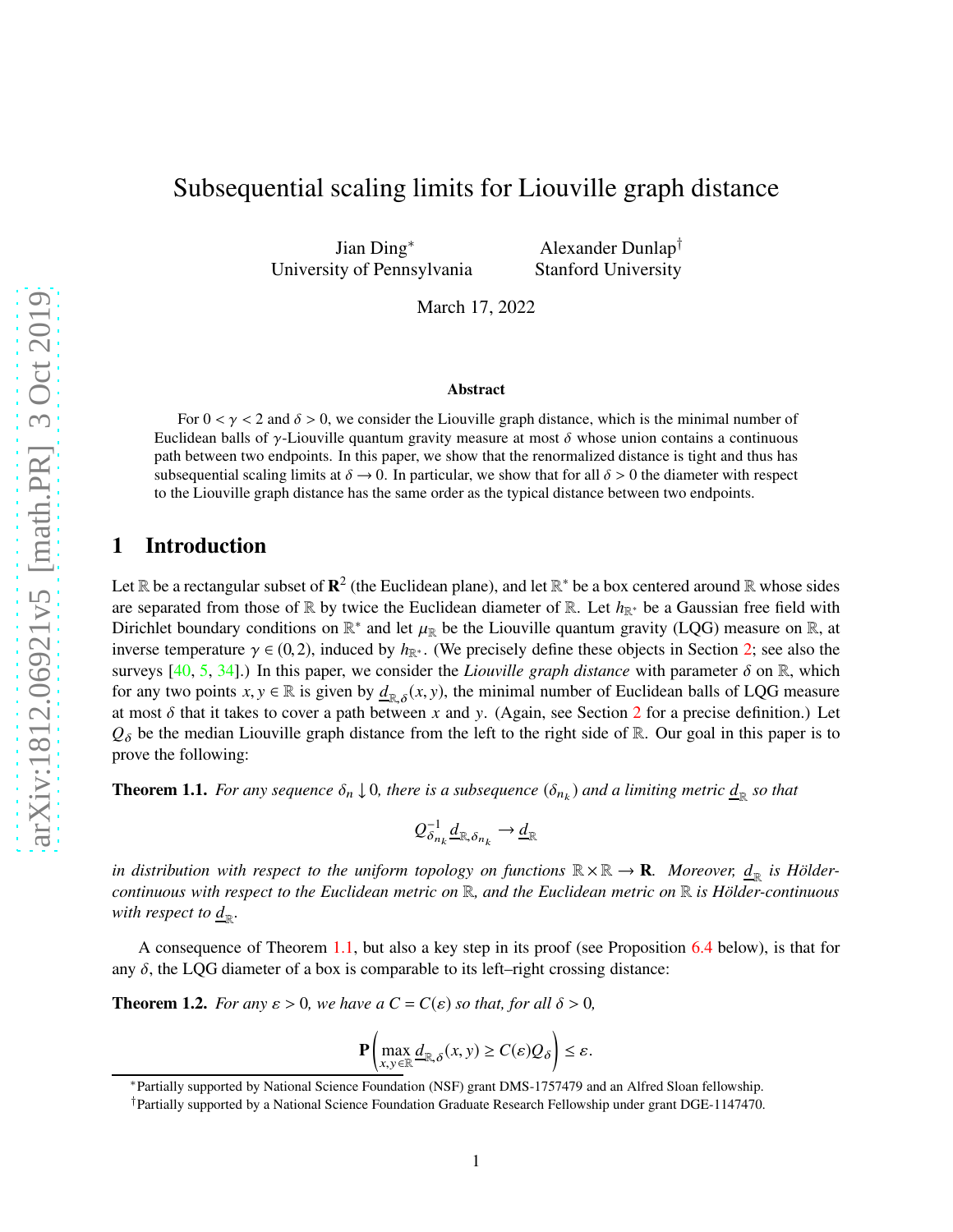# Subsequential scaling limits for Liouville graph distance

Jian Ding<sup>∗</sup> University of Pennsylvania

Alexander Dunlap† Stanford University

March 17, 2022

#### Abstract

For  $0 < \gamma < 2$  and  $\delta > 0$ , we consider the Liouville graph distance, which is the minimal number of Euclidean balls of γ-Liouville quantum gravity measure at most  $\delta$  whose union contains a continuous path between two endpoints. In this paper, we show that the renormalized distance is tight and thus has subsequential scaling limits at  $\delta \to 0$ . In particular, we show that for all  $\delta > 0$  the diameter with respect to the Liouville graph distance has the same order as the typical distance between two endpoints.

## 1 Introduction

Let  $\R$  be a rectangular subset of  $\mathbb{R}^2$  (the Euclidean plane), and let  $\R^*$  be a box centered around  $\R$  whose sides are separated from those of R by twice the Euclidean diameter of R. Let  $h_{\mathbb{R}^*}$  be a Gaussian free field with Dirichlet boundary conditions on  $\mathbb{R}^*$  and let  $\mu_{\mathbb{R}}$  be the Liouville quantum gravity (LQG) measure on  $\mathbb{R}$ , at inverse temperature  $\gamma \in (0, 2)$ , induced by  $h_{\mathbb{R}^*}$ . (We precisely define these objects in Section [2;](#page-4-0) see also the surveys  $[40, 5, 34]$  $[40, 5, 34]$  $[40, 5, 34]$  $[40, 5, 34]$  $[40, 5, 34]$ .) In this paper, we consider the *Liouville graph distance* with parameter  $\delta$  on  $\mathbb{R}$ , which for any two points  $x, y \in \mathbb{R}$  is given by  $\underline{d}_{\mathbb{R}, \delta}(x, y)$ , the minimal number of Euclidean balls of LQG measure at most  $\delta$  that it takes to cover a path between *x* and *y*. (Again, see Section [2](#page-4-0) for a precise definition.) Let  $Q_{\delta}$  be the median Liouville graph distance from the left to the right side of R. Our goal in this paper is to prove the following:

<span id="page-0-0"></span>**Theorem 1.1.** For any sequence  $\delta_n \downarrow 0$ , there is a subsequence  $(\delta_{n_k})$  and a limiting metric  $\underline{d}_R$  so that

$$
Q_{\delta_{n_k}}^{-1} \underline{d}_{\mathbb{R}, \delta_{n_k}} \to \underline{d}_{\mathbb{R}}
$$

in distribution with respect to the uniform topology on functions  $\mathbb{R} \times \mathbb{R} \to \mathbf{R}$ *. Moreover,*  $\underline{d}_\mathbb{R}$  *is Höldercontinuous with respect to the Euclidean metric on* R*, and the Euclidean metric on* R *is Hölder-continuous* with respect to  $\underline{d}_\mathbb{R}$ .

A consequence of Theorem [1.1,](#page-0-0) but also a key step in its proof (see Proposition [6.4](#page-54-0) below), is that for any  $\delta$ , the LQG diameter of a box is comparable to its left–right crossing distance:

<span id="page-0-1"></span>**Theorem 1.2.** *For any*  $\varepsilon > 0$ *, we have a*  $C = C(\varepsilon)$  *so that, for all*  $\delta > 0$ *,* 

$$
\mathbf{P}\left(\max_{x,y\in\mathbb{R}}\underline{d}_{\mathbb{R},\delta}(x,y)\geq C(\varepsilon)Q_{\delta}\right)\leq\varepsilon.
$$

<sup>∗</sup>Partially supported by National Science Foundation (NSF) grant DMS-1757479 and an Alfred Sloan fellowship.

<sup>†</sup>Partially supported by a National Science Foundation Graduate Research Fellowship under grant DGE-1147470.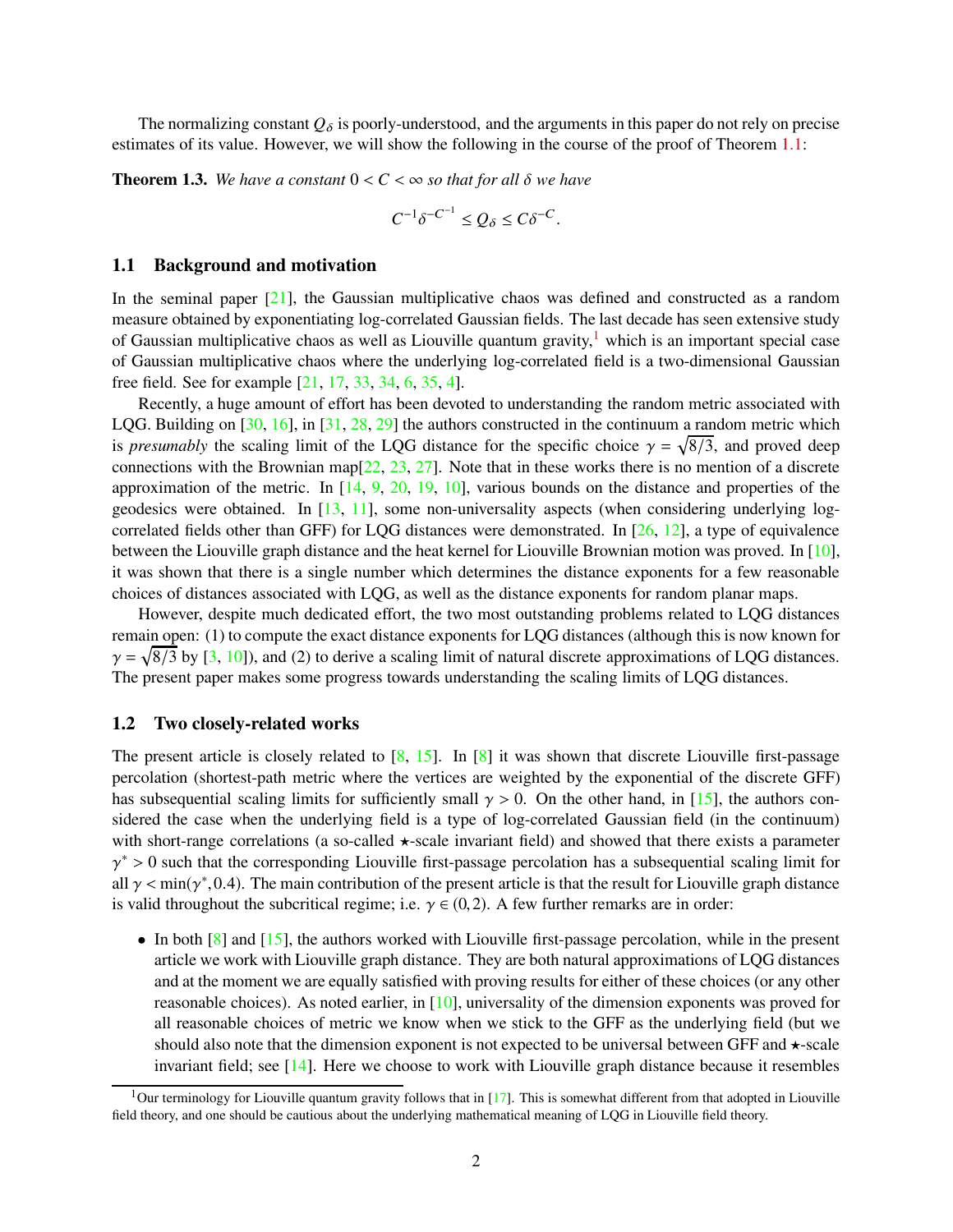The normalizing constant  $Q_{\delta}$  is poorly-understood, and the arguments in this paper do not rely on precise estimates of its value. However, we will show the following in the course of the proof of Theorem [1.1:](#page-0-0)

<span id="page-1-1"></span>**Theorem 1.3.** *We have a constant*  $0 < C < \infty$  *so that for all*  $\delta$  *we have* 

$$
C^{-1}\delta^{-C^{-1}} \le Q_{\delta} \le C\delta^{-C}.
$$

#### 1.1 Background and motivation

In the seminal paper  $[21]$ , the Gaussian multiplicative chaos was defined and constructed as a random measure obtained by exponentiating log-correlated Gaussian fields. The last decade has seen extensive study of Gaussian multiplicative chaos as well as Liouville quantum gravity, $\frac{1}{1}$  $\frac{1}{1}$  $\frac{1}{1}$  which is an important special case of Gaussian multiplicative chaos where the underlying log-correlated field is a two-dimensional Gaussian free field. See for example [\[21,](#page-63-1) [17,](#page-62-1) [33,](#page-63-2) [34,](#page-63-0) [6,](#page-62-2) [35,](#page-63-3) [4\]](#page-62-3).

Recently, a huge amount of effort has been devoted to understanding the random metric associated with LQG. Building on  $[30, 16]$  $[30, 16]$ , in  $[31, 28, 29]$  $[31, 28, 29]$  $[31, 28, 29]$  $[31, 28, 29]$  the authors constructed in the continuum a random metric which is *presumably* the scaling limit of the LQG distance for the specific choice  $\gamma = \sqrt{8/3}$ , and proved deep connections with the Brownian map[\[22,](#page-63-8) [23,](#page-63-9) [27\]](#page-63-10). Note that in these works there is no mention of a discrete approximation of the metric. In  $[14, 9, 20, 19, 10]$  $[14, 9, 20, 19, 10]$  $[14, 9, 20, 19, 10]$  $[14, 9, 20, 19, 10]$  $[14, 9, 20, 19, 10]$  $[14, 9, 20, 19, 10]$  $[14, 9, 20, 19, 10]$  $[14, 9, 20, 19, 10]$  $[14, 9, 20, 19, 10]$ , various bounds on the distance and properties of the geodesics were obtained. In [\[13,](#page-62-8) [11\]](#page-62-9), some non-universality aspects (when considering underlying logcorrelated fields other than GFF) for LQG distances were demonstrated. In [\[26,](#page-63-13) [12\]](#page-62-10), a type of equivalence between the Liouville graph distance and the heat kernel for Liouville Brownian motion was proved. In [\[10\]](#page-62-7), it was shown that there is a single number which determines the distance exponents for a few reasonable choices of distances associated with LQG, as well as the distance exponents for random planar maps.

However, despite much dedicated effort, the two most outstanding problems related to LQG distances remain open: (1) to compute the exact distance exponents for LQG distances (although this is now known for  $\gamma = \sqrt{8/3}$  by [\[3,](#page-62-11) [10\]](#page-62-7)), and (2) to derive a scaling limit of natural discrete approximations of LQG distances. The present paper makes some progress towards understanding the scaling limits of LQG distances.

### 1.2 Two closely-related works

The present article is closely related to  $[8, 15]$  $[8, 15]$ . In  $[8]$  it was shown that discrete Liouville first-passage percolation (shortest-path metric where the vertices are weighted by the exponential of the discrete GFF) has subsequential scaling limits for sufficiently small  $\gamma > 0$ . On the other hand, in [\[15\]](#page-62-13), the authors considered the case when the underlying field is a type of log-correlated Gaussian field (in the continuum) with short-range correlations (a so-called  $\star$ -scale invariant field) and showed that there exists a parameter  $\gamma^* > 0$  such that the corresponding Liouville first-passage percolation has a subsequential scaling limit for all  $\gamma$  < min( $\gamma^*$ , 0.4). The main contribution of the present article is that the result for Liouville graph distance is valid throughout the subcritical regime; i.e.  $\gamma \in (0, 2)$ . A few further remarks are in order:

• In both  $[8]$  and  $[15]$ , the authors worked with Liouville first-passage percolation, while in the present article we work with Liouville graph distance. They are both natural approximations of LQG distances and at the moment we are equally satisfied with proving results for either of these choices (or any other reasonable choices). As noted earlier, in [\[10\]](#page-62-7), universality of the dimension exponents was proved for all reasonable choices of metric we know when we stick to the GFF as the underlying field (but we should also note that the dimension exponent is not expected to be universal between GFF and  $\star$ -scale invariant field; see [\[14\]](#page-62-5). Here we choose to work with Liouville graph distance because it resembles

<span id="page-1-0"></span><sup>&</sup>lt;sup>1</sup>Our terminology for Liouville quantum gravity follows that in [\[17\]](#page-62-1). This is somewhat different from that adopted in Liouville field theory, and one should be cautious about the underlying mathematical meaning of LQG in Liouville field theory.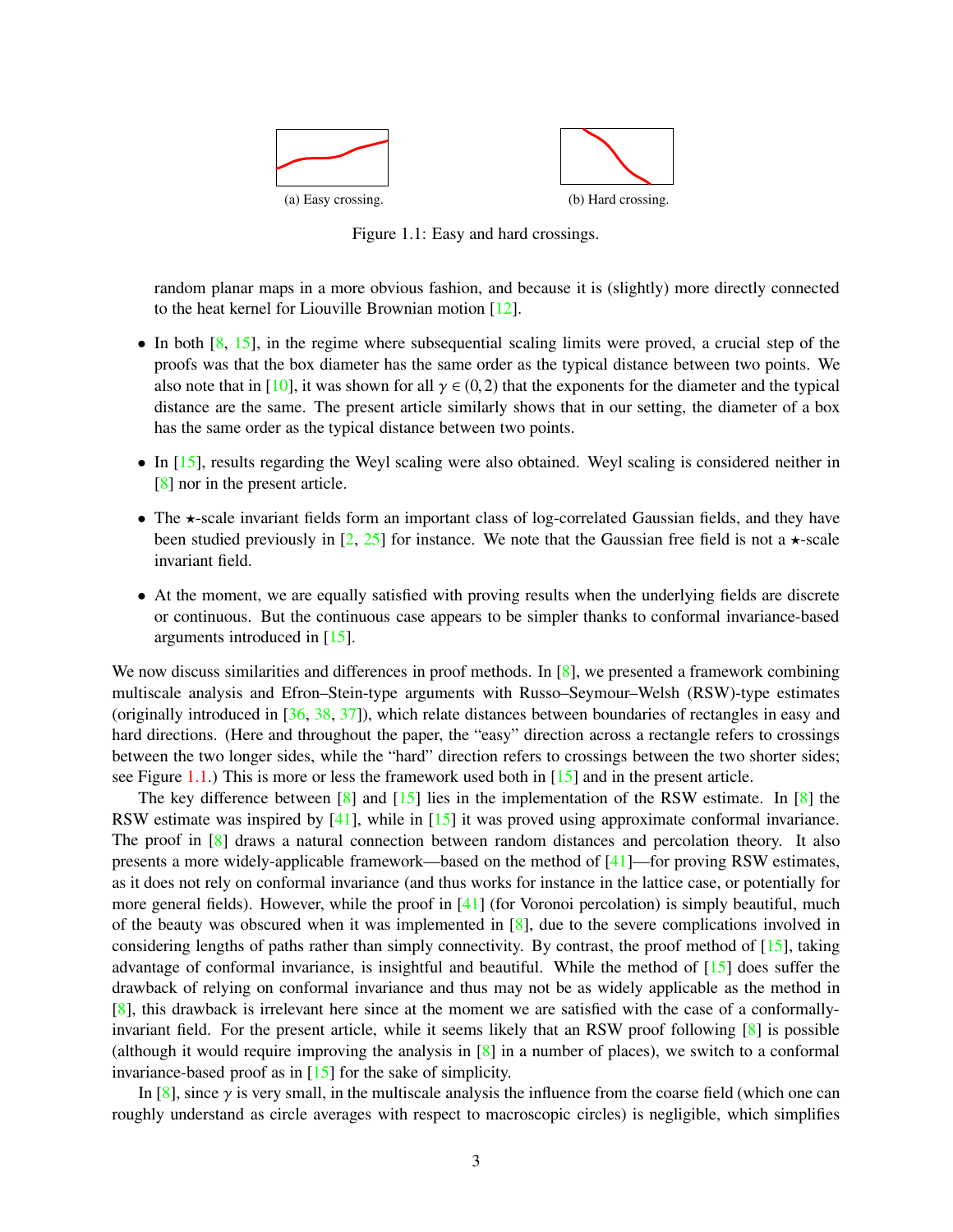<span id="page-2-0"></span>

Figure 1.1: Easy and hard crossings.

random planar maps in a more obvious fashion, and because it is (slightly) more directly connected to the heat kernel for Liouville Brownian motion [\[12\]](#page-62-10).

- In both  $[8, 15]$  $[8, 15]$ , in the regime where subsequential scaling limits were proved, a crucial step of the proofs was that the box diameter has the same order as the typical distance between two points. We also note that in [\[10\]](#page-62-7), it was shown for all  $\gamma \in (0,2)$  that the exponents for the diameter and the typical distance are the same. The present article similarly shows that in our setting, the diameter of a box has the same order as the typical distance between two points.
- In [\[15\]](#page-62-13), results regarding the Weyl scaling were also obtained. Weyl scaling is considered neither in [\[8\]](#page-62-12) nor in the present article.
- The  $\star$ -scale invariant fields form an important class of log-correlated Gaussian fields, and they have been studied previously in [\[2,](#page-62-14) [25\]](#page-63-14) for instance. We note that the Gaussian free field is not a  $\star$ -scale invariant field.
- At the moment, we are equally satisfied with proving results when the underlying fields are discrete or continuous. But the continuous case appears to be simpler thanks to conformal invariance-based arguments introduced in [\[15\]](#page-62-13).

We now discuss similarities and differences in proof methods. In  $\lceil 8 \rceil$ , we presented a framework combining multiscale analysis and Efron–Stein-type arguments with Russo–Seymour–Welsh (RSW)-type estimates (originally introduced in [\[36,](#page-63-15) [38,](#page-64-1) [37\]](#page-64-2)), which relate distances between boundaries of rectangles in easy and hard directions. (Here and throughout the paper, the "easy" direction across a rectangle refers to crossings between the two longer sides, while the "hard" direction refers to crossings between the two shorter sides; see Figure [1.1.](#page-2-0)) This is more or less the framework used both in [\[15\]](#page-62-13) and in the present article.

The key difference between  $\lceil 8 \rceil$  and  $\lceil 15 \rceil$  lies in the implementation of the RSW estimate. In  $\lceil 8 \rceil$  the RSW estimate was inspired by [\[41\]](#page-64-3), while in [\[15\]](#page-62-13) it was proved using approximate conformal invariance. The proof in [\[8\]](#page-62-12) draws a natural connection between random distances and percolation theory. It also presents a more widely-applicable framework—based on the method of  $[41]$ —for proving RSW estimates, as it does not rely on conformal invariance (and thus works for instance in the lattice case, or potentially for more general fields). However, while the proof in  $[41]$  (for Voronoi percolation) is simply beautiful, much of the beauty was obscured when it was implemented in [\[8\]](#page-62-12), due to the severe complications involved in considering lengths of paths rather than simply connectivity. By contrast, the proof method of [\[15\]](#page-62-13), taking advantage of conformal invariance, is insightful and beautiful. While the method of [\[15\]](#page-62-13) does suffer the drawback of relying on conformal invariance and thus may not be as widely applicable as the method in [\[8\]](#page-62-12), this drawback is irrelevant here since at the moment we are satisfied with the case of a conformallyinvariant field. For the present article, while it seems likely that an RSW proof following [\[8\]](#page-62-12) is possible (although it would require improving the analysis in [\[8\]](#page-62-12) in a number of places), we switch to a conformal invariance-based proof as in [\[15\]](#page-62-13) for the sake of simplicity.

In [\[8\]](#page-62-12), since  $\gamma$  is very small, in the multiscale analysis the influence from the coarse field (which one can roughly understand as circle averages with respect to macroscopic circles) is negligible, which simplifies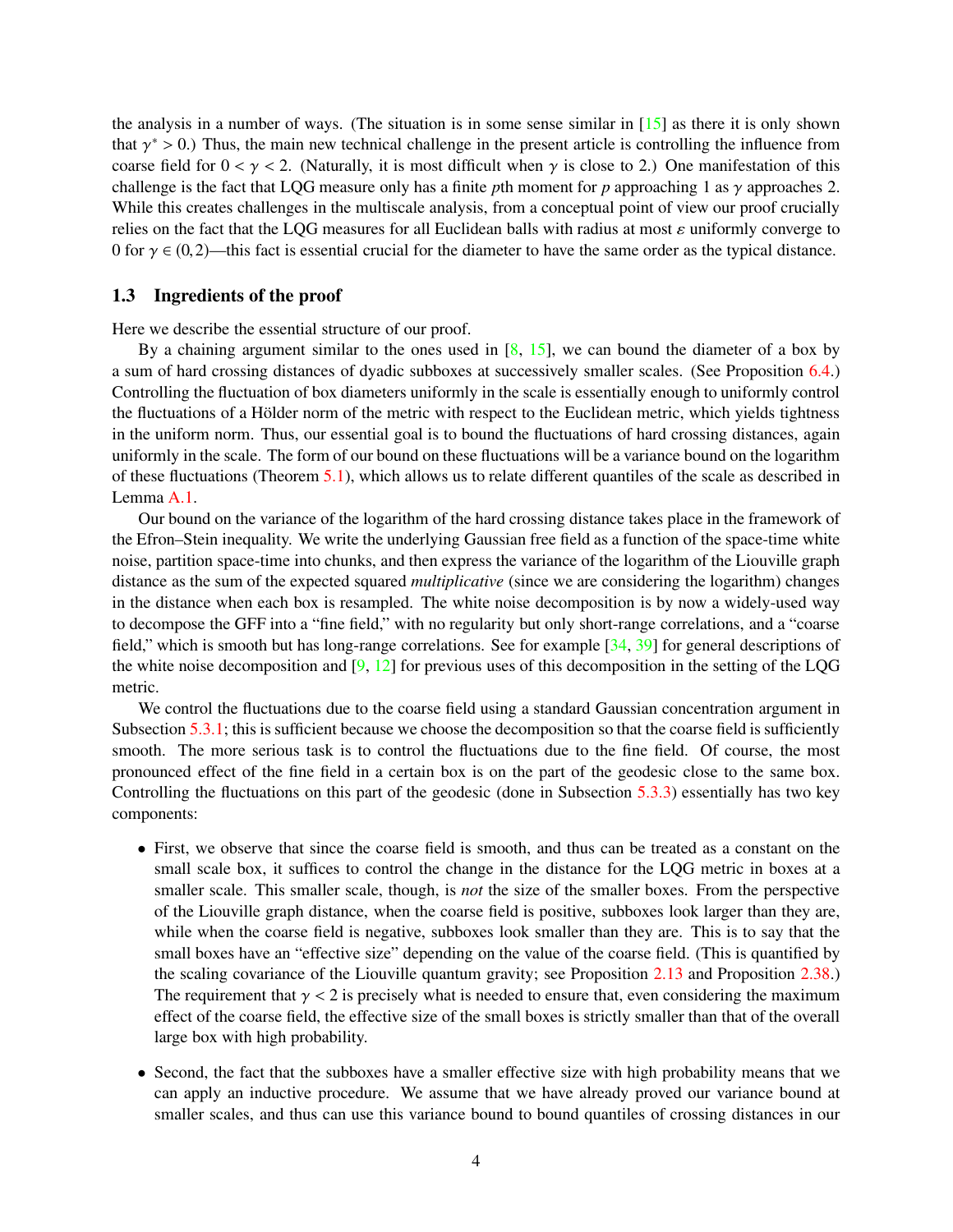the analysis in a number of ways. (The situation is in some sense similar in  $[15]$  as there it is only shown that  $\gamma^* > 0$ .) Thus, the main new technical challenge in the present article is controlling the influence from coarse field for  $0 < \gamma < 2$ . (Naturally, it is most difficult when  $\gamma$  is close to 2.) One manifestation of this challenge is the fact that LQG measure only has a finite *p*th moment for *p* approaching 1 as  $\gamma$  approaches 2. While this creates challenges in the multiscale analysis, from a conceptual point of view our proof crucially relies on the fact that the LQG measures for all Euclidean balls with radius at most  $\varepsilon$  uniformly converge to 0 for  $\gamma \in (0, 2)$ —this fact is essential crucial for the diameter to have the same order as the typical distance.

#### 1.3 Ingredients of the proof

Here we describe the essential structure of our proof.

By a chaining argument similar to the ones used in  $[8, 15]$  $[8, 15]$  $[8, 15]$ , we can bound the diameter of a box by a sum of hard crossing distances of dyadic subboxes at successively smaller scales. (See Proposition [6.4.](#page-54-0)) Controlling the fluctuation of box diameters uniformly in the scale is essentially enough to uniformly control the fluctuations of a Hölder norm of the metric with respect to the Euclidean metric, which yields tightness in the uniform norm. Thus, our essential goal is to bound the fluctuations of hard crossing distances, again uniformly in the scale. The form of our bound on these fluctuations will be a variance bound on the logarithm of these fluctuations (Theorem [5.1\)](#page-34-0), which allows us to relate different quantiles of the scale as described in Lemma [A.1.](#page-59-0)

Our bound on the variance of the logarithm of the hard crossing distance takes place in the framework of the Efron–Stein inequality. We write the underlying Gaussian free field as a function of the space-time white noise, partition space-time into chunks, and then express the variance of the logarithm of the Liouville graph distance as the sum of the expected squared *multiplicative* (since we are considering the logarithm) changes in the distance when each box is resampled. The white noise decomposition is by now a widely-used way to decompose the GFF into a "fine field," with no regularity but only short-range correlations, and a "coarse field," which is smooth but has long-range correlations. See for example [\[34,](#page-63-0) [39\]](#page-64-4) for general descriptions of the white noise decomposition and  $[9, 12]$  $[9, 12]$  for previous uses of this decomposition in the setting of the LQG metric.

We control the fluctuations due to the coarse field using a standard Gaussian concentration argument in Subsection  $5.3.1$ ; this is sufficient because we choose the decomposition so that the coarse field is sufficiently smooth. The more serious task is to control the fluctuations due to the fine field. Of course, the most pronounced effect of the fine field in a certain box is on the part of the geodesic close to the same box. Controlling the fluctuations on this part of the geodesic (done in Subsection [5.3.3\)](#page-46-0) essentially has two key components:

- First, we observe that since the coarse field is smooth, and thus can be treated as a constant on the small scale box, it suffices to control the change in the distance for the LQG metric in boxes at a smaller scale. This smaller scale, though, is *not* the size of the smaller boxes. From the perspective of the Liouville graph distance, when the coarse field is positive, subboxes look larger than they are, while when the coarse field is negative, subboxes look smaller than they are. This is to say that the small boxes have an "effective size" depending on the value of the coarse field. (This is quantified by the scaling covariance of the Liouville quantum gravity; see Proposition [2.13](#page-9-0) and Proposition [2.38.](#page-18-0)) The requirement that  $\gamma < 2$  is precisely what is needed to ensure that, even considering the maximum effect of the coarse field, the effective size of the small boxes is strictly smaller than that of the overall large box with high probability.
- Second, the fact that the subboxes have a smaller effective size with high probability means that we can apply an inductive procedure. We assume that we have already proved our variance bound at smaller scales, and thus can use this variance bound to bound quantiles of crossing distances in our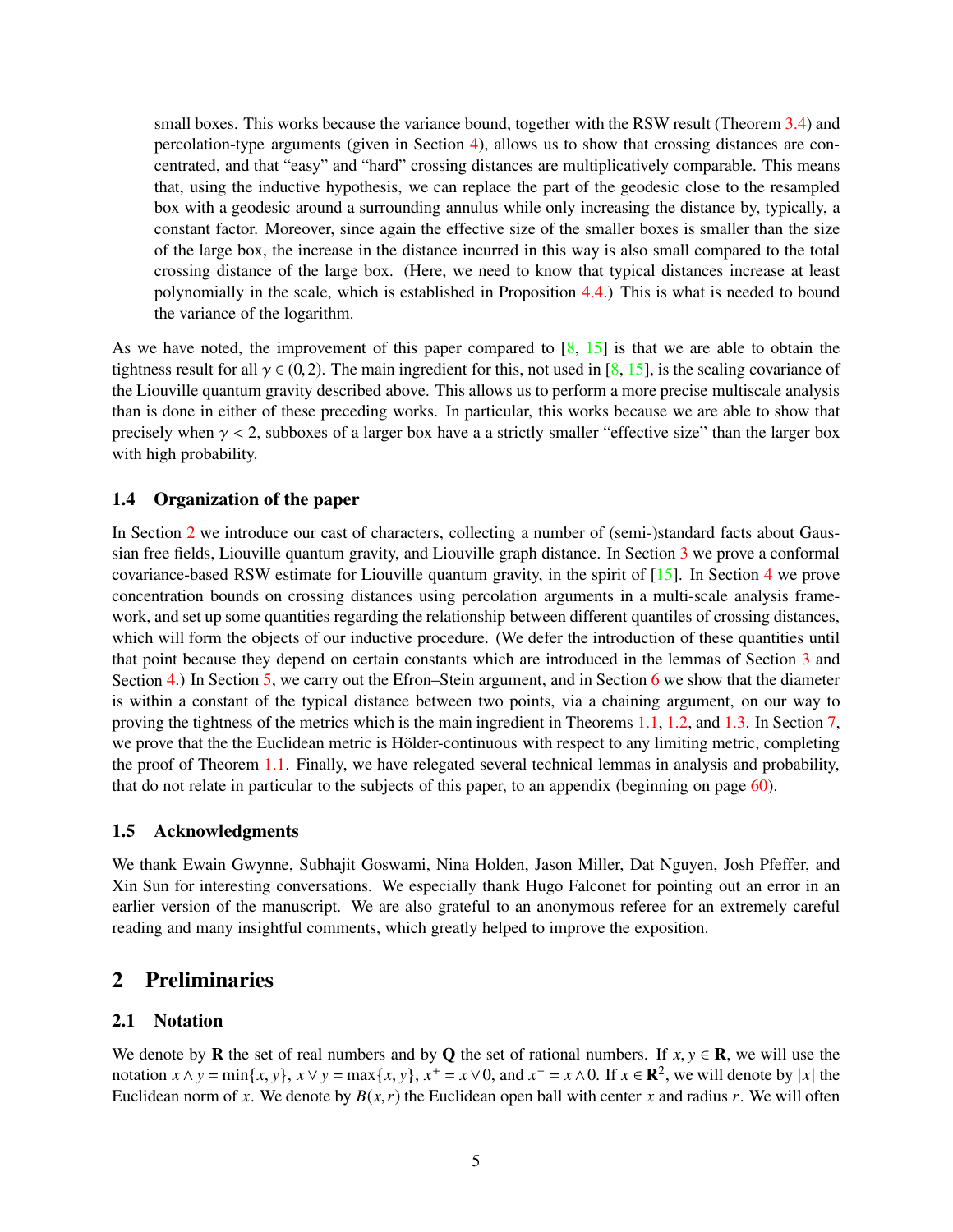small boxes. This works because the variance bound, together with the RSW result (Theorem [3.4\)](#page-23-0) and percolation-type arguments (given in Section [4\)](#page-25-0), allows us to show that crossing distances are concentrated, and that "easy" and "hard" crossing distances are multiplicatively comparable. This means that, using the inductive hypothesis, we can replace the part of the geodesic close to the resampled box with a geodesic around a surrounding annulus while only increasing the distance by, typically, a constant factor. Moreover, since again the effective size of the smaller boxes is smaller than the size of the large box, the increase in the distance incurred in this way is also small compared to the total crossing distance of the large box. (Here, we need to know that typical distances increase at least polynomially in the scale, which is established in Proposition [4.4.](#page-27-0)) This is what is needed to bound the variance of the logarithm.

As we have noted, the improvement of this paper compared to  $[8, 15]$  $[8, 15]$  is that we are able to obtain the tightness result for all  $\gamma \in (0, 2)$ . The main ingredient for this, not used in [\[8,](#page-62-12) [15\]](#page-62-13), is the scaling covariance of the Liouville quantum gravity described above. This allows us to perform a more precise multiscale analysis than is done in either of these preceding works. In particular, this works because we are able to show that precisely when  $\gamma$  < 2, subboxes of a larger box have a a strictly smaller "effective size" than the larger box with high probability.

## 1.4 Organization of the paper

In Section [2](#page-4-0) we introduce our cast of characters, collecting a number of (semi-)standard facts about Gaussian free fields, Liouville quantum gravity, and Liouville graph distance. In Section [3](#page-18-1) we prove a conformal covariance-based RSW estimate for Liouville quantum gravity, in the spirit of [\[15\]](#page-62-13). In Section [4](#page-25-0) we prove concentration bounds on crossing distances using percolation arguments in a multi-scale analysis framework, and set up some quantities regarding the relationship between different quantiles of crossing distances, which will form the objects of our inductive procedure. (We defer the introduction of these quantities until that point because they depend on certain constants which are introduced in the lemmas of Section [3](#page-18-1) and Section [4.](#page-25-0)) In Section [5,](#page-34-1) we carry out the Efron–Stein argument, and in Section [6](#page-53-0) we show that the diameter is within a constant of the typical distance between two points, via a chaining argument, on our way to proving the tightness of the metrics which is the main ingredient in Theorems [1.1,](#page-0-0) [1.2,](#page-0-1) and [1.3.](#page-1-1) In Section [7,](#page-58-0) we prove that the the Euclidean metric is Hölder-continuous with respect to any limiting metric, completing the proof of Theorem [1.1.](#page-0-0) Finally, we have relegated several technical lemmas in analysis and probability, that do not relate in particular to the subjects of this paper, to an appendix (beginning on page [60\)](#page-59-1).

## 1.5 Acknowledgments

We thank Ewain Gwynne, Subhajit Goswami, Nina Holden, Jason Miller, Dat Nguyen, Josh Pfeffer, and Xin Sun for interesting conversations. We especially thank Hugo Falconet for pointing out an error in an earlier version of the manuscript. We are also grateful to an anonymous referee for an extremely careful reading and many insightful comments, which greatly helped to improve the exposition.

## <span id="page-4-0"></span>2 Preliminaries

## 2.1 Notation

We denote by **R** the set of real numbers and by **Q** the set of rational numbers. If  $x, y \in \mathbf{R}$ , we will use the notation  $x \wedge y = \min\{x, y\}$ ,  $x \vee y = \max\{x, y\}$ ,  $x^+ = x \vee 0$ , and  $x^- = x \wedge 0$ . If  $x \in \mathbb{R}^2$ , we will denote by |*x*| the Euclidean norm of x. We denote by  $B(x, r)$  the Euclidean open ball with center x and radius r. We will often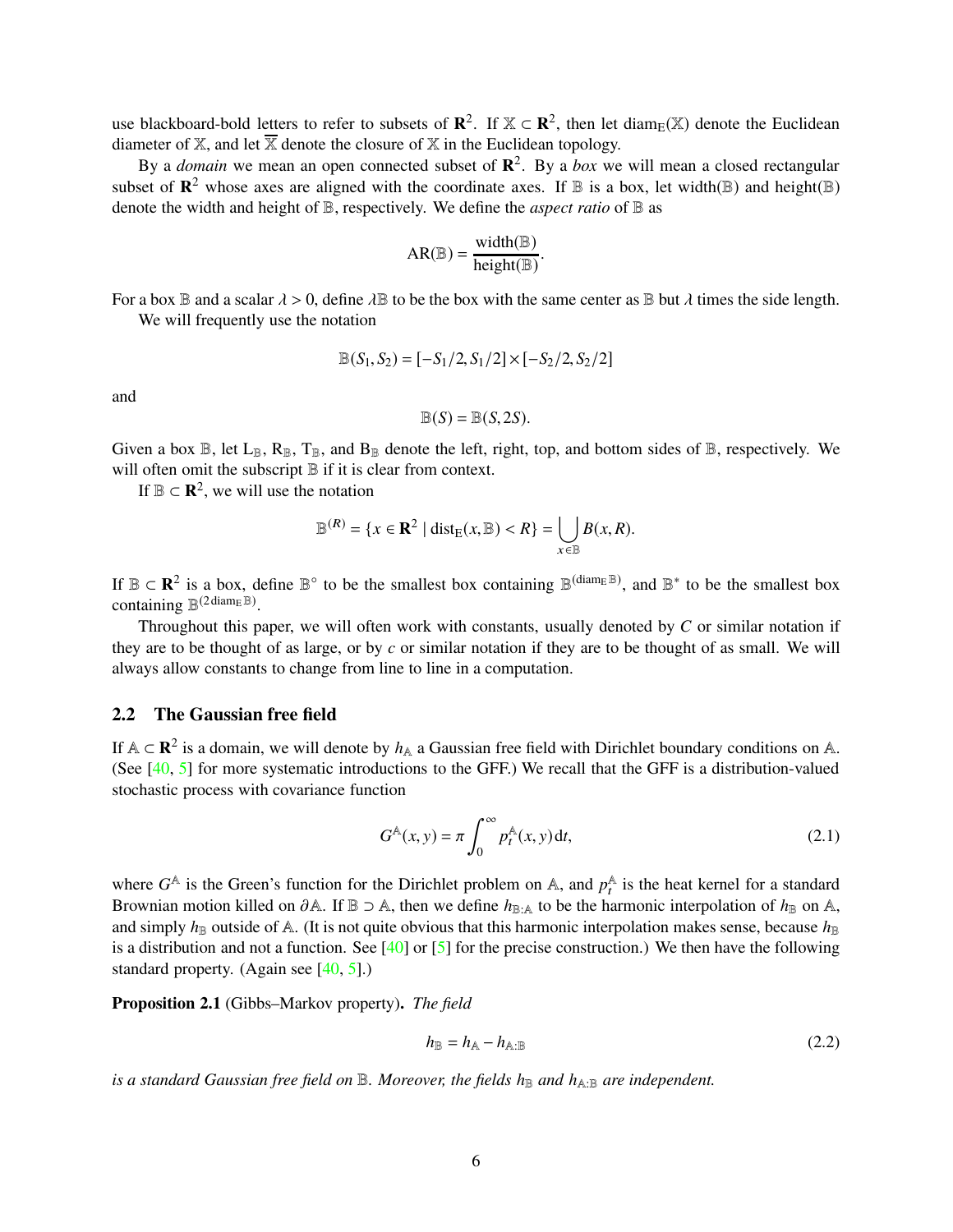use blackboard-bold letters to refer to subsets of  $\mathbb{R}^2$ . If  $\mathbb{X} \subset \mathbb{R}^2$ , then let diam<sub>E</sub>( $\mathbb{X}$ ) denote the Euclidean diameter of  $X$ , and let  $\overline{X}$  denote the closure of  $X$  in the Euclidean topology.

By a *domain* we mean an open connected subset of **R** 2 . By a *box* we will mean a closed rectangular subset of  $\mathbb{R}^2$  whose axes are aligned with the coordinate axes. If  $\mathbb B$  is a box, let width( $\mathbb B$ ) and height( $\mathbb B$ ) denote the width and height of B, respectively. We define the *aspect ratio* of B as

$$
AR(\mathbb{B}) = \frac{width(\mathbb{B})}{height(\mathbb{B})}.
$$

For a box  $\mathbb B$  and a scalar  $\lambda > 0$ , define  $\lambda \mathbb B$  to be the box with the same center as  $\mathbb B$  but  $\lambda$  times the side length. We will frequently use the notation

$$
\mathbb{B}(S_1, S_2) = [-S_1/2, S_1/2] \times [-S_2/2, S_2/2]
$$

and

$$
\mathbb{B}(S) = \mathbb{B}(S, 2S).
$$

Given a box  $\mathbb{B}$ , let  $L_{\mathbb{B}}$ ,  $R_{\mathbb{B}}$ ,  $T_{\mathbb{B}}$ , and  $B_{\mathbb{B}}$  denote the left, right, top, and bottom sides of  $\mathbb{B}$ , respectively. We will often omit the subscript  $\mathbb B$  if it is clear from context.

If  $\mathbb{B} \subset \mathbb{R}^2$ , we will use the notation

$$
\mathbb{B}^{(R)} = \{x \in \mathbf{R}^2 \mid \text{dist}_{E}(x, \mathbb{B}) < R\} = \bigcup_{x \in \mathbb{B}} B(x, R).
$$

If  $\mathbb{B} \subset \mathbb{R}^2$  is a box, define  $\mathbb{B}^\circ$  to be the smallest box containing  $\mathbb{B}^{(\text{diam}_E \mathbb{B})}$ , and  $\mathbb{B}^*$  to be the smallest box containing  $\mathbb{B}^{(2 \text{diam}_{E} \mathbb{B})}$ .

Throughout this paper, we will often work with constants, usually denoted by *C* or similar notation if they are to be thought of as large, or by *c* or similar notation if they are to be thought of as small. We will always allow constants to change from line to line in a computation.

## <span id="page-5-2"></span>2.2 The Gaussian free field

If  $A \subset \mathbb{R}^2$  is a domain, we will denote by  $h_A$  a Gaussian free field with Dirichlet boundary conditions on A. (See [\[40,](#page-64-0) [5\]](#page-62-0) for more systematic introductions to the GFF.) We recall that the GFF is a distribution-valued stochastic process with covariance function

<span id="page-5-1"></span>
$$
G^{\mathbb{A}}(x, y) = \pi \int_0^\infty p_t^{\mathbb{A}}(x, y) dt,
$$
\n(2.1)

where  $G^{\mathbb{A}}$  is the Green's function for the Dirichlet problem on  $\mathbb{A}$ , and  $p_t^{\mathbb{A}}$  $_t^{\mathbb{A}}$  is the heat kernel for a standard Brownian motion killed on  $\partial A$ . If  $B \supset A$ , then we define  $h_{B:A}$  to be the harmonic interpolation of  $h_B$  on A, and simply  $h_{\mathbb{B}}$  outside of A. (It is not quite obvious that this harmonic interpolation makes sense, because  $h_{\mathbb{B}}$ is a distribution and not a function. See  $[40]$  or  $[5]$  for the precise construction.) We then have the following standard property. (Again see  $[40, 5]$  $[40, 5]$ .)

Proposition 2.1 (Gibbs–Markov property). *The field*

<span id="page-5-0"></span>
$$
h_{\mathbb{B}} = h_{\mathbb{A}} - h_{\mathbb{A}:\mathbb{B}} \tag{2.2}
$$

*is a standard Gaussian free field on*  $\mathbb{B}$ *. Moreover, the fields h*<sub> $\mathbb{B}$ </sub> *and h*<sub>A:B</sub> *are independent.*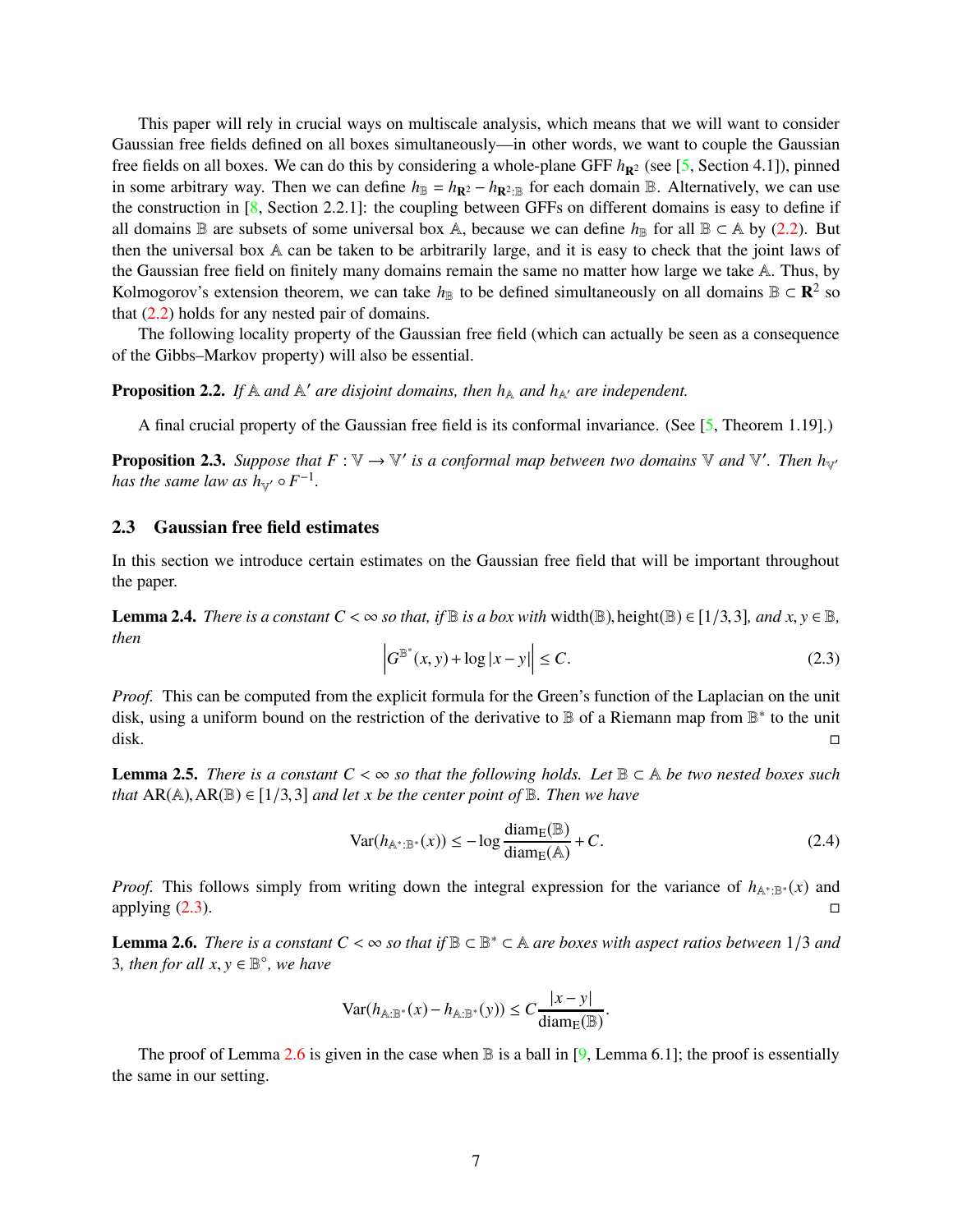This paper will rely in crucial ways on multiscale analysis, which means that we will want to consider Gaussian free fields defined on all boxes simultaneously—in other words, we want to couple the Gaussian free fields on all boxes. We can do this by considering a whole-plane GFF  $h_{\mathbf{R}^2}$  (see [\[5,](#page-62-0) Section 4.1]), pinned in some arbitrary way. Then we can define  $h_{\mathbb{B}} = h_{\mathbb{R}^2} - h_{\mathbb{R}^2 \cdot \mathbb{B}}$  for each domain  $\mathbb{B}$ . Alternatively, we can use the construction in  $[8, \text{Section 2.2.1}]$  $[8, \text{Section 2.2.1}]$ : the coupling between GFFs on different domains is easy to define if all domains B are subsets of some universal box A, because we can define  $h_{\mathbb{B}}$  for all B ⊂ A by [\(2.2\)](#page-5-0). But then the universal box A can be taken to be arbitrarily large, and it is easy to check that the joint laws of the Gaussian free field on finitely many domains remain the same no matter how large we take A. Thus, by Kolmogorov's extension theorem, we can take  $h_{\mathbb{B}}$  to be defined simultaneously on all domains  $\mathbb{B} \subset \mathbb{R}^2$  so that  $(2.2)$  holds for any nested pair of domains.

The following locality property of the Gaussian free field (which can actually be seen as a consequence of the Gibbs–Markov property) will also be essential.

<span id="page-6-3"></span>**Proposition 2.2.** If  $A$  *and*  $A'$  *are disjoint domains, then*  $h_A$  *and*  $h_{A'}$  *are independent.* 

A final crucial property of the Gaussian free field is its conformal invariance. (See [\[5,](#page-62-0) Theorem 1.19].)

**Proposition 2.3.** Suppose that  $F: V \to V'$  is a conformal map between two domains V and V'. Then  $h_{V'}$ *has the same law as*  $h_{\mathbb{V}}$  $\circ$  $F^{-1}$ *.* 

#### 2.3 Gaussian free field estimates

In this section we introduce certain estimates on the Gaussian free field that will be important throughout the paper.

**Lemma 2.4.** *There is a constant C* <  $\infty$  *so that, if*  $\mathbb{B}$  *is a box with* width( $\mathbb{B}$ ), height( $\mathbb{B}$ )  $\in$  [1/3,3]*, and x, y*  $\in$   $\mathbb{B}$ *, then*

<span id="page-6-0"></span>
$$
\left|G^{\mathbb{B}^*}(x,y) + \log|x-y|\right| \le C.
$$
\n(2.3)

*Proof.* This can be computed from the explicit formula for the Green's function of the Laplacian on the unit disk, using a uniform bound on the restriction of the derivative to **B** of a Riemann map from **B**<sup>\*</sup> to the unit disk. □

<span id="page-6-2"></span>**Lemma 2.5.** *There is a constant*  $C < \infty$  *so that the following holds. Let*  $\mathbb{B} \subset \mathbb{A}$  *be two nested boxes such that*  $AR(A), AR(B) \in [1/3, 3]$  *and let x be the center point of*  $B$ *. Then we have* 

$$
\text{Var}(h_{\mathbb{A}^*:\mathbb{B}^*}(x)) \le -\log \frac{\text{diam}_{E}(\mathbb{B})}{\text{diam}_{E}(\mathbb{A})} + C. \tag{2.4}
$$

*Proof.* This follows simply from writing down the integral expression for the variance of *h*<sub>A\*:B</sub>∗(*x*) and applying  $(2.3)$ .

<span id="page-6-1"></span>**Lemma 2.6.** *There is a constant*  $C < \infty$  *so that if*  $\mathbb{B} \subset \mathbb{B}^* \subset \mathbb{A}$  *are boxes with aspect ratios between* 1/3 *and* 3, then for all  $x, y \in \mathbb{B}^{\circ}$ , we have

$$
\text{Var}(h_{\mathbb{A}:\mathbb{B}^*}(x) - h_{\mathbb{A}:\mathbb{B}^*}(y)) \le C \frac{|x - y|}{\text{diam}_{E}(\mathbb{B})}.
$$

The proof of Lemma [2.6](#page-6-1) is given in the case when  $\mathbb B$  is a ball in [\[9,](#page-62-6) Lemma 6.1]; the proof is essentially the same in our setting.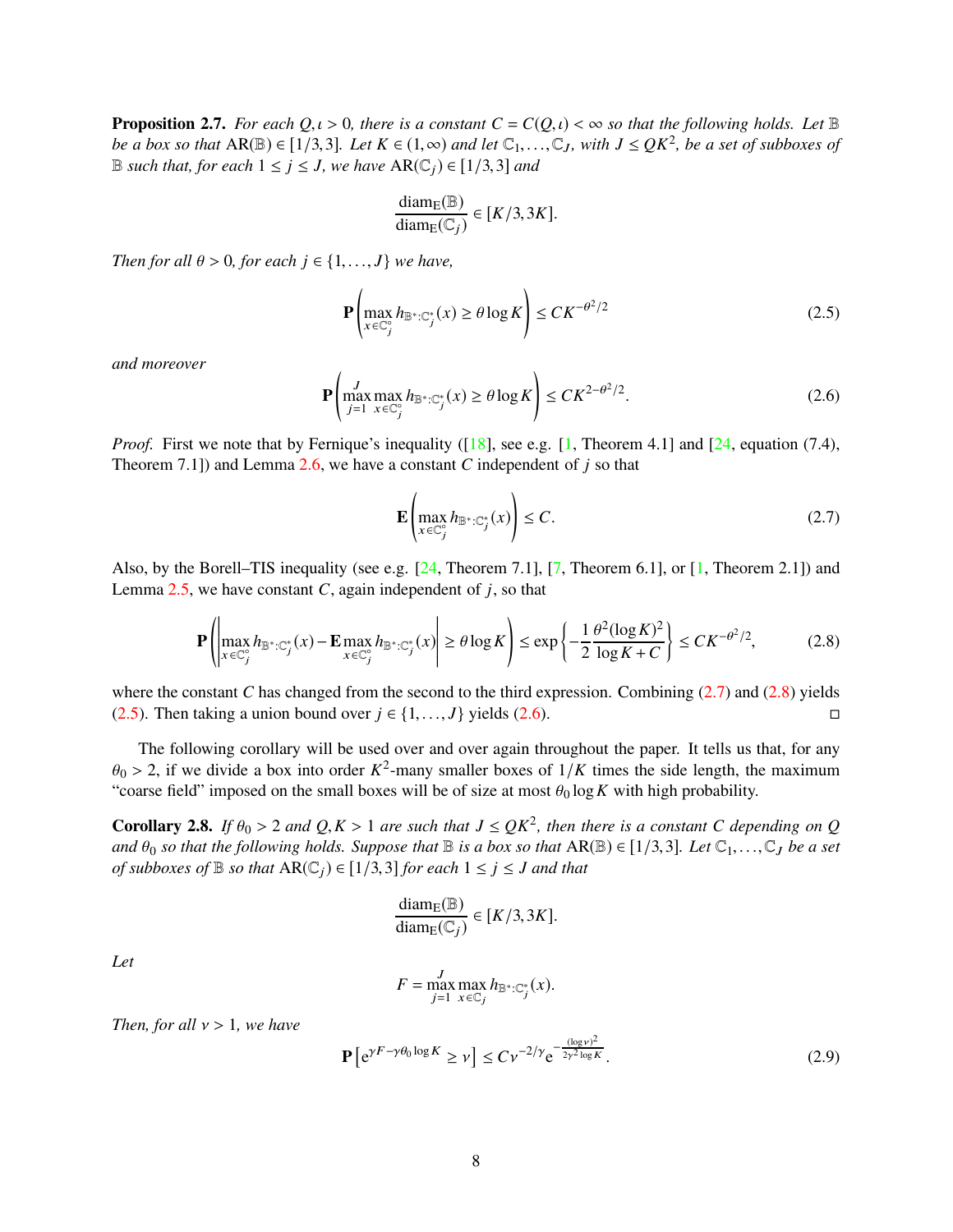<span id="page-7-4"></span>**Proposition 2.7.** *For each*  $Q, \iota > 0$ *, there is a constant*  $C = C(Q, \iota) < \infty$  *so that the following holds. Let* B *be a box so that*  $AR(\mathbb{B}) \in [1/3,3]$ *. Let*  $K \in (1,\infty)$  *and let*  $\mathbb{C}_1,\ldots,\mathbb{C}_J$ *, with*  $J \leq QK^2$ *, be a set of subboxes of* B *such that, for each*  $1 \le j \le J$ *, we have* AR( $\mathbb{C}_i$ ) ∈ [1/3,3] *and* 

$$
\frac{\text{diam}_{E}(\mathbb{B})}{\text{diam}_{E}(\mathbb{C}_{j})} \in [K/3, 3K].
$$

*Then for all*  $\theta > 0$ *, for each*  $j \in \{1, ..., J\}$  *we have,* 

<span id="page-7-2"></span>
$$
\mathbf{P}\left(\max_{x \in \mathbb{C}_j^c} h_{\mathbb{B}^* : \mathbb{C}_j^*}(x) \ge \theta \log K\right) \le CK^{-\theta^2/2} \tag{2.5}
$$

*and moreover*

<span id="page-7-3"></span>
$$
\mathbf{P}\left(\max_{j=1}^{J} \max_{x \in \mathbb{C}_{j}^{\circ}} h_{\mathbb{B}^{*}: \mathbb{C}_{j}^{*}}(x) \geq \theta \log K\right) \leq C K^{2-\theta^{2}/2}.
$$
\n(2.6)

*Proof.* First we note that by Fernique's inequality ([\[18\]](#page-63-16), see e.g. [\[1,](#page-62-15) Theorem 4.1] and [\[24,](#page-63-17) equation (7.4), Theorem 7.1]) and Lemma [2.6,](#page-6-1) we have a constant *C* independent of *j* so that

<span id="page-7-0"></span>
$$
\mathbf{E}\left(\max_{x \in \mathbb{C}_j^c} h_{\mathbb{B}^* : \mathbb{C}_j^*}(x)\right) \le C. \tag{2.7}
$$

Also, by the Borell–TIS inequality (see e.g.  $[24,$  Theorem 7.1],  $[7,$  Theorem 6.1], or  $[1,$  Theorem 2.1]) and Lemma  $2.5$ , we have constant *C*, again independent of *j*, so that

<span id="page-7-1"></span>
$$
\mathbf{P}\left(\left|\max_{x \in \mathbb{C}_j^{\circ}} h_{\mathbb{B}^* : \mathbb{C}_j^*}(x) - \mathbf{E}\max_{x \in \mathbb{C}_j^{\circ}} h_{\mathbb{B}^* : \mathbb{C}_j^*}(x)\right| \ge \theta \log K\right) \le \exp\left\{-\frac{1}{2} \frac{\theta^2 (\log K)^2}{\log K + C}\right\} \le CK^{-\theta^2/2},\tag{2.8}
$$

where the constant *C* has changed from the second to the third expression. Combining [\(2.7\)](#page-7-0) and [\(2.8\)](#page-7-1) yields [\(2.5\)](#page-7-2). Then taking a union bound over  $j \in \{1, \ldots, J\}$  yields [\(2.6\)](#page-7-3). □

The following corollary will be used over and over again throughout the paper. It tells us that, for any  $\theta_0 > 2$ , if we divide a box into order  $K^2$ -many smaller boxes of  $1/K$  times the side length, the maximum "coarse field" imposed on the small boxes will be of size at most  $\theta_0 \log K$  with high probability.

<span id="page-7-6"></span>**Corollary 2.8.** *If*  $\theta_0 > 2$  *and*  $Q, K > 1$  *are such that*  $J \leq QK^2$ *, then there is a constant* C depending on Q *and*  $\theta_0$  *so that the following holds. Suppose that*  $\mathbb B$  *is a box so that*  $AR(\mathbb B) \in [1/3,3]$ *. Let*  $\mathbb C_1,\ldots,\mathbb C_J$  *be a set of subboxes of*  $\mathbb B$  *so that*  $AR(\mathbb C_i) \in [1/3,3]$  *for each*  $1 \leq j \leq J$  *and that* 

$$
\frac{\text{diam}_{E}(\mathbb{B})}{\text{diam}_{E}(\mathbb{C}_{j})} \in [K/3, 3K].
$$

*Let*

$$
F = \max_{j=1}^{J} \max_{x \in \mathbb{C}_j} h_{\mathbb{B}^*:\mathbb{C}_j^*}(x).
$$

*Then, for all* ν > 1*, we have*

<span id="page-7-5"></span>
$$
\mathbf{P}\left[e^{\gamma F - \gamma \theta_0 \log K} \ge \nu\right] \le C \nu^{-2/\gamma} e^{-\frac{(\log \nu)^2}{2\gamma^2 \log K}}.
$$
\n(2.9)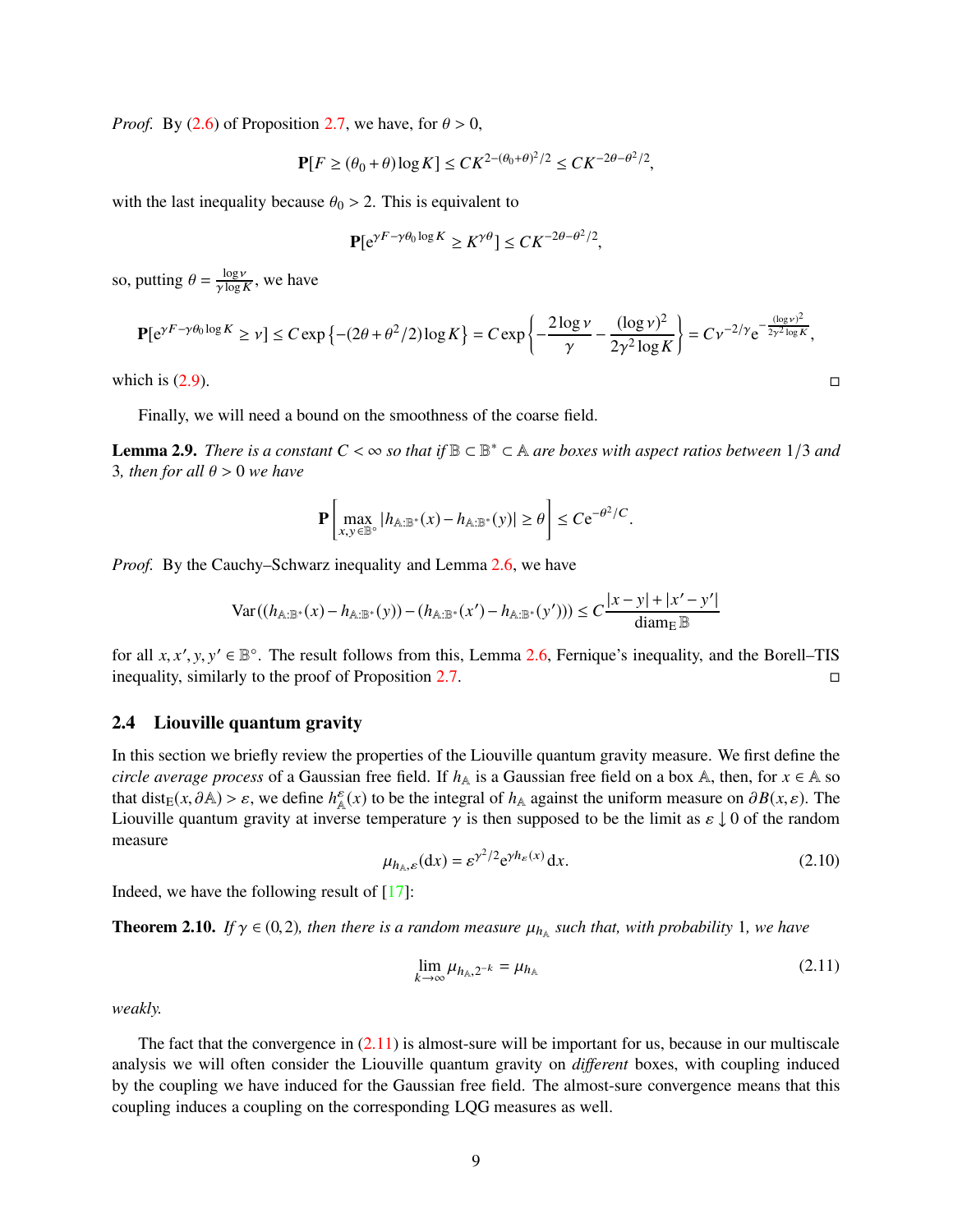*Proof.* By [\(2.6\)](#page-7-3) of Proposition [2.7,](#page-7-4) we have, for  $\theta > 0$ ,

$$
\mathbf{P}[F \ge (\theta_0 + \theta) \log K] \le CK^{2 - (\theta_0 + \theta)^2 / 2} \le CK^{-2\theta - \theta^2 / 2},
$$

with the last inequality because  $\theta_0 > 2$ . This is equivalent to

$$
\mathbf{P}[e^{\gamma F - \gamma \theta_0 \log K} \ge K^{\gamma \theta}] \le C K^{-2\theta - \theta^2/2},
$$

so, putting  $\theta = \frac{\log \nu}{\gamma \log \nu}$  $\frac{\log V}{\gamma \log K}$ , we have

$$
\mathbf{P}[e^{\gamma F - \gamma \theta_0 \log K} \ge \nu] \le C \exp\left\{ -(2\theta + \theta^2/2) \log K \right\} = C \exp\left\{ -\frac{2 \log \nu}{\gamma} - \frac{(\log \nu)^2}{2\gamma^2 \log K} \right\} = C \nu^{-2/\gamma} e^{-\frac{(\log \nu)^2}{2\gamma^2 \log K}},
$$
  
which is (2.9).

Finally, we will need a bound on the smoothness of the coarse field.

<span id="page-8-2"></span>**Lemma 2.9.** *There is a constant*  $C < \infty$  *so that if*  $\mathbb{B} \subset \mathbb{B}^* \subset \mathbb{A}$  *are boxes with aspect ratios between* 1/3 *and* 3*, then for all*  $\theta$  > 0 *we have* 

$$
\mathbf{P}\left[\max_{x,y\in\mathbb{B}^\circ}|h_{\mathbb{A}:\mathbb{B}^*}(x)-h_{\mathbb{A}:\mathbb{B}^*}(y)|\geq\theta\right]\leq C\mathrm{e}^{-\theta^2/C}.
$$

*Proof.* By the Cauchy–Schwarz inequality and Lemma [2.6,](#page-6-1) we have

$$
\text{Var}\left((h_{A:\mathbb{B}^*}(x) - h_{A:\mathbb{B}^*}(y)) - (h_{A:\mathbb{B}^*}(x') - h_{A:\mathbb{B}^*}(y'))\right) \le C\frac{|x - y| + |x' - y'|}{\text{diam}_E \,\mathbb{B}}
$$

for all  $x, x', y, y' \in \mathbb{B}^{\circ}$ . The result follows from this, Lemma [2.6,](#page-6-1) Fernique's inequality, and the Borell–TIS inequality, similarly to the proof of Proposition [2.7.](#page-7-4)

#### 2.4 Liouville quantum gravity

In this section we briefly review the properties of the Liouville quantum gravity measure. We first define the *circle average process* of a Gaussian free field. If  $h_A$  is a Gaussian free field on a box A, then, for  $x \in A$  so that dist<sub>E</sub>(*x*,  $\partial$ A) >  $\varepsilon$ , we define  $h^{\varepsilon}_{A}(x)$  to be the integral of  $h_{A}$  against the uniform measure on  $\partial B(x,\varepsilon)$ . The Liouville quantum gravity at inverse temperature  $\gamma$  is then supposed to be the limit as  $\varepsilon \downarrow 0$  of the random measure

<span id="page-8-1"></span>
$$
\mu_{h_{\mathbb{A}},\varepsilon}(\mathrm{d}x) = \varepsilon^{\gamma^2/2} e^{\gamma h_{\varepsilon}(x)} \mathrm{d}x. \tag{2.10}
$$

Indeed, we have the following result of  $[17]$ :

**Theorem 2.10.** If  $\gamma \in (0, 2)$ , then there is a random measure  $\mu_{h_{\mathbb{A}}}$  such that, with probability 1, we have

<span id="page-8-0"></span>
$$
\lim_{k \to \infty} \mu_{h_{\mathbb{A}},2^{-k}} = \mu_{h_{\mathbb{A}}} \tag{2.11}
$$

*weakly.*

The fact that the convergence in  $(2.11)$  is almost-sure will be important for us, because in our multiscale analysis we will often consider the Liouville quantum gravity on *different* boxes, with coupling induced by the coupling we have induced for the Gaussian free field. The almost-sure convergence means that this coupling induces a coupling on the corresponding LQG measures as well.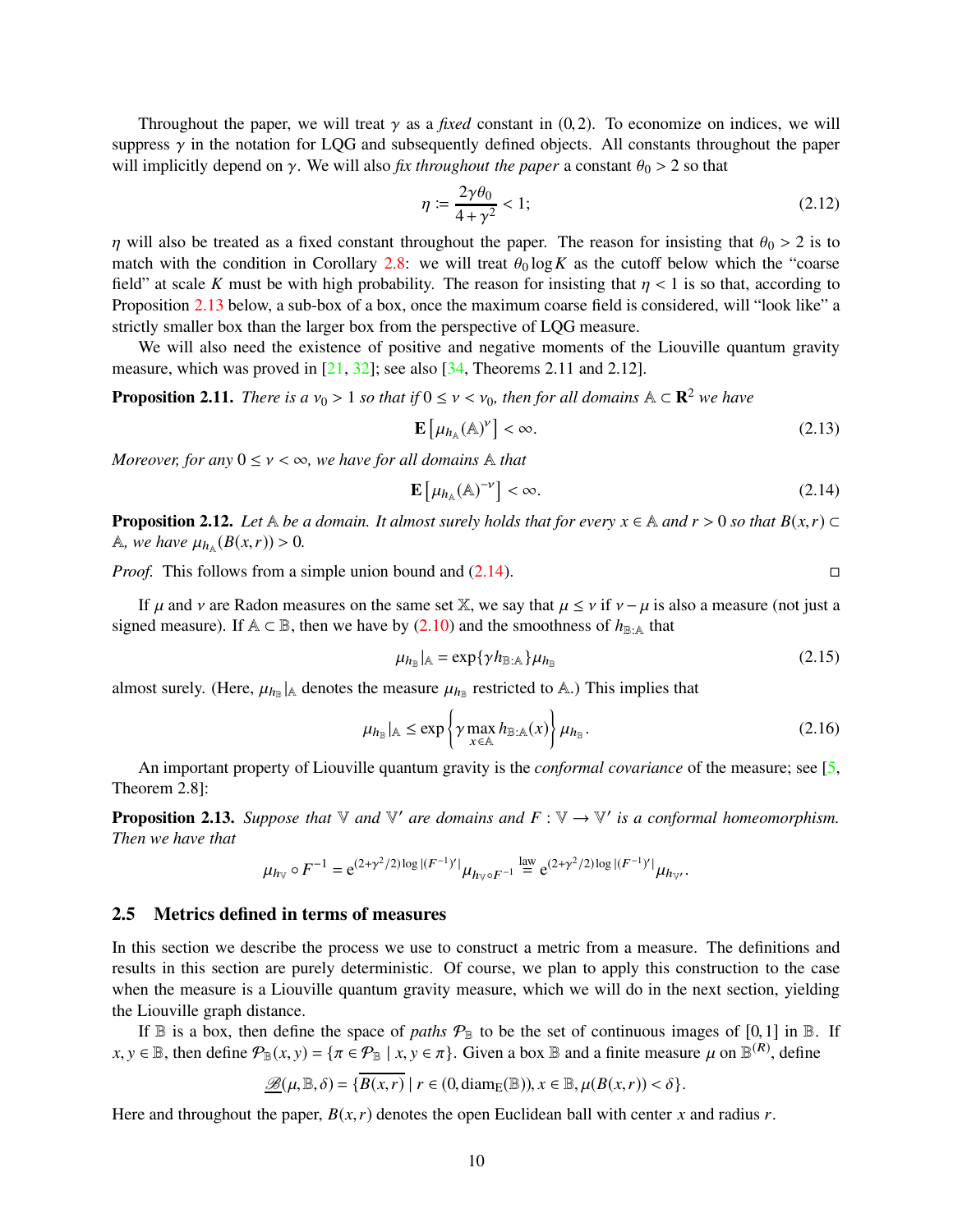Throughout the paper, we will treat  $\gamma$  as a *fixed* constant in (0,2). To economize on indices, we will suppress  $\gamma$  in the notation for LQG and subsequently defined objects. All constants throughout the paper will implicitly depend on  $\gamma$ . We will also *fix throughout the paper* a constant  $\theta_0 > 2$  so that

<span id="page-9-5"></span>
$$
\eta \coloneqq \frac{2\gamma \theta_0}{4 + \gamma^2} < 1; \tag{2.12}
$$

η will also be treated as a fixed constant throughout the paper. The reason for insisting that  $θ_0 > 2$  is to match with the condition in Corollary [2.8:](#page-7-6) we will treat  $\theta_0 \log K$  as the cutoff below which the "coarse field" at scale *K* must be with high probability. The reason for insisting that  $\eta < 1$  is so that, according to Proposition [2.13](#page-9-0) below, a sub-box of a box, once the maximum coarse field is considered, will "look like" a strictly smaller box than the larger box from the perspective of LQG measure.

We will also need the existence of positive and negative moments of the Liouville quantum gravity measure, which was proved in [\[21,](#page-63-1) [32\]](#page-63-18); see also [\[34,](#page-63-0) Theorems 2.11 and 2.12].

<span id="page-9-6"></span>**Proposition 2.11.** *There is a*  $v_0 > 1$  *so that if*  $0 \le v \le v_0$ *, then for all domains*  $A \subset \mathbb{R}^2$  *we have* 

<span id="page-9-7"></span>
$$
\mathbf{E}\left[\mu_{h_{\mathbb{A}}}(\mathbb{A})^{\nu}\right] < \infty. \tag{2.13}
$$

*Moreover, for any*  $0 \le v < \infty$ *, we have for all domains* A *that* 

<span id="page-9-1"></span>
$$
\mathbf{E}\left[\mu_{h_{\mathbb{A}}}(\mathbb{A})^{-\nu}\right] < \infty. \tag{2.14}
$$

<span id="page-9-2"></span>**Proposition 2.12.** *Let*  $\mathbb A$  *be a domain. It almost surely holds that for every*  $x \in \mathbb A$  *and r* > 0 *so that*  $B(x, r) \subset$ A, we have  $\mu_{h_{\mathbb{A}}}(B(x,r)) > 0$ .

*Proof.* This follows from a simple union bound and [\(2.14\)](#page-9-1). □

If  $\mu$  and  $\nu$  are Radon measures on the same set X, we say that  $\mu \leq \nu$  if  $\nu - \mu$  is also a measure (not just a signed measure). If  $A \subset \mathbb{B}$ , then we have by [\(2.10\)](#page-8-1) and the smoothness of  $h_{\mathbb{B}:A}$  that

$$
\mu_{h_{\mathbb{B}}}|_{\mathbb{A}} = \exp\{\gamma h_{\mathbb{B}:\mathbb{A}}\}\mu_{h_{\mathbb{B}}}
$$
\n(2.15)

almost surely. (Here,  $\mu_{h_B}$  |A denotes the measure  $\mu_{h_B}$  restricted to A.) This implies that

<span id="page-9-4"></span>
$$
\mu_{h_{\mathbb{B}}}|_{\mathbb{A}} \le \exp\left\{\gamma \max_{x \in \mathbb{A}} h_{\mathbb{B}: \mathbb{A}}(x)\right\} \mu_{h_{\mathbb{B}}}.
$$
\n(2.16)

An important property of Liouville quantum gravity is the *conformal covariance* of the measure; see [\[5,](#page-62-0) Theorem 2.8]:

<span id="page-9-0"></span>**Proposition 2.13.** Suppose that  $\mathbb{V}$  and  $\mathbb{V}'$  are domains and  $F : \mathbb{V} \to \mathbb{V}'$  is a conformal homeomorphism. *Then we have that*

$$
\mu_{h\vee} \circ F^{-1} = e^{(2+\gamma^2/2)\log |(F^{-1})'|} \mu_{h\vee \circ F^{-1}} \stackrel{\text{law}}{=} e^{(2+\gamma^2/2)\log |(F^{-1})'|} \mu_{h\vee}.
$$

#### <span id="page-9-3"></span>2.5 Metrics defined in terms of measures

In this section we describe the process we use to construct a metric from a measure. The definitions and results in this section are purely deterministic. Of course, we plan to apply this construction to the case when the measure is a Liouville quantum gravity measure, which we will do in the next section, yielding the Liouville graph distance.

If  $\mathbb B$  is a box, then define the space of *paths*  $\mathcal P_{\mathbb B}$  to be the set of continuous images of [0,1] in  $\mathbb B$ . If  $x, y \in \mathbb{B}$ , then define  $\mathcal{P}_{\mathbb{B}}(x, y) = \{ \pi \in \mathcal{P}_{\mathbb{B}} \mid x, y \in \pi \}$ . Given a box  $\mathbb{B}$  and a finite measure  $\mu$  on  $\mathbb{B}^{(R)}$ , define

$$
\underline{\mathscr{B}}(\mu,\mathbb{B},\delta)=\{\overline{B(x,r)}\mid r\in(0,\mathrm{diam}_{E}(\mathbb{B})),x\in\mathbb{B},\mu(B(x,r))<\delta\}.
$$

Here and throughout the paper,  $B(x, r)$  denotes the open Euclidean ball with center *x* and radius *r*.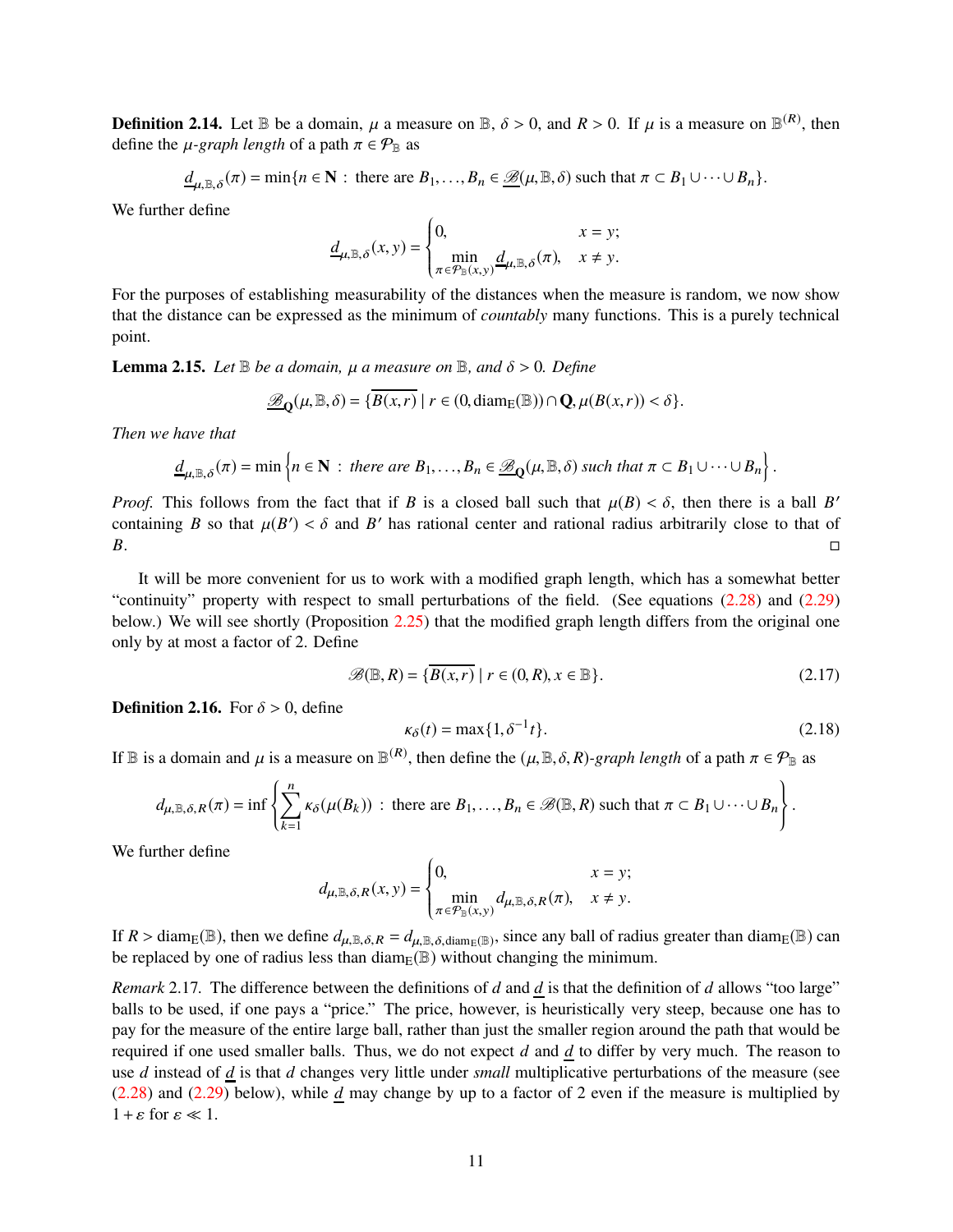**Definition 2.14.** Let  $\mathbb{B}$  be a domain,  $\mu$  a measure on  $\mathbb{B}$ ,  $\delta > 0$ , and  $R > 0$ . If  $\mu$  is a measure on  $\mathbb{B}^{(R)}$ , then define the  $\mu$ -*graph length* of a path  $\pi \in \mathcal{P}_{\mathbb{B}}$  as

$$
\underline{d}_{\mu,\mathbb{B},\delta}(\pi) = \min\{n \in \mathbb{N}: \text{ there are } B_1,\ldots,B_n \in \underline{\mathscr{B}}(\mu,\mathbb{B},\delta) \text{ such that } \pi \subset B_1 \cup \cdots \cup B_n\}.
$$

We further define

$$
\underline{d}_{\mu,\mathbb{B},\delta}(x,y) = \begin{cases} 0, & x = y; \\ \min_{\pi \in \mathcal{P}_{\mathbb{B}}(x,y)} \underline{d}_{\mu,\mathbb{B},\delta}(\pi), & x \neq y. \end{cases}
$$

For the purposes of establishing measurability of the distances when the measure is random, we now show that the distance can be expressed as the minimum of *countably* many functions. This is a purely technical point.

<span id="page-10-0"></span>**Lemma 2.15.** *Let*  $\mathbb B$  *be a domain,*  $\mu$  *a measure on*  $\mathbb B$ *, and*  $\delta > 0$ *. Define* 

$$
\underline{\mathscr{B}}_{\mathbf{Q}}(\mu,\mathbb{B},\delta)=\{\overline{B(x,r)}\mid r\in(0,\mathrm{diam}_{E}(\mathbb{B}))\cap\mathbf{Q},\mu(B(x,r))<\delta\}.
$$

*Then we have that*

$$
\underline{d}_{\mu,\mathbb{B},\delta}(\pi)=\min\left\{n\in\mathbb{N}: \text{ there are }B_1,\ldots,B_n\in\underline{\mathscr{B}}_{\mathbb{Q}}(\mu,\mathbb{B},\delta)\text{ such that }\pi\subset B_1\cup\cdots\cup B_n\right\}.
$$

*Proof.* This follows from the fact that if *B* is a closed ball such that  $\mu(B) < \delta$ , then there is a ball *B*' containing *B* so that  $\mu(B') < \delta$  and *B'* has rational center and rational radius arbitrarily close to that of *B*.

It will be more convenient for us to work with a modified graph length, which has a somewhat better "continuity" property with respect to small perturbations of the field. (See equations [\(2.28\)](#page-12-0) and [\(2.29\)](#page-12-1) below.) We will see shortly (Proposition [2.25\)](#page-13-0) that the modified graph length differs from the original one only by at most a factor of 2. Define

<span id="page-10-3"></span>
$$
\mathscr{B}(\mathbb{B},R) = \{ \overline{B(x,r)} \mid r \in (0,R), x \in \mathbb{B} \}. \tag{2.17}
$$

<span id="page-10-1"></span>**Definition 2.16.** For  $\delta > 0$ , define

<span id="page-10-2"></span>
$$
\kappa_{\delta}(t) = \max\{1, \delta^{-1}t\}.
$$
\n(2.18)

If  $\mathbb B$  is a domain and  $\mu$  is a measure on  $\mathbb B^{(R)}$ , then define the  $(\mu, \mathbb B, \delta, R)$ -graph length of a path  $\pi \in \mathcal P_{\mathbb B}$  as

$$
d_{\mu,\mathbb{B},\delta,R}(\pi)=\inf\left\{\sum_{k=1}^n \kappa_\delta(\mu(B_k))\,:\,\text{there are }B_1,\ldots,B_n\in\mathscr{B}(\mathbb{B},R)\text{ such that }\pi\subset B_1\cup\cdots\cup B_n\right\}.
$$

We further define

$$
d_{\mu,\mathbb{B},\delta,R}(x,y) = \begin{cases} 0, & x = y; \\ \min_{\pi \in \mathcal{P}_{\mathbb{B}}(x,y)} d_{\mu,\mathbb{B},\delta,R}(\pi), & x \neq y. \end{cases}
$$

If  $R > \text{diam}_{E}(\mathbb{B})$ , then we define  $d_{\mu, \mathbb{B}, \delta, R} = d_{\mu, \mathbb{B}, \delta, \text{diam}_{E}(\mathbb{B})}$ , since any ball of radius greater than diam<sub>E</sub>( $\mathbb{B}$ ) can be replaced by one of radius less than  $\text{diam}_E(\mathbb{B})$  without changing the minimum.

<span id="page-10-4"></span>*Remark* 2.17. The difference between the definitions of *d* and  $\underline{d}$  is that the definition of *d* allows "too large" balls to be used, if one pays a "price." The price, however, is heuristically very steep, because one has to pay for the measure of the entire large ball, rather than just the smaller region around the path that would be required if one used smaller balls. Thus, we do not expect *d* and *d* to differ by very much. The reason to use *d* instead of *d* is that *d* changes very little under *small* multiplicative perturbations of the measure (see [\(2.28\)](#page-12-0) and [\(2.29\)](#page-12-1) below), while *d* may change by up to a factor of 2 even if the measure is multiplied by  $1+\varepsilon$  for  $\varepsilon \ll 1$ .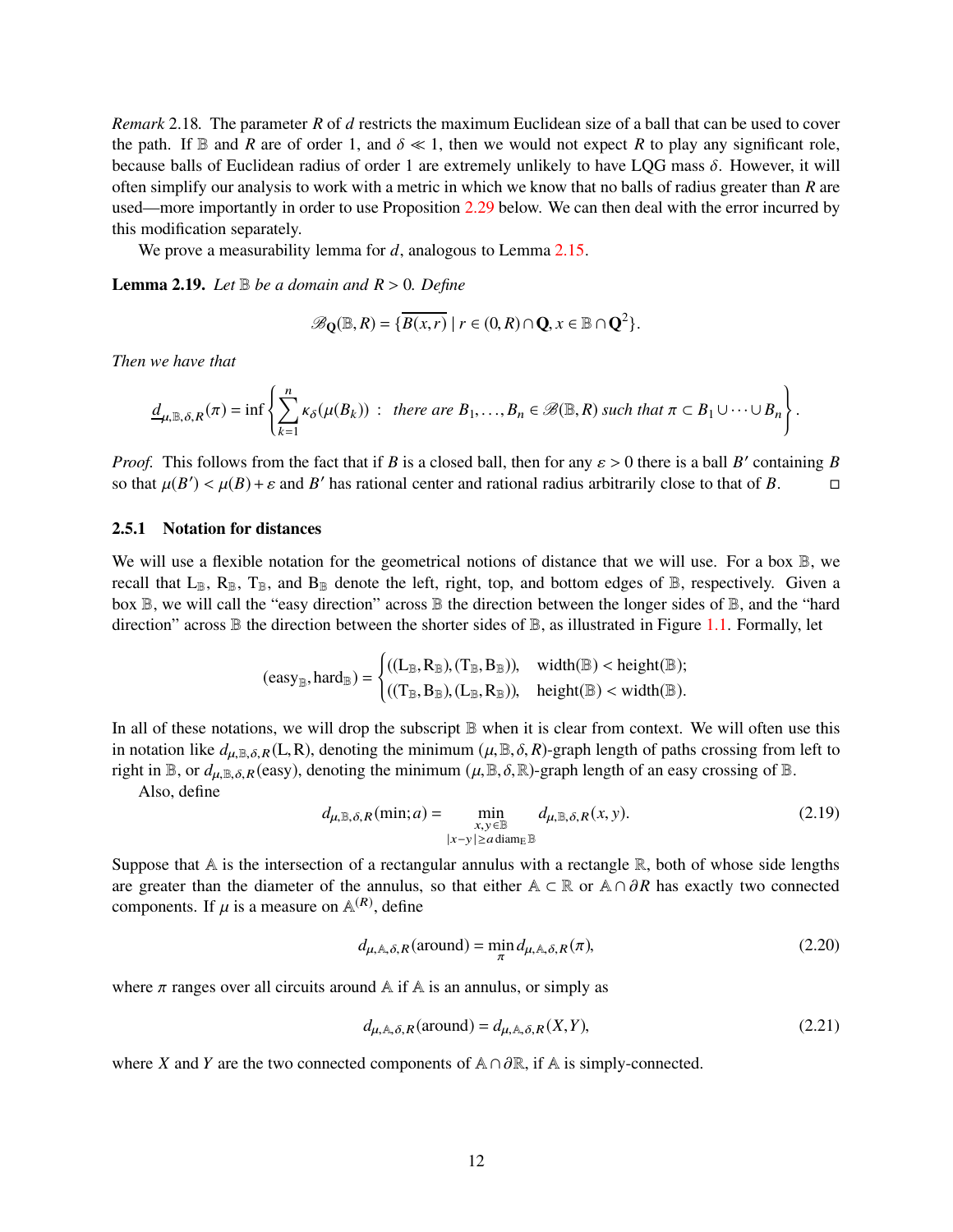*Remark* 2.18*.* The parameter *R* of *d* restricts the maximum Euclidean size of a ball that can be used to cover the path. If  $\mathbb B$  and *R* are of order 1, and  $\delta \ll 1$ , then we would not expect *R* to play any significant role, because balls of Euclidean radius of order 1 are extremely unlikely to have LQG mass  $\delta$ . However, it will often simplify our analysis to work with a metric in which we know that no balls of radius greater than *R* are used—more importantly in order to use Proposition [2.29](#page-15-0) below. We can then deal with the error incurred by this modification separately.

We prove a measurability lemma for *d*, analogous to Lemma [2.15.](#page-10-0)

<span id="page-11-0"></span>**Lemma 2.19.** *Let*  $\mathbb B$  *be a domain and*  $R > 0$ *. Define* 

$$
\mathscr{B}_{\mathbf{Q}}(\mathbb{B},R)=\{\overline{B(x,r)}\mid r\in(0,R)\cap\mathbf{Q},x\in\mathbb{B}\cap\mathbf{Q}^2\}.
$$

*Then we have that*

$$
\underline{d}_{\mu,\mathbb{B},\delta,R}(\pi)=\inf\left\{\sum_{k=1}^n\kappa_\delta(\mu(B_k))\;:\;\;there\;are\;B_1,\ldots,B_n\in\mathscr{B}(\mathbb{B},R)\;\text{such that}\;\pi\subset B_1\cup\cdots\cup B_n\right\}.
$$

*Proof.* This follows from the fact that if *B* is a closed ball, then for any  $\varepsilon > 0$  there is a ball *B'* containing *B* so that  $\mu(B') < \mu(B) + \varepsilon$  and *B*' has rational center and rational radius arbitrarily close to that of *B*.

#### 2.5.1 Notation for distances

We will use a flexible notation for the geometrical notions of distance that we will use. For a box  $\mathbb{B}$ , we recall that  $L_{\mathbb{B}}$ ,  $R_{\mathbb{B}}$ ,  $T_{\mathbb{B}}$ , and  $B_{\mathbb{B}}$  denote the left, right, top, and bottom edges of  $\mathbb{B}$ , respectively. Given a box  $\mathbb B$ , we will call the "easy direction" across  $\mathbb B$  the direction between the longer sides of  $\mathbb B$ , and the "hard direction" across  $\mathbb B$  the direction between the shorter sides of  $\mathbb B$ , as illustrated in Figure [1.1.](#page-2-0) Formally, let

$$
(easy_{\mathbb{B}}, hard_{\mathbb{B}}) = \begin{cases} ((L_{\mathbb{B}}, R_{\mathbb{B}}), (T_{\mathbb{B}}, B_{\mathbb{B}})), & \text{width}(\mathbb{B}) < \text{height}(\mathbb{B}); \\ ((T_{\mathbb{B}}, B_{\mathbb{B}}), (L_{\mathbb{B}}, R_{\mathbb{B}})), & \text{height}(\mathbb{B}) < \text{width}(\mathbb{B}). \end{cases}
$$

In all of these notations, we will drop the subscript  $\mathbb B$  when it is clear from context. We will often use this in notation like  $d_{\mu,\mathbb{B},\delta,R}(L,R)$ , denoting the minimum  $(\mu,\mathbb{B},\delta,R)$ -graph length of paths crossing from left to right in B, or  $d_{\mu, \mathbb{B}, \delta, R}$  (easy), denoting the minimum  $(\mu, \mathbb{B}, \delta, \mathbb{R})$ -graph length of an easy crossing of B.

Also, define

<span id="page-11-1"></span>
$$
d_{\mu,\mathbb{B},\delta,R}(\min;a) = \min_{\substack{x,y \in \mathbb{B} \\ |x-y| \ge a \text{ diam}_{\mathbb{E}} \mathbb{B}}} d_{\mu,\mathbb{B},\delta,R}(x,y). \tag{2.19}
$$

Suppose that  $A$  is the intersection of a rectangular annulus with a rectangle  $\mathbb{R}$ , both of whose side lengths are greater than the diameter of the annulus, so that either <sup>A</sup> <sup>⊂</sup> <sup>R</sup> or <sup>A</sup> <sup>∩</sup> <sup>∂</sup>*<sup>R</sup>* has exactly two connected components. If  $\mu$  is a measure on  $\mathbb{A}^{(R)}$ , define

<span id="page-11-2"></span>
$$
d_{\mu,\mathbb{A},\delta,R}(\text{around}) = \min_{\pi} d_{\mu,\mathbb{A},\delta,R}(\pi),\tag{2.20}
$$

where  $\pi$  ranges over all circuits around A if A is an annulus, or simply as

<span id="page-11-3"></span>
$$
d_{\mu,\mathbb{A},\delta,R}(\text{around}) = d_{\mu,\mathbb{A},\delta,R}(X,Y),\tag{2.21}
$$

where *X* and *Y* are the two connected components of  $\mathbb{A} \cap \partial \mathbb{R}$ , if  $\mathbb{A}$  is simply-connected.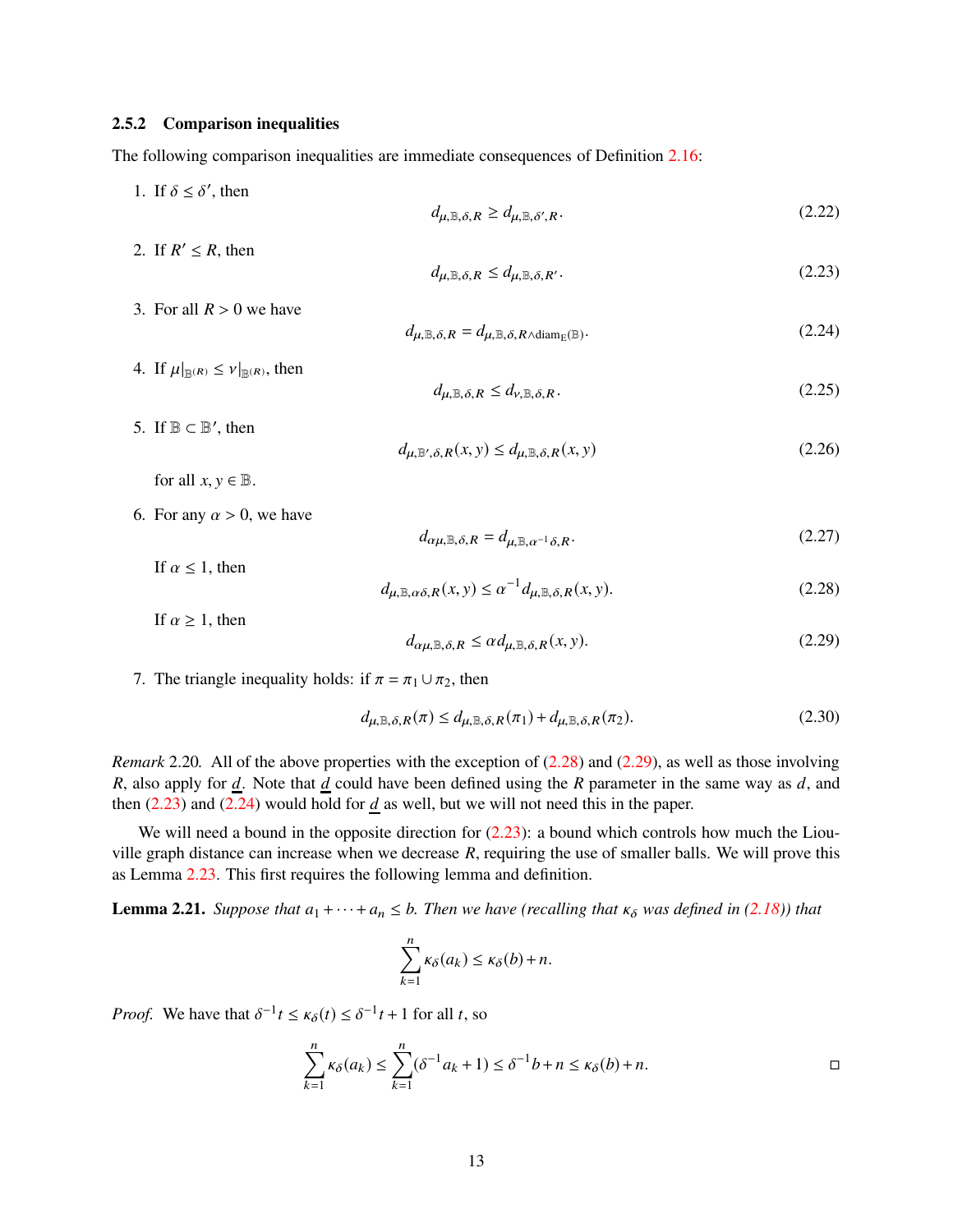#### 2.5.2 Comparison inequalities

The following comparison inequalities are immediate consequences of Definition [2.16:](#page-10-1)

- 1. If  $\delta \leq \delta'$ , then  $d_{\mu, \mathbb{B}, \delta, R} \geq d_{\mu, \mathbb{B}, \delta', R}$ .  $(2.22)$
- 2. If  $R' \le R$ , then

<span id="page-12-6"></span><span id="page-12-2"></span>
$$
d_{\mu,\mathbb{B},\delta,R} \le d_{\mu,\mathbb{B},\delta,R'}.\tag{2.23}
$$

3. For all  $R > 0$  we have

<span id="page-12-3"></span>
$$
d_{\mu,\mathbb{B},\delta,R} = d_{\mu,\mathbb{B},\delta,R \wedge \text{diam}_{E}(\mathbb{B})}.
$$
\n(2.24)

<span id="page-12-5"></span> $d_{\mu, \mathbb{B}', \delta, R}(x, y) \le d_{\mu, \mathbb{B}, \delta, R}(x, y)$  (2.26)

<span id="page-12-7"></span> $d_{\mu, \mathbb{B}, \delta, R} \leq d_{\nu, \mathbb{B}, \delta, R}$ . (2.25)

- 4. If  $\mu|_{\mathbb{R}(R)} \leq \nu|_{\mathbb{R}(R)}$ , then
- 5. If  $\mathbb{B} \subset \mathbb{B}'$ , then

for all  $x, y \in \mathbb{B}$ .

6. For any  $\alpha > 0$ , we have

<span id="page-12-8"></span> $d_{\alpha\mu,\mathbb{B},\delta,R} = d_{\mu,\mathbb{B},\alpha^{-1}\delta,R}$ . (2.27)

If  $\alpha$  < 1, then

<span id="page-12-0"></span>
$$
d_{\mu,\mathbb{B},\alpha\delta,R}(x,y) \le \alpha^{-1} d_{\mu,\mathbb{B},\delta,R}(x,y). \tag{2.28}
$$

If 
$$
\alpha \ge 1
$$
, then  

$$
d_{\alpha\mu} \otimes \delta_R < \alpha d_{\mu} \otimes \delta_R(x, y). \tag{2.29}
$$

<span id="page-12-1"></span>
$$
d_{\alpha\mu,\mathbb{B},\delta,R} \le \alpha d_{\mu,\mathbb{B},\delta,R}(x,y). \tag{2.29}
$$

#### 7. The triangle inequality holds: if  $\pi = \pi_1 \cup \pi_2$ , then

<span id="page-12-9"></span>
$$
d_{\mu,\mathbb{B},\delta,R}(\pi) \le d_{\mu,\mathbb{B},\delta,R}(\pi_1) + d_{\mu,\mathbb{B},\delta,R}(\pi_2). \tag{2.30}
$$

*Remark* 2.20. All of the above properties with the exception of [\(2.28\)](#page-12-0) and [\(2.29\)](#page-12-1), as well as those involving *R*, also apply for *d*. Note that *d* could have been defined using the *R* parameter in the same way as *d*, and then  $(2.23)$  and  $(2.24)$  would hold for  $d$  as well, but we will not need this in the paper.

We will need a bound in the opposite direction for  $(2.23)$ : a bound which controls how much the Liouville graph distance can increase when we decrease *R*, requiring the use of smaller balls. We will prove this as Lemma [2.23.](#page-13-1) This first requires the following lemma and definition.

<span id="page-12-4"></span>**Lemma 2.21.** *Suppose that*  $a_1 + \cdots + a_n \leq b$ . Then we have (recalling that  $\kappa_{\delta}$  was defined in [\(2.18\)](#page-10-2)) that

$$
\sum_{k=1}^n \kappa_\delta(a_k) \le \kappa_\delta(b) + n.
$$

*Proof.* We have that  $\delta^{-1}t \le \kappa_{\delta}(t) \le \delta^{-1}t + 1$  for all *t*, so

$$
\sum_{k=1}^{n} \kappa_{\delta}(a_k) \le \sum_{k=1}^{n} (\delta^{-1} a_k + 1) \le \delta^{-1} b + n \le \kappa_{\delta}(b) + n.
$$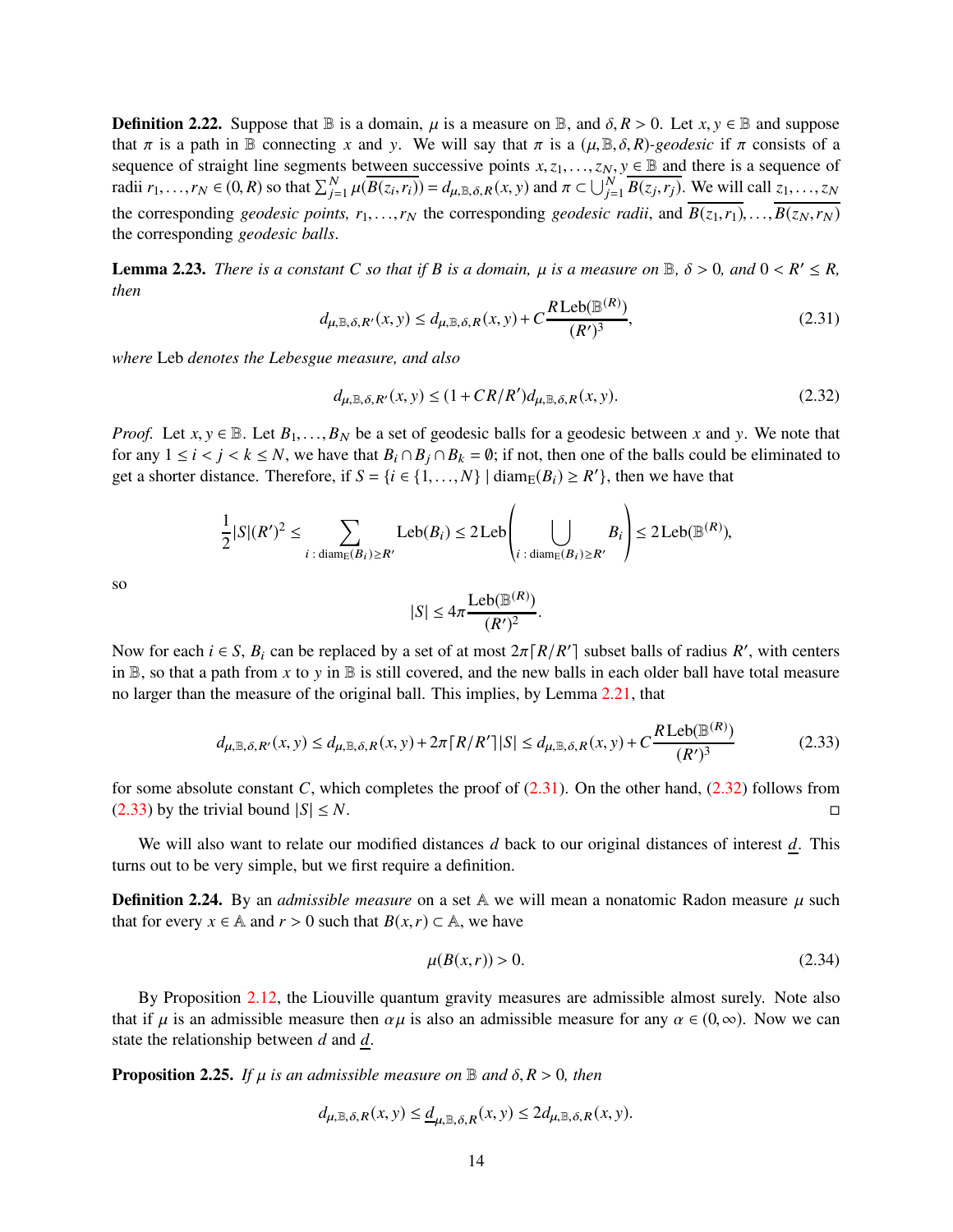<span id="page-13-6"></span>**Definition 2.22.** Suppose that  $\mathbb{B}$  is a domain,  $\mu$  is a measure on  $\mathbb{B}$ , and  $\delta$ ,  $R > 0$ . Let  $x, y \in \mathbb{B}$  and suppose that  $\pi$  is a path in B connecting x and y. We will say that  $\pi$  is a  $(\mu, \mathbb{B}, \delta, R)$ -geodesic if  $\pi$  consists of a sequence of straight line segments between successive points  $x, z_1, \ldots, z_N, y \in \mathbb{B}$  and there is a sequence of radii  $r_1, \ldots, r_N \in (0, R)$  so that  $\sum_{j=1}^N \mu(\overline{B(z_i, r_i)}) = d_{\mu, \mathbb{B}, \delta, R}(x, y)$  and  $\pi \subset \bigcup_{j=1}^N \overline{B(z_j, r_j)}$ . We will call  $z_1, \ldots, z_N$ the corresponding *geodesic points,*  $r_1, \ldots, r_N$  the corresponding *geodesic radii*, and  $\overline{B(z_1, r_1)}, \ldots, \overline{B(z_N, r_N)}$ the corresponding *geodesic balls*.

<span id="page-13-1"></span>**Lemma 2.23.** *There is a constant C so that if B is a domain,*  $\mu$  *is a measure on*  $\mathbb{B}$ ,  $\delta > 0$ , and  $0 < R' \le R$ , *then*

<span id="page-13-2"></span>
$$
d_{\mu,\mathbb{B},\delta,R'}(x,y) \le d_{\mu,\mathbb{B},\delta,R}(x,y) + C \frac{R \operatorname{Leb}(\mathbb{B}^{(R)})}{(R')^3},\tag{2.31}
$$

*where* Leb *denotes the Lebesgue measure, and also*

<span id="page-13-3"></span>
$$
d_{\mu,\mathbb{B},\delta,R'}(x,y) \le (1 + CR/R')d_{\mu,\mathbb{B},\delta,R}(x,y). \tag{2.32}
$$

*Proof.* Let  $x, y \in \mathbb{B}$ . Let  $B_1, \ldots, B_N$  be a set of geodesic balls for a geodesic between x and y. We note that for any  $1 \le i < j < k \le N$ , we have that  $B_i \cap B_j \cap B_k = \emptyset$ ; if not, then one of the balls could be eliminated to get a shorter distance. Therefore, if  $S = \{i \in \{1, ..., N\} \mid \text{diam}_{E}(B_i) \geq R'\}$ , then we have that

$$
\frac{1}{2}|S|(R')^2 \le \sum_{i \,:\, \text{diam}_E(B_i) \ge R'} \text{Leb}(B_i) \le 2\,\text{Leb}\left(\bigcup_{i \,:\, \text{diam}_E(B_i) \ge R'} B_i\right) \le 2\,\text{Leb}(\mathbb{B}^{(R)}),
$$

so

$$
|S| \le 4\pi \frac{\text{Leb}(\mathbb{B}^{(R)})}{(R')^2}.
$$

Now for each  $i \in S$ ,  $B_i$  can be replaced by a set of at most  $2\pi \lceil R/R' \rceil$  subset balls of radius  $R'$ , with centers in  $\mathbb B$ , so that a path from x to y in  $\mathbb B$  is still covered, and the new balls in each older ball have total measure no larger than the measure of the original ball. This implies, by Lemma [2.21,](#page-12-4) that

<span id="page-13-4"></span>
$$
d_{\mu,\mathbb{B},\delta,R'}(x,y) \le d_{\mu,\mathbb{B},\delta,R}(x,y) + 2\pi \lceil R/R' \rceil |S| \le d_{\mu,\mathbb{B},\delta,R}(x,y) + C \frac{R \operatorname{Leb}(\mathbb{B}^{(R)})}{(R')^3}
$$
(2.33)

for some absolute constant *C*, which completes the proof of  $(2.31)$ . On the other hand,  $(2.32)$  follows from  $(2.33)$  by the trivial bound  $|S| \le N$ .

We will also want to relate our modified distances *d* back to our original distances of interest *d*. This turns out to be very simple, but we first require a definition.

**Definition 2.24.** By an *admissible measure* on a set  $\mathbb{A}$  we will mean a nonatomic Radon measure  $\mu$  such that for every *x* ∈ A and *r* > 0 such that *B*(*x*,*r*) ⊂ A, we have

<span id="page-13-5"></span>
$$
\mu(B(x,r)) > 0. \tag{2.34}
$$

By Proposition [2.12,](#page-9-2) the Liouville quantum gravity measures are admissible almost surely. Note also that if  $\mu$  is an admissible measure then  $\alpha \mu$  is also an admissible measure for any  $\alpha \in (0, \infty)$ . Now we can state the relationship between *d* and *d*.

<span id="page-13-0"></span>**Proposition 2.25.** *If*  $\mu$  *is an admissible measure on*  $\mathbb{B}$  *and*  $\delta$ ,  $R > 0$ *, then* 

$$
d_{\mu,\mathbb{B},\delta,R}(x,y) \leq \underline{d}_{\mu,\mathbb{B},\delta,R}(x,y) \leq 2d_{\mu,\mathbb{B},\delta,R}(x,y).
$$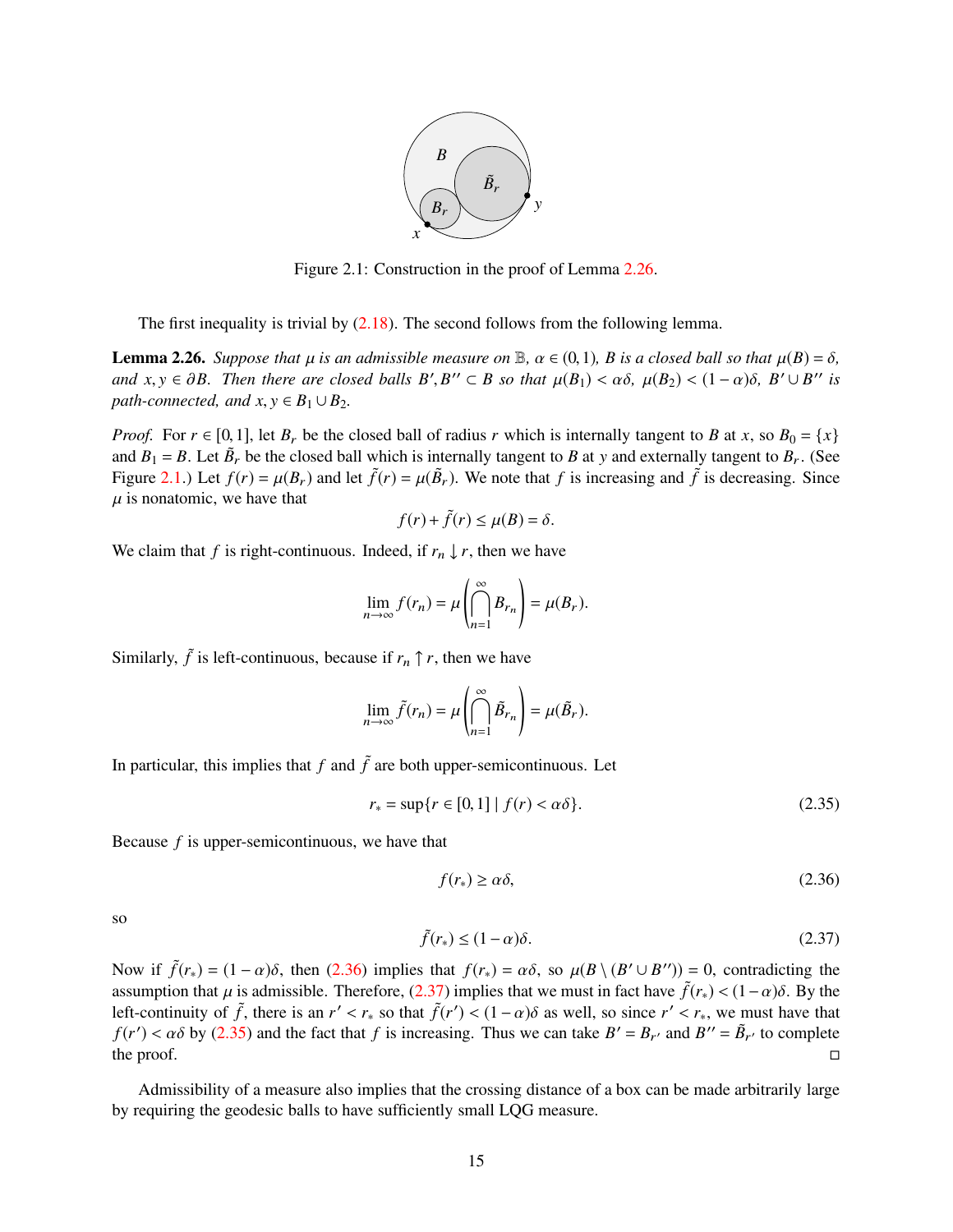

Figure 2.1: Construction in the proof of Lemma [2.26.](#page-14-0)

<span id="page-14-1"></span>The first inequality is trivial by  $(2.18)$ . The second follows from the following lemma.

<span id="page-14-0"></span>**Lemma 2.26.** *Suppose that*  $\mu$  *is an admissible measure on*  $\mathbb{B}$ ,  $\alpha \in (0,1)$ *, B is a closed ball so that*  $\mu(B) = \delta$ *, and*  $x, y \in \partial B$ . Then there are closed balls  $B', B'' \subset B$  so that  $\mu(B_1) < \alpha \delta$ ,  $\mu(B_2) < (1 - \alpha) \delta$ ,  $B' \cup B''$  is *path-connected, and*  $x, y \in B_1 \cup B_2$ *.* 

*Proof.* For  $r \in [0,1]$ , let  $B_r$  be the closed ball of radius *r* which is internally tangent to *B* at *x*, so  $B_0 = \{x\}$ and  $B_1 = B$ . Let  $\tilde{B}_r$  be the closed ball which is internally tangent to *B* at *y* and externally tangent to  $B_r$ . (See Figure [2.1.](#page-14-1)) Let  $f(r) = \mu(B_r)$  and let  $\tilde{f}(r) = \mu(\tilde{B}_r)$ . We note that f is increasing and  $\tilde{f}$  is decreasing. Since  $\mu$  is nonatomic, we have that

$$
f(r) + \tilde{f}(r) \le \mu(B) = \delta.
$$

We claim that *f* is right-continuous. Indeed, if  $r_n \downarrow r$ , then we have

$$
\lim_{n \to \infty} f(r_n) = \mu \left( \bigcap_{n=1}^{\infty} B_{r_n} \right) = \mu(B_r).
$$

Similarly,  $\tilde{f}$  is left-continuous, because if  $r_n \uparrow r$ , then we have

$$
\lim_{n \to \infty} \tilde{f}(r_n) = \mu \left( \bigcap_{n=1}^{\infty} \tilde{B}_{r_n} \right) = \mu(\tilde{B}_r).
$$

In particular, this implies that  $f$  and  $\tilde{f}$  are both upper-semicontinuous. Let

<span id="page-14-4"></span>
$$
r_* = \sup\{r \in [0, 1] \mid f(r) < \alpha\delta\}.\tag{2.35}
$$

Because *f* is upper-semicontinuous, we have that

<span id="page-14-2"></span>
$$
f(r_*) \ge \alpha \delta, \tag{2.36}
$$

so

<span id="page-14-3"></span>
$$
\tilde{f}(r_*) \le (1 - \alpha)\delta. \tag{2.37}
$$

Now if  $\tilde{f}(r_*) = (1 - \alpha)\delta$ , then [\(2.36\)](#page-14-2) implies that  $f(r_*) = \alpha\delta$ , so  $\mu(B \setminus (B' \cup B'')) = 0$ , contradicting the assumption that  $\mu$  is admissible. Therefore, [\(2.37\)](#page-14-3) implies that we must in fact have  $\tilde{f}(r_*) < (1-\alpha)\delta$ . By the left-continuity of  $\tilde{f}$ , there is an  $r' < r_*$  so that  $\tilde{f}(r') < (1 - \alpha)\delta$  as well, so since  $r' < r_*,$  we must have that  $f(r') < \alpha \delta$  by [\(2.35\)](#page-14-4) and the fact that *f* is increasing. Thus we can take  $B' = B_{r'}$  and  $B'' = \tilde{B}_{r'}$  to complete the proof.  $\Box$ 

Admissibility of a measure also implies that the crossing distance of a box can be made arbitrarily large by requiring the geodesic balls to have sufficiently small LQG measure.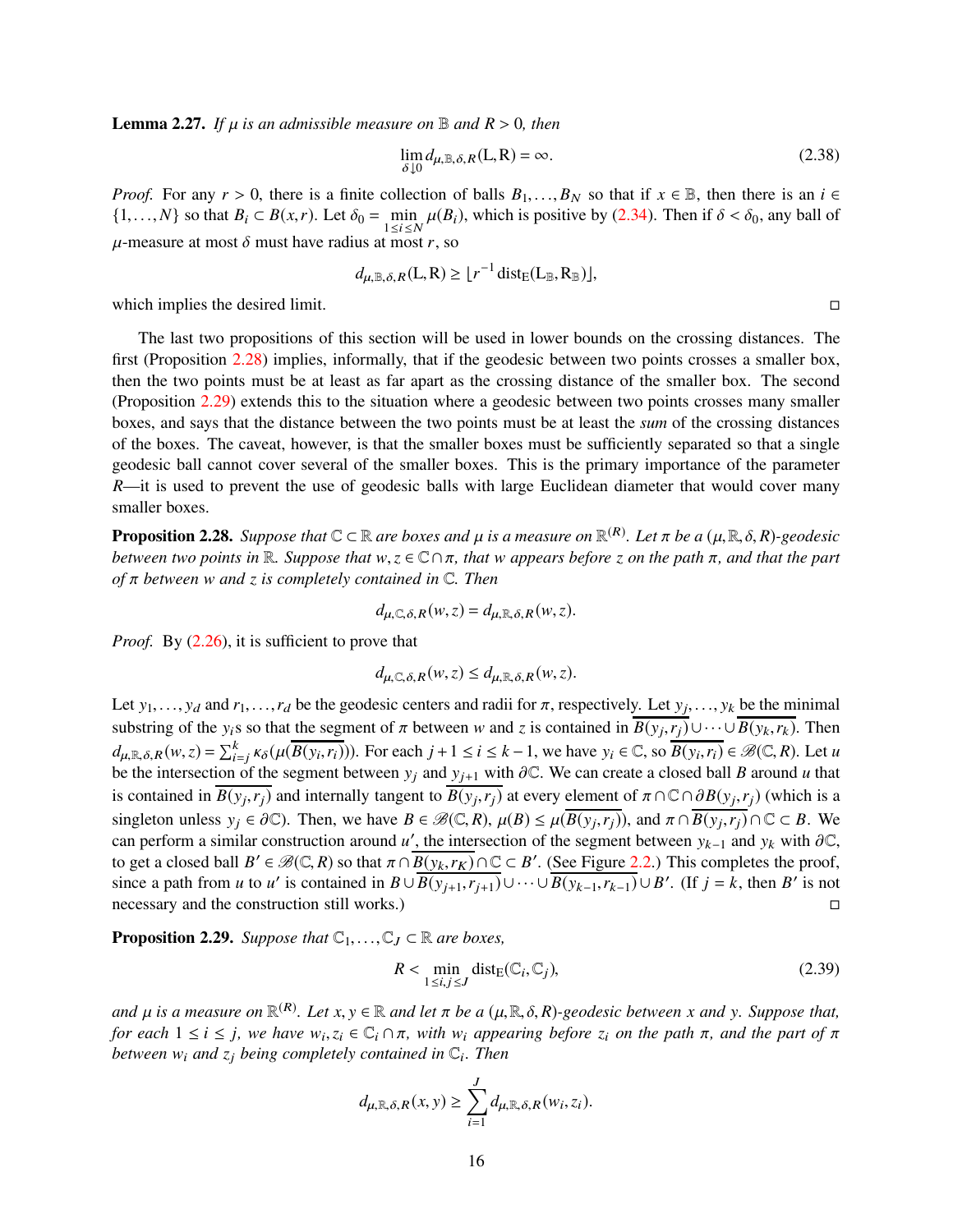<span id="page-15-3"></span>**Lemma 2.27.** If  $\mu$  is an admissible measure on  $\mathbb{B}$  and  $R > 0$ , then

$$
\lim_{\delta \downarrow 0} d_{\mu,\mathbb{B},\delta,R}(L,R) = \infty.
$$
\n(2.38)

*Proof.* For any  $r > 0$ , there is a finite collection of balls  $B_1, \ldots, B_N$  so that if  $x \in \mathbb{B}$ , then there is an  $i \in \mathbb{B}$  $\{1, ..., N\}$  so that  $B_i \subset B(x, r)$ . Let  $\delta_0 = \min_{1 \le i \le N} \mu(B_i)$ , which is positive by [\(2.34\)](#page-13-5). Then if  $\delta < \delta_0$ , any ball of  $\mu$ -measure at most  $\delta$  must have radius at most *r*, so

$$
d_{\mu,\mathbb{B},\delta,R}(L,R) \geq \lfloor r^{-1} \operatorname{dist}_{E}(L_{\mathbb{B}},R_{\mathbb{B}}) \rfloor,
$$

which implies the desired limit.  $\Box$ 

The last two propositions of this section will be used in lower bounds on the crossing distances. The first (Proposition [2.28\)](#page-15-1) implies, informally, that if the geodesic between two points crosses a smaller box, then the two points must be at least as far apart as the crossing distance of the smaller box. The second (Proposition [2.29\)](#page-15-0) extends this to the situation where a geodesic between two points crosses many smaller boxes, and says that the distance between the two points must be at least the *sum* of the crossing distances of the boxes. The caveat, however, is that the smaller boxes must be sufficiently separated so that a single geodesic ball cannot cover several of the smaller boxes. This is the primary importance of the parameter *R*—it is used to prevent the use of geodesic balls with large Euclidean diameter that would cover many smaller boxes.

<span id="page-15-1"></span>**Proposition 2.28.** Suppose that  $\mathbb{C} \subset \mathbb{R}$  are boxes and  $\mu$  is a measure on  $\mathbb{R}^{(R)}$ . Let  $\pi$  be a  $(\mu, \mathbb{R}, \delta, R)$ -geodesic *between two points in*  $\mathbb{R}$ *. Suppose that*  $w, z \in \mathbb{C} \cap \pi$ *, that* w appears before z on the path  $\pi$ *, and that the part of* π *between* w *and z is completely contained in* C*. Then*

$$
d_{\mu,\mathbb{C},\delta,R}(w,z) = d_{\mu,\mathbb{R},\delta,R}(w,z).
$$

*Proof.* By  $(2.26)$ , it is sufficient to prove that

$$
d_{\mu,\mathbb{C},\delta,R}(w,z) \leq d_{\mu,\mathbb{R},\delta,R}(w,z).
$$

Let  $y_1, \ldots, y_d$  and  $r_1, \ldots, r_d$  be the geodesic centers and radii for  $\pi$ , respectively. Let  $y_j, \ldots, y_k$  be the minimal substring of the  $y_i$ s so that the segment of  $\pi$  between w and *z* is contained in  $B(y_j, r_j) \cup \cdots \cup B(y_k, r_k)$ . Then  $d_{\mu,\mathbb{R},\delta,R}(w,z) = \sum_{i=j}^{k} \kappa_{\delta}(\mu(\overline{B(y_i,r_i)}))$ . For each  $j+1 \leq i \leq k-1$ , we have  $y_i \in \mathbb{C}$ , so  $\overline{B(y_i,r_i)} \in \mathcal{B}(\mathbb{C},R)$ . Let  $u$ be the intersection of the segment between  $y_j$  and  $y_{j+1}$  with  $\partial \mathbb{C}$ . We can create a closed ball *B* around *u* that is contained in  $\overline{B(y_j, r_j)}$  and internally tangent to  $\overline{B(y_j, r_j)}$  at every element of  $\pi \cap \mathbb{C} \cap \partial B(y_j, r_j)$  (which is a singleton unless  $y_j \in \partial \mathbb{C}$ ). Then, we have  $B \in \mathcal{B}(\mathbb{C}, R)$ ,  $\mu(B) \leq \mu(\overline{B(y_j, r_j)})$ , and  $\pi \cap \overline{B(y_j, r_j)} \cap \mathbb{C} \subset B$ . We can perform a similar construction around *u*<sup>'</sup>, the intersection of the segment between  $y_{k-1}$  and  $y_k$  with  $\partial \mathbb{C}$ , to get a closed ball  $B' \in \mathcal{B}(\mathbb{C}, R)$  so that  $\pi \cap \overline{B(y_k, r_K)} \cap \mathbb{C} \subset B'$ . (See Figure [2.2.](#page-16-0)) This completes the proof, since a path from *u* to *u'* is contained in  $B \cup \overline{B(y_{j+1}, r_{j+1})} \cup \cdots \cup \overline{B(y_{k-1}, r_{k-1})} \cup B'$ . (If  $j = k$ , then *B'* is not necessary and the construction still works.)

<span id="page-15-0"></span>**Proposition 2.29.** *Suppose that*  $\mathbb{C}_1, \ldots, \mathbb{C}_J \subset \mathbb{R}$  *are boxes,* 

<span id="page-15-2"></span>
$$
R < \min_{1 \le i,j \le J} \text{dist}_{E}(\mathbb{C}_{i}, \mathbb{C}_{j}),\tag{2.39}
$$

and  $\mu$  is a measure on  $\mathbb{R}^{(R)}$ . Let  $x, y \in \mathbb{R}$  and let  $\pi$  be a  $(\mu, \mathbb{R}, \delta, R)$ -geodesic between x and y. Suppose that, *for each*  $1 \le i \le j$ , we have  $w_i, z_i \in \mathbb{C}_i \cap \pi$ , with  $w_i$  appearing before  $z_i$  *on the path*  $\pi$ , *and the part of*  $\pi$ between  $w_i$  and  $z_j$  being completely contained in  $\mathbb{C}_i$ . Then

$$
d_{\mu,\mathbb{R},\delta,R}(x,y) \geq \sum_{i=1}^J d_{\mu,\mathbb{R},\delta,R}(w_i,z_i).
$$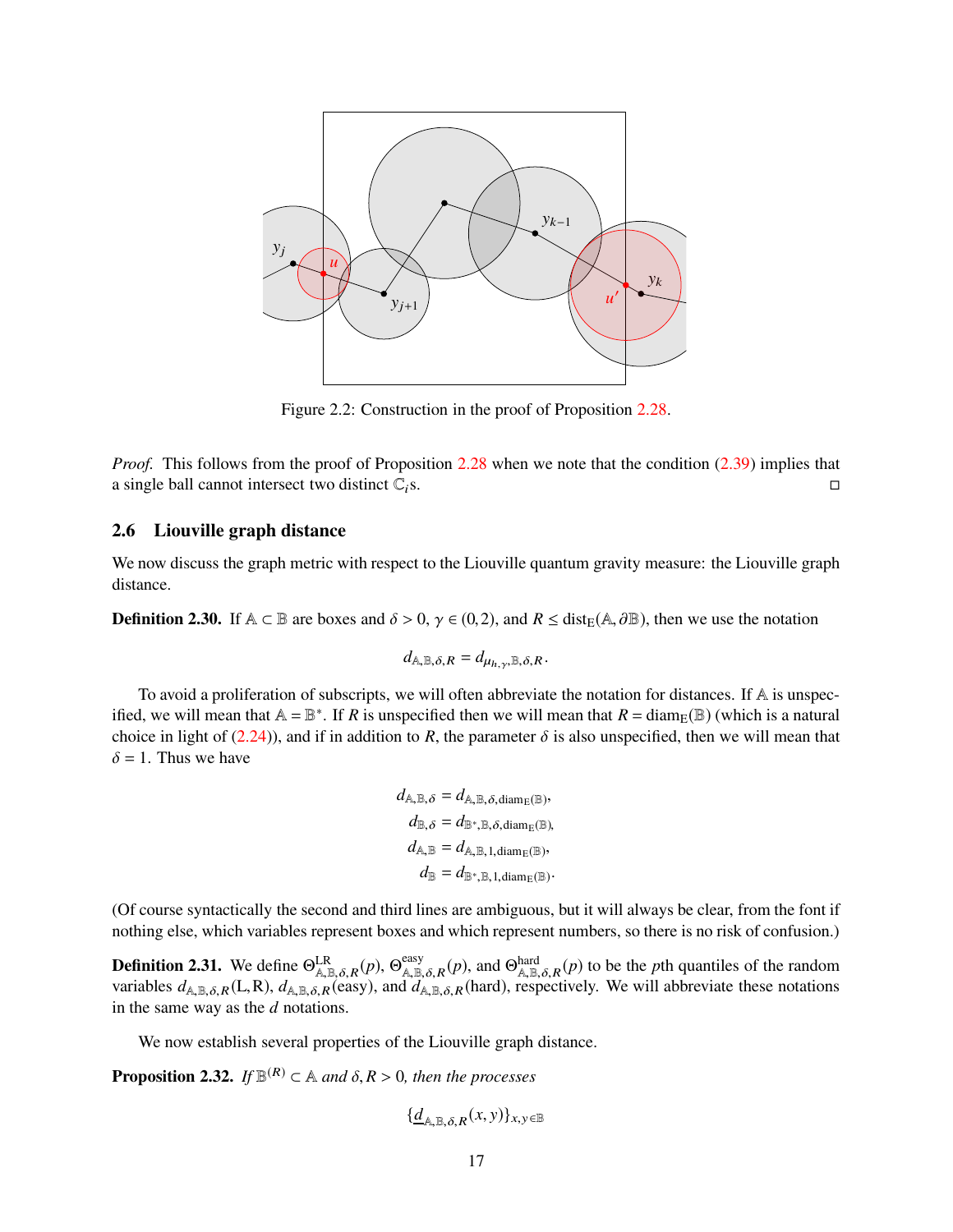<span id="page-16-0"></span>

Figure 2.2: Construction in the proof of Proposition [2.28.](#page-15-1)

*Proof.* This follows from the proof of Proposition [2.28](#page-15-1) when we note that the condition [\(2.39\)](#page-15-2) implies that a single ball cannot intersect two distinct  $\mathbb{C}_i$ s.

## 2.6 Liouville graph distance

We now discuss the graph metric with respect to the Liouville quantum gravity measure: the Liouville graph distance.

**Definition 2.30.** If  $A \subset \mathbb{B}$  are boxes and  $\delta > 0$ ,  $\gamma \in (0, 2)$ , and  $R \leq \text{dist}_{\mathbb{F}}(A, \partial \mathbb{B})$ , then we use the notation

$$
d_{\mathbb{A},\mathbb{B},\delta,R}=d_{\mu_{h,\gamma},\mathbb{B},\delta,R}.
$$

To avoid a proliferation of subscripts, we will often abbreviate the notation for distances. If A is unspecified, we will mean that  $A = \mathbb{B}^*$ . If *R* is unspecified then we will mean that  $R = \text{diam}_E(\mathbb{B})$  (which is a natural choice in light of [\(2.24\)](#page-12-3)), and if in addition to *R*, the parameter  $\delta$  is also unspecified, then we will mean that  $\delta = 1$ . Thus we have

$$
\begin{aligned} d_{\mathbb{A},\mathbb{B},\delta} &= d_{\mathbb{A},\mathbb{B},\delta,\text{diam}_\mathbb{E}(\mathbb{B})}, \\ d_{\mathbb{B},\delta} &= d_{\mathbb{B}^*,\mathbb{B},\delta,\text{diam}_\mathbb{E}(\mathbb{B})}, \\ d_{\mathbb{A},\mathbb{B}} &= d_{\mathbb{A},\mathbb{B},1,\text{diam}_\mathbb{E}(\mathbb{B})}, \\ d_{\mathbb{B}} &= d_{\mathbb{B}^*,\mathbb{B},1,\text{diam}_\mathbb{E}(\mathbb{B})}. \end{aligned}
$$

(Of course syntactically the second and third lines are ambiguous, but it will always be clear, from the font if nothing else, which variables represent boxes and which represent numbers, so there is no risk of confusion.)

**Definition 2.31.** We define  $\Theta_{\mathbb{A},\mathbb{B},\delta,R}^{\text{LR}}(p)$ ,  $\Theta_{\mathbb{A},\mathbb{B},\delta,R}^{\text{easy}}(p)$ , and  $\Theta_{\mathbb{A},\mathbb{B},\delta,R}^{\text{hard}}(p)$  to be the *p*th quantiles of the random variables  $d_{A,B,\delta,R}(L,R)$ ,  $d_{A,B,\delta,R}$ (easy), and  $d_{A,B,\delta,R}$ (hard), respectively. We will abbreviate these notations in the same way as the *d* notations.

We now establish several properties of the Liouville graph distance.

**Proposition 2.32.** *If*  $\mathbb{B}^{(R)} \subset \mathbb{A}$  *and*  $\delta, R > 0$ *, then the processes* 

$$
\{\underline{d}_{\mathbb{A},\mathbb{B},\delta,R}(x,y)\}_{x,y\in\mathbb{B}}
$$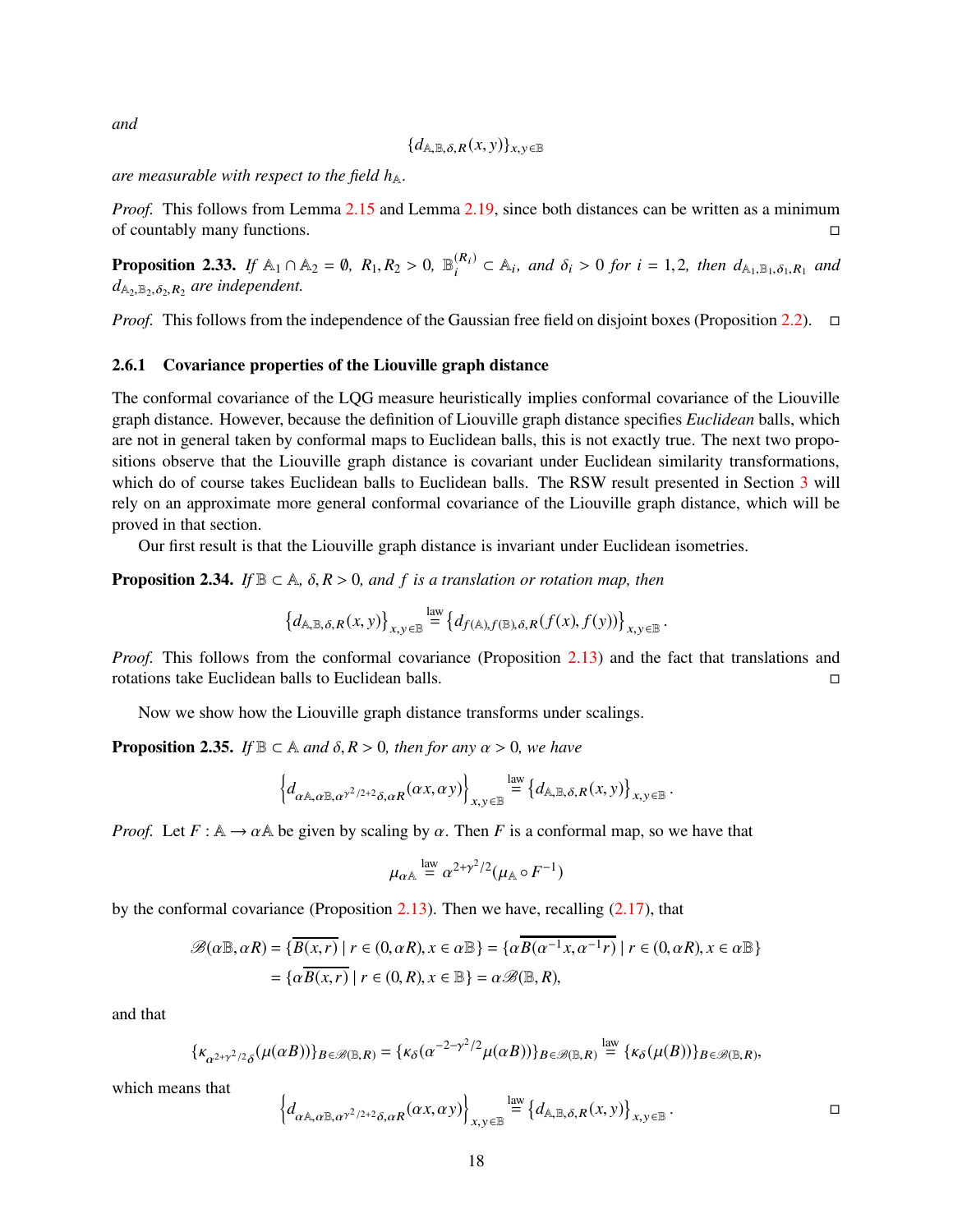*and*

$$
\{d_{\mathbb{A}, \mathbb{B}, \delta, R}(x, y)\}_{x, y \in \mathbb{B}}
$$

*are measurable with respect to the field*  $h_{\mathbb{A}}$ *.* 

*Proof.* This follows from Lemma [2.15](#page-10-0) and Lemma [2.19,](#page-11-0) since both distances can be written as a minimum of countably many functions.

**Proposition 2.33.** If A<sub>1</sub> ∩ A<sub>2</sub> = 0, R<sub>1</sub>, R<sub>2</sub> > 0,  $\mathbb{B}_i^{(R_i)}$  ⊂ A<sub>i</sub>, and  $\delta_i$  > 0 for i = 1,2, then  $d_{A_1,B_1,\delta_1,R_1}$  and  $d_{\mathbb{A}_2,\mathbb{B}_2,\delta_2,R_2}$  are independent.

*Proof.* This follows from the independence of the Gaussian free field on disjoint boxes (Proposition [2.2\)](#page-6-3).  $\Box$ 

#### 2.6.1 Covariance properties of the Liouville graph distance

The conformal covariance of the LQG measure heuristically implies conformal covariance of the Liouville graph distance. However, because the definition of Liouville graph distance specifies *Euclidean* balls, which are not in general taken by conformal maps to Euclidean balls, this is not exactly true. The next two propositions observe that the Liouville graph distance is covariant under Euclidean similarity transformations, which do of course takes Euclidean balls to Euclidean balls. The RSW result presented in Section [3](#page-18-1) will rely on an approximate more general conformal covariance of the Liouville graph distance, which will be proved in that section.

Our first result is that the Liouville graph distance is invariant under Euclidean isometries.

**Proposition 2.34.** *If*  $\mathbb{B} \subset \mathbb{A}$ ,  $\delta$ ,  $R > 0$ , and f is a translation or rotation map, then

$$
\left\{d_{\mathbb{A},\mathbb{B},\delta,R}(x,y)\right\}_{x,y\in\mathbb{B}}\stackrel{\text{law}}{=}\left\{d_{f(\mathbb{A}),f(\mathbb{B}),\delta,R}(f(x),f(y))\right\}_{x,y\in\mathbb{B}}.
$$

*Proof.* This follows from the conformal covariance (Proposition [2.13\)](#page-9-0) and the fact that translations and rotations take Euclidean balls to Euclidean balls.

Now we show how the Liouville graph distance transforms under scalings.

<span id="page-17-0"></span>**Proposition 2.35.** *If*  $\mathbb{B} \subset \mathbb{A}$  *and*  $\delta, R > 0$ *, then for any*  $\alpha > 0$ *, we have* 

$$
\left\{d_{\alpha\mathbb{A},\alpha\mathbb{B},\alpha^{\gamma^2/2+2}\delta,\alpha R}(\alpha x,\alpha y)\right\}_{x,y\in\mathbb{B}} \stackrel{\rm law}{=} \left\{d_{\mathbb{A},\mathbb{B},\delta,R}(x,y)\right\}_{x,y\in\mathbb{B}}
$$

*Proof.* Let  $F : \mathbb{A} \to \alpha \mathbb{A}$  be given by scaling by  $\alpha$ . Then *F* is a conformal map, so we have that

$$
\mu_{\alpha\mathbb{A}} \stackrel{\text{law}}{=} \alpha^{2+\gamma^2/2} (\mu_{\mathbb{A}} \circ F^{-1})
$$

by the conformal covariance (Proposition [2.13\)](#page-9-0). Then we have, recalling [\(2.17\)](#page-10-3), that

$$
\mathcal{B}(\alpha \mathbb{B}, \alpha R) = \{ \overline{B(x, r)} \mid r \in (0, \alpha R), x \in \alpha \mathbb{B} \} = \{ \alpha \overline{B(\alpha^{-1} x, \alpha^{-1} r)} \mid r \in (0, \alpha R), x \in \alpha \mathbb{B} \}
$$

$$
= \{ \alpha \overline{B(x, r)} \mid r \in (0, R), x \in \mathbb{B} \} = \alpha \mathcal{B}(\mathbb{B}, R),
$$

and that

$$
\{\kappa_{\alpha^{2+\gamma^2/2}\delta}(\mu(\alpha B))\}_{B\in\mathscr{B}(\mathbb{B},R)}=\{\kappa_{\delta}(\alpha^{-2-\gamma^2/2}\mu(\alpha B))\}_{B\in\mathscr{B}(\mathbb{B},R)}\overset{\text{law}}{=}\{\kappa_{\delta}(\mu(B))\}_{B\in\mathscr{B}(\mathbb{B},R)},
$$

which means that

$$
\left\{d_{\alpha\mathbb{A},\alpha\mathbb{B},\alpha^{\gamma^2/2+2}\delta,\alpha R}(\alpha x,\alpha y)\right\}_{x,y\in\mathbb{B}} \stackrel{\text{law}}{=} \left\{d_{\mathbb{A},\mathbb{B},\delta,R}(x,y)\right\}_{x,y\in\mathbb{B}}.
$$

.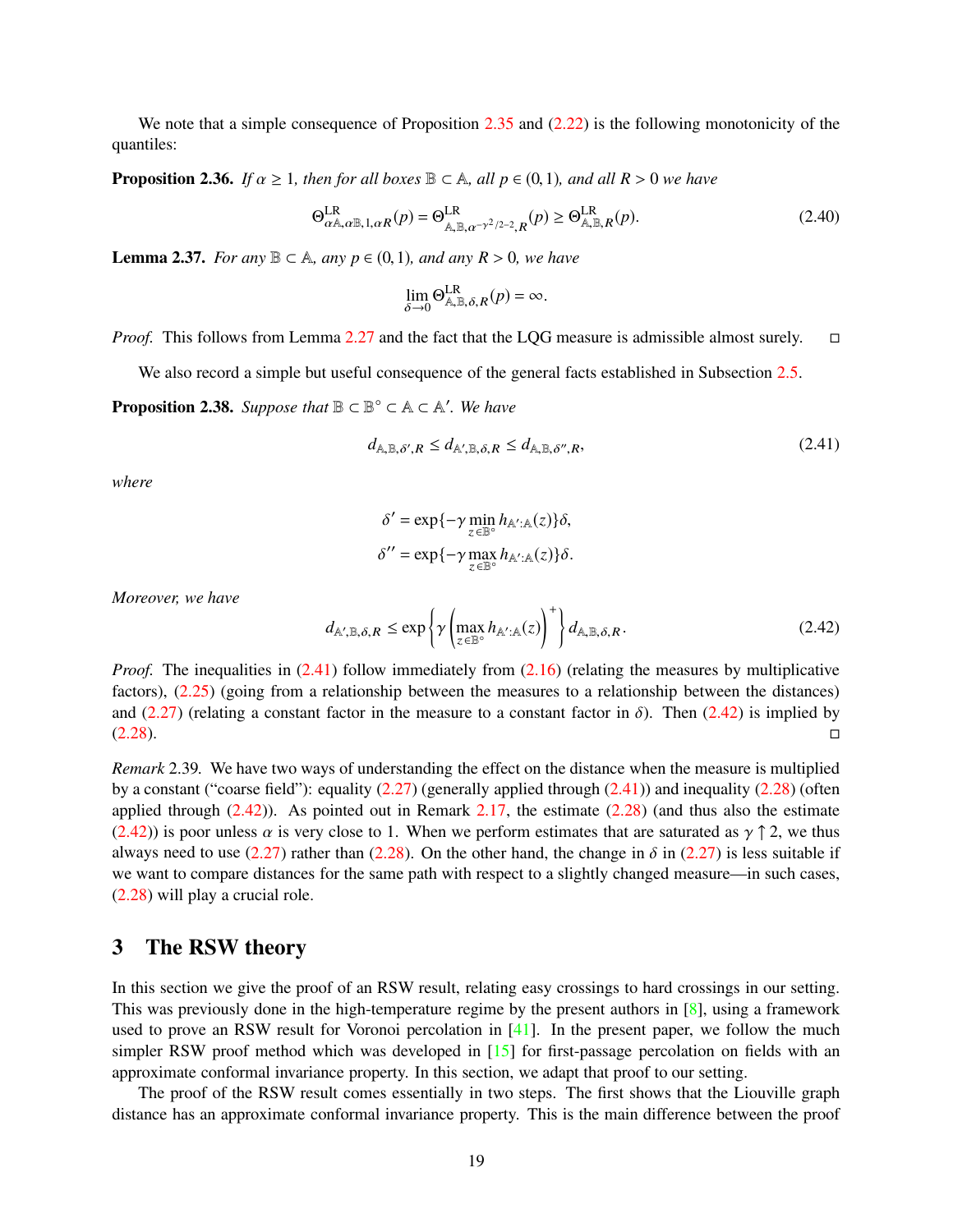We note that a simple consequence of Proposition [2.35](#page-17-0) and [\(2.22\)](#page-12-6) is the following monotonicity of the quantiles:

<span id="page-18-6"></span>**Proposition 2.36.** *If*  $\alpha \geq 1$ *, then for all boxes*  $\mathbb{B} \subset \mathbb{A}$ *, all*  $p \in (0,1)$ *, and all*  $R > 0$ *we have* 

<span id="page-18-4"></span>
$$
\Theta_{\alpha\mathbb{A},\alpha\mathbb{B},1,\alpha R}^{\text{LR}}(p) = \Theta_{\mathbb{A},\mathbb{B},\alpha^{-\gamma^2/2-2},R}^{\text{LR}}(p) \ge \Theta_{\mathbb{A},\mathbb{B},R}^{\text{LR}}(p). \tag{2.40}
$$

<span id="page-18-5"></span>**Lemma 2.37.** *For any*  $\mathbb{B} \subset \mathbb{A}$ *, any*  $p \in (0,1)$ *, and any*  $R > 0$ *, we have* 

$$
\lim_{\delta \to 0} \Theta_{\mathbb{A}, \mathbb{B}, \delta, R}^{\text{LR}}(p) = \infty.
$$

*Proof.* This follows from Lemma [2.27](#page-15-3) and the fact that the LQG measure is admissible almost surely.  $\square$ 

We also record a simple but useful consequence of the general facts established in Subsection [2.5.](#page-9-3)

<span id="page-18-0"></span>**Proposition 2.38.** *Suppose that*  $\mathbb{B} \subset \mathbb{B}^{\circ} \subset \mathbb{A} \subset \mathbb{A}'$ *. We have* 

<span id="page-18-2"></span>
$$
d_{\mathbb{A}, \mathbb{B}, \delta', R} \le d_{\mathbb{A}', \mathbb{B}, \delta, R} \le d_{\mathbb{A}, \mathbb{B}, \delta'', R},\tag{2.41}
$$

*where*

$$
\delta' = \exp\{-\gamma \min_{z \in \mathbb{B}^\circ} h_{\mathbb{A}':\mathbb{A}}(z)\}\delta,
$$
  

$$
\delta'' = \exp\{-\gamma \max_{z \in \mathbb{B}^\circ} h_{\mathbb{A}':\mathbb{A}}(z)\}\delta.
$$

*Moreover, we have*

<span id="page-18-3"></span>
$$
d_{\mathbb{A}', \mathbb{B}, \delta, R} \le \exp\left\{\gamma\left(\max_{z \in \mathbb{B}^{\circ}} h_{\mathbb{A}': \mathbb{A}}(z)\right)^{+}\right\} d_{\mathbb{A}, \mathbb{B}, \delta, R}.
$$
\n(2.42)

*Proof.* The inequalities in [\(2.41\)](#page-18-2) follow immediately from [\(2.16\)](#page-9-4) (relating the measures by multiplicative factors), [\(2.25\)](#page-12-7) (going from a relationship between the measures to a relationship between the distances) and [\(2.27\)](#page-12-8) (relating a constant factor in the measure to a constant factor in  $\delta$ ). Then [\(2.42\)](#page-18-3) is implied by  $(2.28)$ .

*Remark* 2.39*.* We have two ways of understanding the effect on the distance when the measure is multiplied by a constant ("coarse field"): equality  $(2.27)$  (generally applied through  $(2.41)$ ) and inequality  $(2.28)$  (often applied through  $(2.42)$ ). As pointed out in Remark [2.17,](#page-10-4) the estimate  $(2.28)$  (and thus also the estimate [\(2.42\)](#page-18-3)) is poor unless  $\alpha$  is very close to 1. When we perform estimates that are saturated as  $\gamma \uparrow 2$ , we thus always need to use [\(2.27\)](#page-12-8) rather than [\(2.28\)](#page-12-0). On the other hand, the change in  $\delta$  in (2.27) is less suitable if we want to compare distances for the same path with respect to a slightly changed measure—in such cases, [\(2.28\)](#page-12-0) will play a crucial role.

## <span id="page-18-1"></span>3 The RSW theory

In this section we give the proof of an RSW result, relating easy crossings to hard crossings in our setting. This was previously done in the high-temperature regime by the present authors in [\[8\]](#page-62-12), using a framework used to prove an RSW result for Voronoi percolation in  $[41]$ . In the present paper, we follow the much simpler RSW proof method which was developed in [\[15\]](#page-62-13) for first-passage percolation on fields with an approximate conformal invariance property. In this section, we adapt that proof to our setting.

The proof of the RSW result comes essentially in two steps. The first shows that the Liouville graph distance has an approximate conformal invariance property. This is the main difference between the proof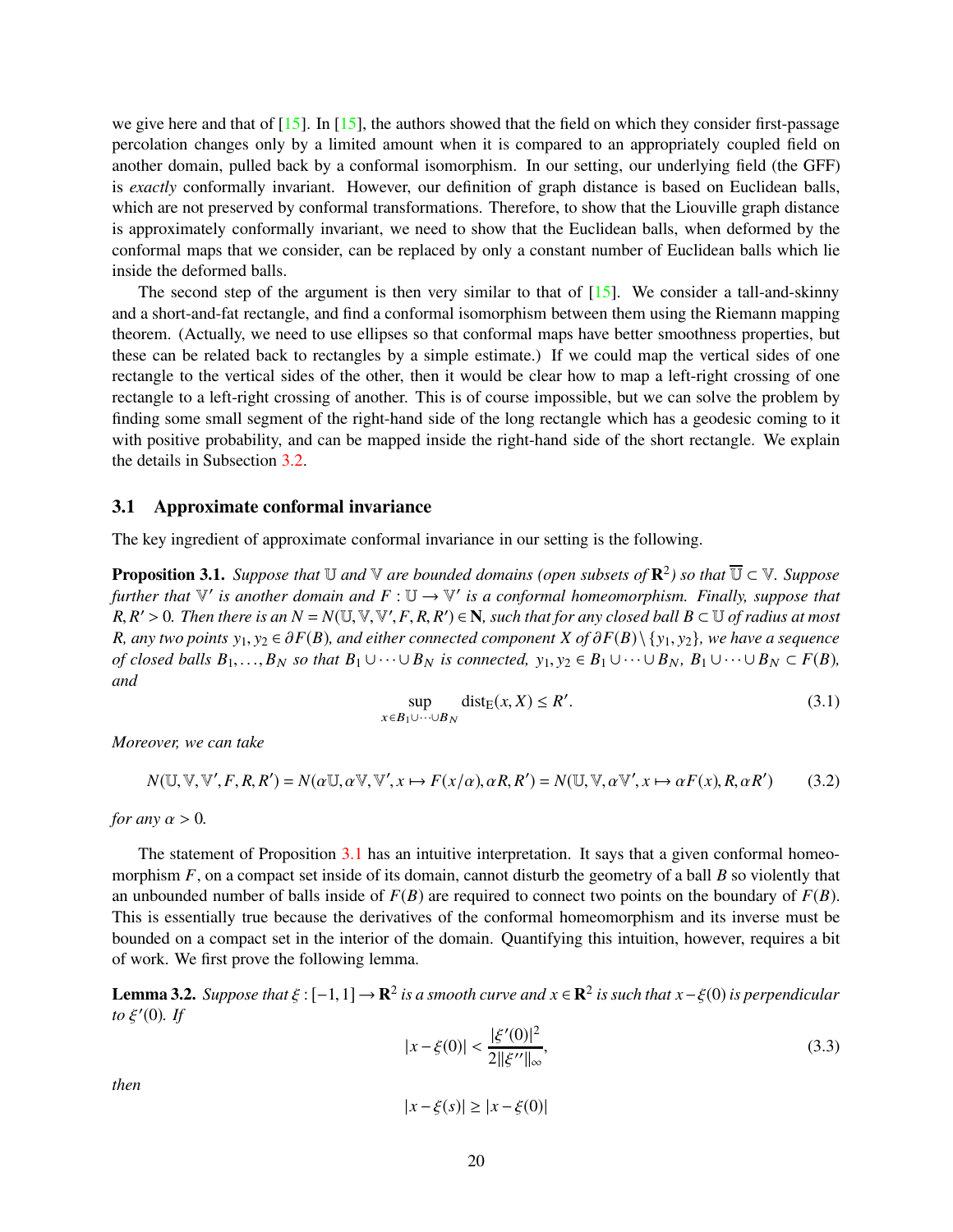we give here and that of  $[15]$ . In  $[15]$ , the authors showed that the field on which they consider first-passage percolation changes only by a limited amount when it is compared to an appropriately coupled field on another domain, pulled back by a conformal isomorphism. In our setting, our underlying field (the GFF) is *exactly* conformally invariant. However, our definition of graph distance is based on Euclidean balls, which are not preserved by conformal transformations. Therefore, to show that the Liouville graph distance is approximately conformally invariant, we need to show that the Euclidean balls, when deformed by the conformal maps that we consider, can be replaced by only a constant number of Euclidean balls which lie inside the deformed balls.

The second step of the argument is then very similar to that of  $[15]$ . We consider a tall-and-skinny and a short-and-fat rectangle, and find a conformal isomorphism between them using the Riemann mapping theorem. (Actually, we need to use ellipses so that conformal maps have better smoothness properties, but these can be related back to rectangles by a simple estimate.) If we could map the vertical sides of one rectangle to the vertical sides of the other, then it would be clear how to map a left-right crossing of one rectangle to a left-right crossing of another. This is of course impossible, but we can solve the problem by finding some small segment of the right-hand side of the long rectangle which has a geodesic coming to it with positive probability, and can be mapped inside the right-hand side of the short rectangle. We explain the details in Subsection [3.2.](#page-23-1)

### 3.1 Approximate conformal invariance

The key ingredient of approximate conformal invariance in our setting is the following.

<span id="page-19-0"></span>**Proposition 3.1.** *Suppose that*  $\mathbb U$  *and*  $\mathbb V$  *are bounded domains (open subsets of*  $\mathbb R^2$ ) *so that*  $\overline{\mathbb U} \subset \mathbb V$ *. Suppose further that*  $\mathbb{V}'$  *is another domain and*  $F: \mathbb{U} \to \mathbb{V}'$  *is a conformal homeomorphism. Finally, suppose that*  $R, R' > 0$ . Then there is an  $N = N(\mathbb{U}, \mathbb{V}, \mathbb{V}', F, R, R') \in \mathbb{N}$ , such that for any closed ball  $B \subset \mathbb{U}$  of radius at most *R, any two points*  $y_1, y_2 \in \partial F(B)$ *, and either connected component X of*  $\partial F(B) \setminus \{y_1, y_2\}$ *, we have a sequence of closed balls*  $B_1, \ldots, B_N$  *so that*  $B_1 \cup \cdots \cup B_N$  *is connected,*  $y_1, y_2 \in B_1 \cup \cdots \cup B_N$ ,  $B_1 \cup \cdots \cup B_N \subset F(B)$ , *and*

<span id="page-19-4"></span>
$$
\sup_{x \in B_1 \cup \dots \cup B_N} \text{dist}_{E}(x, X) \le R'.\tag{3.1}
$$

*Moreover, we can take*

<span id="page-19-3"></span>
$$
N(\mathbb{U}, \mathbb{V}, \mathbb{V}', F, R, R') = N(\alpha \mathbb{U}, \alpha \mathbb{V}, \mathbb{V}', x \mapsto F(x/\alpha), \alpha R, R') = N(\mathbb{U}, \mathbb{V}, \alpha \mathbb{V}', x \mapsto \alpha F(x), R, \alpha R') \tag{3.2}
$$

*for any*  $\alpha > 0$ *.* 

The statement of Proposition [3.1](#page-19-0) has an intuitive interpretation. It says that a given conformal homeomorphism *F*, on a compact set inside of its domain, cannot disturb the geometry of a ball *B* so violently that an unbounded number of balls inside of  $F(B)$  are required to connect two points on the boundary of  $F(B)$ . This is essentially true because the derivatives of the conformal homeomorphism and its inverse must be bounded on a compact set in the interior of the domain. Quantifying this intuition, however, requires a bit of work. We first prove the following lemma.

<span id="page-19-2"></span>**Lemma 3.2.** Suppose that  $\xi$ :  $[-1, 1] \rightarrow \mathbb{R}^2$  is a smooth curve and  $x \in \mathbb{R}^2$  is such that  $x - \xi(0)$  is perpendicular *to* ξ ′ (0)*. If*

<span id="page-19-1"></span>
$$
|x - \xi(0)| < \frac{|\xi'(0)|^2}{2\|\xi''\|_{\infty}},\tag{3.3}
$$

*then*

$$
|x - \xi(s)| \ge |x - \xi(0)|
$$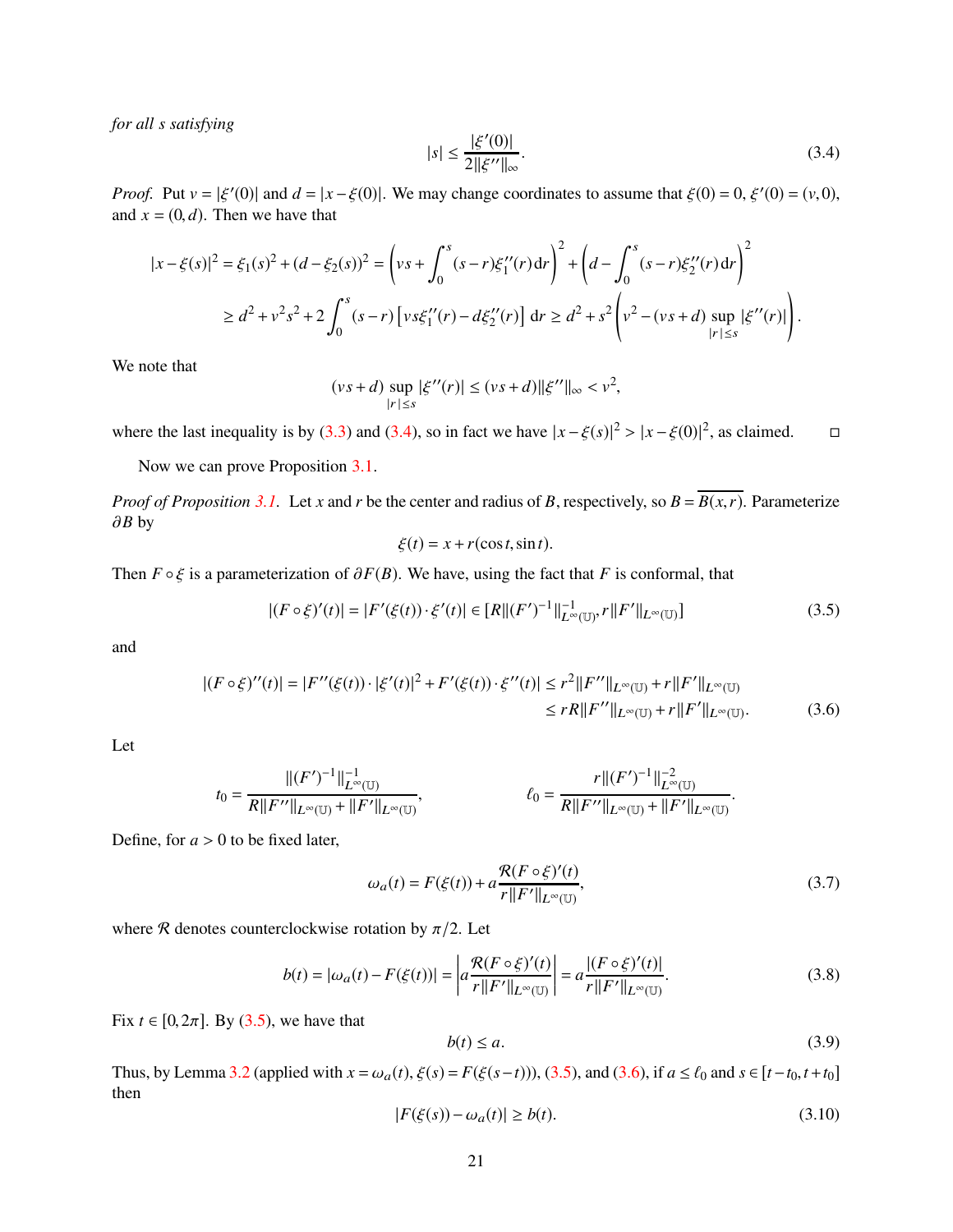*for all s satisfying*

<span id="page-20-0"></span>
$$
|s| \le \frac{|\xi'(0)|}{2||\xi''||_{\infty}}.\tag{3.4}
$$

*Proof.* Put  $v = |\xi'(0)|$  and  $d = |x - \xi(0)|$ . We may change coordinates to assume that  $\xi(0) = 0$ ,  $\xi'(0) = (v, 0)$ , and  $x = (0, d)$ . Then we have that

$$
|x - \xi(s)|^2 = \xi_1(s)^2 + (d - \xi_2(s))^2 = \left(vs + \int_0^s (s - r)\xi_1''(r) dr\right)^2 + \left(d - \int_0^s (s - r)\xi_2''(r) dr\right)^2
$$
  
\n
$$
\geq d^2 + v^2 s^2 + 2 \int_0^s (s - r) \left[v s \xi_1''(r) - d\xi_2''(r)\right] dr \geq d^2 + s^2 \left(v^2 - (vs + d) \sup_{|r| \leq s} |\xi''(r)|\right).
$$

We note that

$$
(vs+d) \sup_{|r| \le s} |\xi''(r)| \le (vs+d) ||\xi''||_{\infty} < v^2,
$$

where the last inequality is by [\(3.3\)](#page-19-1) and [\(3.4\)](#page-20-0), so in fact we have  $|x - \xi(s)|^2 > |x - \xi(0)|^2$ , as claimed.  $\square$ 

Now we can prove Proposition [3.1.](#page-19-0)

*Proof of Proposition* [3.1.](#page-19-0) Let *x* and *r* be the center and radius of *B*, respectively, so  $B = \overline{B(x,r)}$ . Parameterize ∂*B* by

<span id="page-20-2"></span>
$$
\xi(t) = x + r(\cos t, \sin t).
$$

Then  $F \circ \xi$  is a parameterization of  $\partial F(B)$ . We have, using the fact that *F* is conformal, that

<span id="page-20-1"></span>
$$
|(F \circ \xi)'(t)| = |F'(\xi(t)) \cdot \xi'(t)| \in [R||(F')^{-1}||_{L^{\infty}(\mathbb{U})}^{-1}, r||F'||_{L^{\infty}(\mathbb{U})}]
$$
\n(3.5)

and

$$
|(F \circ \xi)''(t)| = |F''(\xi(t)) \cdot |\xi'(t)|^2 + F'(\xi(t)) \cdot \xi''(t)| \le r^2 ||F''||_{L^{\infty}(\mathbb{U})} + r ||F'||_{L^{\infty}(\mathbb{U})}
$$
  

$$
\le rR ||F''||_{L^{\infty}(\mathbb{U})} + r ||F'||_{L^{\infty}(\mathbb{U})}.
$$
 (3.6)

Let

$$
t_0 = \frac{\|(F')^{-1}\|_{L^{\infty}(\mathbb{U})}^{-1}}{R\|F''\|_{L^{\infty}(\mathbb{U})} + \|F'\|_{L^{\infty}(\mathbb{U})}}, \qquad t_0 = \frac{r\|(F')^{-1}\|_{L^{\infty}(\mathbb{U})}}{R\|F''\|_{L^{\infty}(\mathbb{U})} + \|F'\|_{L^{\infty}(\mathbb{U})}}.
$$

Define, for  $a > 0$  to be fixed later,

<span id="page-20-5"></span>
$$
\omega_a(t) = F(\xi(t)) + a \frac{\mathcal{R}(F \circ \xi)'(t)}{r||F'||_{\mathcal{L}^{\infty}(\mathbb{U})}},\tag{3.7}
$$

where R denotes counterclockwise rotation by  $\pi/2$ . Let

<span id="page-20-6"></span>
$$
b(t) = |\omega_a(t) - F(\xi(t))| = \left| a \frac{\mathcal{R}(F \circ \xi)'(t)}{r \| F' \|_{L^{\infty}(\mathbb{U})}} \right| = a \frac{|(F \circ \xi)'(t)|}{r \| F' \|_{L^{\infty}(\mathbb{U})}}.
$$
(3.8)

Fix  $t \in [0, 2\pi]$ . By [\(3.5\)](#page-20-1), we have that

<span id="page-20-3"></span>
$$
b(t) \le a. \tag{3.9}
$$

Thus, by Lemma [3.2](#page-19-2) (applied with  $x = \omega_a(t)$ ,  $\xi(s) = F(\xi(s-t))$ ), [\(3.5\)](#page-20-1), and [\(3.6\)](#page-20-2), if  $a \le \ell_0$  and  $s \in [t - t_0, t + t_0]$ then

<span id="page-20-4"></span>
$$
|F(\xi(s)) - \omega_a(t)| \ge b(t). \tag{3.10}
$$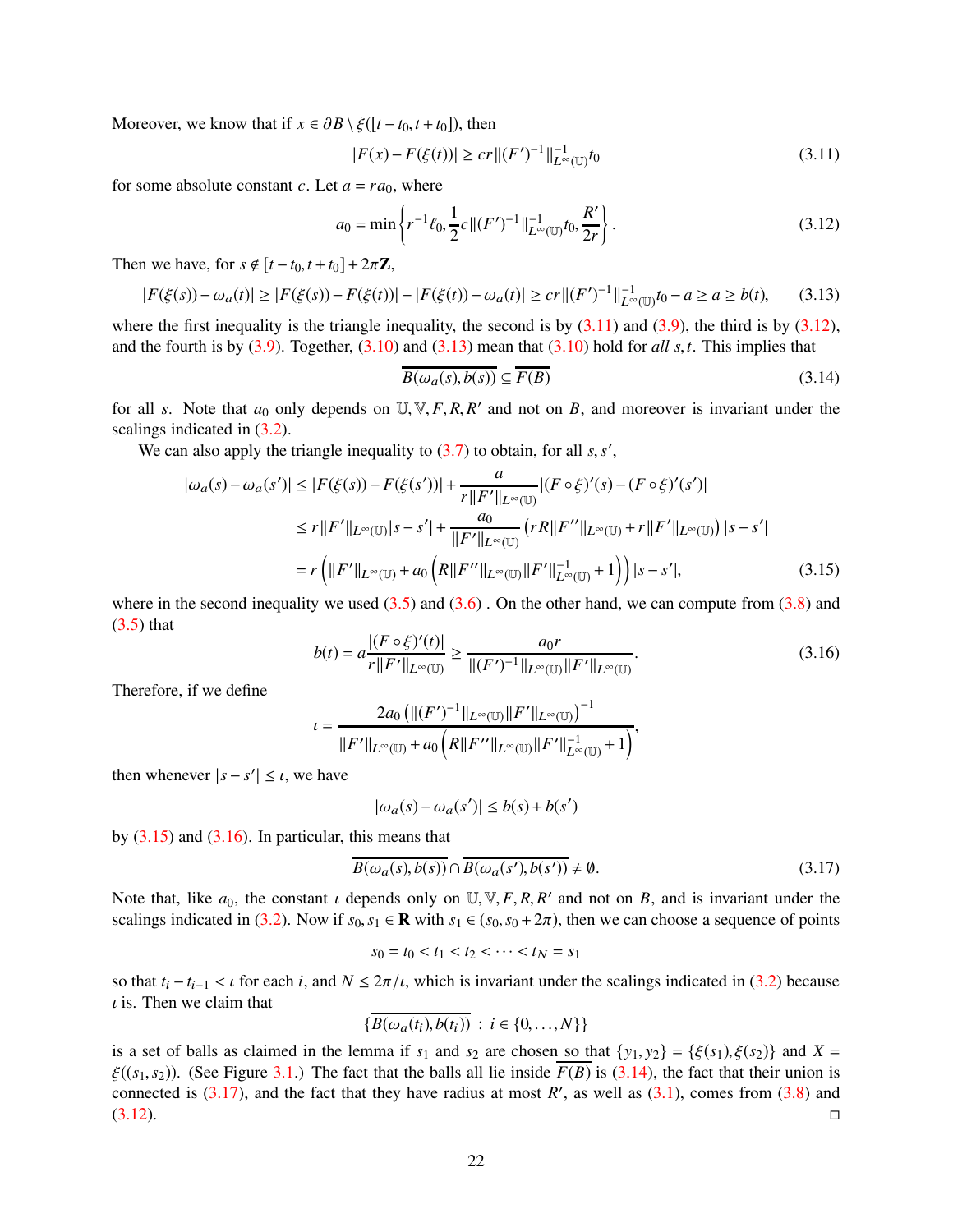Moreover, we know that if  $x \in \partial B \setminus \xi([t - t_0, t + t_0])$ , then

<span id="page-21-0"></span>
$$
|F(x) - F(\xi(t))| \ge cr ||(F')^{-1}||_{L^{\infty}(\mathbb{U})}^{-1} t_0
$$
\n(3.11)

for some absolute constant *c*. Let  $a = ra_0$ , where

<span id="page-21-1"></span>
$$
a_0 = \min \left\{ r^{-1} \ell_0, \frac{1}{2} c \| (F')^{-1} \|_{L^{\infty}(\mathbb{U})}^{-1} t_0, \frac{R'}{2r} \right\}.
$$
 (3.12)

Then we have, for  $s \notin [t - t_0, t + t_0] + 2\pi \mathbb{Z}$ ,

<span id="page-21-2"></span>
$$
|F(\xi(s)) - \omega_a(t)| \ge |F(\xi(s)) - F(\xi(t))| - |F(\xi(t)) - \omega_a(t)| \ge cr ||(F')^{-1}||_{L^{\infty}(\mathbb{U})}^{-1} t_0 - a \ge a \ge b(t), \tag{3.13}
$$

where the first inequality is the triangle inequality, the second is by  $(3.11)$  and  $(3.9)$ , the third is by  $(3.12)$ , and the fourth is by [\(3.9\)](#page-20-3). Together, [\(3.10\)](#page-20-4) and [\(3.13\)](#page-21-2) mean that [\(3.10\)](#page-20-4) hold for *all s*,*t*. This implies that

<span id="page-21-5"></span><span id="page-21-3"></span>
$$
\overline{B(\omega_a(s), b(s))} \subseteq \overline{F(B)}\tag{3.14}
$$

for all *s*. Note that  $a_0$  only depends on  $\mathbb{U}, \mathbb{V}, F, R, R'$  and not on *B*, and moreover is invariant under the scalings indicated in [\(3.2\)](#page-19-3).

We can also apply the triangle inequality to [\(3.7\)](#page-20-5) to obtain, for all *s*, *s'*,

$$
|\omega_a(s) - \omega_a(s')| \le |F(\xi(s)) - F(\xi(s'))| + \frac{a}{r||F'||_{L^{\infty}(\mathbb{U})}} |(F \circ \xi)'(s) - (F \circ \xi)'(s')|
$$
  
\n
$$
\le r||F'||_{L^{\infty}(\mathbb{U})}|s - s'| + \frac{a_0}{||F'||_{L^{\infty}(\mathbb{U})}} (rR||F''||_{L^{\infty}(\mathbb{U})} + r||F'||_{L^{\infty}(\mathbb{U})})|s - s'|
$$
  
\n
$$
= r\left(||F'||_{L^{\infty}(\mathbb{U})} + a_0\left(R||F''||_{L^{\infty}(\mathbb{U})}||F'||_{L^{\infty}(\mathbb{U})}^{-1} + 1\right)\right)|s - s'|,
$$
\n(3.15)

where in the second inequality we used  $(3.5)$  and  $(3.6)$ . On the other hand, we can compute from  $(3.8)$  and  $(3.5)$  that

<span id="page-21-4"></span>
$$
b(t) = a \frac{|(F \circ \xi)'(t)|}{r||F'||_{L^{\infty}(\mathbb{U})}} \ge \frac{a_0 r}{||(F')^{-1}||_{L^{\infty}(\mathbb{U})}||F'||_{L^{\infty}(\mathbb{U})}}.
$$
\n(3.16)

Therefore, if we define

$$
t = \frac{2a_0 \left( ||(F')^{-1}||_{L^{\infty}(\mathbb{U})} ||F'||_{L^{\infty}(\mathbb{U})} \right)^{-1}}{||F'||_{L^{\infty}(\mathbb{U})} + a_0 \left( R ||F''||_{L^{\infty}(\mathbb{U})} ||F'||_{L^{\infty}(\mathbb{U})}^{-1} + 1 \right)},
$$

then whenever  $|s - s'| \leq \iota$ , we have

$$
|\omega_a(s) - \omega_a(s')| \le b(s) + b(s')
$$

by  $(3.15)$  and  $(3.16)$ . In particular, this means that

<span id="page-21-6"></span>
$$
\overline{B(\omega_a(s), b(s))} \cap \overline{B(\omega_a(s'), b(s'))} \neq \emptyset.
$$
\n(3.17)

Note that, like  $a_0$ , the constant  $\iota$  depends only on  $\mathbb{U}, \mathbb{V}, F, R, R'$  and not on *B*, and is invariant under the scalings indicated in [\(3.2\)](#page-19-3). Now if  $s_0, s_1 \in \mathbb{R}$  with  $s_1 \in (s_0, s_0 + 2\pi)$ , then we can choose a sequence of points

$$
s_0 = t_0 < t_1 < t_2 < \dots < t_N = s_1
$$

so that  $t_i - t_{i-1} < \iota$  for each *i*, and  $N \leq 2\pi/\iota$ , which is invariant under the scalings indicated in [\(3.2\)](#page-19-3) because  $\iota$  is. Then we claim that

$$
\{\overline{B(\omega_a(t_i),b(t_i))}\,:\,i\in\{0,\ldots,N\}\}\
$$

is a set of balls as claimed in the lemma if  $s_1$  and  $s_2$  are chosen so that  $\{y_1, y_2\} = \{\xi(s_1), \xi(s_2)\}\$  and  $X =$  $\xi((s_1, s_2))$ . (See Figure [3.1.](#page-22-0)) The fact that the balls all lie inside  $F(B)$  is [\(3.14\)](#page-21-5), the fact that their union is connected is  $(3.17)$ , and the fact that they have radius at most *R'*, as well as  $(3.1)$ , comes from  $(3.8)$  and  $(3.12)$ .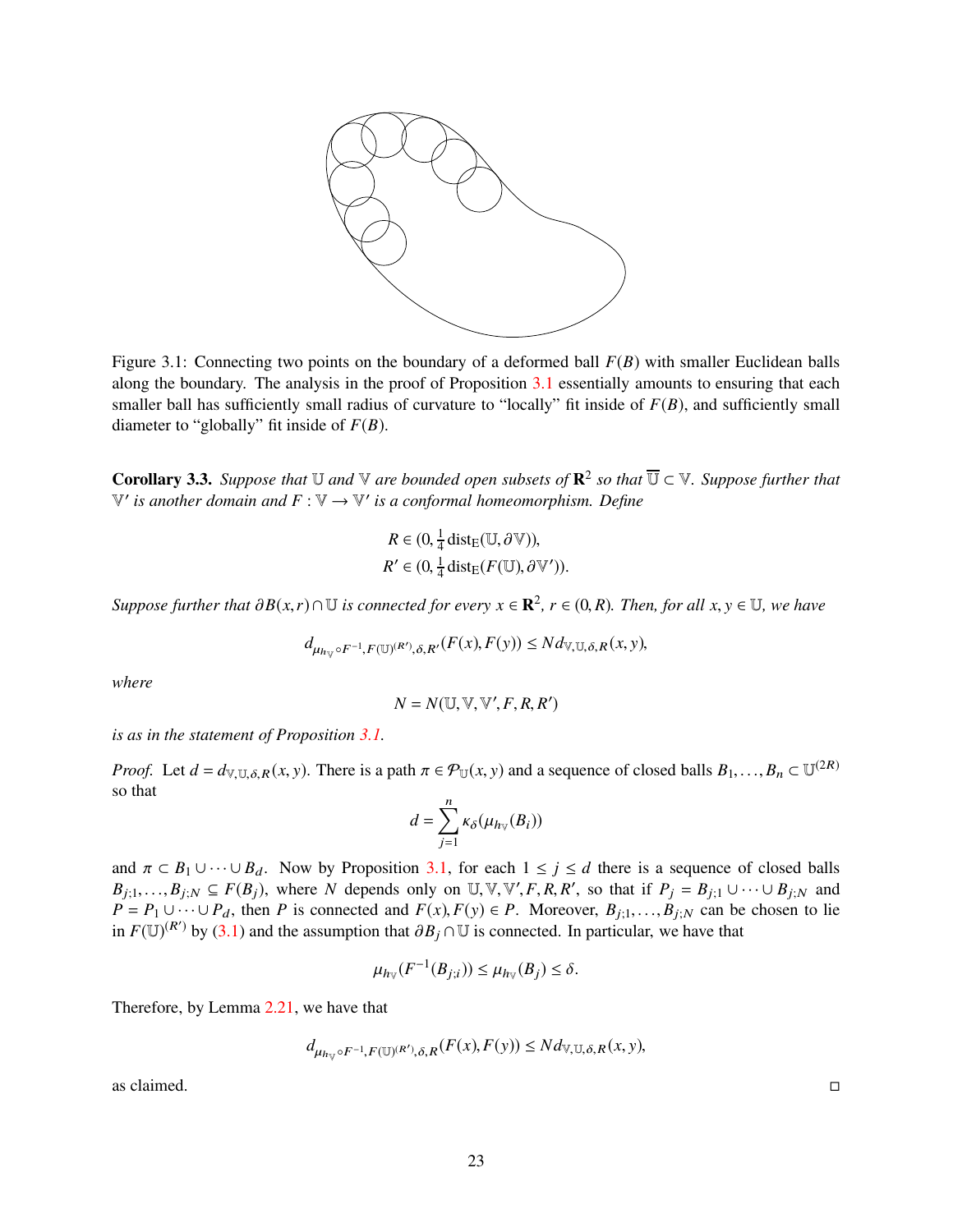<span id="page-22-0"></span>

Figure 3.1: Connecting two points on the boundary of a deformed ball *F*(*B*) with smaller Euclidean balls along the boundary. The analysis in the proof of Proposition [3.1](#page-19-0) essentially amounts to ensuring that each smaller ball has sufficiently small radius of curvature to "locally" fit inside of  $F(B)$ , and sufficiently small diameter to "globally" fit inside of *F*(*B*).

<span id="page-22-1"></span>**Corollary 3.3.** Suppose that  $\mathbb U$  and  $\mathbb V$  are bounded open subsets of  $\mathbb R^2$  so that  $\overline{\mathbb U} \subset \mathbb V$ . Suppose further that  $\mathbb{V}'$  is another domain and  $F : \mathbb{V} \to \mathbb{V}'$  is a conformal homeomorphism. Define

$$
R \in (0, \frac{1}{4} \operatorname{dist}_{E}(\mathbb{U}, \partial \mathbb{V})),
$$
  

$$
R' \in (0, \frac{1}{4} \operatorname{dist}_{E}(F(\mathbb{U}), \partial \mathbb{V}')).
$$

*Suppose further that*  $\partial B(x,r) \cap \mathbb{U}$  *is connected for every*  $x \in \mathbb{R}^2$ ,  $r \in (0,R)$ *. Then, for all*  $x, y \in \mathbb{U}$ *, we have* 

$$
d_{\mu_{h_v} \circ F^{-1}, F(\mathbb{U})^{(R')}, \delta, R'}(F(x), F(y)) \leq N d_{\mathbb{V}, \mathbb{U}, \delta, R}(x, y),
$$

*where*

$$
N = N(\mathbb{U}, \mathbb{V}, \mathbb{V}', F, R, R')
$$

*is as in the statement of Proposition [3.1.](#page-19-0)*

*Proof.* Let  $d = d_{V,U,\delta,R}(x, y)$ . There is a path  $\pi \in \mathcal{P}_U(x, y)$  and a sequence of closed balls  $B_1, \ldots, B_n \subset U^{(2R)}$ so that

$$
d = \sum_{j=1}^n \kappa_\delta(\mu_{h\vee}(B_i))
$$

and  $\pi \subset B_1 \cup \cdots \cup B_d$ . Now by Proposition [3.1,](#page-19-0) for each  $1 \leq j \leq d$  there is a sequence of closed balls  $B_{j;1}, \ldots, B_{j;N} \subseteq F(B_j)$ , where *N* depends only on  $\mathbb{U}, \mathbb{V}, \mathbb{V}', F, R, R'$ , so that if  $P_j = B_{j;1} \cup \cdots \cup B_{j;N}$  and  $P = P_1 \cup \cdots \cup P_d$ , then *P* is connected and  $F(x)$ ,  $F(y) \in P$ . Moreover,  $B_{j,1}, \ldots, B_{j,N}$  can be chosen to lie in  $F(\mathbb{U})^{(R')}$  by [\(3.1\)](#page-19-4) and the assumption that  $\partial B_j \cap \mathbb{U}$  is connected. In particular, we have that

$$
\mu_{h_{\mathbb{V}}}(F^{-1}(B_{j;i})) \leq \mu_{h_{\mathbb{V}}}(B_j) \leq \delta.
$$

Therefore, by Lemma [2.21,](#page-12-4) we have that

$$
d_{\mu_{h_v} \circ F^{-1}, F(\mathbb{U})^{(R')}, \delta, R}(F(x), F(y)) \leq N d_{\mathbb{V}, \mathbb{U}, \delta, R}(x, y),
$$

 $\Box$ as claimed.  $\Box$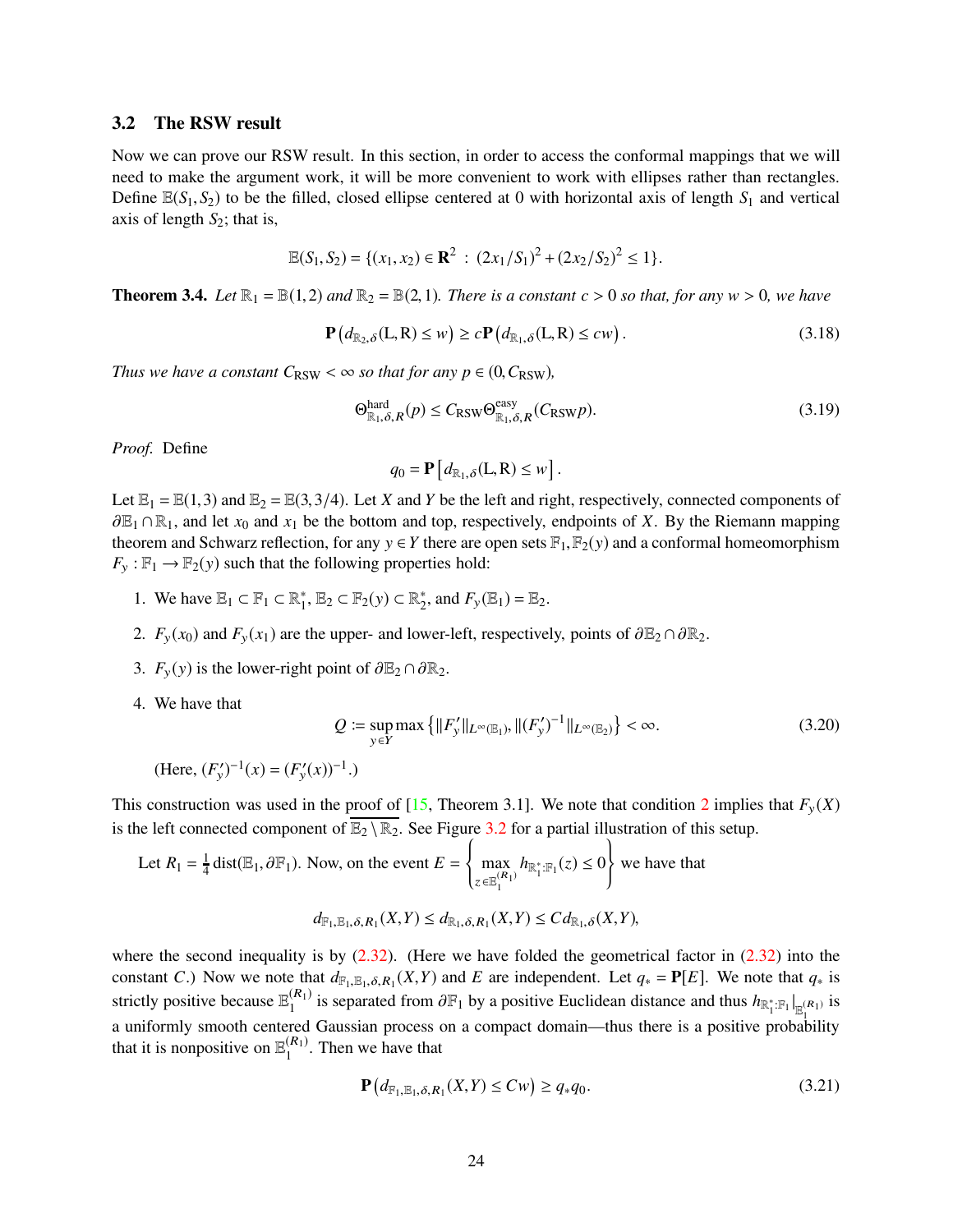#### <span id="page-23-1"></span>3.2 The RSW result

Now we can prove our RSW result. In this section, in order to access the conformal mappings that we will need to make the argument work, it will be more convenient to work with ellipses rather than rectangles. Define  $\mathbb{E}(S_1, S_2)$  to be the filled, closed ellipse centered at 0 with horizontal axis of length  $S_1$  and vertical axis of length  $S_2$ ; that is,

$$
\mathbb{E}(S_1, S_2) = \{ (x_1, x_2) \in \mathbf{R}^2 \; : \; (2x_1/S_1)^2 + (2x_2/S_2)^2 \le 1 \}.
$$

<span id="page-23-0"></span>**Theorem 3.4.** Let  $\mathbb{R}_1 = \mathbb{B}(1,2)$  and  $\mathbb{R}_2 = \mathbb{B}(2,1)$ . There is a constant  $c > 0$  so that, for any  $w > 0$ , we have

<span id="page-23-5"></span>
$$
\mathbf{P}\left(d_{\mathbb{R}_2,\delta}(L,R)\leq w\right)\geq c\mathbf{P}\left(d_{\mathbb{R}_1,\delta}(L,R)\leq cw\right).
$$
\n(3.18)

*Thus we have a constant*  $C_{\text{RSW}} < \infty$  *so that for any p*  $\in (0, C_{\text{RSW}})$ *,* 

$$
\Theta_{\mathbb{R}_1, \delta, R}^{\text{hard}}(p) \le C_{\text{RSW}} \Theta_{\mathbb{R}_1, \delta, R}^{\text{easy}}(C_{\text{RSW}}p). \tag{3.19}
$$

*Proof.* Define

$$
q_0 = \mathbf{P}\left[d_{\mathbb{R}_1,\delta}(L,R) \leq w\right].
$$

Let  $\mathbb{E}_1 = \mathbb{E}(1,3)$  and  $\mathbb{E}_2 = \mathbb{E}(3,3/4)$ . Let *X* and *Y* be the left and right, respectively, connected components of <sup>∂</sup>E<sup>1</sup> <sup>∩</sup>R1, and let *<sup>x</sup>*<sup>0</sup> and *<sup>x</sup>*<sup>1</sup> be the bottom and top, respectively, endpoints of *<sup>X</sup>*. By the Riemann mapping theorem and Schwarz reflection, for any  $y \in Y$  there are open sets  $\mathbb{F}_1, \mathbb{F}_2(y)$  and a conformal homeomorphism  $F_y : \mathbb{F}_1 \to \mathbb{F}_2(y)$  such that the following properties hold:

- <span id="page-23-2"></span>1. We have  $\mathbb{E}_1 \subset \mathbb{F}_1 \subset \mathbb{R}_1^*$ ,  $\mathbb{E}_2 \subset \mathbb{F}_2(y) \subset \mathbb{R}_2^*$ , and  $F_y(\mathbb{E}_1) = \mathbb{E}_2$ .
- 2.  $F_v(x_0)$  and  $F_v(x_1)$  are the upper- and lower-left, respectively, points of  $\partial \mathbb{E}_2 \cap \partial \mathbb{R}_2$ .
- 3.  $F_v(y)$  is the lower-right point of  $\partial \mathbb{E}_2 \cap \partial \mathbb{R}_2$ .
- 4. We have that

<span id="page-23-3"></span>
$$
Q := \sup_{y \in Y} \max \left\{ ||F'_y||_{L^{\infty}(\mathbb{E}_1)}, ||(F'_y)^{-1}||_{L^{\infty}(\mathbb{E}_2)} \right\} < \infty.
$$
 (3.20)

 $(\text{Here, } (F'_y)^{-1}(x) = (F'_y(x))^{-1}.)$ 

This construction was used in the proof of [\[15,](#page-62-13) Theorem 3.1]. We note that condition [2](#page-23-2) implies that  $F_v(X)$ is the left connected component of  $\overline{\mathbb{E}_2 \setminus \mathbb{R}_2}$ . See Figure [3.2](#page-24-0) for a partial illustration of this setup.

Let 
$$
R_1 = \frac{1}{4}
$$
 dist( $\mathbb{E}_1$ ,  $\partial \mathbb{F}_1$ ). Now, on the event  $E = \begin{cases} \max_{z \in \mathbb{E}_1^{(R_1)}} h_{\mathbb{R}_1^* : \mathbb{F}_1}(z) \le 0 \end{cases}$  we have that  

$$
d_{\mathbb{F}_1, \mathbb{E}_1, \delta, R_1}(X, Y) \le d_{\mathbb{R}_1, \delta, R_1}(X, Y) \le C d_{\mathbb{R}_1, \delta}(X, Y),
$$

where the second inequality is by  $(2.32)$ . (Here we have folded the geometrical factor in  $(2.32)$  into the constant *C*.) Now we note that  $d_{F_1, E_1, \delta, R_1}(X, Y)$  and *E* are independent. Let  $q_* = P[E]$ . We note that  $q_*$  is strictly positive because  $\mathbb{E}_1^{(R_1)}$  is separated from  $\partial \mathbb{F}_1$  by a positive Euclidean distance and thus  $h_{\mathbb{R}_1^*:\mathbb{F}_1}|_{\mathbb{E}_1^{(R_1)}}$  is a uniformly smooth centered Gaussian process on a compact domain—thus there is a positive probability that it is nonpositive on  $\mathbb{E}_1^{(R_1)}$ . Then we have that

<span id="page-23-4"></span>
$$
\mathbf{P}\left(d_{\mathbb{F}_{1},\mathbb{E}_{1},\delta,R_{1}}(X,Y)\leq Cw\right)\geq q_{*}q_{0}.\tag{3.21}
$$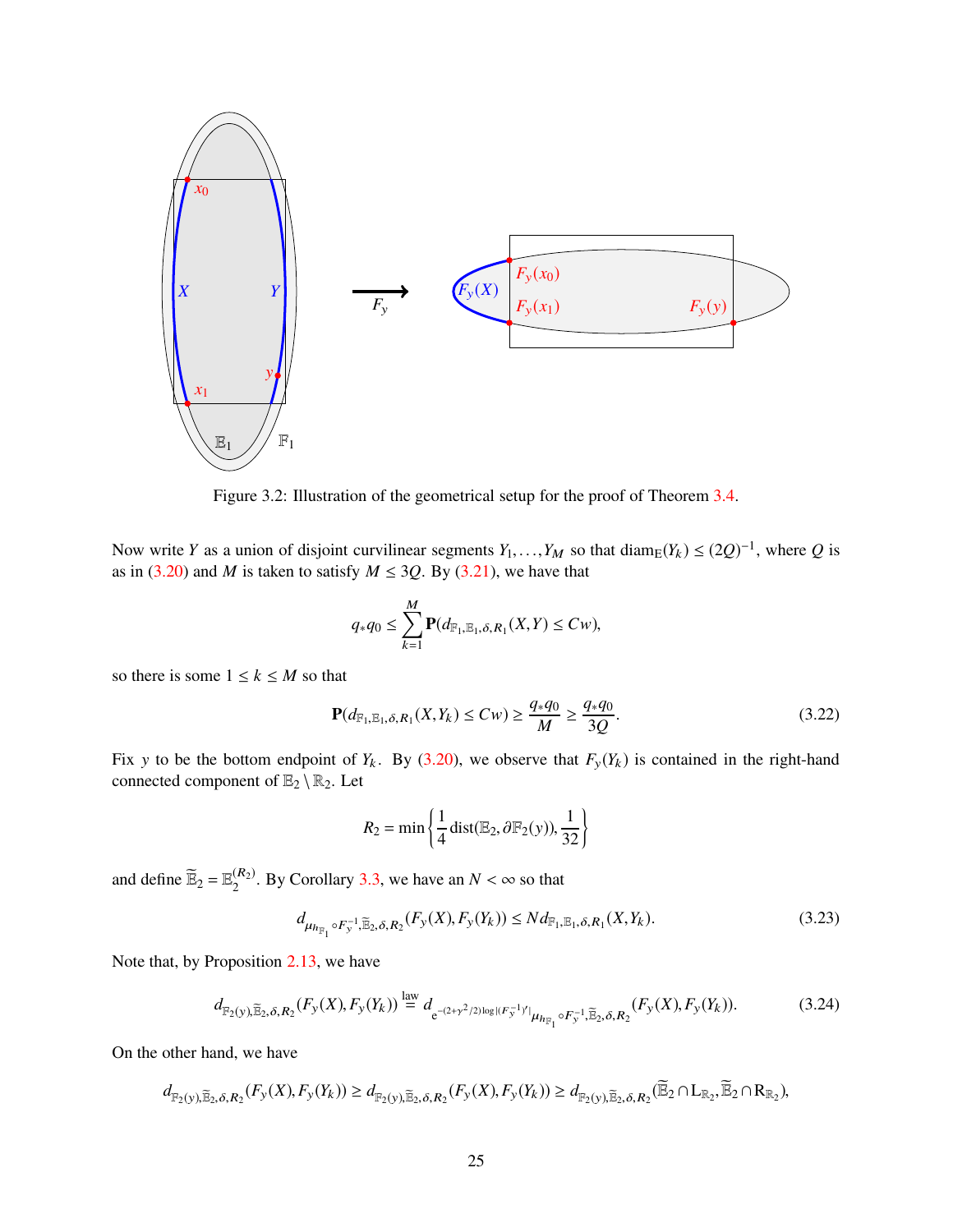<span id="page-24-0"></span>

Figure 3.2: Illustration of the geometrical setup for the proof of Theorem [3.4.](#page-23-0)

Now write *Y* as a union of disjoint curvilinear segments  $Y_1, \ldots, Y_M$  so that diam<sub>E</sub> $(Y_k) \le (2Q)^{-1}$ , where *Q* is as in [\(3.20\)](#page-23-3) and *M* is taken to satisfy  $M \leq 3Q$ . By [\(3.21\)](#page-23-4), we have that

$$
q_*q_0 \le \sum_{k=1}^M \mathbf{P}(d_{\mathbb{F}_1,\mathbb{E}_1,\delta,R_1}(X,Y) \le Cw),
$$

so there is some  $1 \leq k \leq M$  so that

<span id="page-24-3"></span>
$$
\mathbf{P}(d_{\mathbb{F}_1, \mathbb{E}_1, \delta, R_1}(X, Y_k) \le Cw) \ge \frac{q_* q_0}{M} \ge \frac{q_* q_0}{3Q}.
$$
\n(3.22)

Fix y to be the bottom endpoint of  $Y_k$ . By [\(3.20\)](#page-23-3), we observe that  $F_y(Y_k)$  is contained in the right-hand connected component of  $\mathbb{E}_2 \setminus \mathbb{R}_2$ . Let

$$
R_2 = \min\left\{\frac{1}{4}\mathrm{dist}(\mathbb{E}_2, \partial\mathbb{F}_2(y)), \frac{1}{32}\right\}
$$

and define  $\widetilde{\mathbb{E}}_2 = \mathbb{E}_2^{(R_2)}$ . By Corollary [3.3,](#page-22-1) we have an  $N < \infty$  so that

<span id="page-24-2"></span>
$$
d_{\mu_{R_{\mathbb{F}_1}} \circ F_y^{-1}, \widetilde{\mathbb{E}}_2, \delta, R_2}(F_y(X), F_y(Y_k)) \le N d_{\mathbb{F}_1, \mathbb{E}_1, \delta, R_1}(X, Y_k). \tag{3.23}
$$

Note that, by Proposition [2.13,](#page-9-0) we have

<span id="page-24-1"></span>
$$
d_{\mathbb{F}_2(y), \widetilde{\mathbb{E}}_2, \delta, R_2}(F_y(X), F_y(Y_k)) \stackrel{\text{law}}{=} d_{e^{-(2+\gamma^2/2)\log|(F_y^{-1})'|} \mu_{h_{\mathbb{F}_1} \circ F_y^{-1}, \widetilde{\mathbb{E}}_2, \delta, R_2}(F_y(X), F_y(Y_k)).
$$
\n(3.24)

On the other hand, we have

$$
d_{\mathbb{F}_2(y),\widetilde{\mathbb{E}}_2,\delta,R_2}(F_y(X),F_y(Y_k)) \geq d_{\mathbb{F}_2(y),\widetilde{\mathbb{E}}_2,\delta,R_2}(F_y(X),F_y(Y_k)) \geq d_{\mathbb{F}_2(y),\widetilde{\mathbb{E}}_2,\delta,R_2}(\widetilde{\mathbb{E}}_2 \cap L_{\mathbb{R}_2},\widetilde{\mathbb{E}}_2 \cap R_{\mathbb{R}_2}),
$$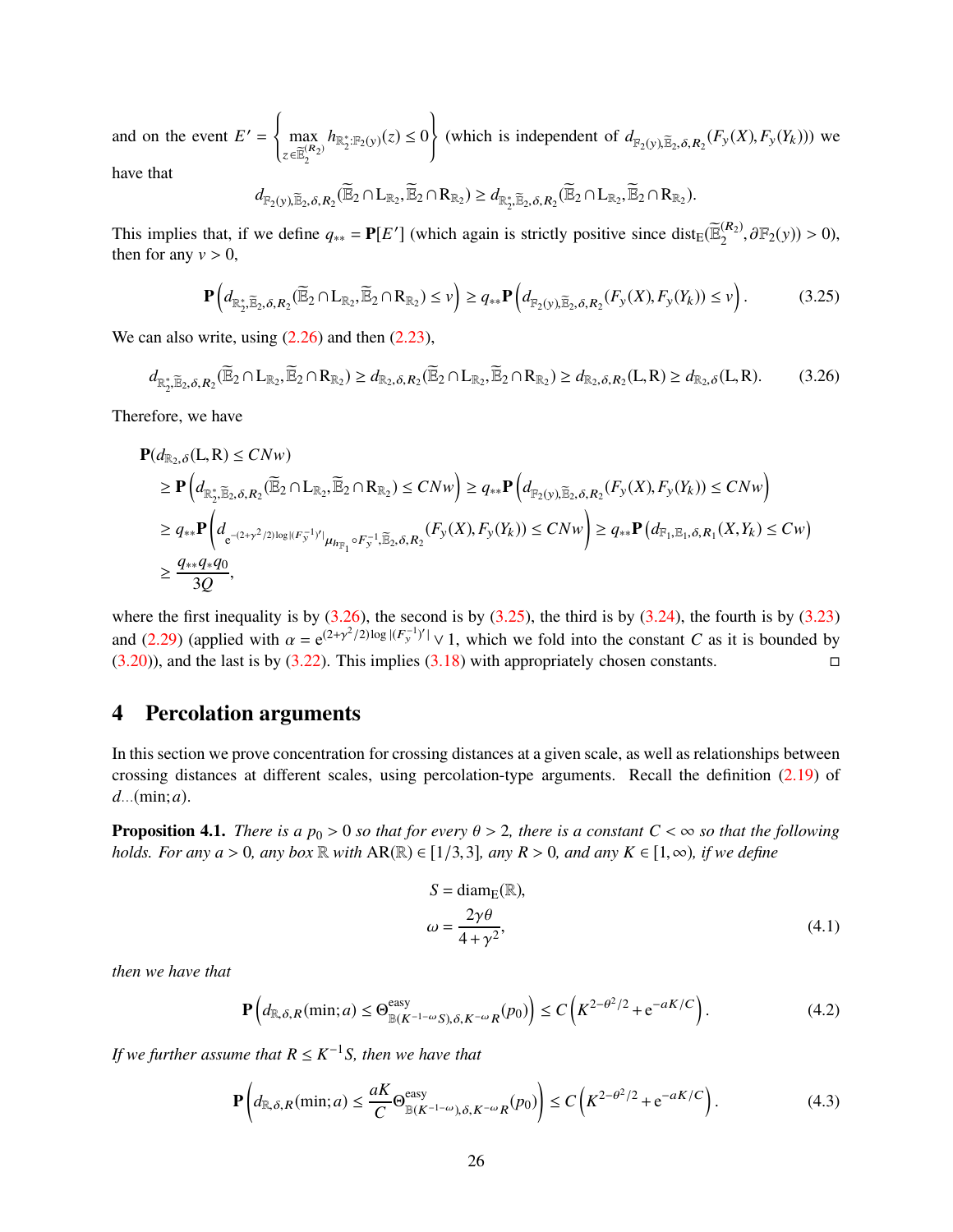and on the event  $E' =$ ( max  $z \in \widetilde{\mathbb{E}}_{2}^{(R_{2})}$  $h_{\mathbb{R}_2^*:\mathbb{F}_2(y)}(z) \leq 0$  $\overline{ }$ (which is independent of  $d_{\mathbb{F}_2(y), \widetilde{\mathbb{E}}_2, \delta, R_2}(F_y(X), F_y(Y_k)))$  we have that

$$
d_{\mathbb{F}_2(y),\widetilde{\mathbb{E}}_2,\delta,R_2}(\widetilde{\mathbb{E}}_2 \cap L_{\mathbb{R}_2},\widetilde{\mathbb{E}}_2 \cap R_{\mathbb{R}_2}) \geq d_{\mathbb{R}_2^*,\widetilde{\mathbb{E}}_2,\delta,R_2}(\widetilde{\mathbb{E}}_2 \cap L_{\mathbb{R}_2},\widetilde{\mathbb{E}}_2 \cap R_{\mathbb{R}_2}).
$$

This implies that, if we define  $q_{**} = \mathbf{P}[E']$  (which again is strictly positive since dist<sub>E</sub>( $\widetilde{\mathbb{E}}_2^{(R_2)}$ ,  $\partial \mathbb{F}_2(y) > 0$ ), then for any  $v > 0$ ,

<span id="page-25-2"></span>
$$
\mathbf{P}\left(d_{\mathbb{R}_{2}^{*},\widetilde{\mathbb{E}}_{2},\delta,R_{2}}(\widetilde{\mathbb{E}}_{2}\cap L_{\mathbb{R}_{2}},\widetilde{\mathbb{E}}_{2}\cap R_{\mathbb{R}_{2}})\leq\nu\right)\geq q_{**}\mathbf{P}\left(d_{\mathbb{F}_{2}(y),\widetilde{\mathbb{E}}_{2},\delta,R_{2}}(F_{y}(X),F_{y}(Y_{k}))\leq\nu\right).
$$
(3.25)

We can also write, using  $(2.26)$  and then  $(2.23)$ ,

<span id="page-25-1"></span>
$$
d_{\mathbb{R}_2^*, \widetilde{\mathbb{E}}_2, \delta, R_2}(\widetilde{\mathbb{E}}_2 \cap L_{\mathbb{R}_2}, \widetilde{\mathbb{E}}_2 \cap R_{\mathbb{R}_2}) \ge d_{\mathbb{R}_2, \delta, R_2}(\widetilde{\mathbb{E}}_2 \cap L_{\mathbb{R}_2}, \widetilde{\mathbb{E}}_2 \cap R_{\mathbb{R}_2}) \ge d_{\mathbb{R}_2, \delta, R_2}(L, R) \ge d_{\mathbb{R}_2, \delta}(L, R). \tag{3.26}
$$

Therefore, we have

$$
\begin{split} &\mathbf{P}(d_{\mathbb{R}_{2},\delta}(\mathbf{L},\mathbf{R})\leq CNw) \\ &\geq \mathbf{P}\Big(d_{\mathbb{R}_{2}^{*},\widetilde{\mathbb{E}}_{2},\delta,R_{2}}(\widetilde{\mathbb{E}}_{2}\cap\mathbf{L}_{\mathbb{R}_{2}},\widetilde{\mathbb{E}}_{2}\cap\mathbf{R}_{\mathbb{R}_{2}})\leq CNw\Big) \geq q_{**}\mathbf{P}\Big(d_{\mathbb{F}_{2}(y),\widetilde{\mathbb{E}}_{2},\delta,R_{2}}(F_{y}(X),F_{y}(Y_{k}))\leq CNw\Big) \\ &\geq q_{**}\mathbf{P}\Big(d_{e^{-(2+\gamma^{2}/2)\log|(F_{y}^{-1})'|}\mu_{h_{\mathbb{F}_{1}}}\circ F_{y}^{-1},\widetilde{\mathbb{E}}_{2},\delta,R_{2}}(F_{y}(X),F_{y}(Y_{k}))\leq CNw\Big) \geq q_{**}\mathbf{P}\big(d_{\mathbb{F}_{1},\mathbb{E}_{1},\delta,R_{1}}(X,Y_{k})\leq Cw\big) \\ &\geq \frac{q_{**}q_{*}q_{0}}{3Q}, \end{split}
$$

where the first inequality is by  $(3.26)$ , the second is by  $(3.25)$ , the third is by  $(3.24)$ , the fourth is by  $(3.23)$ and [\(2.29\)](#page-12-1) (applied with  $\alpha = e^{(2+\gamma^2/2)\log |(F_y^{-1})'|} \vee 1$ , which we fold into the constant *C* as it is bounded by  $(3.20)$ ), and the last is by  $(3.22)$ . This implies  $(3.18)$  with appropriately chosen constants.

# <span id="page-25-0"></span>4 Percolation arguments

In this section we prove concentration for crossing distances at a given scale, as well as relationships between crossing distances at different scales, using percolation-type arguments. Recall the definition [\(2.19\)](#page-11-1) of *d*···(min;*a*).

<span id="page-25-3"></span>**Proposition 4.1.** *There is a p<sub>0</sub> > 0 <i>so that for every*  $\theta$  > 2, *there is a constant C* <  $\infty$  *so that the following holds. For any a* > 0*, any box*  $\mathbb R$  *with*  $AR(\mathbb R) \in [1/3,3]$ *, any R* > 0*, and any K*  $\in [1,\infty)$ *, if we define* 

<span id="page-25-6"></span>
$$
S = \text{diam}_{E}(\mathbb{R}),
$$
  
\n
$$
\omega = \frac{2\gamma\theta}{4 + \gamma^2},
$$
\n(4.1)

*then we have that*

<span id="page-25-4"></span>
$$
\mathbf{P}\left(d_{\mathbb{R},\delta,R}(\min;a) \leq \Theta_{\mathbb{B}(K^{-1-\omega}S),\delta,K^{-\omega}R}^{\text{easy}}(p_0)\right) \leq C\left(K^{2-\theta^2/2} + e^{-aK/C}\right). \tag{4.2}
$$

*If we further assume that*  $R \leq K^{-1}S$ , then we have that

<span id="page-25-5"></span>
$$
\mathbf{P}\left(d_{\mathbb{R},\delta,R}(\min;a) \le \frac{aK}{C} \Theta_{\mathbb{B}(K^{-1-\omega}),\delta,K^{-\omega}R}^{\text{easy}}(p_0)\right) \le C\left(K^{2-\theta^2/2} + e^{-aK/C}\right). \tag{4.3}
$$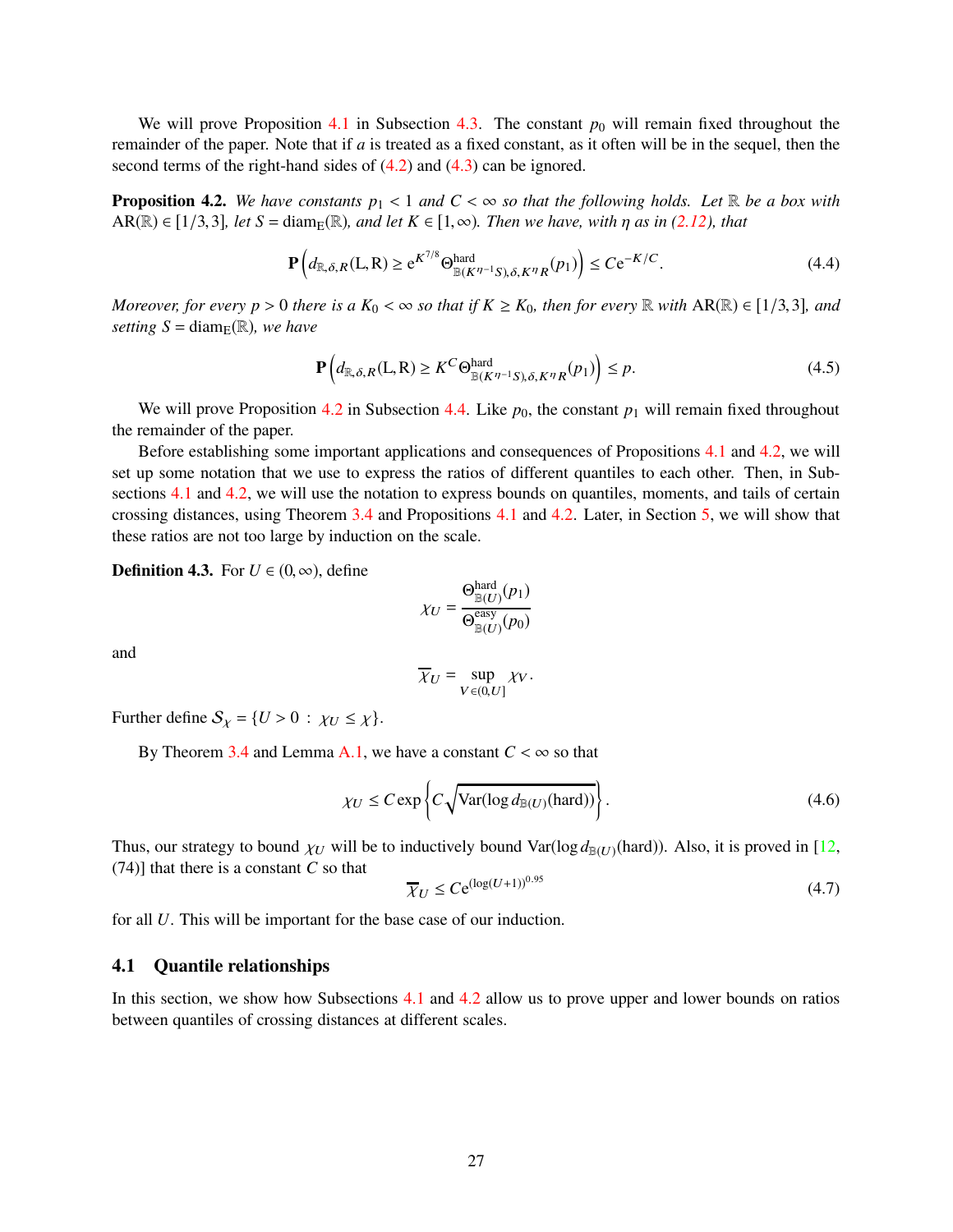We will prove Proposition [4.1](#page-25-3) in Subsection [4.3.](#page-30-0) The constant  $p_0$  will remain fixed throughout the remainder of the paper. Note that if *a* is treated as a fixed constant, as it often will be in the sequel, then the second terms of the right-hand sides of [\(4.2\)](#page-25-4) and [\(4.3\)](#page-25-5) can be ignored.

<span id="page-26-0"></span>**Proposition 4.2.** We have constants  $p_1 < 1$  and  $C < \infty$  so that the following holds. Let R be a box with  $AR(\mathbb{R}) \in [1/3,3]$ *, let*  $S = \text{diam}_{E}(\mathbb{R})$ *, and let*  $K \in [1,\infty)$ *. Then we have, with*  $\eta$  *as in* [\(2.12\)](#page-9-5)*, that* 

<span id="page-26-4"></span>
$$
\mathbf{P}\left(d_{\mathbb{R},\delta,R}(L,R)\geq e^{K^{7/8}}\Theta_{\mathbb{B}(K^{\eta-1}S),\delta,K^{\eta}R}^{hard}(p_1)\right)\leq Ce^{-K/C}.\tag{4.4}
$$

*Moreover, for every p* > 0 *there is a*  $K_0 < \infty$  *so that if*  $K \geq K_0$ *, then for every*  $\mathbb R$  *with*  $AR(\mathbb R) \in [1/3,3]$ *, and setting*  $S = \text{diam}_E(\mathbb{R})$ *, we have* 

<span id="page-26-2"></span>
$$
\mathbf{P}\left(d_{\mathbb{R},\delta,R}(L,R)\geq K^C\Theta_{\mathbb{B}(K^{\eta-1}S),\delta,K^{\eta}R}^{\text{hard}}(p_1)\right)\leq p. \tag{4.5}
$$

We will prove Proposition [4.2](#page-26-0) in Subsection [4.4.](#page-32-0) Like  $p_0$ , the constant  $p_1$  will remain fixed throughout the remainder of the paper.

Before establishing some important applications and consequences of Propositions [4.1](#page-25-3) and [4.2,](#page-26-0) we will set up some notation that we use to express the ratios of different quantiles to each other. Then, in Sub-sections [4.1](#page-26-1) and [4.2,](#page-28-0) we will use the notation to express bounds on quantiles, moments, and tails of certain crossing distances, using Theorem [3.4](#page-23-0) and Propositions [4.1](#page-25-3) and [4.2.](#page-26-0) Later, in Section [5,](#page-34-1) we will show that these ratios are not too large by induction on the scale.

<span id="page-26-3"></span>**Definition 4.3.** For  $U \in (0, \infty)$ , define

$$
\chi_U = \frac{\Theta_{\mathbb{B}(U)}^{\text{hard}}(p_1)}{\Theta_{\mathbb{B}(U)}^{\text{easy}}(p_0)}
$$

hard

and

$$
\overline{\chi}_U = \sup_{V \in (0,U]} \chi_V.
$$

Further define  $S_\chi = \{U > 0 : \chi_U \leq \chi\}.$ 

By Theorem [3.4](#page-23-0) and Lemma [A.1,](#page-59-0) we have a constant  $C < \infty$  so that

<span id="page-26-6"></span>
$$
\chi_U \le C \exp\left\{ C \sqrt{\text{Var}(\log d_{\mathbb{B}(U)}(\text{hard}))} \right\}.
$$
\n(4.6)

Thus, our strategy to bound  $\chi_U$  will be to inductively bound Var( $\log d_{\mathbb{B}(U)}(\text{hard})$ ). Also, it is proved in [\[12,](#page-62-10) (74)] that there is a constant *C* so that

<span id="page-26-5"></span>
$$
\overline{\chi}_U \le C e^{(\log(U+1))^{0.95}} \tag{4.7}
$$

for all *U*. This will be important for the base case of our induction.

## <span id="page-26-1"></span>4.1 Quantile relationships

In this section, we show how Subsections [4.1](#page-26-1) and [4.2](#page-28-0) allow us to prove upper and lower bounds on ratios between quantiles of crossing distances at different scales.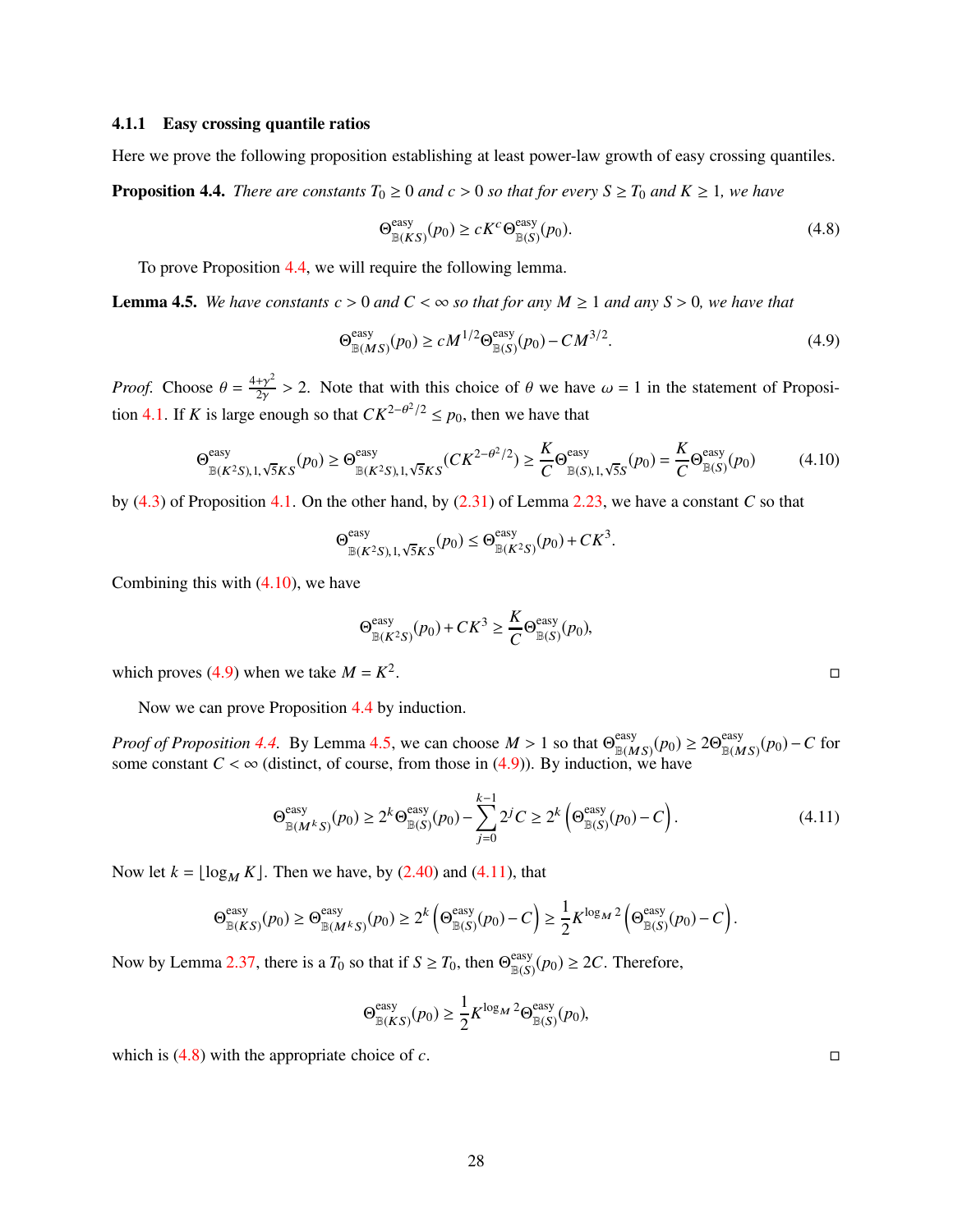#### 4.1.1 Easy crossing quantile ratios

Here we prove the following proposition establishing at least power-law growth of easy crossing quantiles.

<span id="page-27-0"></span>**Proposition 4.4.** *There are constants*  $T_0 \ge 0$  *and*  $c > 0$  *so that for every*  $S \ge T_0$  *and*  $K \ge 1$ *, we have* 

<span id="page-27-5"></span>
$$
\Theta_{\mathbb{B}(KS)}^{\text{easy}}(p_0) \ge cK^c \Theta_{\mathbb{B}(S)}^{\text{easy}}(p_0). \tag{4.8}
$$

To prove Proposition [4.4,](#page-27-0) we will require the following lemma.

<span id="page-27-3"></span>**Lemma 4.5.** We have constants  $c > 0$  and  $C < \infty$  so that for any  $M \ge 1$  and any  $S > 0$ , we have that

<span id="page-27-2"></span>
$$
\Theta_{\mathbb{B}(MS)}^{\text{easy}}(p_0) \ge c M^{1/2} \Theta_{\mathbb{B}(S)}^{\text{easy}}(p_0) - C M^{3/2}.
$$
\n(4.9)

*Proof.* Choose  $\theta = \frac{4+\gamma^2}{2\gamma}$  $\frac{4\gamma^2}{2\gamma} > 2$ . Note that with this choice of  $\theta$  we have  $\omega = 1$  in the statement of Proposi-tion [4.1.](#page-25-3) If *K* is large enough so that  $CK^{2-\theta^2/2} \le p_0$ , then we have that

<span id="page-27-1"></span>
$$
\Theta_{\mathbb{B}(K^2S),1,\sqrt{5}KS}^{\text{easy}}(p_0) \ge \Theta_{\mathbb{B}(K^2S),1,\sqrt{5}KS}^{\text{easy}}(CK^{2-\theta^2/2}) \ge \frac{K}{C}\Theta_{\mathbb{B}(S),1,\sqrt{5}S}^{\text{easy}}(p_0) = \frac{K}{C}\Theta_{\mathbb{B}(S)}^{\text{easy}}(p_0)
$$
(4.10)

by [\(4.3\)](#page-25-5) of Proposition [4.1.](#page-25-3) On the other hand, by [\(2.31\)](#page-13-2) of Lemma [2.23,](#page-13-1) we have a constant *C* so that

$$
\Theta^{\text{easy}}_{\mathbb{B}(K^2S), 1, \sqrt{5}KS}(p_0) \le \Theta^{\text{easy}}_{\mathbb{B}(K^2S)}(p_0) + CK^3.
$$

Combining this with  $(4.10)$ , we have

$$
\Theta_{\mathbb{B}(K^2S)}^{\text{easy}}(p_0) + CK^3 \ge \frac{K}{C} \Theta_{\mathbb{B}(S)}^{\text{easy}}(p_0),
$$

which proves [\(4.9\)](#page-27-2) when we take  $M = K^2$ .<br>Desember 1980 von de Santo Constantinopolis de Santo Constantinopolis de Santo Constantinopolis de Santo Cons<br>Desember 1980 von de Santo Constantinopolis de Santo Constantinopolis de Santo Constantinopolis de Santo Cons

Now we can prove Proposition [4.4](#page-27-0) by induction.

*Proof of Proposition* [4.4.](#page-27-0) By Lemma [4.5,](#page-27-3) we can choose  $M > 1$  so that  $\Theta_{\mathbb{R}(M)}^{\text{easy}}$  $\lim_{\mathbb{B}(MS)} (p_0) \geq 2\Theta_{\mathbb{B}(M)}^{\text{easy}}$  $\lim_{\mathbb{B}(MS)} (p_0) - C$  for some constant  $C < \infty$  (distinct, of course, from those in [\(4.9\)](#page-27-2)). By induction, we have

<span id="page-27-4"></span>
$$
\Theta_{\mathbb{B}(M^kS)}^{\text{easy}}(p_0) \ge 2^k \Theta_{\mathbb{B}(S)}^{\text{easy}}(p_0) - \sum_{j=0}^{k-1} 2^j C \ge 2^k \left(\Theta_{\mathbb{B}(S)}^{\text{easy}}(p_0) - C\right). \tag{4.11}
$$

Now let  $k = \lfloor \log_M K \rfloor$ . Then we have, by [\(2.40\)](#page-18-4) and [\(4.11\)](#page-27-4), that

$$
\Theta^{\text{easy}}_{\mathbb{B}(KS)}(p_0) \geq \Theta^{\text{easy}}_{\mathbb{B}(M^kS)}(p_0) \geq 2^k \left(\Theta^{\text{easy}}_{\mathbb{B}(S)}(p_0) - C\right) \geq \frac{1}{2} K^{\log M^2} \left(\Theta^{\text{easy}}_{\mathbb{B}(S)}(p_0) - C\right).
$$

Now by Lemma [2.37,](#page-18-5) there is a  $T_0$  so that if  $S \ge T_0$ , then  $\Theta_{\mathbb{B}(S)}^{\text{easy}}$  $\lim_{\mathbb{B}(S)} (p_0) \geq 2C$ . Therefore,

$$
\Theta_{\mathbb{B}(KS)}^{\text{easy}}(p_0) \ge \frac{1}{2} K^{\log_M 2} \Theta_{\mathbb{B}(S)}^{\text{easy}}(p_0),
$$

which is  $(4.8)$  with the appropriate choice of *c*.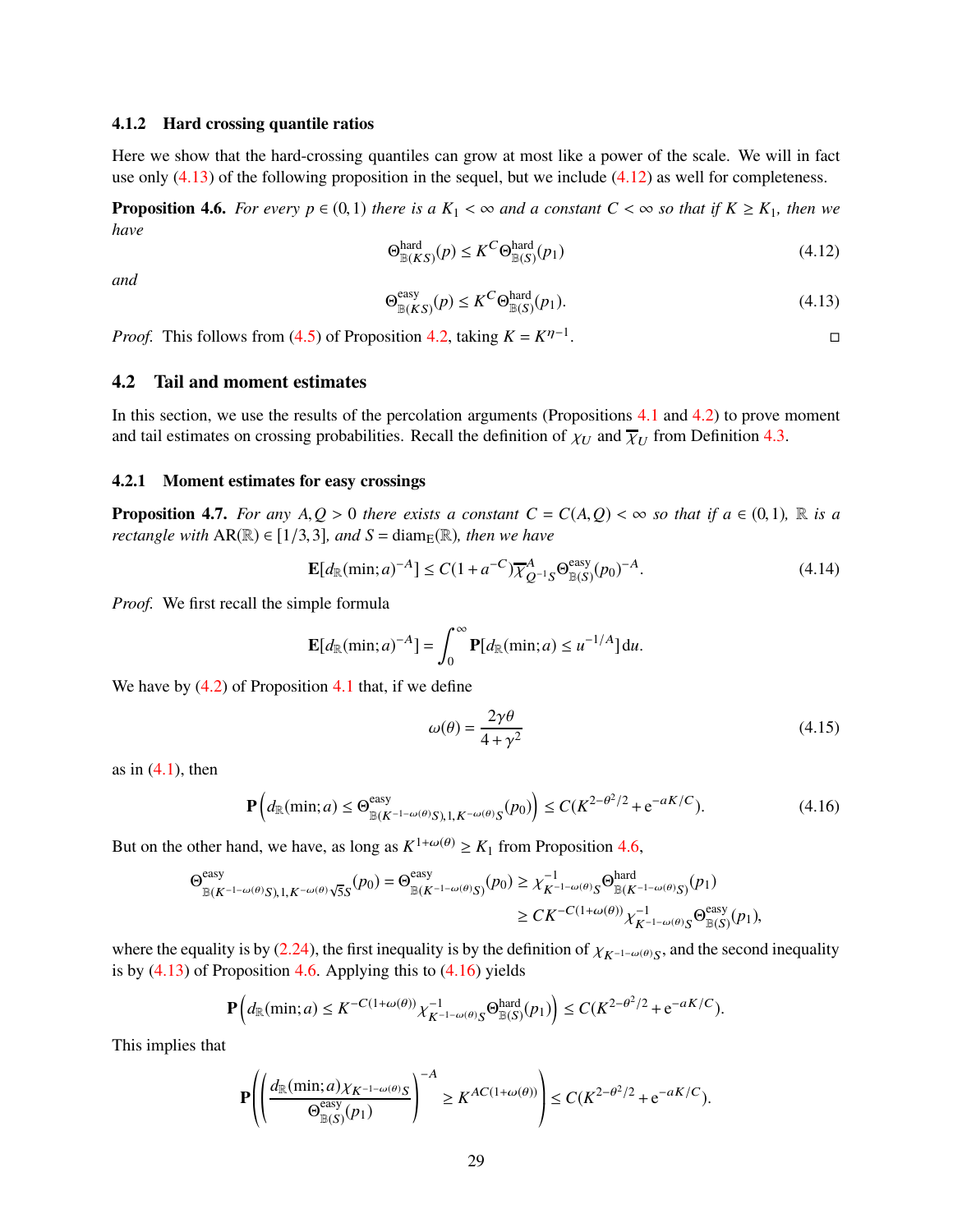#### 4.1.2 Hard crossing quantile ratios

Here we show that the hard-crossing quantiles can grow at most like a power of the scale. We will in fact use only  $(4.13)$  of the following proposition in the sequel, but we include  $(4.12)$  as well for completeness.

<span id="page-28-3"></span>**Proposition 4.6.** *For every p*  $\in$  (0,1) *there is a*  $K_1 < \infty$  *and a constant C* <  $\infty$  *so that if*  $K \geq K_1$ *, then we have*

<span id="page-28-2"></span>
$$
\Theta_{\mathbb{B}(KS)}^{\text{hard}}(p) \le K^C \Theta_{\mathbb{B}(S)}^{\text{hard}}(p_1) \tag{4.12}
$$

*and*

<span id="page-28-1"></span>
$$
\Theta_{\mathbb{B}(KS)}^{\text{easy}}(p) \le K^C \Theta_{\mathbb{B}(S)}^{\text{hard}}(p_1). \tag{4.13}
$$

*Proof.* This follows from [\(4.5\)](#page-26-2) of Proposition [4.2,](#page-26-0) taking  $K = K^{\eta-1}$ . В последните поставите на производите на селото на селото на селото на селото на селото на селото на селото<br>В селото на селото на селото на селото на селото на селото на селото на селото на селото на селото на селото н

#### <span id="page-28-0"></span>4.2 Tail and moment estimates

In this section, we use the results of the percolation arguments (Propositions [4.1](#page-25-3) and [4.2\)](#page-26-0) to prove moment and tail estimates on crossing probabilities. Recall the definition of  $\chi_U$  and  $\overline{\chi}_U$  from Definition [4.3.](#page-26-3)

#### 4.2.1 Moment estimates for easy crossings

<span id="page-28-7"></span>**Proposition 4.7.** *For any A,Q* > 0 *there exists a constant*  $C = C(A, Q) < \infty$  *so that if a*  $\in (0, 1)$ *,*  $\mathbb{R}$  *is a rectangle with*  $AR(\mathbb{R}) \in [1/3, 3]$ *, and*  $S = diam_{\mathbb{E}}(\mathbb{R})$ *, then we have* 

<span id="page-28-6"></span>
$$
\mathbf{E}[d_{\mathbb{R}}(\min; a)^{-A}] \le C(1 + a^{-C}) \overline{\chi}_{Q^{-1}S}^{A} \Theta_{\mathbb{B}(S)}^{\text{easy}}(p_0)^{-A}.
$$
 (4.14)

*Proof.* We first recall the simple formula

$$
\mathbf{E}[d_{\mathbb{R}}(\min;a)^{-A}] = \int_0^\infty \mathbf{P}[d_{\mathbb{R}}(\min;a) \leq u^{-1/A}] du.
$$

We have by  $(4.2)$  of Proposition [4.1](#page-25-3) that, if we define

<span id="page-28-5"></span>
$$
\omega(\theta) = \frac{2\gamma\theta}{4 + \gamma^2} \tag{4.15}
$$

as in  $(4.1)$ , then

<span id="page-28-4"></span>
$$
\mathbf{P}\left(d_{\mathbb{R}}(\min; a) \le \Theta_{\mathbb{B}(K^{-1-\omega(\theta)}S), 1, K^{-\omega(\theta)}S}^{\text{easy}}(p_0)\right) \le C(K^{2-\theta^2/2} + e^{-aK/C}).\tag{4.16}
$$

But on the other hand, we have, as long as  $K^{1+\omega(\theta)} \ge K_1$  from Proposition [4.6,](#page-28-3)

$$
\begin{aligned} \Theta^{\text{easy}}_{\mathbb{B}(K^{-1-\omega(\theta)}S),1,K^{-\omega(\theta)}\sqrt{5}S}(p_0) = \Theta^{\text{easy}}_{\mathbb{B}(K^{-1-\omega(\theta)}S)}(p_0) &\geq \chi_{K^{-1-\omega(\theta)}S}^{-1} \Theta^{\text{hard}}_{\mathbb{B}(K^{-1-\omega(\theta)}S)}(p_1) \\ &\geq CK^{-C(1+\omega(\theta))} \chi_{K^{-1-\omega(\theta)}S}^{-1} \Theta^{\text{easy}}_{\mathbb{B}(S)}(p_1), \end{aligned}
$$

where the equality is by [\(2.24\)](#page-12-3), the first inequality is by the definition of  $\chi_{K^{-1-\omega(\theta)}S}$ , and the second inequality is by  $(4.13)$  of Proposition [4.6.](#page-28-3) Applying this to  $(4.16)$  yields

$$
\mathbf{P}\left(d_{\mathbb{R}}(\min;a) \leq K^{-C(1+\omega(\theta))}\chi_{K^{-1-\omega(\theta)}S}^{-1}\Theta_{\mathbb{B}(S)}^{\text{hard}}(p_1)\right) \leq C(K^{2-\theta^2/2} + e^{-aK/C}).
$$

This implies that

$$
\mathbf{P}\left(\left(\frac{d_{\mathbb{R}}(\min; a)\chi_{K^{-1-\omega(\theta)}S}}{\Theta_{\mathbb{B}(S)}^{\text{easy}}(p_1)}\right)^{-A} \geq K^{AC(1+\omega(\theta))}\right) \leq C(K^{2-\theta^2/2} + e^{-aK/C}).
$$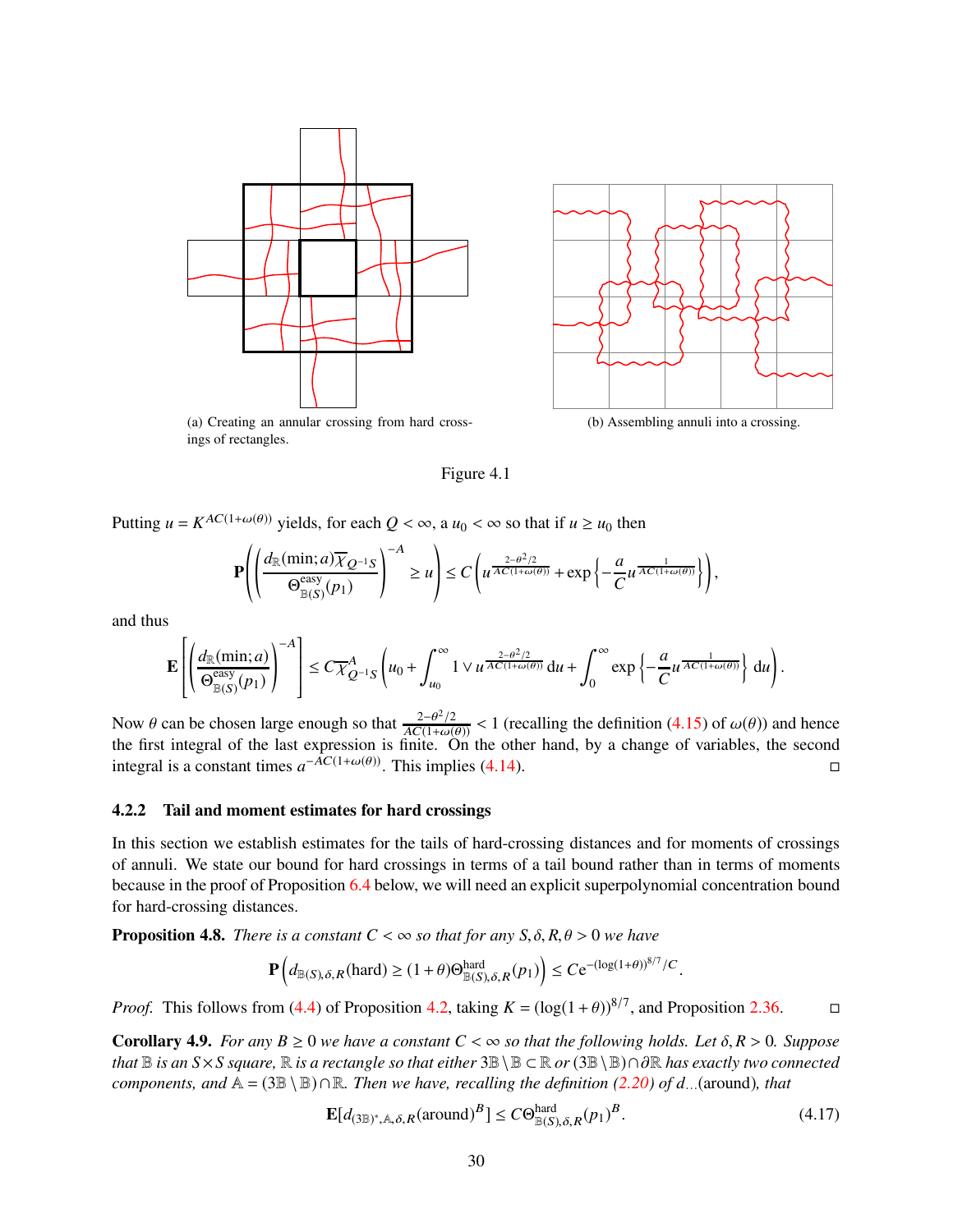



<span id="page-29-0"></span>(a) Creating an annular crossing from hard crossings of rectangles.

<span id="page-29-3"></span>(b) Assembling annuli into a crossing.

Figure 4.1

Putting  $u = K^{AC(1+\omega(\theta))}$  yields, for each  $Q < \infty$ , a  $u_0 < \infty$  so that if  $u \ge u_0$  then

$$
\mathbf{P}\left(\left(\frac{d_{\mathbb{R}}(\min; a)\overline{\chi}_{Q^{-1}S}}{\Theta_{\mathbb{B}(S)}^{\text{easy}}(p_1)}\right)^{-A} \geq u\right) \leq C\left(u^{\frac{2-\theta^2/2}{AC(1+\omega(\theta))}} + \exp\left\{-\frac{a}{C}u^{\frac{1}{AC(1+\omega(\theta))}}\right\}\right),
$$

and thus

$$
\mathbf{E}\left[\left(\frac{d_{\mathbb{R}}(\min; a)}{\Theta_{\mathbb{B}(S)}^{\text{easy}}(p_1)}\right)^{-A}\right] \leq C\overline{\chi}_{Q^{-1}S}^{A}\left(u_0 + \int_{u_0}^{\infty} 1 \vee u^{\frac{2-\theta^2/2}{AC(1+\omega(\theta))}} \, \mathrm{d}u + \int_0^{\infty} \exp\left\{-\frac{a}{C}u^{\frac{1}{AC(1+\omega(\theta))}}\right\} \, \mathrm{d}u\right).
$$

Now  $\theta$  can be chosen large enough so that  $\frac{2-\theta^2/2}{AC(1+\omega(\theta))} < 1$  (recalling the definition [\(4.15\)](#page-28-5) of  $\omega(\theta)$ ) and hence the first integral of the last expression is finite. On the other hand, by a change of variables integral is a constant times  $a^{-\hat{AC}(1+\omega(\theta))}$ . This implies [\(4.14\)](#page-28-6). □

#### 4.2.2 Tail and moment estimates for hard crossings

In this section we establish estimates for the tails of hard-crossing distances and for moments of crossings of annuli. We state our bound for hard crossings in terms of a tail bound rather than in terms of moments because in the proof of Proposition [6.4](#page-54-0) below, we will need an explicit superpolynomial concentration bound for hard-crossing distances.

<span id="page-29-1"></span>**Proposition 4.8.** *There is a constant*  $C < \infty$  *so that for any S,*  $\delta$ *, R,*  $\theta > 0$  *we have* 

$$
\mathbf{P}\left(d_{\mathbb{B}(S),\delta,R}(\text{hard}) \ge (1+\theta)\Theta_{\mathbb{B}(S),\delta,R}^{\text{hard}}(p_1)\right) \le C e^{-(\log(1+\theta))^{8/7}/C}.
$$

*Proof.* This follows from [\(4.4\)](#page-26-4) of Proposition [4.2,](#page-26-0) taking  $K = (\log(1 + \theta))^{8/7}$ , and Proposition [2.36.](#page-18-6)

<span id="page-29-4"></span>**Corollary 4.9.** *For any B*  $\geq$  0 *we have a constant C* <  $\infty$  *so that the following holds. Let*  $\delta$ ,  $R$  > 0. Suppose *that* <sup>B</sup> *is an S*×*S square,* <sup>R</sup> *is a rectangle so that either* <sup>3</sup>B\<sup>B</sup> <sup>⊂</sup> <sup>R</sup> *or* (3B\B)∩∂<sup>R</sup> *has exactly two connected components, and*  $A = (3B \setminus B) \cap R$ *. Then we have, recalling the definition [\(2.20\)](#page-11-2) of d*. *(around), that* 

<span id="page-29-2"></span>
$$
\mathbf{E}[d_{(3\mathbb{B})^*,\mathbb{A},\delta,R}(\text{around})^B] \le C\Theta_{\mathbb{B}(S),\delta,R}^{\text{hard}}(p_1)^B. \tag{4.17}
$$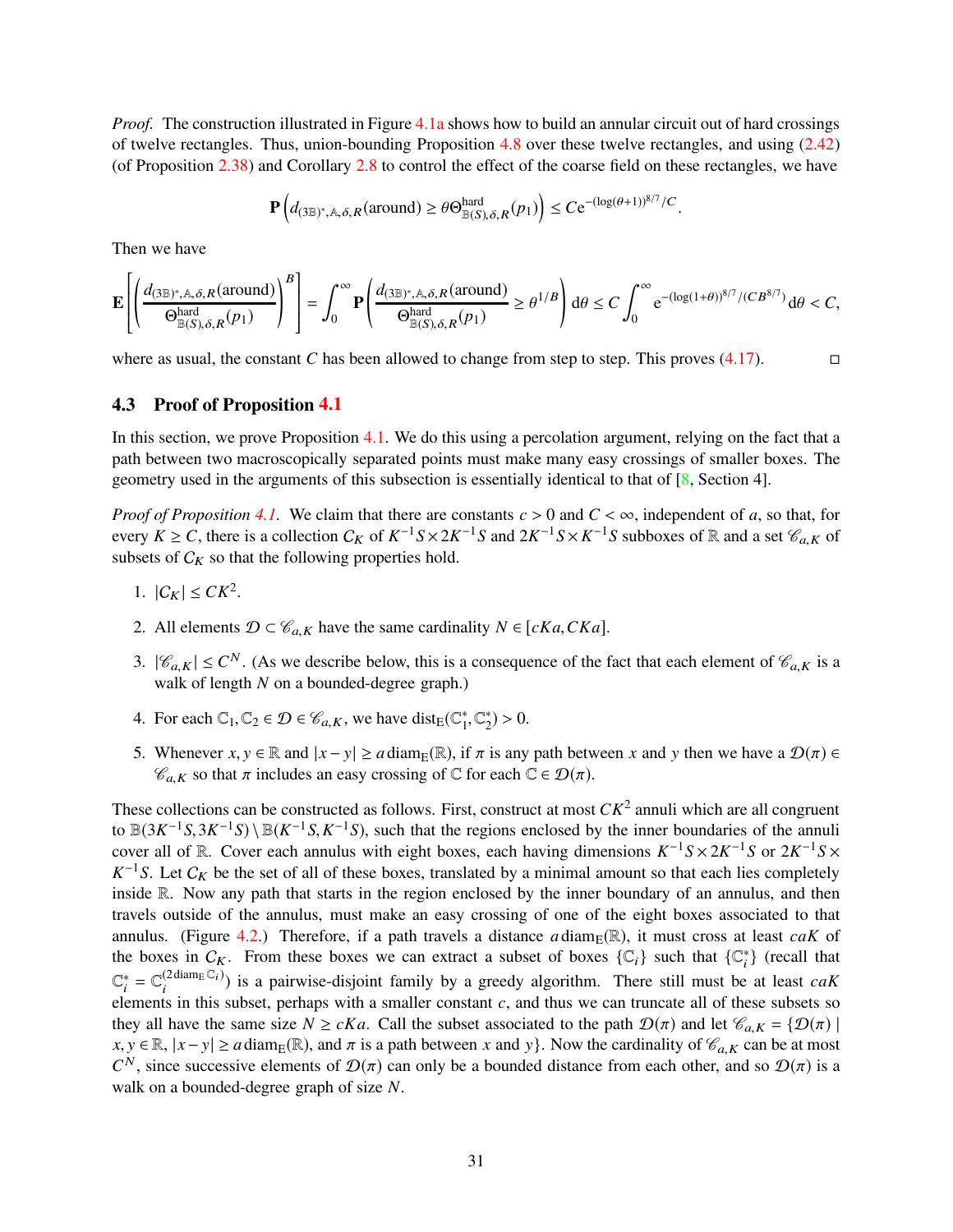*Proof.* The construction illustrated in Figure [4.1a](#page-29-0) shows how to build an annular circuit out of hard crossings of twelve rectangles. Thus, union-bounding Proposition [4.8](#page-29-1) over these twelve rectangles, and using [\(2.42\)](#page-18-3) (of Proposition [2.38\)](#page-18-0) and Corollary [2.8](#page-7-6) to control the effect of the coarse field on these rectangles, we have

$$
\mathbf{P}\Big(d_{(3\mathbb{B})^*,\mathbb{A},\delta,R}(\text{around})\geq \theta\Theta_{\mathbb{B}(S),\delta,R}^{\text{hard}}(p_1)\Big)\leq C\mathrm{e}^{-(\log(\theta+1))^{8/7}/C}.
$$

Then we have

$$
\mathbf{E}\left[\left(\frac{d_{(\mathfrak{IB})^*,\mathbb{A},\delta,R}(\text{around})}{\Theta_{\mathbb{B}(S),\delta,R}^{\text{hard}}(p_1)}\right)^B\right] = \int_0^\infty \mathbf{P}\left(\frac{d_{(\mathfrak{IB})^*,\mathbb{A},\delta,R}(\text{around})}{\Theta_{\mathbb{B}(S),\delta,R}^{\text{hard}}(p_1)} \geq \theta^{1/B}\right) d\theta \leq C \int_0^\infty e^{-(\log(1+\theta))^{8/7}/(CB^{8/7})} d\theta < C,
$$

where as usual, the constant *C* has been allowed to change from step to step. This proves  $(4.17)$ .

#### <span id="page-30-0"></span>4.3 Proof of Proposition [4.1](#page-25-3)

In this section, we prove Proposition [4.1.](#page-25-3) We do this using a percolation argument, relying on the fact that a path between two macroscopically separated points must make many easy crossings of smaller boxes. The geometry used in the arguments of this subsection is essentially identical to that of [\[8,](#page-62-12) Section 4].

*Proof of Proposition* [4.1.](#page-25-3) We claim that there are constants  $c > 0$  and  $C < \infty$ , independent of *a*, so that, for every  $K \ge C$ , there is a collection  $C_K$  of  $K^{-1}S \times 2K^{-1}S$  and  $2K^{-1}S \times K^{-1}S$  subboxes of R and a set  $\mathcal{C}_{a,K}$  of subsets of  $C_K$  so that the following properties hold.

- <span id="page-30-2"></span>1.  $|C_K| \leq C K^2$ .
- <span id="page-30-4"></span>2. All elements  $\mathcal{D} \subset \mathcal{C}_{a,K}$  have the same cardinality  $N \in [cKa, CKa]$ .
- 3.  $|\mathscr{C}_{a,K}| \leq C^N$ . (As we describe below, this is a consequence of the fact that each element of  $\mathscr{C}_{a,K}$  is a walk of length *N* on a bounded-degree graph.)
- <span id="page-30-3"></span><span id="page-30-1"></span>4. For each  $\mathbb{C}_1, \mathbb{C}_2 \in \mathcal{D} \in \mathcal{C}_{a,K}$ , we have  $dist_E(\mathbb{C}_1^*, \mathbb{C}_2^*) > 0$ .
- 5. Whenever  $x, y \in \mathbb{R}$  and  $|x y| \ge a \operatorname{diam}_E(\mathbb{R})$ , if  $\pi$  is any path between  $x$  and  $y$  then we have a  $\mathcal{D}(\pi) \in$  $\mathcal{C}_{a,K}$  so that  $\pi$  includes an easy crossing of  $\mathbb{C}$  for each  $\mathbb{C} \in \mathcal{D}(\pi)$ .

These collections can be constructed as follows. First, construct at most  $CK^2$  annuli which are all congruent to  $\mathbb{B}(3K^{-1}S, 3K^{-1}S) \setminus \mathbb{B}(K^{-1}S, K^{-1}S)$ , such that the regions enclosed by the inner boundaries of the annuli cover all of R. Cover each annulus with eight boxes, each having dimensions  $K^{-1}S \times 2K^{-1}S$  or  $2K^{-1}S \times$  $K^{-1}S$ . Let  $C_K$  be the set of all of these boxes, translated by a minimal amount so that each lies completely inside R. Now any path that starts in the region enclosed by the inner boundary of an annulus, and then travels outside of the annulus, must make an easy crossing of one of the eight boxes associated to that annulus. (Figure [4.2.](#page-31-0)) Therefore, if a path travels a distance  $a \text{ diam}_{E}(\mathbb{R})$ , it must cross at least  $c a K$  of the boxes in  $C_K$ . From these boxes we can extract a subset of boxes  $\{C_i\}$  such that  $\{C_i^*\}$  (recall that  $\mathbb{C}_i^* = \mathbb{C}_i^{(2 \text{diam}_{E} \mathbb{C}_i)})$  is a pairwise-disjoint family by a greedy algorithm. There still must be at least *caK* elements in this subset, perhaps with a smaller constant *c*, and thus we can truncate all of these subsets so they all have the same size  $N \ge cKa$ . Call the subset associated to the path  $\mathcal{D}(\pi)$  and let  $\mathcal{C}_{a,K} = \{ \mathcal{D}(\pi) \mid$  $x, y \in \mathbb{R}, |x - y| \ge a \operatorname{diam}_E(\mathbb{R})$ , and  $\pi$  is a path between *x* and *y*}. Now the cardinality of  $\mathcal{C}_{a,K}$  can be at most  $C^N$ , since successive elements of  $\mathcal{D}(\pi)$  can only be a bounded distance from each other, and so  $\mathcal{D}(\pi)$  is a walk on a bounded-degree graph of size *N*.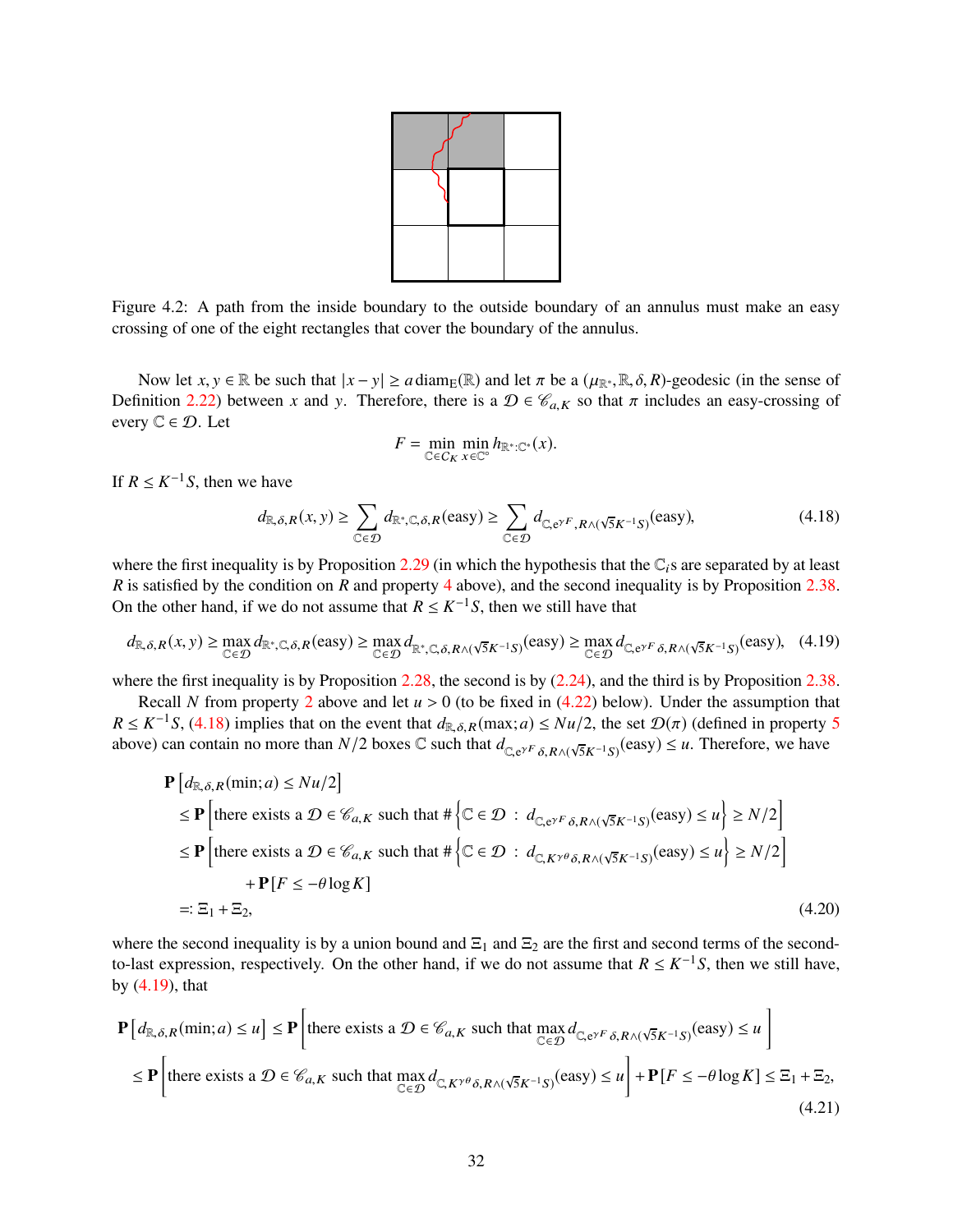

<span id="page-31-0"></span>Figure 4.2: A path from the inside boundary to the outside boundary of an annulus must make an easy crossing of one of the eight rectangles that cover the boundary of the annulus.

Now let  $x, y \in \mathbb{R}$  be such that  $|x - y| \ge a \operatorname{diam}_E(\mathbb{R})$  and let  $\pi$  be a  $(\mu_{\mathbb{R}^*}, \mathbb{R}, \delta, R)$ -geodesic (in the sense of Definition [2.22\)](#page-13-6) between *x* and *y*. Therefore, there is a  $\mathcal{D} \in \mathcal{C}_{a,K}$  so that  $\pi$  includes an easy-crossing of every  $\mathbb{C} \in \mathcal{D}$ . Let

<span id="page-31-3"></span>
$$
F = \min_{\mathbb{C} \in C_K} \min_{x \in \mathbb{C}^\circ} h_{\mathbb{R}^* : \mathbb{C}^*}(x).
$$

If  $R \leq K^{-1}S$ , then we have

<span id="page-31-1"></span>
$$
d_{\mathbb{R},\delta,R}(x,y) \ge \sum_{\mathbb{C}\in\mathcal{D}} d_{\mathbb{R}^*,\mathbb{C},\delta,R}(\text{easy}) \ge \sum_{\mathbb{C}\in\mathcal{D}} d_{\mathbb{C},e^{\gamma F},R\wedge(\sqrt{5}K^{-1}S)}(\text{easy}),\tag{4.18}
$$

where the first inequality is by Proposition [2.29](#page-15-0) (in which the hypothesis that the  $\mathbb{C}_i$ s are separated by at least *R* is satisfied by the condition on *R* and property [4](#page-30-1) above), and the second inequality is by Proposition [2.38.](#page-18-0) On the other hand, if we do not assume that  $R \leq K^{-1}S$ , then we still have that

<span id="page-31-2"></span>
$$
d_{\mathbb{R},\delta,R}(x,y) \ge \max_{\mathbb{C}\in\mathcal{D}} d_{\mathbb{R}^*,\mathbb{C},\delta,R}(\text{easy}) \ge \max_{\mathbb{C}\in\mathcal{D}} d_{\mathbb{R}^*,\mathbb{C},\delta,R\wedge(\sqrt{5}K^{-1}S)}(\text{easy}) \ge \max_{\mathbb{C}\in\mathcal{D}} d_{\mathbb{C},e^{\gamma F}\delta,R\wedge(\sqrt{5}K^{-1}S)}(\text{easy}),\tag{4.19}
$$

where the first inequality is by Proposition [2.28,](#page-15-1) the second is by  $(2.24)$ , and the third is by Proposition [2.38.](#page-18-0)

Recall *N* from property [2](#page-30-2) above and let  $u > 0$  (to be fixed in [\(4.22\)](#page-32-1) below). Under the assumption that  $R \le K^{-1}S$ , [\(4.18\)](#page-31-1) implies that on the event that  $d_{\mathbb{R},\delta,R}(\max;a) \le Nu/2$ , the set  $\mathcal{D}(\pi)$  (defined in property [5](#page-30-3) above) can contain no more than  $N/2$  boxes  $\mathbb C$  such that  $d_{\mathbb Q, e^{\gamma F} \delta, R \wedge (\sqrt{5}K^{-1}S)}(\text{easy}) \leq u$ . Therefore, we have

$$
\mathbf{P}\left[d_{\mathbb{R},\delta,R}(\min;a) \le Nu/2\right]
$$
\n
$$
\le \mathbf{P}\left[\text{there exists a } \mathcal{D} \in \mathcal{C}_{a,K} \text{ such that } #\left\{\mathbb{C} \in \mathcal{D} : d_{\mathbb{C},e^{\gamma F}\delta,R\wedge(\sqrt{5}K^{-1}S)}(\text{easy}) \le u\right\} \ge N/2\right]
$$
\n
$$
\le \mathbf{P}\left[\text{there exists a } \mathcal{D} \in \mathcal{C}_{a,K} \text{ such that } #\left\{\mathbb{C} \in \mathcal{D} : d_{\mathbb{C},K^{\gamma\theta}\delta,R\wedge(\sqrt{5}K^{-1}S)}(\text{easy}) \le u\right\} \ge N/2\right]
$$
\n
$$
+ \mathbf{P}\left[F \le -\theta \log K\right]
$$
\n
$$
=: \Xi_1 + \Xi_2,
$$
\n(4.20)

where the second inequality is by a union bound and  $\Xi_1$  and  $\Xi_2$  are the first and second terms of the secondto-last expression, respectively. On the other hand, if we do not assume that  $R \leq K^{-1}S$ , then we still have, by [\(4.19\)](#page-31-2), that

<span id="page-31-4"></span>
$$
\mathbf{P}\left[d_{\mathbb{R},\delta,R}(\min;a) \le u\right] \le \mathbf{P}\left[\text{there exists a } \mathcal{D} \in \mathcal{C}_{a,K} \text{ such that } \max_{\mathbb{C} \in \mathcal{D}} d_{\mathbb{C},e^{\gamma F} \delta,R \wedge (\sqrt{5}K^{-1}S)}(\text{easy}) \le u\right]
$$
\n
$$
\le \mathbf{P}\left[\text{there exists a } \mathcal{D} \in \mathcal{C}_{a,K} \text{ such that } \max_{\mathbb{C} \in \mathcal{D}} d_{\mathbb{C},K^{\gamma \theta} \delta,R \wedge (\sqrt{5}K^{-1}S)}(\text{easy}) \le u\right] + \mathbf{P}\left[F \le -\theta \log K\right] \le \Xi_1 + \Xi_2,\tag{4.21}
$$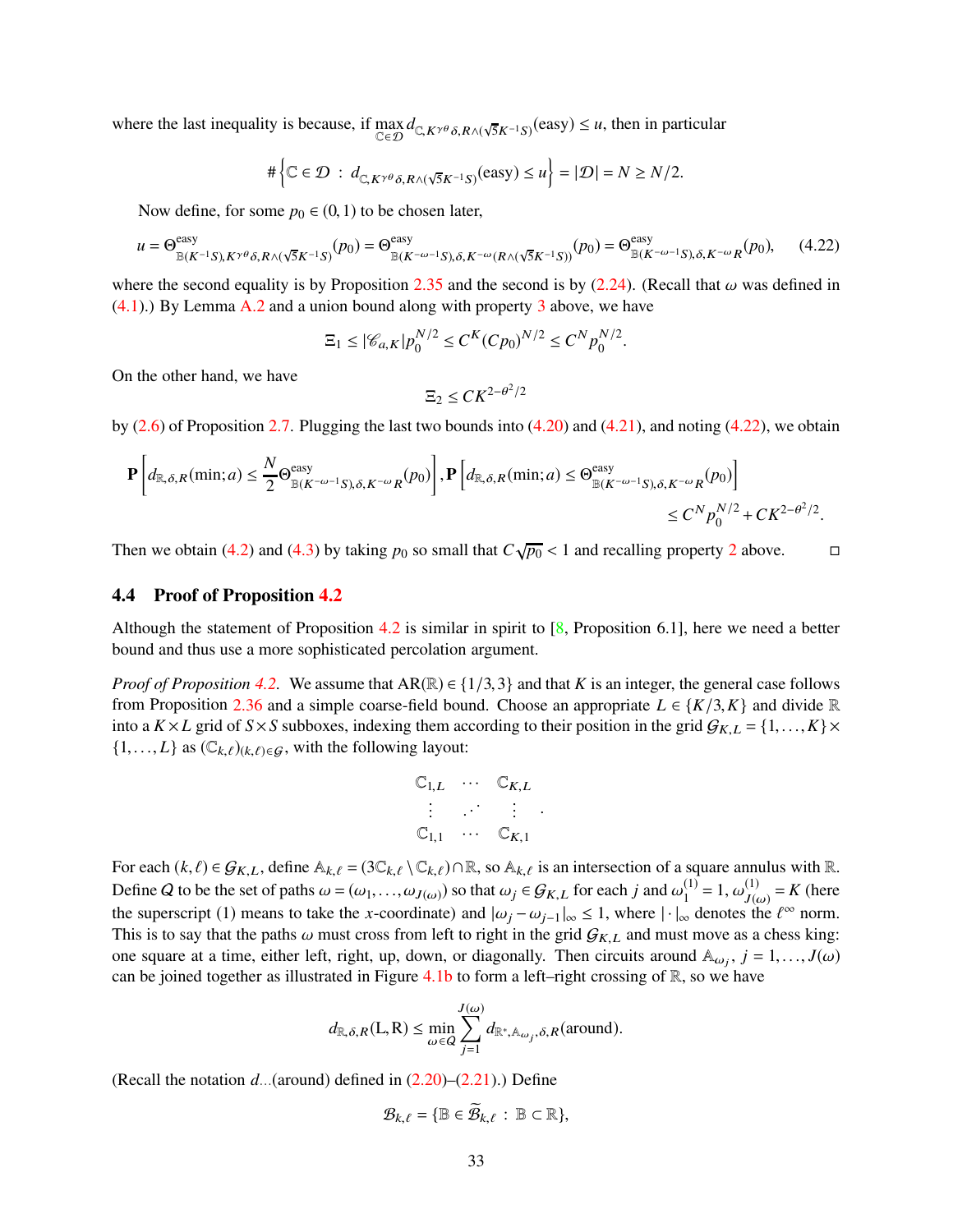where the last inequality is because, if  $\max_{\mathbb{C}\in\mathcal{D}} d_{\mathbb{C},K^{\gamma\theta}\delta,R\wedge(\sqrt{5}K^{-1}S)}(\text{easy}) \leq u$ , then in particular

$$
\#\Big\{\mathbb{C}\in\mathcal{D}\ :\ d_{\mathbb{C},K^{\gamma\theta}\delta,R\wedge(\sqrt{5}K^{-1}S)}(\text{easy})\leq u\Big\}=|\mathcal{D}|=N\geq N/2.
$$

Now define, for some  $p_0 \in (0,1)$  to be chosen later,

<span id="page-32-1"></span>
$$
u = \Theta_{\mathbb{B}(K^{-1}S), K^{\gamma\theta}\delta, R\wedge(\sqrt{5}K^{-1}S)}^{\text{easy}}(p_0) = \Theta_{\mathbb{B}(K^{-\omega-1}S), \delta, K^{-\omega}(R\wedge(\sqrt{5}K^{-1}S))}^{\text{easy}}(p_0) = \Theta_{\mathbb{B}(K^{-\omega-1}S), \delta, K^{-\omega}R}^{\text{easy}}(p_0),\tag{4.22}
$$

where the second equality is by Proposition [2.35](#page-17-0) and the second is by [\(2.24\)](#page-12-3). (Recall that  $\omega$  was defined in  $(4.1)$ .) By Lemma [A.2](#page-59-2) and a union bound along with property [3](#page-30-4) above, we have

$$
\Xi_1 \leq |\mathcal{C}_{a,K}| p_0^{N/2} \leq C^K (C p_0)^{N/2} \leq C^N p_0^{N/2}.
$$

On the other hand, we have

$$
\Xi_2 \leq C K^{2-\theta^2/2}
$$

by [\(2.6\)](#page-7-3) of Proposition [2.7.](#page-7-4) Plugging the last two bounds into [\(4.20\)](#page-31-3) and [\(4.21\)](#page-31-4), and noting [\(4.22\)](#page-32-1), we obtain

$$
\mathbf{P}\left[d_{\mathbb{R},\delta,R}(\min;a) \leq \frac{N}{2} \Theta_{\mathbb{B}(K^{-\omega-1}S),\delta,K^{-\omega}R}^{\text{easy}}(p_0)\right], \mathbf{P}\left[d_{\mathbb{R},\delta,R}(\min;a) \leq \Theta_{\mathbb{B}(K^{-\omega-1}S),\delta,K^{-\omega}R}^{\text{easy}}(p_0)\right] \leq C^N p_0^{N/2} + C K^{2-\theta^2/2}.
$$

Then we obtain [\(4.2\)](#page-25-4) and [\(4.3\)](#page-25-5) by taking  $p_0$  so small that  $C\sqrt{p_0}$  < 1 and recalling property [2](#page-30-2) above.  $\Box$ 

#### <span id="page-32-0"></span>4.4 Proof of Proposition [4.2](#page-26-0)

Although the statement of Proposition [4.2](#page-26-0) is similar in spirit to [\[8,](#page-62-12) Proposition 6.1], here we need a better bound and thus use a more sophisticated percolation argument.

*Proof of Proposition* [4.2.](#page-26-0) We assume that  $AR(\mathbb{R}) \in \{1/3,3\}$  and that *K* is an integer, the general case follows from Proposition [2.36](#page-18-6) and a simple coarse-field bound. Choose an appropriate  $L \in \{K/3, K\}$  and divide R into a  $K \times L$  grid of  $S \times S$  subboxes, indexing them according to their position in the grid  $G_{K,L} = \{1, ..., K\} \times$  $\{1, \ldots, L\}$  as  $(\mathbb{C}_{k,\ell})_{(k,\ell)\in\mathcal{G}}$ , with the following layout:

$$
\begin{array}{cccc}\n\mathbb{C}_{1,L} & \cdots & \mathbb{C}_{K,L} \\
\vdots & \cdots & \vdots \\
\mathbb{C}_{1,1} & \cdots & \mathbb{C}_{K,1}\n\end{array}
$$

For each  $(k, \ell) \in \mathcal{G}_{K,L}$ , define  $\mathbb{A}_{k,\ell} = (3\mathbb{C}_{k,\ell} \setminus \mathbb{C}_{k,\ell}) \cap \mathbb{R}$ , so  $\mathbb{A}_{k,\ell}$  is an intersection of a square annulus with  $\mathbb{R}$ . Define Q to be the set of paths  $\omega = (\omega_1, \dots, \omega_{J(\omega)})$  so that  $\omega_j \in \mathcal{G}_{K,L}$  for each j and  $\omega_1^{(1)} = 1$ ,  $\omega_{J(\omega)}^{(1)}$  $J(\omega) = K$  (here the superscript (1) means to take the *x*-coordinate) and  $|\omega_j - \omega_{j-1}|_{\infty} \le 1$ , where  $|\cdot|_{\infty}$  denotes the  $\ell^{\infty}$  norm. This is to say that the paths  $\omega$  must cross from left to right in the grid  $G_{K,L}$  and must move as a chess king: one square at a time, either left, right, up, down, or diagonally. Then circuits around  $A_{\omega_j}$ ,  $j = 1, ..., J(\omega)$ can be joined together as illustrated in Figure [4.1b](#page-29-3) to form a left–right crossing of  $\mathbb{R}$ , so we have

$$
d_{\mathbb{R},\delta,R}(L,R) \le \min_{\omega \in Q} \sum_{j=1}^{J(\omega)} d_{\mathbb{R}^*,\mathbb{A}_{\omega_j},\delta,R}(\text{around}).
$$

(Recall the notation  $d_{\cdots}$  (around) defined in  $(2.20)$ – $(2.21)$ .) Define

$$
\mathcal{B}_{k,\ell} = \{ \mathbb{B} \in \widetilde{\mathcal{B}}_{k,\ell} \, : \, \mathbb{B} \subset \mathbb{R} \},
$$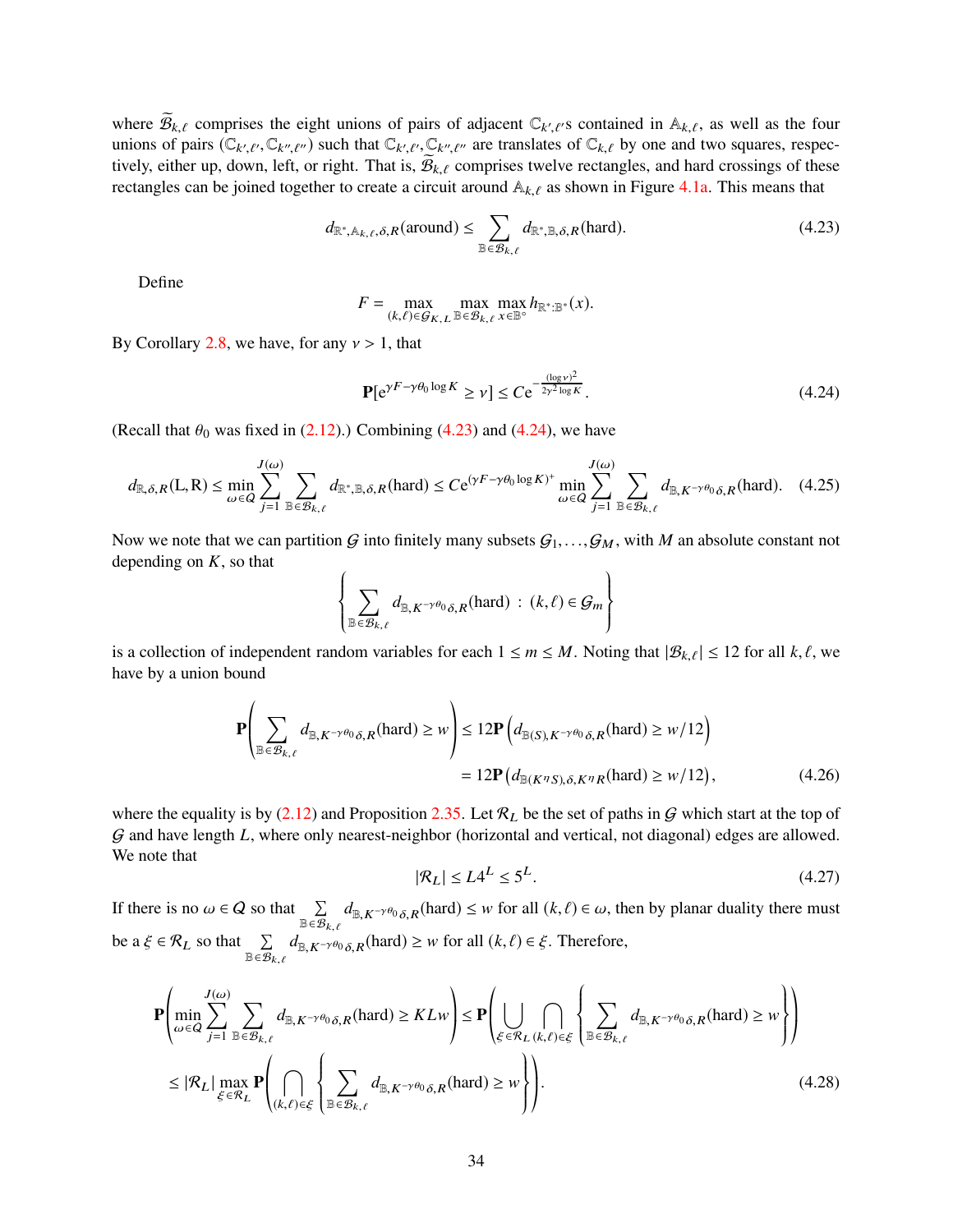where  $\widetilde{\mathcal{B}}_{k,\ell}$  comprises the eight unions of pairs of adjacent  $\mathbb{C}_{k',\ell'}$  contained in  $\mathbb{A}_{k,\ell}$ , as well as the four unions of pairs  $(\mathbb{C}_{k',\ell'}, \mathbb{C}_{k'',\ell''})$  such that  $\mathbb{C}_{k',\ell'}, \mathbb{C}_{k'',\ell''}$  are translates of  $\mathbb{C}_{k,\ell}$  by one and two squares, respectively, either up, down, left, or right. That is,  $B_{k,\ell}$  comprises twelve rectangles, and hard crossings of these rectangles can be joined together to create a circuit around  $A_{k,\ell}$  as shown in Figure [4.1a.](#page-29-0) This means that

<span id="page-33-0"></span>
$$
d_{\mathbb{R}^*,\mathbb{A}_{k,\ell},\delta,R}(\text{around}) \le \sum_{\mathbb{B}\in\mathcal{B}_{k,\ell}} d_{\mathbb{R}^*,\mathbb{B},\delta,R}(\text{hard}).\tag{4.23}
$$

Define

$$
F = \max_{(k,\ell) \in \mathcal{G}_{K,L}} \max_{\mathbb{B} \in \mathcal{B}_{k,\ell}} \max_{x \in \mathbb{B}^{\circ}} h_{\mathbb{R}^* : \mathbb{B}^*}(x).
$$

By Corollary [2.8,](#page-7-6) we have, for any  $\nu > 1$ , that

<span id="page-33-1"></span>
$$
\mathbf{P}[e^{\gamma F - \gamma \theta_0 \log K} \ge \nu] \le C e^{-\frac{(\log \nu)^2}{2\gamma^2 \log K}}.
$$
\n(4.24)

(Recall that  $\theta_0$  was fixed in [\(2.12\)](#page-9-5).) Combining [\(4.23\)](#page-33-0) and [\(4.24\)](#page-33-1), we have

<span id="page-33-5"></span>
$$
d_{\mathbb{R},\delta,R}(\mathcal{L},\mathcal{R}) \le \min_{\omega \in \mathcal{Q}} \sum_{j=1}^{J(\omega)} \sum_{\mathbb{B} \in \mathcal{B}_{k,\ell}} d_{\mathbb{R}^*,\mathbb{B},\delta,R}(\text{hard}) \le C e^{(\gamma F - \gamma \theta_0 \log K)^+} \min_{\omega \in \mathcal{Q}} \sum_{j=1}^{J(\omega)} \sum_{\mathbb{B} \in \mathcal{B}_{k,\ell}} d_{\mathbb{B},K^{-\gamma \theta_0} \delta,R}(\text{hard}). \quad (4.25)
$$

Now we note that we can partition G into finitely many subsets  $G_1, \ldots, G_M$ , with M an absolute constant not depending on *K*, so that

$$
\left\{\sum_{\mathbb{B}\in\mathcal{B}_{k,\ell}}d_{\mathbb{B},K^{-\gamma\theta_0}\delta,R}(\text{hard}) : (k,\ell)\in\mathcal{G}_m\right\}
$$

is a collection of independent random variables for each  $1 \le m \le M$ . Noting that  $|\mathcal{B}_{k,\ell}| \le 12$  for all  $k,\ell$ , we have by a union bound

$$
\mathbf{P}\left(\sum_{\mathbb{B}\in\mathcal{B}_{k,\ell}}d_{\mathbb{B},K^{-\gamma\theta_0}\delta,R}(\text{hard})\geq w\right)\leq 12\mathbf{P}\left(d_{\mathbb{B}(S),K^{-\gamma\theta_0}\delta,R}(\text{hard})\geq w/12\right)
$$

$$
=12\mathbf{P}\left(d_{\mathbb{B}(K^{\eta}S),\delta,K^{\eta}R}(\text{hard})\geq w/12\right),\tag{4.26}
$$

where the equality is by [\(2.12\)](#page-9-5) and Proposition [2.35.](#page-17-0) Let  $\mathcal{R}_L$  be the set of paths in G which start at the top of G and have length *L*, where only nearest-neighbor (horizontal and vertical, not diagonal) edges are allowed. We note that

<span id="page-33-4"></span><span id="page-33-3"></span><span id="page-33-2"></span>
$$
|\mathcal{R}_L| \le L4^L \le 5^L. \tag{4.27}
$$

If there is no  $\omega \in Q$  so that  $\sum_{\mathbb{B} \in \mathcal{B}_{k,\ell}}$  $d_{\mathbb{B},K^{-\gamma\theta_0}\delta,R}$ (hard)  $\leq w$  for all  $(k,\ell) \in \omega$ , then by planar duality there must be a  $\xi \in \mathcal{R}_L$  so that  $\sum_{\mathbb{B} \in \mathcal{B}_{k,\ell}}$  $d_{\mathbb{B}, K^{-\gamma\theta_0}\delta, R}$ (hard) ≥ *w* for all  $(k, \ell) \in \xi$ . Therefore,

$$
\mathbf{P}\left(\min_{\omega \in Q} \sum_{j=1}^{J(\omega)} \sum_{\mathbb{B} \in \mathcal{B}_{k,\ell}} d_{\mathbb{B}, K^{-\gamma \theta_0} \delta, R}(\text{hard}) \ge KL w \right) \le \mathbf{P}\left(\bigcup_{\xi \in \mathcal{R}_L} \bigcap_{(k,\ell) \in \xi} \left\{ \sum_{\mathbb{B} \in \mathcal{B}_{k,\ell}} d_{\mathbb{B}, K^{-\gamma \theta_0} \delta, R}(\text{hard}) \ge w \right\} \right)
$$
\n
$$
\le |\mathcal{R}_L| \max_{\xi \in \mathcal{R}_L} \mathbf{P}\left(\bigcap_{(k,\ell) \in \xi} \left\{ \sum_{\mathbb{B} \in \mathcal{B}_{k,\ell}} d_{\mathbb{B}, K^{-\gamma \theta_0} \delta, R}(\text{hard}) \ge w \right\} \right). \tag{4.28}
$$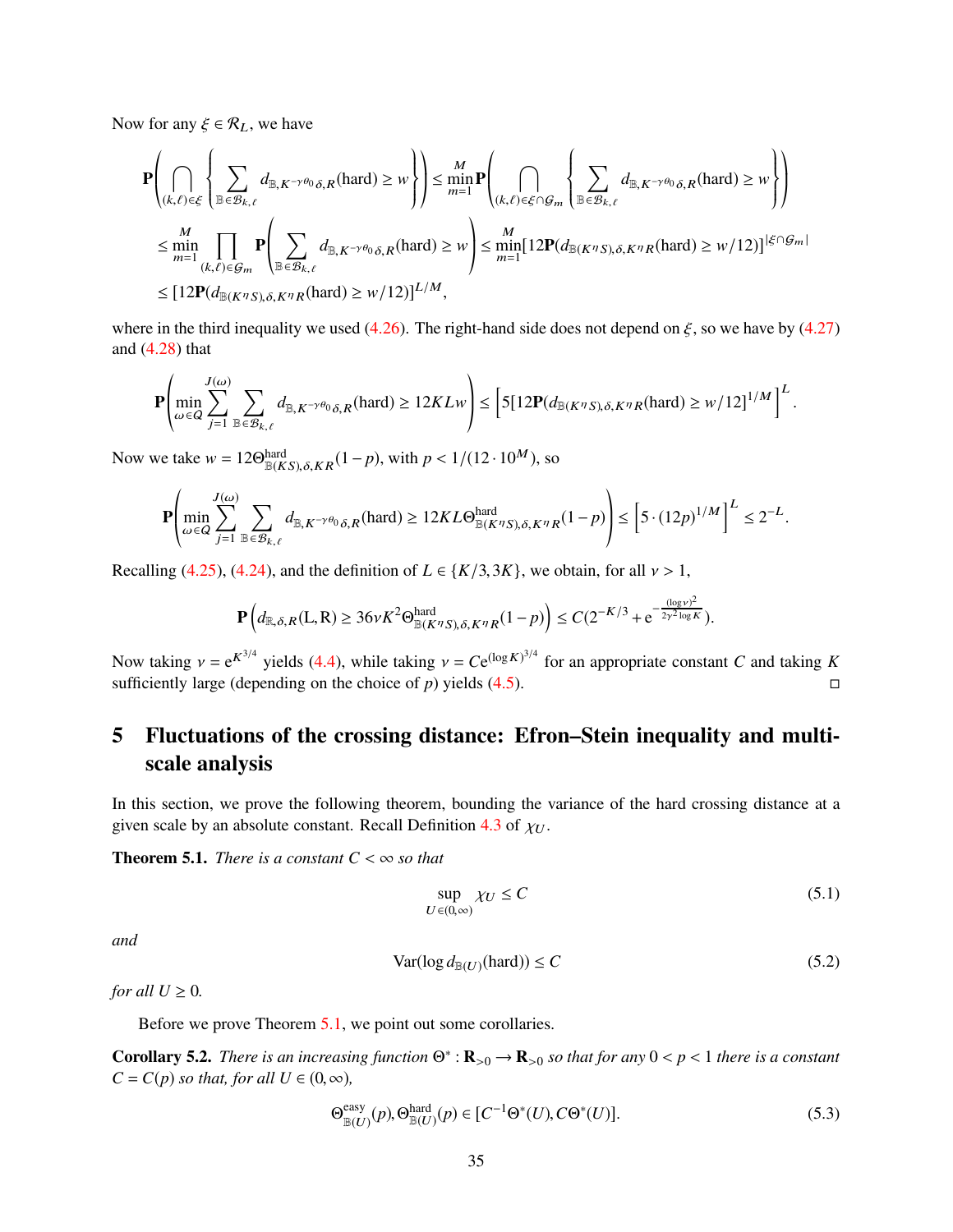Now for any  $\xi \in \mathcal{R}_L$ , we have

$$
\mathbf{P}\left(\bigcap_{(k,\ell)\in\mathcal{E}}\left\{\sum_{\mathbb{B}\in\mathcal{B}_{k,\ell}}d_{\mathbb{B},K^{-\gamma\theta_0}\delta,R}(\text{hard})\geq w\right\}\right)\leq \min_{m=1}^{M}\mathbf{P}\left(\bigcap_{(k,\ell)\in\mathcal{E}\cap\mathcal{G}_m}\left\{\sum_{\mathbb{B}\in\mathcal{B}_{k,\ell}}d_{\mathbb{B},K^{-\gamma\theta_0}\delta,R}(\text{hard})\geq w\right\}\right)
$$
\n
$$
\leq \min_{m=1}^{M}\prod_{(k,\ell)\in\mathcal{G}_m}\mathbf{P}\left(\sum_{\mathbb{B}\in\mathcal{B}_{k,\ell}}d_{\mathbb{B},K^{-\gamma\theta_0}\delta,R}(\text{hard})\geq w\right)\leq \min_{m=1}^{M}\left[12\mathbf{P}(d_{\mathbb{B}(K^{T}S),\delta,K^{T}R}(\text{hard})\geq w/12)\right]^{\left|\mathcal{E}\cap\mathcal{G}_m\right|}
$$
\n
$$
\leq \left[12\mathbf{P}(d_{\mathbb{B}(K^{T}S),\delta,K^{T}R}(\text{hard})\geq w/12)\right]^{L/M},
$$

where in the third inequality we used [\(4.26\)](#page-33-2). The right-hand side does not depend on  $\xi$ , so we have by [\(4.27\)](#page-33-3) and [\(4.28\)](#page-33-4) that

$$
\mathbf{P}\left(\min_{\omega \in Q} \sum_{j=1}^{J(\omega)} \sum_{\mathbb{B} \in \mathcal{B}_{k,\ell}} d_{\mathbb{B}, K^{-\gamma \theta_0} \delta, R}(\text{hard}) \ge 12KLw\right) \le \left[5[12\mathbf{P}(d_{\mathbb{B}(K^{\eta}S), \delta, K^{\eta}R}(\text{hard}) \ge w/12]^{1/M}\right]^L
$$

Now we take  $w = 12\Theta_{\mathbb{B}(KS), \delta, KR}^{\text{hard}}(1-p)$ , with  $p < 1/(12 \cdot 10^M)$ , so

$$
\mathbf{P}\left(\min_{\omega\in Q}\sum_{j=1}^{J(\omega)}\sum_{\mathbb{B}\in\mathcal{B}_{k,\ell}}d_{\mathbb{B},K^{-\gamma\theta_0}\delta,R}(\text{hard})\geq 12KL\Theta_{\mathbb{B}(K^{\eta}S),\delta,K^{\eta}R}^{hard}(1-p)\right)\leq \left[5\cdot(12p)^{1/M}\right]^L\leq 2^{-L}.
$$

Recalling [\(4.25\)](#page-33-5), [\(4.24\)](#page-33-1), and the definition of  $L \in \{K/3, 3K\}$ , we obtain, for all  $\nu > 1$ ,

$$
\mathbf{P}\left(d_{\mathbb{R},\delta,R}(L,R)\geq 36\nu K^2\Theta_{\mathbb{B}(K^{\eta}S),\delta,K^{\eta}R}^{hard}(1-p)\right)\leq C(2^{-K/3}+e^{-\frac{(\log\nu)^2}{2\gamma^2\log K}}).
$$

Now taking  $v = e^{K^{3/4}}$  yields [\(4.4\)](#page-26-4), while taking  $v = Ce^{(\log K)^{3/4}}$  for an appropriate constant *C* and taking *K* sufficiently large (depending on the choice of  $p$ ) yields [\(4.5\)](#page-26-2).

# <span id="page-34-1"></span>5 Fluctuations of the crossing distance: Efron–Stein inequality and multiscale analysis

In this section, we prove the following theorem, bounding the variance of the hard crossing distance at a given scale by an absolute constant. Recall Definition [4.3](#page-26-3) of  $\chi_U$ .

<span id="page-34-0"></span>**Theorem 5.1.** *There is a constant*  $C < \infty$  *so that* 

<span id="page-34-5"></span>
$$
\sup_{U \in (0,\infty)} \chi_U \le C \tag{5.1}
$$

.

*and*

<span id="page-34-2"></span>
$$
Var(\log d_{\mathbb{B}(U)}(\text{hard})) \le C \tag{5.2}
$$

*for all*  $U \geq 0$ *.* 

Before we prove Theorem [5.1,](#page-34-0) we point out some corollaries.

<span id="page-34-4"></span>**Corollary 5.2.** *There is an increasing function*  $\Theta^* : \mathbf{R}_{>0} \to \mathbf{R}_{>0}$  *so that for any*  $0 < p < 1$  *there is a constant*  $C = C(p)$  *so that, for all*  $U \in (0, \infty)$ *,* 

<span id="page-34-3"></span>
$$
\Theta_{\mathbb{B}(U)}^{\text{easy}}(p), \Theta_{\mathbb{B}(U)}^{\text{hard}}(p) \in [C^{-1}\Theta^*(U), C\Theta^*(U)].
$$
\n(5.3)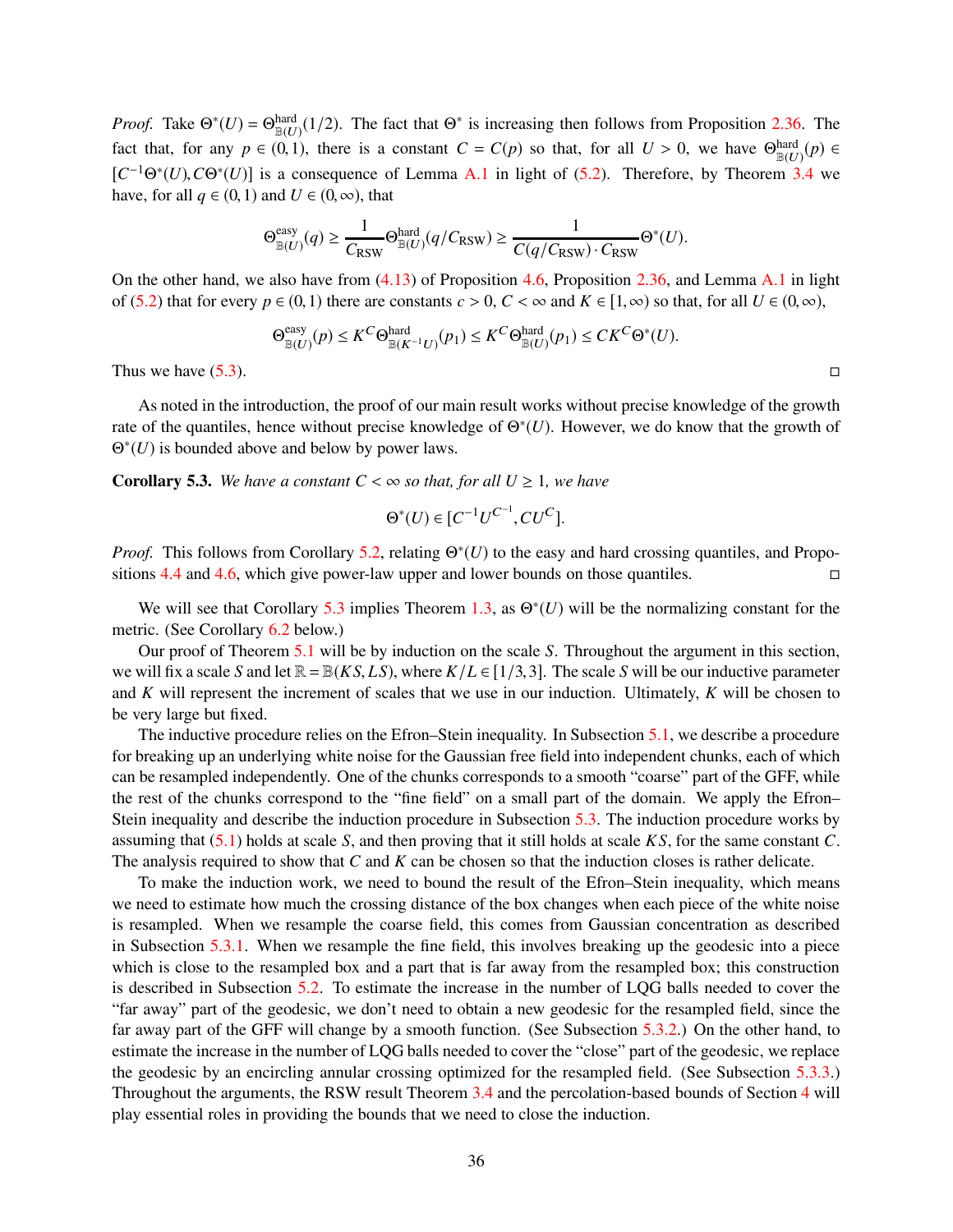*Proof.* Take  $\Theta^*(U) = \Theta_{\mathbb{B}(U)}^{\text{hard}}(1/2)$ . The fact that  $\Theta^*$  is increasing then follows from Proposition [2.36.](#page-18-6) The fact that, for any  $p \in (0,1)$ , there is a constant  $C = C(p)$  so that, for all  $U > 0$ , we have  $\Theta_{\mathbb{B}(U)}^{\text{hard}}(p) \in$  $[C^{-1}\Theta^*(U), C\Theta^*(U)]$  is a consequence of Lemma [A.1](#page-59-0) in light of [\(5.2\)](#page-34-2). Therefore, by Theorem [3.4](#page-23-0) we have, for all  $q \in (0,1)$  and  $U \in (0,\infty)$ , that

$$
\Theta_{\mathbb{B}(U)}^{\text{easy}}(q) \ge \frac{1}{C_{\text{RSW}}}\Theta_{\mathbb{B}(U)}^{\text{hard}}(q/C_{\text{RSW}}) \ge \frac{1}{C(q/C_{\text{RSW}})\cdot C_{\text{RSW}}}\Theta^*(U).
$$

On the other hand, we also have from [\(4.13\)](#page-28-1) of Proposition [4.6,](#page-28-3) Proposition [2.36,](#page-18-6) and Lemma [A.1](#page-59-0) in light of [\(5.2\)](#page-34-2) that for every  $p \in (0,1)$  there are constants  $c > 0$ ,  $C < \infty$  and  $K \in [1,\infty)$  so that, for all  $U \in (0,\infty)$ ,

$$
\Theta^{\text{easy}}_{\mathbb{B}(U)}(p) \leq K^C \Theta^{\text{hard}}_{\mathbb{B}(K^{-1}U)}(p_1) \leq K^C \Theta^{\text{hard}}_{\mathbb{B}(U)}(p_1) \leq C K^C \Theta^*(U).
$$

Thus we have  $(5.3)$ .

As noted in the introduction, the proof of our main result works without precise knowledge of the growth rate of the quantiles, hence without precise knowledge of  $\Theta^*(U)$ . However, we do know that the growth of Θ ∗ (*U*) is bounded above and below by power laws.

<span id="page-35-0"></span>**Corollary 5.3.** *We have a constant*  $C < \infty$  *so that, for all*  $U \ge 1$ *, we have* 

$$
\Theta^*(U) \in [C^{-1}U^{C^{-1}}, CU^C].
$$

*Proof.* This follows from Corollary [5.2,](#page-34-4) relating  $\Theta^*(U)$  to the easy and hard crossing quantiles, and Propositions [4.4](#page-27-0) and [4.6,](#page-28-3) which give power-law upper and lower bounds on those quantiles.

We will see that Corollary [5.3](#page-35-0) implies Theorem [1.3,](#page-1-1) as  $\Theta^*(U)$  will be the normalizing constant for the metric. (See Corollary [6.2](#page-53-1) below.)

Our proof of Theorem [5.1](#page-34-0) will be by induction on the scale *S*. Throughout the argument in this section, we will fix a scale *S* and let  $\mathbb{R} = \mathbb{B}(KS, LS)$ , where  $K/L \in [1/3, 3]$ . The scale *S* will be our inductive parameter and *K* will represent the increment of scales that we use in our induction. Ultimately, *K* will be chosen to be very large but fixed.

The inductive procedure relies on the Efron–Stein inequality. In Subsection [5.1,](#page-36-0) we describe a procedure for breaking up an underlying white noise for the Gaussian free field into independent chunks, each of which can be resampled independently. One of the chunks corresponds to a smooth "coarse" part of the GFF, while the rest of the chunks correspond to the "fine field" on a small part of the domain. We apply the Efron– Stein inequality and describe the induction procedure in Subsection [5.3.](#page-38-0) The induction procedure works by assuming that [\(5.1\)](#page-34-5) holds at scale *S*, and then proving that it still holds at scale *K S*, for the same constant *C*. The analysis required to show that *C* and *K* can be chosen so that the induction closes is rather delicate.

To make the induction work, we need to bound the result of the Efron–Stein inequality, which means we need to estimate how much the crossing distance of the box changes when each piece of the white noise is resampled. When we resample the coarse field, this comes from Gaussian concentration as described in Subsection [5.3.1.](#page-42-0) When we resample the fine field, this involves breaking up the geodesic into a piece which is close to the resampled box and a part that is far away from the resampled box; this construction is described in Subsection [5.2.](#page-36-1) To estimate the increase in the number of LQG balls needed to cover the "far away" part of the geodesic, we don't need to obtain a new geodesic for the resampled field, since the far away part of the GFF will change by a smooth function. (See Subsection [5.3.2.](#page-43-0)) On the other hand, to estimate the increase in the number of LQG balls needed to cover the "close" part of the geodesic, we replace the geodesic by an encircling annular crossing optimized for the resampled field. (See Subsection [5.3.3.](#page-46-0)) Throughout the arguments, the RSW result Theorem [3.4](#page-23-0) and the percolation-based bounds of Section [4](#page-25-0) will play essential roles in providing the bounds that we need to close the induction.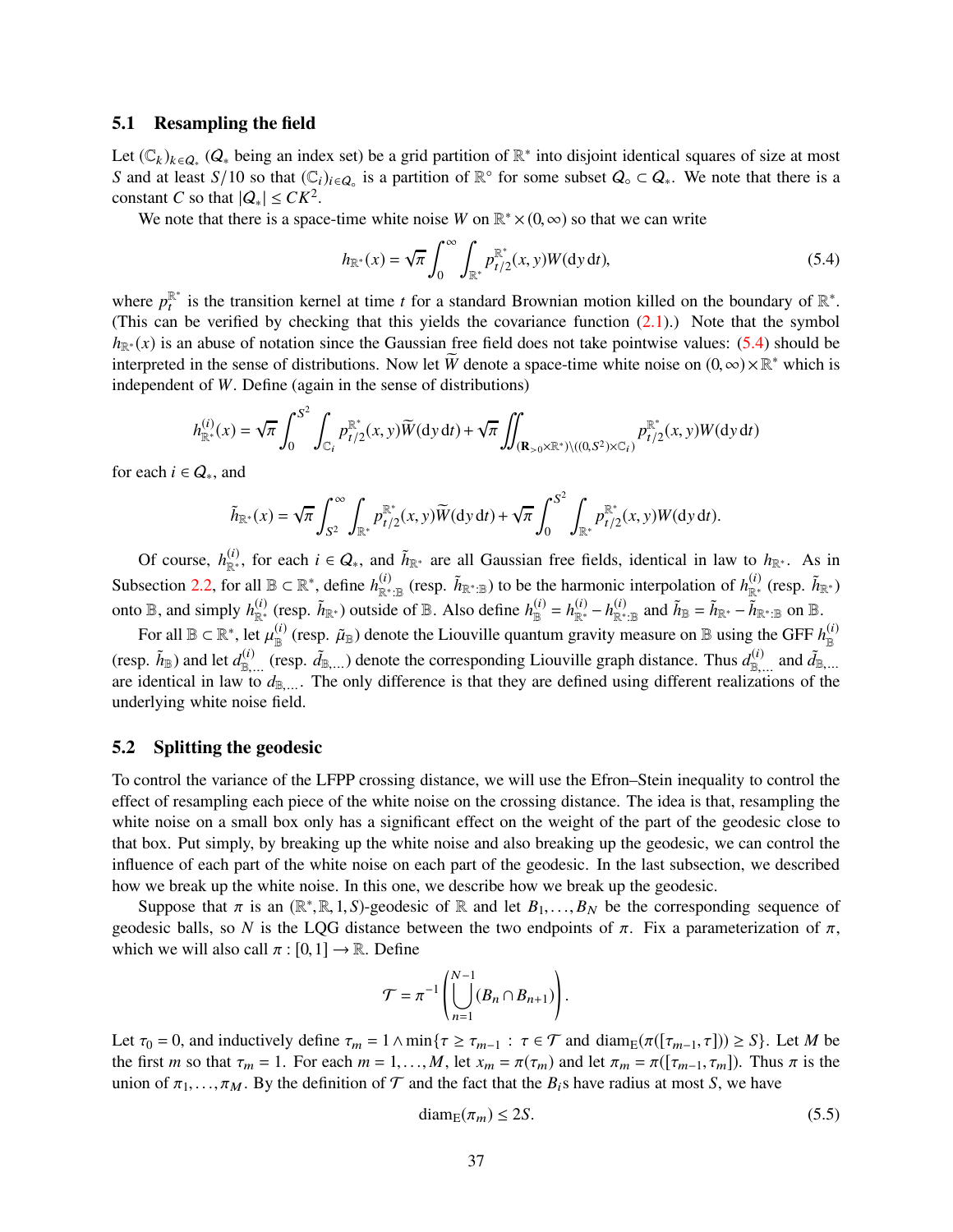#### <span id="page-36-0"></span>5.1 Resampling the field

Let  $(\mathbb{C}_k)_{k \in Q_*}$   $(Q_*$  being an index set) be a grid partition of  $\mathbb{R}^*$  into disjoint identical squares of size at most *S* and at least *S*/10 so that  $(\mathbb{C}_i)_{i \in Q_0}$  is a partition of  $\mathbb{R}^\circ$  for some subset  $Q_0 \subset Q_*$ . We note that there is a constant *C* so that  $|Q_*| \leq C K^2$ .

We note that there is a space-time white noise *W* on  $\mathbb{R}^* \times (0, \infty)$  so that we can write

<span id="page-36-2"></span>
$$
h_{\mathbb{R}^*}(x) = \sqrt{\pi} \int_0^{\infty} \int_{\mathbb{R}^*} p_{t/2}^{\mathbb{R}^*}(x, y) W(\mathrm{d}y \, \mathrm{d}t),\tag{5.4}
$$

where  $p_t^{\mathbb{R}^*}$  is the transition kernel at time *t* for a standard Brownian motion killed on the boundary of  $\mathbb{R}^*$ . (This can be verified by checking that this yields the covariance function  $(2.1)$ .) Note that the symbol  $h_{\mathbb{R}^*}(x)$  is an abuse of notation since the Gaussian free field does not take pointwise values: [\(5.4\)](#page-36-2) should be interpreted in the sense of distributions. Now let  $\widetilde{W}$  denote a space-time white noise on  $(0, \infty) \times \mathbb{R}^*$  which is independent of *W*. Define (again in the sense of distributions)

$$
h_{\mathbb{R}^*}^{(i)}(x) = \sqrt{\pi} \int_0^{S^2} \int_{\mathbb{C}_i} p_{t/2}^{\mathbb{R}^*}(x, y) \widetilde{W}(\mathrm{d}y \, \mathrm{d}t) + \sqrt{\pi} \iint_{(\mathbf{R}_{>0} \times \mathbb{R}^*) \setminus ((0, S^2) \times \mathbb{C}_i)} p_{t/2}^{\mathbb{R}^*}(x, y) W(\mathrm{d}y \, \mathrm{d}t)
$$

for each  $i \in Q_*$ , and

$$
\tilde{h}_{\mathbb{R}^*}(x) = \sqrt{\pi} \int_{S^2}^{\infty} \int_{\mathbb{R}^*} p_{t/2}^{\mathbb{R}^*}(x, y) \widetilde{W}(\mathrm{d}y \, \mathrm{d}t) + \sqrt{\pi} \int_0^{S^2} \int_{\mathbb{R}^*} p_{t/2}^{\mathbb{R}^*}(x, y) W(\mathrm{d}y \, \mathrm{d}t).
$$

Of course,  $h_{\mathbb{R}^*}^{(i)}$ , for each  $i \in Q_*$ , and  $\tilde{h}_{\mathbb{R}^*}$  are all Gaussian free fields, identical in law to  $h_{\mathbb{R}^*}$ . As in Subsection [2.2,](#page-5-2) for all  $\mathbb{B} \subset \mathbb{R}^*$ , define  $h_{\mathbb{R}^*:\mathbb{B}}^{(i)}$  (resp.  $\tilde{h}_{\mathbb{R}^*:\mathbb{B}}$ ) to be the harmonic interpolation of  $h_{\mathbb{R}^*}^{(i)}$  (resp.  $\tilde{h}_{\mathbb{R}^*}$ ) onto  $\mathbb{B}$ , and simply  $h_{\mathbb{R}^*}^{(i)}$  (resp.  $\tilde{h}_{\mathbb{R}^*}$ ) outside of  $\mathbb{B}$ . Also define  $h_{\mathbb{B}}^{(i)} = h_{\mathbb{R}^*}^{(i)} - h_{\mathbb{R}^* \cdot \mathbb{B}}^{(i)}$  and  $\tilde{h}_{\mathbb{B}} = \tilde{h}_{\mathbb{R}^*} - \tilde{h}_{\mathbb{R}^* \cdot \mathbb{B}}$  on  $\math$ 

For all  $\mathbb{B} \subset \mathbb{R}^*$ , let  $\mu_{\mathbb{B}}^{(i)}$  (resp.  $\tilde{\mu}_{\mathbb{B}}$ ) denote the Liouville quantum gravity measure on  $\mathbb{B}$  using the GFF  $h_{\mathbb{B}}^{(i)}$ (resp.  $\tilde{h}_{\mathbb{B}}$ ) and let  $d_{\mathbb{B},...}^{(i)}$  (resp.  $\tilde{d}_{\mathbb{B},...}$ ) denote the corresponding Liouville graph distance. Thus  $d_{\mathbb{B},...}^{(i)}$  and  $\tilde{d}_{\mathbb{B},...}$ are identical in law to  $d_{\mathbb{B},...}$ . The only difference is that they are defined using different realizations of the underlying white noise field.

#### <span id="page-36-1"></span>5.2 Splitting the geodesic

To control the variance of the LFPP crossing distance, we will use the Efron–Stein inequality to control the effect of resampling each piece of the white noise on the crossing distance. The idea is that, resampling the white noise on a small box only has a significant effect on the weight of the part of the geodesic close to that box. Put simply, by breaking up the white noise and also breaking up the geodesic, we can control the influence of each part of the white noise on each part of the geodesic. In the last subsection, we described how we break up the white noise. In this one, we describe how we break up the geodesic.

Suppose that  $\pi$  is an  $(\mathbb{R}^*, \mathbb{R}, 1, S)$ -geodesic of  $\mathbb{R}$  and let  $B_1, \ldots, B_N$  be the corresponding sequence of geodesic balls, so N is the LQG distance between the two endpoints of  $\pi$ . Fix a parameterization of  $\pi$ , which we will also call  $\pi : [0,1] \to \mathbb{R}$ . Define

$$
\mathcal{T} = \pi^{-1} \left( \bigcup_{n=1}^{N-1} (B_n \cap B_{n+1}) \right).
$$

Let  $\tau_0 = 0$ , and inductively define  $\tau_m = 1 \wedge \min\{\tau \geq \tau_{m-1} : \tau \in \mathcal{T} \text{ and } \text{diam}_{E}(\pi([\tau_{m-1}, \tau])) \geq S\}$ . Let *M* be the first *m* so that  $\tau_m = 1$ . For each  $m = 1, ..., M$ , let  $x_m = \pi(\tau_m)$  and let  $\pi_m = \pi([\tau_{m-1}, \tau_m])$ . Thus  $\pi$  is the union of  $\pi_1, \ldots, \pi_M$ . By the definition of  $\mathcal T$  and the fact that the  $B_i$ s have radius at most *S*, we have

<span id="page-36-3"></span>
$$
diam_{E}(\pi_{m}) \leq 2S. \tag{5.5}
$$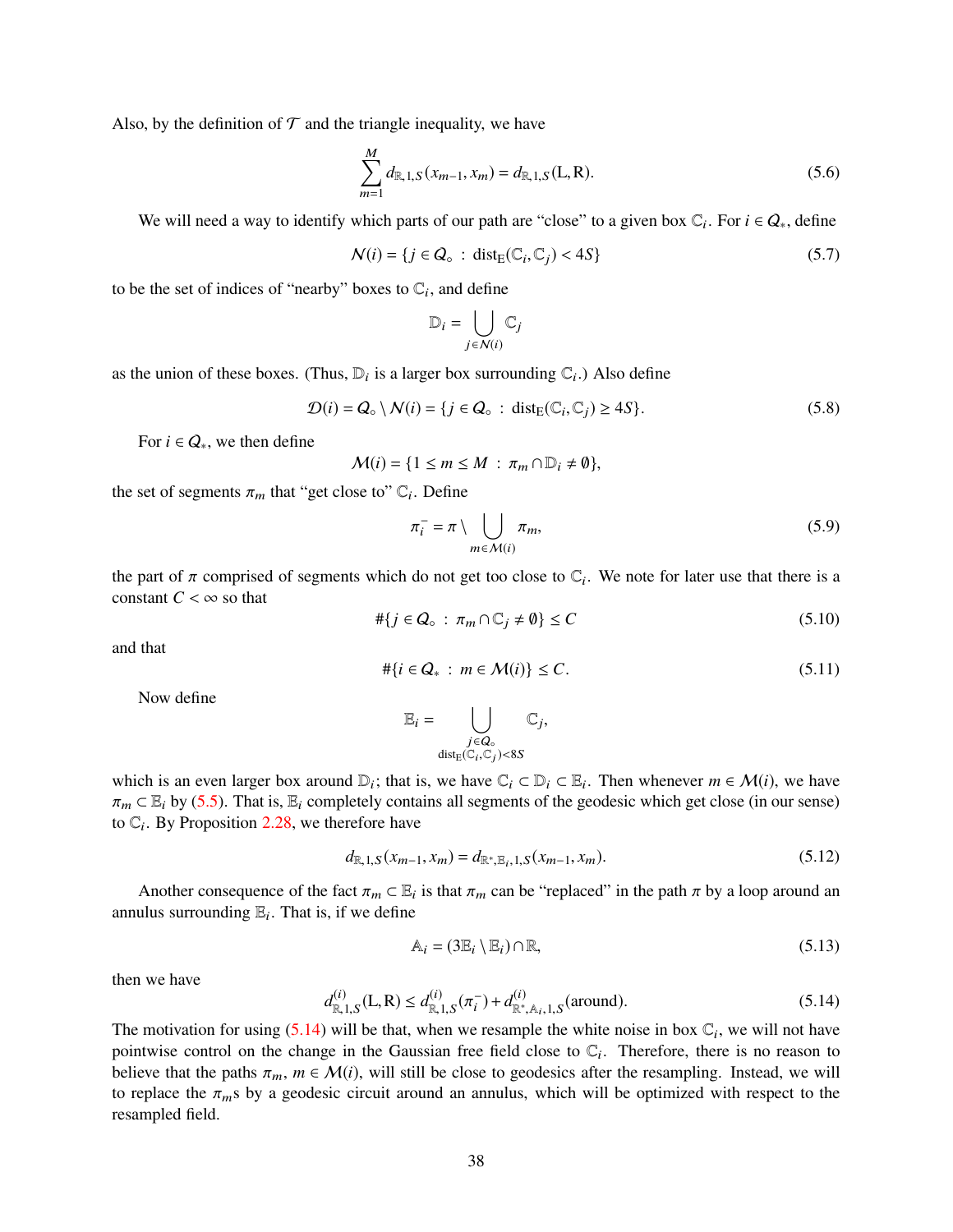Also, by the definition of  $\mathcal T$  and the triangle inequality, we have

<span id="page-37-4"></span>
$$
\sum_{m=1}^{M} d_{\mathbb{R},1,S}(x_{m-1},x_m) = d_{\mathbb{R},1,S}(L,R). \tag{5.6}
$$

We will need a way to identify which parts of our path are "close" to a given box  $\mathbb{C}_i$ . For  $i \in Q_*$ , define

$$
\mathcal{N}(i) = \{j \in \mathcal{Q}_\circ \,:\, \text{dist}_{\text{E}}(\mathbb{C}_i, \mathbb{C}_j) < 4S\} \tag{5.7}
$$

to be the set of indices of "nearby" boxes to  $\mathbb{C}_i$ , and define

$$
\mathbb{D}_i = \bigcup_{j \in \mathcal{N}(i)} \mathbb{C}_j
$$

as the union of these boxes. (Thus,  $\mathbb{D}_i$  is a larger box surrounding  $\mathbb{C}_i$ .) Also define

<span id="page-37-1"></span>
$$
\mathcal{D}(i) = Q_{\circ} \setminus \mathcal{N}(i) = \{j \in Q_{\circ} : \text{dist}_{E}(\mathbb{C}_{i}, \mathbb{C}_{j}) \ge 4S\}.
$$
\n(5.8)

For  $i \in Q_*$ , we then define

$$
\mathcal{M}(i) = \{1 \leq m \leq M : \pi_m \cap \mathbb{D}_i \neq \emptyset\},\
$$

the set of segments  $\pi_m$  that "get close to"  $\mathbb{C}_i$ . Define

<span id="page-37-2"></span>
$$
\pi_i^- = \pi \setminus \bigcup_{m \in \mathcal{M}(i)} \pi_m,\tag{5.9}
$$

the part of  $\pi$  comprised of segments which do not get too close to  $\mathbb{C}_i$ . We note for later use that there is a constant  $C < \infty$  so that

<span id="page-37-3"></span>
$$
\# \{ j \in \mathcal{Q}_\circ \, : \, \pi_m \cap \mathbb{C}_j \neq \emptyset \} \le C \tag{5.10}
$$

and that

<span id="page-37-6"></span>
$$
\# \{ i \in \mathcal{Q}_* \, : \, m \in \mathcal{M}(i) \} \leq C. \tag{5.11}
$$

Now define

$$
\mathbb{E}_i = \bigcup_{\substack{j \in Q_\circ \\ \operatorname{dist}_\mathbb{E}(\mathbb{C}_i,\mathbb{C}_j) < 8S}} \mathbb{C}_j,
$$

which is an even larger box around  $D_i$ ; that is, we have  $C_i \subset D_i \subset E_i$ . Then whenever  $m \in \mathcal{M}(i)$ , we have  $\pi_m \subset \mathbb{E}_i$  by [\(5.5\)](#page-36-3). That is,  $\mathbb{E}_i$  completely contains all segments of the geodesic which get close (in our sense) to  $\mathbb{C}_i$ . By Proposition [2.28,](#page-15-1) we therefore have

<span id="page-37-5"></span>
$$
d_{\mathbb{R},1,S}(x_{m-1},x_m) = d_{\mathbb{R}^*,\mathbb{E}_i,1,S}(x_{m-1},x_m). \tag{5.12}
$$

Another consequence of the fact  $\pi_m \subset \mathbb{E}_i$  is that  $\pi_m$  can be "replaced" in the path  $\pi$  by a loop around an annulus surrounding  $\mathbb{E}_i$ . That is, if we define

$$
\mathbb{A}_i = (3\mathbb{E}_i \setminus \mathbb{E}_i) \cap \mathbb{R},\tag{5.13}
$$

then we have

<span id="page-37-0"></span>
$$
d_{\mathbb{R},1,S}^{(i)}(\mathbf{L},\mathbf{R}) \le d_{\mathbb{R},1,S}^{(i)}(\pi_i^-) + d_{\mathbb{R}^*,\mathbb{A}_i,1,S}^{(i)}(\text{around}).\tag{5.14}
$$

The motivation for using  $(5.14)$  will be that, when we resample the white noise in box  $\mathbb{C}_i$ , we will not have pointwise control on the change in the Gaussian free field close to  $\mathbb{C}_i$ . Therefore, there is no reason to believe that the paths  $\pi_m$ ,  $m \in \mathcal{M}(i)$ , will still be close to geodesics after the resampling. Instead, we will to replace the  $\pi_m$ s by a geodesic circuit around an annulus, which will be optimized with respect to the resampled field.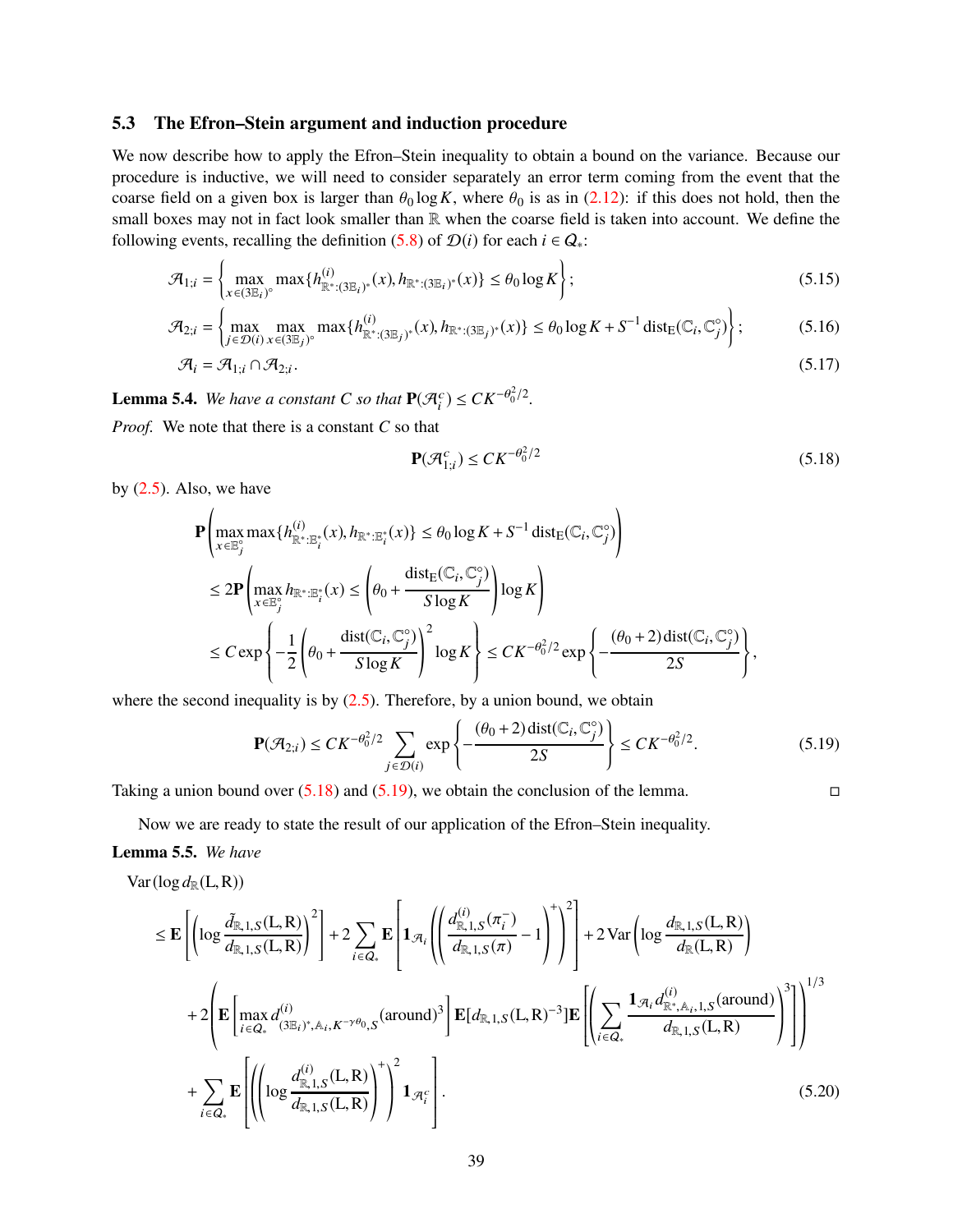#### <span id="page-38-0"></span>5.3 The Efron–Stein argument and induction procedure

We now describe how to apply the Efron–Stein inequality to obtain a bound on the variance. Because our procedure is inductive, we will need to consider separately an error term coming from the event that the coarse field on a given box is larger than  $\theta_0 \log K$ , where  $\theta_0$  is as in [\(2.12\)](#page-9-5): if this does not hold, then the small boxes may not in fact look smaller than  $\mathbb R$  when the coarse field is taken into account. We define the following events, recalling the definition [\(5.8\)](#page-37-1) of  $\mathcal{D}(i)$  for each  $i \in Q_*$ :

$$
\mathcal{A}_{1;i} = \left\{ \max_{x \in (3\mathbb{E}_i)^{\circ}} \max \{ h_{\mathbb{R}^*(3\mathbb{E}_i)^*}^{(i)}(x), h_{\mathbb{R}^*(3\mathbb{E}_i)^*}(x) \} \le \theta_0 \log K \right\};\tag{5.15}
$$

$$
\mathcal{A}_{2;i} = \left\{ \max_{j \in \mathcal{D}(i)} \max_{x \in (3\mathbb{E}_j)^{\circ}} \max \{ h_{\mathbb{R}^* : (3\mathbb{E}_j)^*}^{(i)}(x), h_{\mathbb{R}^* : (3\mathbb{E}_j)^*}(x) \} \le \theta_0 \log K + S^{-1} \operatorname{dist}_{E}(\mathbb{C}_i, \mathbb{C}_j^{\circ}) \right\};\tag{5.16}
$$

$$
\mathcal{A}_i = \mathcal{A}_{1;i} \cap \mathcal{A}_{2;i}.\tag{5.17}
$$

<span id="page-38-8"></span>**Lemma 5.4.** *We have a constant C so that*  $P(\mathcal{A}_{i}^{c}) \leq CK^{-\theta_{0}^{2}/2}$ *.* 

*Proof.* We note that there is a constant *C* so that

<span id="page-38-7"></span><span id="page-38-6"></span><span id="page-38-5"></span><span id="page-38-1"></span>
$$
\mathbf{P}(\mathcal{A}_{1;i}^c) \leq CK^{-\theta_0^2/2} \tag{5.18}
$$

by  $(2.5)$ . Also, we have

$$
\mathbf{P}\left(\max_{x\in\mathbb{E}_j^{\circ}} \max\{h_{\mathbb{R}^*:\mathbb{E}_i^*}(x), h_{\mathbb{R}^*:\mathbb{E}_i^*}(x)\}\leq \theta_0 \log K + S^{-1} \operatorname{dist}_{E}(\mathbb{C}_i, \mathbb{C}_j^{\circ})\right)
$$
\n
$$
\leq 2\mathbf{P}\left(\max_{x\in\mathbb{E}_j^{\circ}} h_{\mathbb{R}^*:\mathbb{E}_i^*}(x)\leq \left(\theta_0 + \frac{\operatorname{dist}_{E}(\mathbb{C}_i, \mathbb{C}_j^{\circ})}{S \log K}\right) \log K\right)
$$
\n
$$
\leq C \exp\left\{-\frac{1}{2}\left(\theta_0 + \frac{\operatorname{dist}(\mathbb{C}_i, \mathbb{C}_j^{\circ})}{S \log K}\right)^2 \log K\right\} \leq CK^{-\theta_0^2/2} \exp\left\{-\frac{(\theta_0 + 2)\operatorname{dist}(\mathbb{C}_i, \mathbb{C}_j^{\circ})}{2S}\right\},
$$

where the second inequality is by  $(2.5)$ . Therefore, by a union bound, we obtain

<span id="page-38-2"></span>
$$
\mathbf{P}(\mathcal{A}_{2;i}) \leq CK^{-\theta_0^2/2} \sum_{j \in \mathcal{D}(i)} \exp\left\{-\frac{(\theta_0 + 2)\operatorname{dist}(\mathbb{C}_i, \mathbb{C}_j^{\circ})}{2S}\right\} \leq CK^{-\theta_0^2/2}.
$$
 (5.19)

Taking a union bound over  $(5.18)$  and  $(5.19)$ , we obtain the conclusion of the lemma.

<span id="page-38-3"></span>

Now we are ready to state the result of our application of the Efron–Stein inequality.

#### <span id="page-38-4"></span>Lemma 5.5. *We have*

$$
\text{Var}(\log d_{\mathbb{R}}(L,R))
$$

$$
\leq \mathbf{E} \left[ \left( \log \frac{\tilde{d}_{\mathbb{R},1,S}(L,R)}{\tilde{d}_{\mathbb{R},1,S}(L,R)} \right)^{2} \right] + 2 \sum_{i \in Q_{*}} \mathbf{E} \left[ \mathbf{1}_{\mathcal{A}_{i}} \left( \left( \frac{d_{\mathbb{R},1,S}^{(i)}(\pi_{i}^{-})}{d_{\mathbb{R},1,S}(\pi)} - 1 \right)^{+} \right)^{2} \right] + 2 \text{Var} \left( \log \frac{d_{\mathbb{R},1,S}(L,R)}{\tilde{d}_{\mathbb{R}}(L,R)} \right) \right] + 2 \left( \mathbf{E} \left[ \max_{i \in Q_{*}} d_{\mathbb{S}_{i}}^{(i)} \right] \cdot \hat{A}_{i,K} - \gamma \theta_{0,S} (\text{around})^{3} \right] \mathbf{E} [d_{\mathbb{R},1,S}(L,R) - 3] \mathbf{E} \left[ \left( \sum_{i \in Q_{*}} \frac{\mathbf{1}_{\mathcal{A}_{i}} d_{\mathbb{R}^{*},\mathbb{A}_{i},1,S}^{(i)}(\text{around})}{d_{\mathbb{R},1,S}(L,R)} \right)^{3} \right] \right]^{1/3} + \sum_{i \in Q_{*}} \mathbf{E} \left[ \left( \log \frac{d_{\mathbb{R},1,S}^{(i)}(L,R)}{\tilde{d}_{\mathbb{R},1,S}(L,R)} \right)^{+} \right)^{2} \mathbf{1}_{\mathcal{A}_{i}^{c}} \right].
$$
\n(5.20)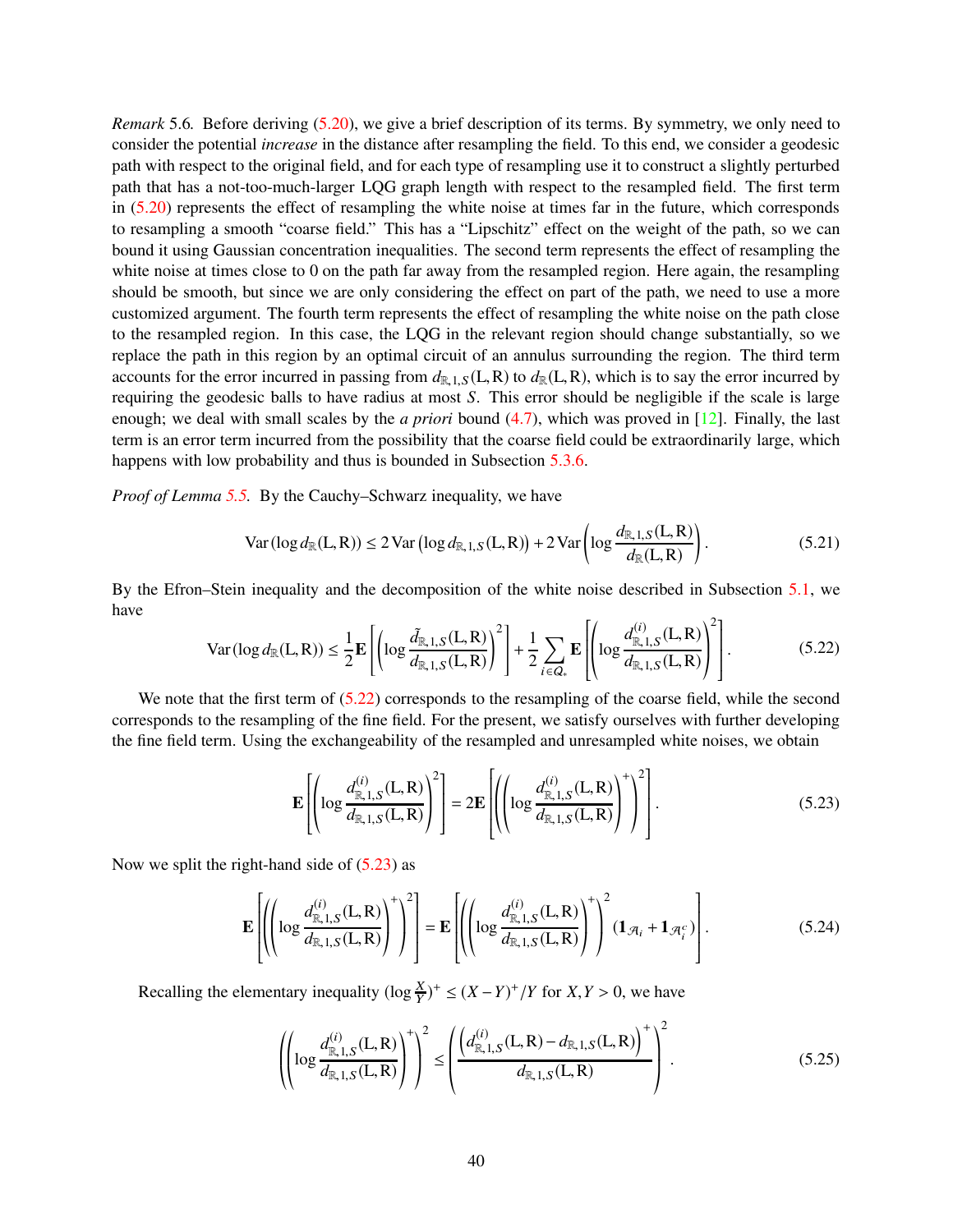*Remark* 5.6*.* Before deriving [\(5.20\)](#page-38-3), we give a brief description of its terms. By symmetry, we only need to consider the potential *increase* in the distance after resampling the field. To this end, we consider a geodesic path with respect to the original field, and for each type of resampling use it to construct a slightly perturbed path that has a not-too-much-larger LQG graph length with respect to the resampled field. The first term in [\(5.20\)](#page-38-3) represents the effect of resampling the white noise at times far in the future, which corresponds to resampling a smooth "coarse field." This has a "Lipschitz" effect on the weight of the path, so we can bound it using Gaussian concentration inequalities. The second term represents the effect of resampling the white noise at times close to 0 on the path far away from the resampled region. Here again, the resampling should be smooth, but since we are only considering the effect on part of the path, we need to use a more customized argument. The fourth term represents the effect of resampling the white noise on the path close to the resampled region. In this case, the LQG in the relevant region should change substantially, so we replace the path in this region by an optimal circuit of an annulus surrounding the region. The third term accounts for the error incurred in passing from  $d_{R,1,S}(L,R)$  to  $d_{R}(L,R)$ , which is to say the error incurred by requiring the geodesic balls to have radius at most *S*. This error should be negligible if the scale is large enough; we deal with small scales by the *a priori* bound [\(4.7\)](#page-26-5), which was proved in [\[12\]](#page-62-10). Finally, the last term is an error term incurred from the possibility that the coarse field could be extraordinarily large, which happens with low probability and thus is bounded in Subsection [5.3.6.](#page-51-0)

*Proof of Lemma [5.5.](#page-38-4)* By the Cauchy–Schwarz inequality, we have

<span id="page-39-4"></span>
$$
\text{Var}(\log d_{\mathbb{R}}(\mathbf{L}, \mathbf{R})) \le 2 \text{Var}\left(\log d_{\mathbb{R}, 1, S}(\mathbf{L}, \mathbf{R})\right) + 2 \text{Var}\left(\log \frac{d_{\mathbb{R}, 1, S}(\mathbf{L}, \mathbf{R})}{d_{\mathbb{R}}(\mathbf{L}, \mathbf{R})}\right). \tag{5.21}
$$

By the Efron–Stein inequality and the decomposition of the white noise described in Subsection [5.1,](#page-36-0) we have  $2^{\circ}$ 

<span id="page-39-0"></span>
$$
\text{Var}(\log d_{\mathbb{R}}(L,R)) \le \frac{1}{2} \mathbf{E} \left[ \left( \log \frac{\tilde{d}_{\mathbb{R},1,S}(L,R)}{d_{\mathbb{R},1,S}(L,R)} \right)^2 \right] + \frac{1}{2} \sum_{i \in Q_*} \mathbf{E} \left[ \left( \log \frac{d_{\mathbb{R},1,S}^{(i)}(L,R)}{d_{\mathbb{R},1,S}(L,R)} \right)^2 \right].
$$
 (5.22)

We note that the first term of  $(5.22)$  corresponds to the resampling of the coarse field, while the second corresponds to the resampling of the fine field. For the present, we satisfy ourselves with further developing the fine field term. Using the exchangeability of the resampled and unresampled white noises, we obtain

<span id="page-39-1"></span>
$$
\mathbf{E}\left[\left(\log \frac{d_{\mathbb{R},1,S}^{(i)}(L,R)}{d_{\mathbb{R},1,S}(L,R)}\right)^{2}\right] = 2\mathbf{E}\left[\left(\left(\log \frac{d_{\mathbb{R},1,S}^{(i)}(L,R)}{d_{\mathbb{R},1,S}(L,R)}\right)^{+}\right)^{2}\right].
$$
\n(5.23)

Now we split the right-hand side of  $(5.23)$  as

<span id="page-39-3"></span>
$$
\mathbf{E}\left[\left(\left(\log\frac{d_{\mathbb{R},1,S}^{(i)}(L,R)}{d_{\mathbb{R},1,S}(L,R)}\right)^{+}\right)^{2}\right]=\mathbf{E}\left[\left(\left(\log\frac{d_{\mathbb{R},1,S}^{(i)}(L,R)}{d_{\mathbb{R},1,S}(L,R)}\right)^{+}\right)^{2}\left(\mathbf{1}_{\mathcal{A}_{i}}+\mathbf{1}_{\mathcal{A}_{i}^{c}}\right)\right].
$$
\n(5.24)

Recalling the elementary inequality  $(\log \frac{X}{Y})^+ \le (X - Y)^+ / Y$  for  $X, Y > 0$ , we have

<span id="page-39-2"></span>
$$
\left( \left( \log \frac{d_{\mathbb{R},1,S}^{(i)}(L,R)}{d_{\mathbb{R},1,S}(L,R)} \right)^{+} \right)^{2} \leq \left( \frac{\left( d_{\mathbb{R},1,S}^{(i)}(L,R) - d_{\mathbb{R},1,S}(L,R) \right)^{+}}{d_{\mathbb{R},1,S}(L,R)} \right)^{2}.
$$
\n(5.25)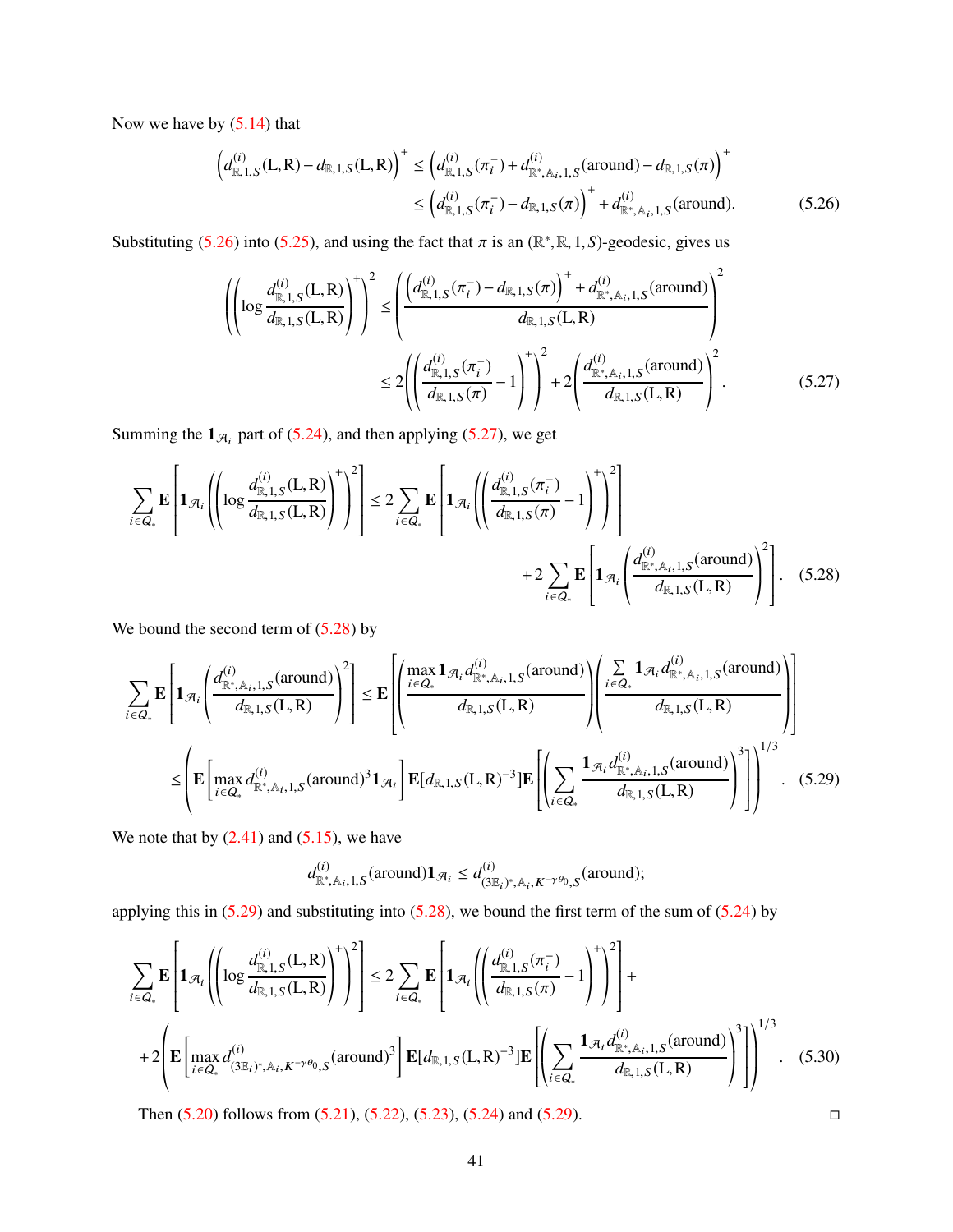Now we have by [\(5.14\)](#page-37-0) that

<span id="page-40-0"></span>
$$
\left(d_{\mathbb{R},1,S}^{(i)}(L,R) - d_{\mathbb{R},1,S}(L,R)\right)^{+} \leq \left(d_{\mathbb{R},1,S}^{(i)}(\pi_{i}^{-}) + d_{\mathbb{R}^{*},A_{i},1,S}^{(i)}(\text{around}) - d_{\mathbb{R},1,S}(\pi)\right)^{+} \leq \left(d_{\mathbb{R},1,S}^{(i)}(\pi_{i}^{-}) - d_{\mathbb{R},1,S}(\pi)\right)^{+} + d_{\mathbb{R}^{*},A_{i},1,S}^{(i)}(\text{around}).
$$
\n(5.26)

Substituting [\(5.26\)](#page-40-0) into [\(5.25\)](#page-39-2), and using the fact that  $\pi$  is an ( $\mathbb{R}^*, \mathbb{R}, 1, S$ )-geodesic, gives us

<span id="page-40-1"></span>
$$
\left( \left( \log \frac{d_{\mathbb{R},1,S}^{(i)}(L,R)}{d_{\mathbb{R},1,S}(L,R)} \right)^{+} \right)^{2} \leq \left( \frac{\left( d_{\mathbb{R},1,S}^{(i)}(\pi_{i}^{-}) - d_{\mathbb{R},1,S}(\pi) \right)^{+} + d_{\mathbb{R}^{*},\mathbb{A}_{i},1,S}^{(i)}(\text{around})}{d_{\mathbb{R},1,S}(L,R)} \right)^{2} \leq 2 \left( \left( \frac{d_{\mathbb{R},1,S}^{(i)}(\pi_{i}^{-})}{d_{\mathbb{R},1,S}(\pi)} - 1 \right)^{+} \right)^{2} + 2 \left( \frac{d_{\mathbb{R}^{*},\mathbb{A}_{i},1,S}^{(i)}(\text{around})}{d_{\mathbb{R},1,S}(L,R)} \right)^{2}.
$$
\n(5.27)

Summing the  $\mathbf{1}_{\mathcal{A}_i}$  part of [\(5.24\)](#page-39-3), and then applying [\(5.27\)](#page-40-1), we get

$$
\sum_{i \in Q_*} \mathbf{E} \left[ \mathbf{1}_{\mathcal{A}_i} \left( \left( \log \frac{d_{\mathbb{R},1,S}^{(i)}(\mathbf{L}, \mathbf{R})}{d_{\mathbb{R},1,S}(\mathbf{L}, \mathbf{R})} \right)^{+} \right)^2 \right] \leq 2 \sum_{i \in Q_*} \mathbf{E} \left[ \mathbf{1}_{\mathcal{A}_i} \left( \left( \frac{d_{\mathbb{R},1,S}^{(i)}(\pi_i^-)}{d_{\mathbb{R},1,S}(\pi)} - 1 \right)^{+} \right)^2 \right] + 2 \sum_{i \in Q_*} \mathbf{E} \left[ \mathbf{1}_{\mathcal{A}_i} \left( \frac{d_{\mathbb{R}^*,\mathbb{A}_i,1,S}^{(i)}(\text{around})}{d_{\mathbb{R},1,S}(\mathbf{L}, \mathbf{R})} \right)^2 \right].
$$
 (5.28)

We bound the second term of  $(5.28)$  by

$$
\sum_{i \in Q_{*}} \mathbf{E} \left[ \mathbf{1}_{\mathcal{A}_{i}} \left( \frac{d_{\mathbb{R}^{*}, \mathbb{A}_{i}, 1, S}^{(i)}(\text{around})}{d_{\mathbb{R}, 1, S}(L, R)} \right)^{2} \right] \leq \mathbf{E} \left[ \left( \frac{\max_{i \in Q_{*}} \mathbf{1}_{\mathcal{A}_{i}} d_{\mathbb{R}^{*}, \mathbb{A}_{i}, 1, S}^{(i)}(\text{around})}{d_{\mathbb{R}, 1, S}(L, R)} \right) \left( \frac{\sum_{i \in Q_{*}} \mathbf{1}_{\mathcal{A}_{i}} d_{\mathbb{R}^{*}, \mathbb{A}_{i}, 1, S}^{(i)}(\text{around})}{d_{\mathbb{R}, 1, S}(L, R)} \right) \right]
$$
\n
$$
\leq \left( \mathbf{E} \left[ \max_{i \in Q_{*}} d_{\mathbb{R}^{*}, \mathbb{A}_{i}, 1, S}^{(i)}(\text{around})^{3} \mathbf{1}_{\mathcal{A}_{i}} \right] \mathbf{E} [d_{\mathbb{R}, 1, S}(L, R)^{-3} ] \mathbf{E} \left[ \left( \sum_{i \in Q_{*}} \frac{\mathbf{1}_{\mathcal{A}_{i}} d_{\mathbb{R}^{*}, \mathbb{A}_{i}, 1, S}^{(i)}(\text{around})}{d_{\mathbb{R}, 1, S}(L, R)} \right)^{3} \right] \right]^{1/3}.
$$
\n(5.29)

We note that by  $(2.41)$  and  $(5.15)$ , we have

$$
d_{\mathbb{R}^*,\mathbb{A}_i,1,S}^{(i)}(\text{around})\mathbf{1}_{\mathcal{A}_i} \leq d_{(\mathbf{3}\mathbb{E}_i)^*,\mathbb{A}_i,K^{-\gamma\theta_{0},S}}^{(i)}(\text{around});
$$

applying this in  $(5.29)$  and substituting into  $(5.28)$ , we bound the first term of the sum of  $(5.24)$  by

$$
\sum_{i \in Q_{*}} \mathbf{E} \left[ \mathbf{1}_{\mathcal{A}_{i}} \left( \left( \log \frac{d_{\mathbb{R},1,S}^{(i)}(L,R)}{d_{\mathbb{R},1,S}(L,R)} \right)^{+} \right)^{2} \right] \leq 2 \sum_{i \in Q_{*}} \mathbf{E} \left[ \mathbf{1}_{\mathcal{A}_{i}} \left( \left( \frac{d_{\mathbb{R},1,S}^{(i)}(\pi_{i}^{-})}{d_{\mathbb{R},1,S}(\pi_{i})} - 1 \right)^{+} \right)^{2} \right] + \newline + 2 \left( \mathbf{E} \left[ \max_{i \in Q_{*}} d_{(3\mathbb{E}_{i})^{*},\mathbb{A}_{i},K^{-\gamma\theta_{0},S}}^{(i)}(\text{around})^{3} \right] \mathbf{E} [d_{\mathbb{R},1,S}(L,R)^{-3}] \mathbf{E} \left[ \left( \sum_{i \in Q_{*}} \frac{\mathbf{1}_{\mathcal{A}_{i}} d_{\mathbb{R}^{*},\mathbb{A}_{i},1,S}^{(i)}(\text{around})}{d_{\mathbb{R},1,S}(L,R)} \right)^{3} \right] \right)^{1/3}.
$$
 (5.30)

Then  $(5.20)$  follows from  $(5.21)$ ,  $(5.22)$ ,  $(5.23)$ ,  $(5.24)$  and  $(5.29)$ .

<span id="page-40-3"></span><span id="page-40-2"></span>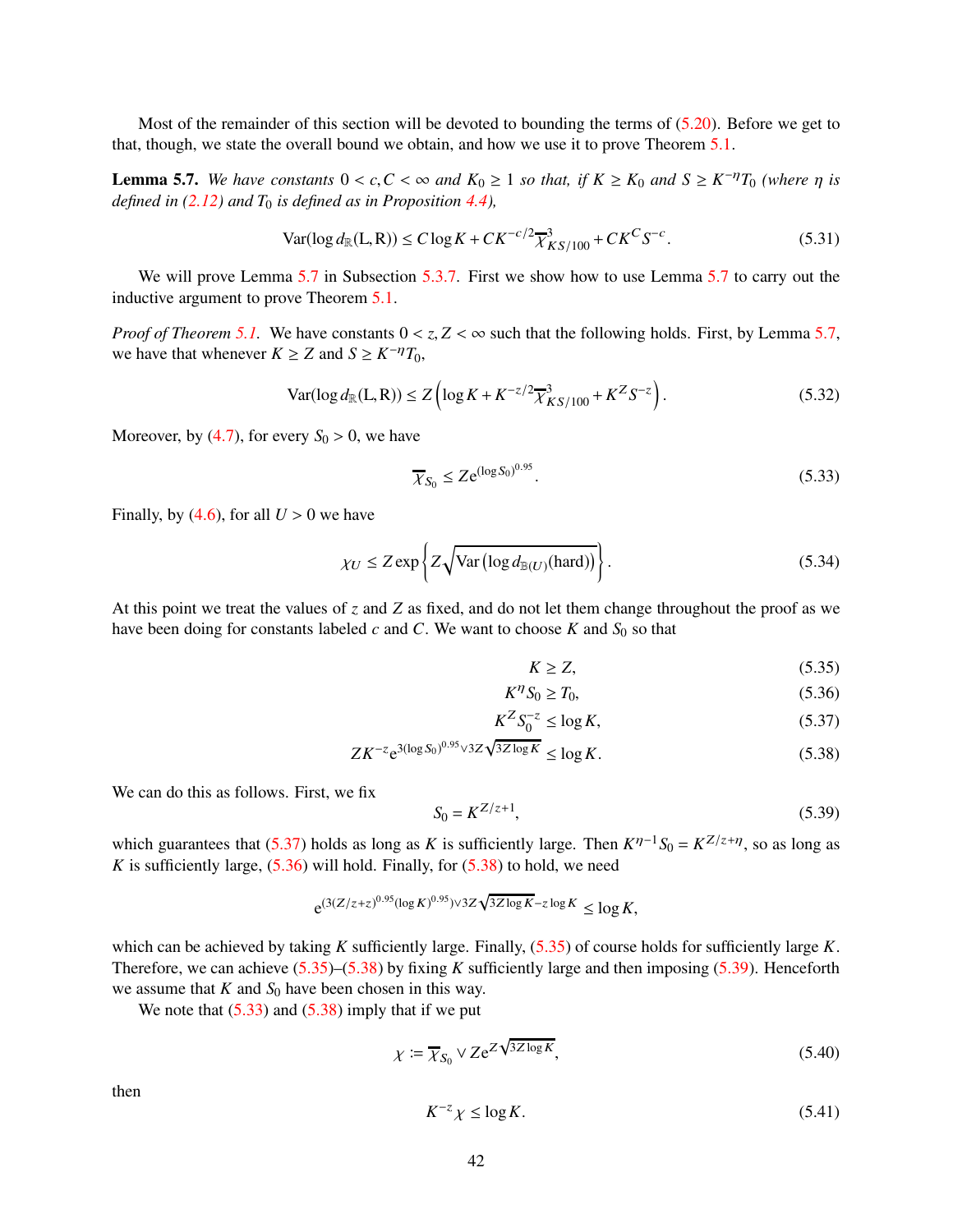Most of the remainder of this section will be devoted to bounding the terms of [\(5.20\)](#page-38-3). Before we get to that, though, we state the overall bound we obtain, and how we use it to prove Theorem [5.1.](#page-34-0)

<span id="page-41-0"></span>**Lemma 5.7.** We have constants  $0 < c, C < \infty$  and  $K_0 \ge 1$  so that, if  $K \ge K_0$  and  $S \ge K^{-\eta}T_0$  (where  $\eta$  is *defined in [\(2.12\)](#page-9-5) and T*<sup>0</sup> *is defined as in Proposition [4.4\)](#page-27-0),*

<span id="page-41-11"></span>
$$
\text{Var}(\log d_{\mathbb{R}}(L, R)) \le C \log K + C K^{-c/2} \overline{\chi}^3_{K S/100} + C K^C S^{-c}.
$$
\n(5.31)

We will prove Lemma [5.7](#page-41-0) in Subsection [5.3.7.](#page-52-0) First we show how to use Lemma 5.7 to carry out the inductive argument to prove Theorem [5.1.](#page-34-0)

*Proof of Theorem* [5.1.](#page-34-0) We have constants  $0 < z$ ,  $Z < \infty$  such that the following holds. First, by Lemma [5.7,](#page-41-0) we have that whenever  $K \ge Z$  and  $S \ge K^{-\eta}T_0$ ,

<span id="page-41-9"></span>
$$
\text{Var}(\log d_{\mathbb{R}}(\mathbf{L}, \mathbf{R})) \le Z \left( \log K + K^{-z/2} \overline{\chi}_{KS/100}^3 + K^Z S^{-z} \right). \tag{5.32}
$$

Moreover, by [\(4.7\)](#page-26-5), for every  $S_0 > 0$ , we have

<span id="page-41-6"></span>
$$
\overline{\chi}_{S_0} \le Z e^{(\log S_0)^{0.95}}.
$$
\n(5.33)

Finally, by  $(4.6)$ , for all  $U > 0$  we have

<span id="page-41-10"></span>
$$
\chi_U \le Z \exp\left\{ Z \sqrt{\text{Var}\left(\log d_{\mathbb{B}(U)}(\text{hard})\right)} \right\}.
$$
 (5.34)

At this point we treat the values of *z* and *Z* as fixed, and do not let them change throughout the proof as we have been doing for constants labeled  $c$  and  $C$ . We want to choose  $K$  and  $S_0$  so that

<span id="page-41-4"></span><span id="page-41-3"></span><span id="page-41-2"></span><span id="page-41-1"></span>
$$
K \ge Z,\tag{5.35}
$$

$$
K^{\eta} S_0 \ge T_0,\tag{5.36}
$$

$$
K^Z S_0^{-z} \le \log K,\tag{5.37}
$$

$$
ZK^{-z}e^{3(\log S_0)^{0.95}\sqrt{3Z\log K}} \le \log K. \tag{5.38}
$$

We can do this as follows. First, we fix

<span id="page-41-5"></span>
$$
S_0 = K^{Z/z+1},\tag{5.39}
$$

which guarantees that [\(5.37\)](#page-41-1) holds as long as *K* is sufficiently large. Then  $K^{\eta-1}S_0 = K^{Z/z+\eta}$ , so as long as *K* is sufficiently large,  $(5.36)$  will hold. Finally, for  $(5.38)$  to hold, we need

$$
e^{(3(Z/z+z)^{0.95}(\log K)^{0.95})\sqrt{3Z\log K}-z\log K} \le \log K,
$$

which can be achieved by taking *K* sufficiently large. Finally, [\(5.35\)](#page-41-4) of course holds for sufficiently large *K*. Therefore, we can achieve [\(5.35\)](#page-41-4)–[\(5.38\)](#page-41-3) by fixing *K* sufficiently large and then imposing [\(5.39\)](#page-41-5). Henceforth we assume that  $K$  and  $S_0$  have been chosen in this way.

We note that  $(5.33)$  and  $(5.38)$  imply that if we put

<span id="page-41-7"></span>
$$
\chi \coloneqq \overline{\chi}_{S_0} \vee Z e^{Z \sqrt{3Z \log K}},\tag{5.40}
$$

then

<span id="page-41-8"></span>
$$
K^{-z}\chi \le \log K. \tag{5.41}
$$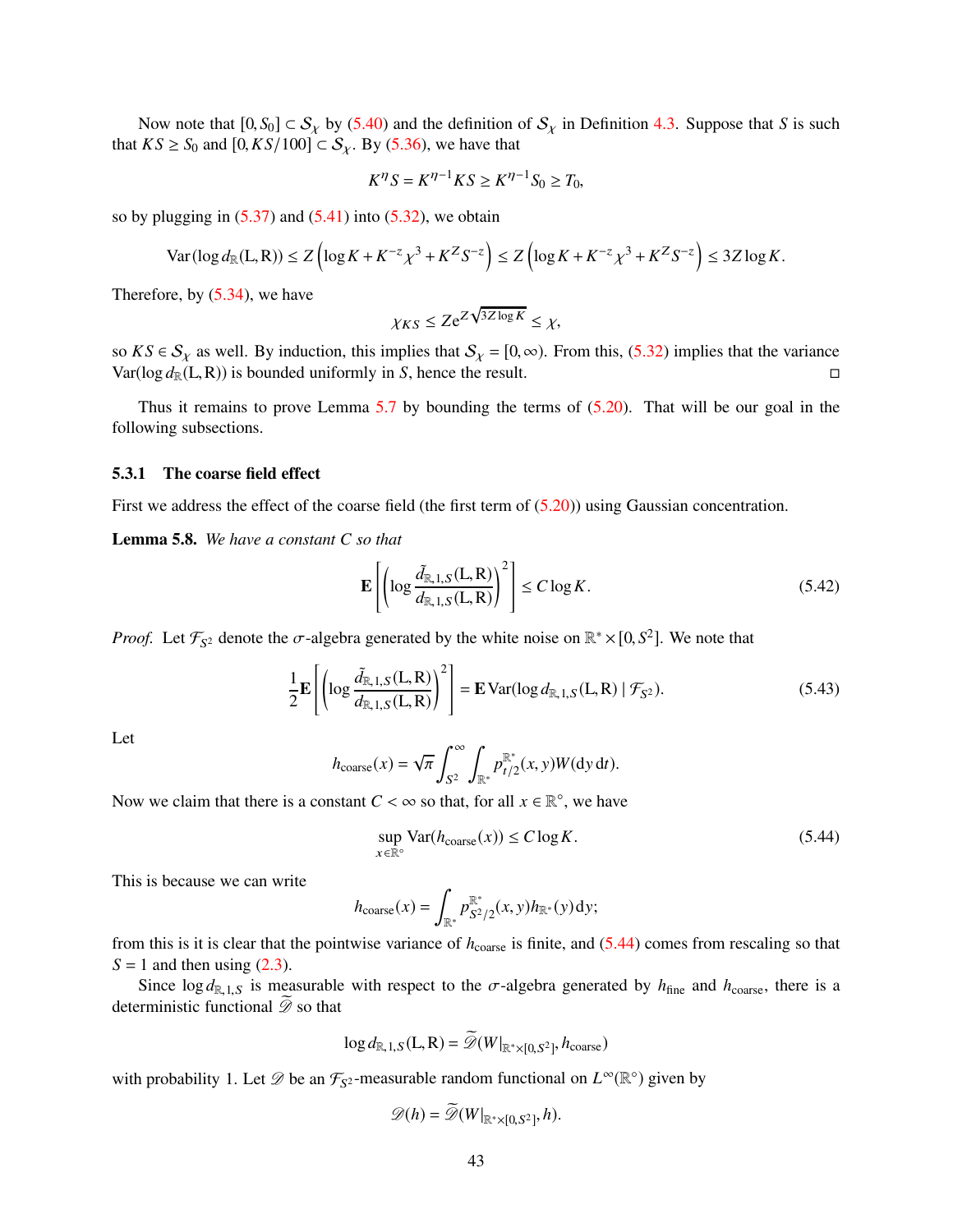Now note that  $[0, S_0] \subset S_\chi$  by [\(5.40\)](#page-41-7) and the definition of  $S_\chi$  in Definition [4.3.](#page-26-3) Suppose that *S* is such that  $KS \geq S_0$  and  $[0, KS/100] \subset S_\chi$ . By [\(5.36\)](#page-41-2), we have that

$$
K^{\eta} S = K^{\eta - 1} K S \ge K^{\eta - 1} S_0 \ge T_0,
$$

so by plugging in  $(5.37)$  and  $(5.41)$  into  $(5.32)$ , we obtain

$$
\text{Var}(\log d_{\mathbb{R}}(\mathbf{L}, \mathbf{R})) \le Z \left( \log K + K^{-z} \chi^3 + K^Z S^{-z} \right) \le Z \left( \log K + K^{-z} \chi^3 + K^Z S^{-z} \right) \le 3Z \log K.
$$

Therefore, by [\(5.34\)](#page-41-10), we have

$$
\chi_{KS} \le Z e^{Z\sqrt{3Z\log K}} \le \chi,
$$

so *KS*  $\in S_\chi$  as well. By induction, this implies that  $S_\chi = [0, \infty)$ . From this, [\(5.32\)](#page-41-9) implies that the variance Var(log  $d_\mathbb{P}(L, R)$ ) is bounded uniformly in *S*, hence the result.  $Var(\log d_R(L, R))$  is bounded uniformly in *S*, hence the result.

Thus it remains to prove Lemma [5.7](#page-41-0) by bounding the terms of [\(5.20\)](#page-38-3). That will be our goal in the following subsections.

#### <span id="page-42-0"></span>5.3.1 The coarse field effect

First we address the effect of the coarse field (the first term of  $(5.20)$ ) using Gaussian concentration.

<span id="page-42-4"></span>Lemma 5.8. *We have a constant C so that*

<span id="page-42-2"></span>
$$
\mathbf{E}\left[\left(\log\frac{\tilde{d}_{\mathbb{R},1,S}(L,R)}{d_{\mathbb{R},1,S}(L,R)}\right)^2\right] \le C\log K.
$$
\n(5.42)

*Proof.* Let  $\mathcal{F}_{S^2}$  denote the  $\sigma$ -algebra generated by the white noise on  $\mathbb{R}^* \times [0, S^2]$ . We note that

<span id="page-42-3"></span>
$$
\frac{1}{2} \mathbf{E} \left[ \left( \log \frac{\tilde{d}_{\mathbb{R},1,S}(L,R)}{d_{\mathbb{R},1,S}(L,R)} \right)^2 \right] = \mathbf{E} \operatorname{Var}(\log d_{\mathbb{R},1,S}(L,R) \mid \mathcal{F}_{S^2}). \tag{5.43}
$$

Let

$$
h_{\text{coarse}}(x) = \sqrt{\pi} \int_{S^2}^{\infty} \int_{\mathbb{R}^*} p_{t/2}^{\mathbb{R}^*}(x, y) W(\mathrm{d}y \, \mathrm{d}t).
$$

Now we claim that there is a constant  $C < \infty$  so that, for all  $x \in \mathbb{R}^{\circ}$ , we have

<span id="page-42-1"></span>
$$
\sup_{x \in \mathbb{R}^\circ} \text{Var}(h_{\text{coarse}}(x)) \le C \log K. \tag{5.44}
$$

This is because we can write

$$
h_{\text{coarse}}(x) = \int_{\mathbb{R}^*} p_{S^2/2}^{\mathbb{R}^*}(x, y) h_{\mathbb{R}^*}(y) \, dy;
$$

from this is it is clear that the pointwise variance of *h*<sub>coarse</sub> is finite, and [\(5.44\)](#page-42-1) comes from rescaling so that  $S = 1$  and then using  $(2.3)$ .

Since  $\log d_{R,1,S}$  is measurable with respect to the  $\sigma$ -algebra generated by  $h_{\text{fine}}$  and  $h_{\text{coarse}}$ , there is a deterministic functional  $\mathscr{D}$  so that

$$
\log d_{\mathbb{R},1,S}(L,R) = \widetilde{\mathcal{D}}(W|_{\mathbb{R}^*\times[0,S^2]},h_{\text{coarse}})
$$

with probability 1. Let  $\mathscr{D}$  be an  $\mathcal{F}_{S^2}$ -measurable random functional on  $L^{\infty}(\mathbb{R}^{\circ})$  given by

$$
\mathscr{D}(h) = \widetilde{\mathscr{D}}(W|_{\mathbb{R}^*\times[0,S^2]},h).
$$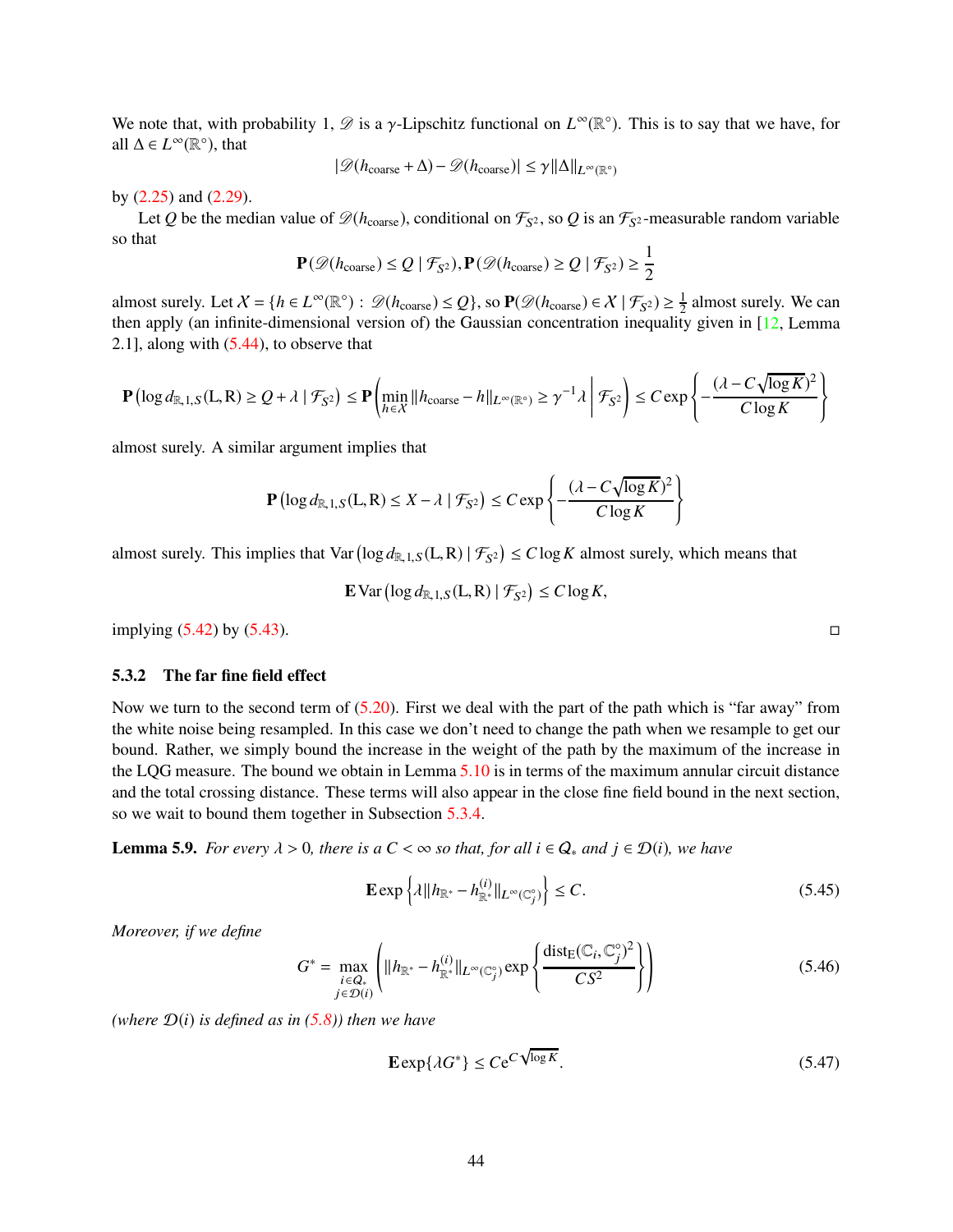We note that, with probability 1,  $\mathscr{D}$  is a  $\gamma$ -Lipschitz functional on  $L^{\infty}(\mathbb{R}^{\circ})$ . This is to say that we have, for all  $\Delta$  ∈  $L^{\infty}(\mathbb{R}^{\circ})$ , that

$$
|\mathscr{D}(h_{\text{coarse}}+\Delta)-\mathscr{D}(h_{\text{coarse}})|\leq \gamma \|\Delta\|_{L^\infty(\mathbb{R}^\circ)}
$$

by [\(2.25\)](#page-12-7) and [\(2.29\)](#page-12-1).

Let Q be the median value of  $\mathcal{D}(h_{\text{coarse}})$ , conditional on  $\mathcal{F}_{S^2}$ , so Q is an  $\mathcal{F}_{S^2}$ -measurable random variable so that

$$
\mathbf{P}(\mathscr{D}(h_{\text{coarse}}) \le Q \mid \mathcal{F}_{S^2}), \mathbf{P}(\mathscr{D}(h_{\text{coarse}}) \ge Q \mid \mathcal{F}_{S^2}) \ge \frac{1}{2}
$$

almost surely. Let  $X = \{h \in L^{\infty}(\mathbb{R}^{\circ}) : \mathscr{D}(h_{\text{coarse}}) \leq Q\}$ , so  $\mathbf{P}(\mathscr{D}(h_{\text{coarse}}) \in \mathcal{X} \mid \mathcal{F}_{S^2}) \geq \frac{1}{2}$  almost surely. We can then apply (an infinite-dimensional version of) the Gaussian concentration inequality given in [\[12,](#page-62-10) Lemma 2.1], along with [\(5.44\)](#page-42-1), to observe that

$$
\mathbf{P}\left(\log d_{\mathbb{R},1,S}(L,R) \geq Q + \lambda \mid \mathcal{F}_{S^2}\right) \leq \mathbf{P}\left(\min_{h \in \mathcal{X}} \|h_{\text{coarse}} - h\|_{L^{\infty}(\mathbb{R}^{\circ})} \geq \gamma^{-1} \lambda \middle| \mathcal{F}_{S^2}\right) \leq C \exp\left\{-\frac{(\lambda - C\sqrt{\log K})^2}{C\log K}\right\}
$$

almost surely. A similar argument implies that

$$
\mathbf{P}\left(\log d_{\mathbb{R},1,S}(L,R) \leq X - \lambda \mid \mathcal{F}_{S^2}\right) \leq C \exp\left\{-\frac{(\lambda - C\sqrt{\log K})^2}{C\log K}\right\}
$$

almost surely. This implies that  $Var(log d_{R,1,S}(L,R) | \mathcal{F}_{S^2}) \leq C log K$  almost surely, which means that

**E** Var 
$$
(\log d_{\mathbb{R},1,S}(L,R) | \mathcal{F}_{S^2}) \leq C \log K
$$
,

 $\Box$  implying [\(5.42\)](#page-42-2) by [\(5.43\)](#page-42-3).

## <span id="page-43-0"></span>5.3.2 The far fine field effect

Now we turn to the second term of  $(5.20)$ . First we deal with the part of the path which is "far away" from the white noise being resampled. In this case we don't need to change the path when we resample to get our bound. Rather, we simply bound the increase in the weight of the path by the maximum of the increase in the LQG measure. The bound we obtain in Lemma [5.10](#page-44-0) is in terms of the maximum annular circuit distance and the total crossing distance. These terms will also appear in the close fine field bound in the next section, so we wait to bound them together in Subsection [5.3.4.](#page-50-0)

<span id="page-43-4"></span>**Lemma 5.9.** For every  $\lambda > 0$ , there is a  $C < \infty$  so that, for all  $i \in Q_*$  and  $j \in \mathcal{D}(i)$ , we have

<span id="page-43-1"></span>
$$
\mathbf{E} \exp\left\{\lambda \|\|h\|_{\mathbb{R}^*} - h_{\mathbb{R}^*}^{(i)}\|_{L^\infty(\mathbb{C}_j^{\circ})}\right\} \le C. \tag{5.45}
$$

*Moreover, if we define*

<span id="page-43-3"></span>
$$
G^* = \max_{\substack{i \in Q_* \\ j \in \mathcal{D}(i)}} \left( ||h_{\mathbb{R}^*} - h_{\mathbb{R}^*}^{(i)}||_{L^{\infty}(\mathbb{C}_j^{\circ})} \exp \left\{ \frac{\text{dist}_{E}(\mathbb{C}_i, \mathbb{C}_j^{\circ})^2}{CS^2} \right\} \right)
$$
(5.46)

*(where*  $D(i)$  *is defined as in* [\(5.8\)](#page-37-1)*)* then we have

<span id="page-43-2"></span>
$$
\mathbf{E} \exp\{\lambda G^*\} \le C e^{C \sqrt{\log K}}.\tag{5.47}
$$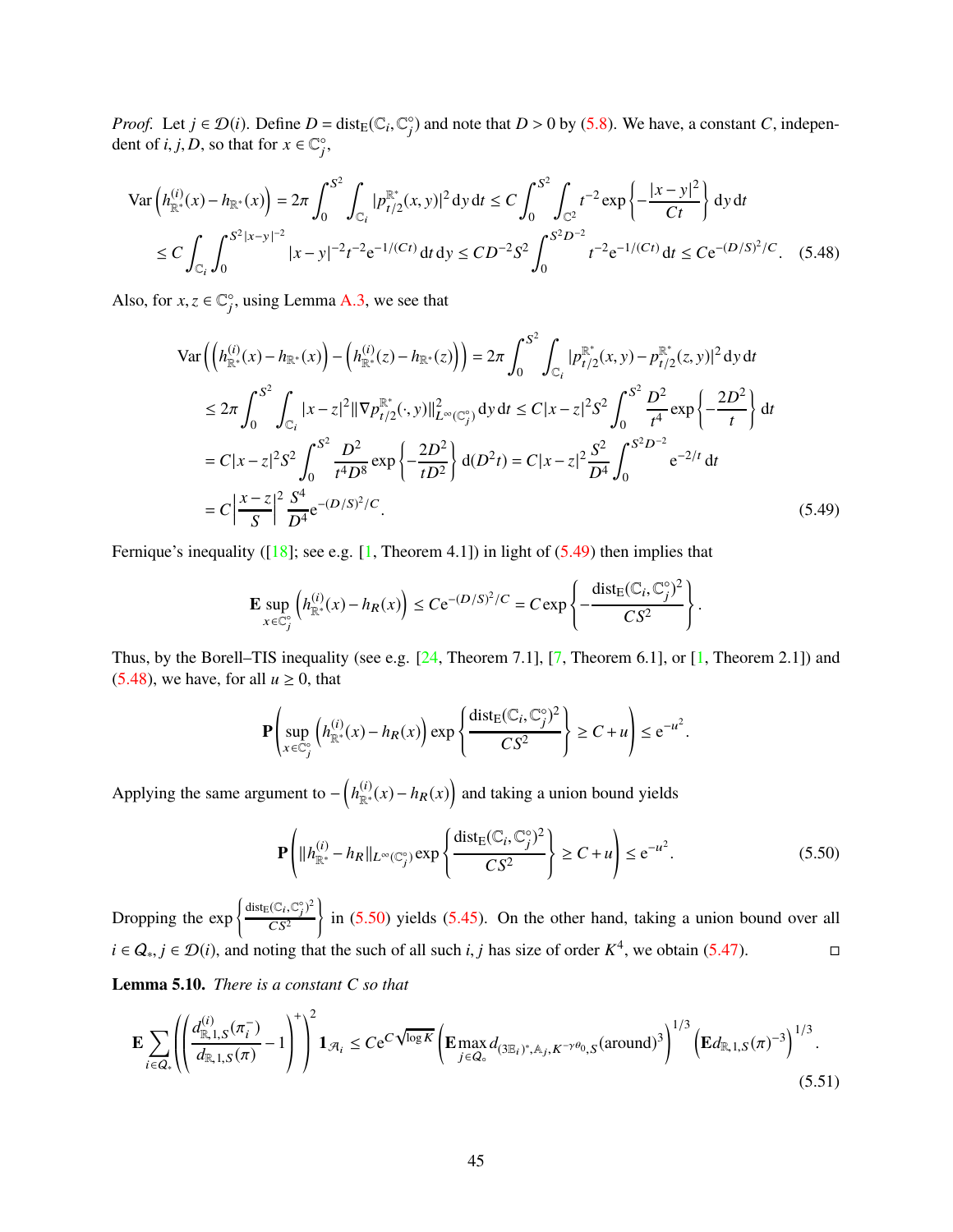*Proof.* Let  $j \in \mathcal{D}(i)$ . Define  $D = \text{dist}_{E}(\mathbb{C}_i, \mathbb{C}_j^{\circ})$  and note that  $D > 0$  by [\(5.8\)](#page-37-1). We have, a constant *C*, independent of *i*, *j*, *D*, so that for  $x \in \mathbb{C}^{\circ}_j$ ,

$$
\operatorname{Var}\left(h_{\mathbb{R}^*}^{(i)}(x) - h_{\mathbb{R}^*}(x)\right) = 2\pi \int_0^{S^2} \int_{\mathbb{C}_i} |p_{t/2}^{\mathbb{R}^*}(x, y)|^2 dy dt \le C \int_0^{S^2} \int_{\mathbb{C}^2} t^{-2} \exp\left\{-\frac{|x - y|^2}{Ct}\right\} dy dt
$$
  
\n
$$
\le C \int_{\mathbb{C}_i} \int_0^{S^2 |x - y|^{-2}} |x - y|^{-2} t^{-2} e^{-1/(Ct)} dt dy \le CD^{-2} S^2 \int_0^{S^2 D^{-2}} t^{-2} e^{-1/(Ct)} dt \le Ce^{-(D/S)^2/C}.
$$
 (5.48)

Also, for  $x, z \in \mathbb{C}_j^{\circ}$ , using Lemma [A.3,](#page-60-0) we see that

<span id="page-44-2"></span>
$$
\operatorname{Var}\left(\left(h_{\mathbb{R}^*}^{(i)}(x) - h_{\mathbb{R}^*}(x)\right) - \left(h_{\mathbb{R}^*}^{(i)}(z) - h_{\mathbb{R}^*}(z)\right)\right) = 2\pi \int_0^{S^2} \int_{C_i} |p_{t/2}^{\mathbb{R}^*}(x, y) - p_{t/2}^{\mathbb{R}^*}(z, y)|^2 \, \mathrm{d}y \, \mathrm{d}t
$$
  
\n
$$
\leq 2\pi \int_0^{S^2} \int_{C_i} |x - z|^2 \|\nabla p_{t/2}^{\mathbb{R}^*}(\cdot, y)\|_{L^{\infty}(C_j^{\circ})}^2 \, \mathrm{d}y \, \mathrm{d}t \leq C|x - z|^2 S^2 \int_0^{S^2} \frac{D^2}{t^4} \exp\left\{-\frac{2D^2}{t}\right\} \, \mathrm{d}t
$$
  
\n
$$
= C|x - z|^2 S^2 \int_0^{S^2} \frac{D^2}{t^4 D^8} \exp\left\{-\frac{2D^2}{t D^2}\right\} \, \mathrm{d}(D^2 t) = C|x - z|^2 \frac{S^2}{D^4} \int_0^{S^2 D^{-2}} e^{-2/t} \, \mathrm{d}t
$$
  
\n
$$
= C\left|\frac{x - z}{S}\right|^2 \frac{S^4}{D^4} e^{-(D/S)^2/C}.
$$
 (5.49)

Fernique's inequality ( $[18]$ ; see e.g. [\[1,](#page-62-15) Theorem 4.1]) in light of [\(5.49\)](#page-44-1) then implies that

<span id="page-44-1"></span>
$$
\mathbf{E} \sup_{x \in \mathbb{C}_j^{\circ}} \left( h_{\mathbb{R}^*}^{(i)}(x) - h_R(x) \right) \leq C e^{-(D/S)^2/C} = C \exp \left\{ - \frac{\text{dist}_{E}(\mathbb{C}_i, \mathbb{C}_j^{\circ})^2}{CS^2} \right\}.
$$

Thus, by the Borell–TIS inequality (see e.g. [\[24,](#page-63-17) Theorem 7.1], [\[7,](#page-62-16) Theorem 6.1], or [\[1,](#page-62-15) Theorem 2.1]) and [\(5.48\)](#page-44-2), we have, for all  $u \ge 0$ , that

$$
\mathbf{P}\left(\sup_{x \in \mathbb{C}_j^c} \left( h_{\mathbb{R}^*}^{(i)}(x) - h_R(x) \right) \exp\left\{ \frac{\text{dist}_E(\mathbb{C}_i, \mathbb{C}_j^c)^2}{CS^2} \right\} \ge C + u \right) \le e^{-u^2}.
$$

Applying the same argument to  $-\left(h_{\mathbb{R}^*}^{(i)}(x) - h_R(x)\right)$  and taking a union bound yields

<span id="page-44-3"></span>
$$
\mathbf{P}\left(\|h_{\mathbb{R}^*}^{(i)} - h_R\|_{L^{\infty}(\mathbb{C}_j^{\circ})} \exp\left\{\frac{\text{dist}_E(\mathbb{C}_i, \mathbb{C}_j^{\circ})^2}{CS^2}\right\} \ge C + u\right) \le e^{-u^2}.
$$
\n(5.50)

Dropping the  $\exp \left\{ \frac{\text{dist}_{E}(\mathbb{C}_{i}, \mathbb{C}_{j}^{\circ})^{2}}{CS^{2}} \right\}$  $CS^2$  $\overline{1}$ in [\(5.50\)](#page-44-3) yields [\(5.45\)](#page-43-1). On the other hand, taking a union bound over all *i* ∈  $Q_*, j \in \mathcal{D}(i)$ , and noting that the such of all such *i*, *j* has size of order  $K^4$ , we obtain [\(5.47\)](#page-43-2).

<span id="page-44-0"></span>Lemma 5.10. *There is a constant C so that*

<span id="page-44-4"></span>
$$
\mathbf{E} \sum_{i \in Q_*} \left( \left( \frac{d_{\mathbb{R},1,S}^{(i)}(\pi_i^-)}{d_{\mathbb{R},1,S}(\pi)} - 1 \right)^+ \right)^2 \mathbf{1}_{\mathcal{A}_i} \leq C e^{C \sqrt{\log K}} \left( \mathbf{E} \max_{j \in Q_\circ} d_{(3\mathbb{E}_i)^*,\mathbb{A}_j,K^{-\gamma\theta_0},S}(\text{around})^3 \right)^{1/3} \left( \mathbf{E} d_{\mathbb{R},1,S}(\pi)^{-3} \right)^{1/3}.
$$
\n(5.51)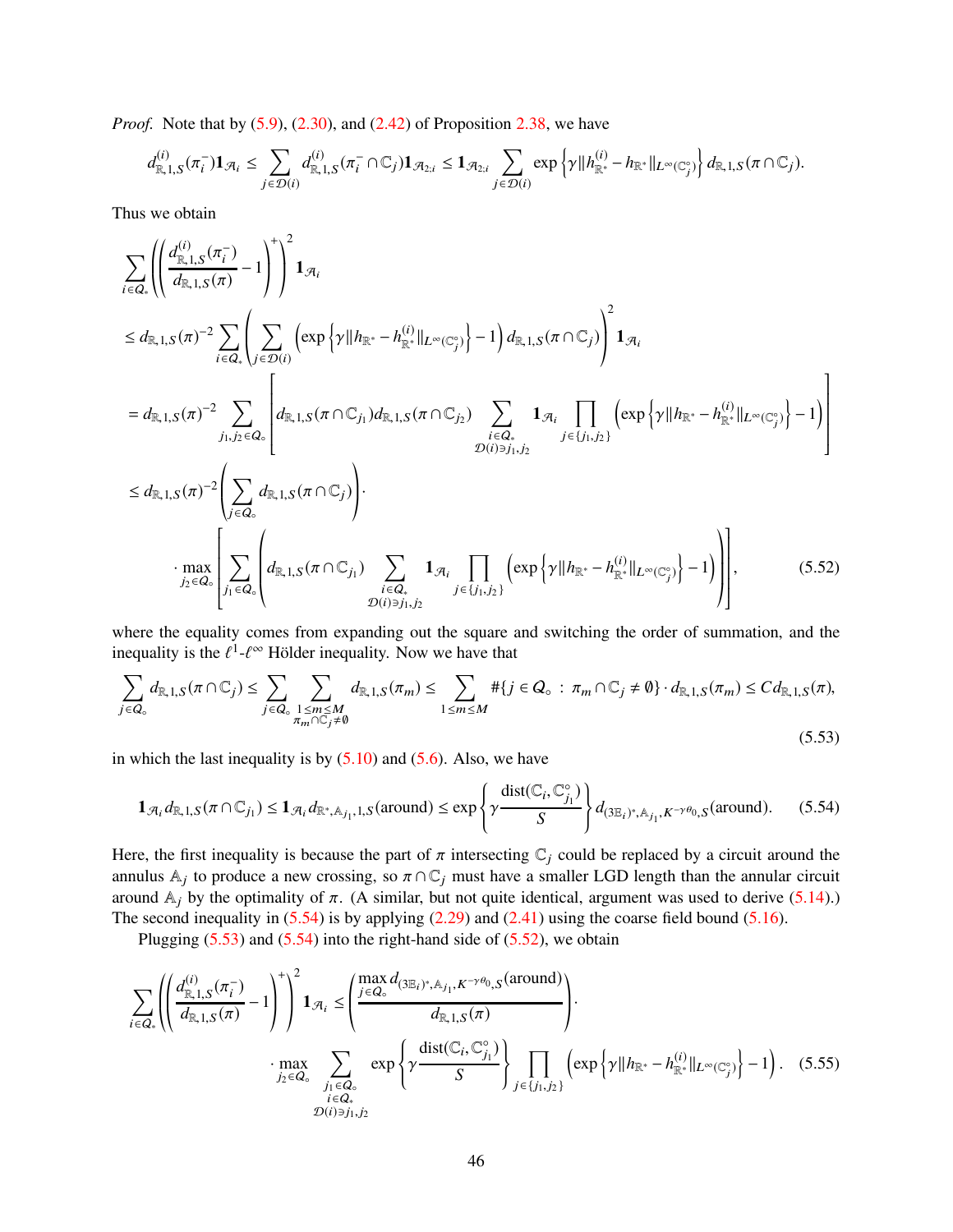*Proof.* Note that by [\(5.9\)](#page-37-2), [\(2.30\)](#page-12-9), and [\(2.42\)](#page-18-3) of Proposition [2.38,](#page-18-0) we have

$$
d_{\mathbb{R},1,S}^{(i)}(\pi_i^-) \mathbf{1}_{\mathcal{A}_i} \leq \sum_{j \in \mathcal{D}(i)} d_{\mathbb{R},1,S}^{(i)}(\pi_i^- \cap \mathbb{C}_j) \mathbf{1}_{\mathcal{A}_{2;i}} \leq \mathbf{1}_{\mathcal{A}_{2;i}} \sum_{j \in \mathcal{D}(i)} \exp \left\{ \gamma \| h_{\mathbb{R}^*}^{(i)} - h_{\mathbb{R}^*} \|_{L^\infty(\mathbb{C}_j^{\circ})} \right\} d_{\mathbb{R},1,S}(\pi \cap \mathbb{C}_j).
$$

Thus we obtain

$$
\sum_{i \in Q_{*}} \left( \left( \frac{d_{\mathbb{R},1,S}^{(i)}(\pi_{i}^{-})}{d_{\mathbb{R},1,S}(\pi)} - 1 \right)^{+} \right)^{2} \mathbf{1}_{\mathcal{A}_{i}}
$$
\n
$$
\leq d_{\mathbb{R},1,S}(\pi)^{-2} \sum_{i \in Q_{*}} \left( \sum_{j \in \mathcal{D}(i)} \left( \exp \left\{ \gamma || h_{\mathbb{R}^{*}} - h_{\mathbb{R}^{*}}^{(i)} ||_{L^{\infty}(\mathbb{C}_{j}^{*})} \right\} - 1 \right) d_{\mathbb{R},1,S}(\pi \cap \mathbb{C}_{j}) \right)^{2} \mathbf{1}_{\mathcal{A}_{i}}
$$
\n
$$
= d_{\mathbb{R},1,S}(\pi)^{-2} \sum_{j_{1},j_{2} \in Q_{*}} \left[ d_{\mathbb{R},1,S}(\pi \cap \mathbb{C}_{j_{1}}) d_{\mathbb{R},1,S}(\pi \cap \mathbb{C}_{j_{2}}) \sum_{\substack{i \in Q_{*} \\ \mathcal{D}(i) \ni_{j_{1},j_{2}}} \mathbf{1}_{\mathcal{A}_{i}} \prod_{j \in \{j_{1},j_{2}\}} \left( \exp \left\{ \gamma || h_{\mathbb{R}^{*}} - h_{\mathbb{R}^{*}}^{(i)} ||_{L^{\infty}(\mathbb{C}_{j}^{*})} \right\} - 1 \right) \right]
$$
\n
$$
\leq d_{\mathbb{R},1,S}(\pi)^{-2} \left( \sum_{j \in Q_{*}} d_{\mathbb{R},1,S}(\pi \cap \mathbb{C}_{j}) \right).
$$
\n
$$
\cdot \max_{j_{2} \in \mathcal{A}_{*}} \left[ \sum_{j_{1} \in Q_{*}} \left( d_{\mathbb{R},1,S}(\pi \cap \mathbb{C}_{j_{1}}) \sum_{\substack{i \in Q_{*} \\ \mathcal{D}(i) \ni_{j_{1},j_{2}}} \mathbf{1}_{\mathcal{A}_{i}} \prod_{j \in \{j_{1},j_{2}\}} \left( \exp \left\{ \gamma || h_{\mathbb{R}^{*}} - h_{\mathbb{R}^{*}}^{(i)} ||_{L^{\infty}(\mathbb{C}_{j}^{*})} \right\} - 1 \right) \
$$

where the equality comes from expanding out the square and switching the order of summation, and the inequality is the  $\ell^1$ - $\ell^{\infty}$  Hölder inequality. Now we have that

<span id="page-45-2"></span><span id="page-45-1"></span>
$$
\sum_{j\in Q_{\circ}}d_{\mathbb{R},1,S}(\pi\cap\mathbb{C}_j)\leq \sum_{j\in Q_{\circ}}\sum_{\substack{1\leq m\leq M\\ \pi_m\cap\mathbb{C}_j\neq\emptyset}}d_{\mathbb{R},1,S}(\pi_m)\leq \sum_{1\leq m\leq M}*(j\in Q_{\circ}:\pi_m\cap\mathbb{C}_j\neq\emptyset)\cdot d_{\mathbb{R},1,S}(\pi_m)\leq Cd_{\mathbb{R},1,S}(\pi),
$$
\n(5.53)

in which the last inequality is by  $(5.10)$  and  $(5.6)$ . Also, we have

<span id="page-45-0"></span>
$$
\mathbf{1}_{\mathcal{A}_i} d_{\mathbb{R},1,S}(\pi \cap \mathbb{C}_{j_1}) \le \mathbf{1}_{\mathcal{A}_i} d_{\mathbb{R}^*,\mathbb{A}_{j_1},1,S}(\text{around}) \le \exp\left\{\gamma \frac{\text{dist}(\mathbb{C}_i,\mathbb{C}_{j_1}^{\circ})}{S}\right\} d_{\left(\mathbb{3} \mathbb{E}_i\right)^*,\mathbb{A}_{j_1},K^{-\gamma\theta_0},S}(\text{around}).\tag{5.54}
$$

Here, the first inequality is because the part of  $\pi$  intersecting  $\mathbb{C}_i$  could be replaced by a circuit around the annulus  $\mathbb{A}_j$  to produce a new crossing, so  $\pi \cap \mathbb{C}_j$  must have a smaller LGD length than the annular circuit around  $A_j$  by the optimality of  $\pi$ . (A similar, but not quite identical, argument was used to derive [\(5.14\)](#page-37-0).) The second inequality in  $(5.54)$  is by applying  $(2.29)$  and  $(2.41)$  using the coarse field bound  $(5.16)$ .

<span id="page-45-3"></span>Plugging  $(5.53)$  and  $(5.54)$  into the right-hand side of  $(5.52)$ , we obtain

$$
\sum_{i \in Q_*} \left( \left( \frac{d_{\mathbb{R},1,S}^{(i)}(\pi_i^-)}{d_{\mathbb{R},1,S}(\pi)} - 1 \right)^+ \right)^2 \mathbf{1}_{\mathcal{A}_i} \le \left( \frac{\max_{j \in Q_\circ} d_{(\mathfrak{I} \mathbb{E}_i)^*, \mathbb{A}_{j_1}, K^{-\gamma\theta_0}, S}(\text{around})}{d_{\mathbb{R},1,S}(\pi)} \right) \cdot \max_{\substack{j_2 \in Q_\circ \\ j_1 \in Q_* \\ \mathcal{D}(i) \ni j_1, j_2}} \exp \left\{ \gamma \frac{\text{dist}(\mathbb{C}_i, \mathbb{C}_{j_1}^\circ)}{S} \right\} \prod_{j \in \{j_1, j_2\}} \left( \exp \left\{ \gamma \| h_{\mathbb{R}^*} - h_{\mathbb{R}^*}^{(i)} \|_{L^\infty(\mathbb{C}_j^\circ)} \right\} - 1 \right). \tag{5.55}
$$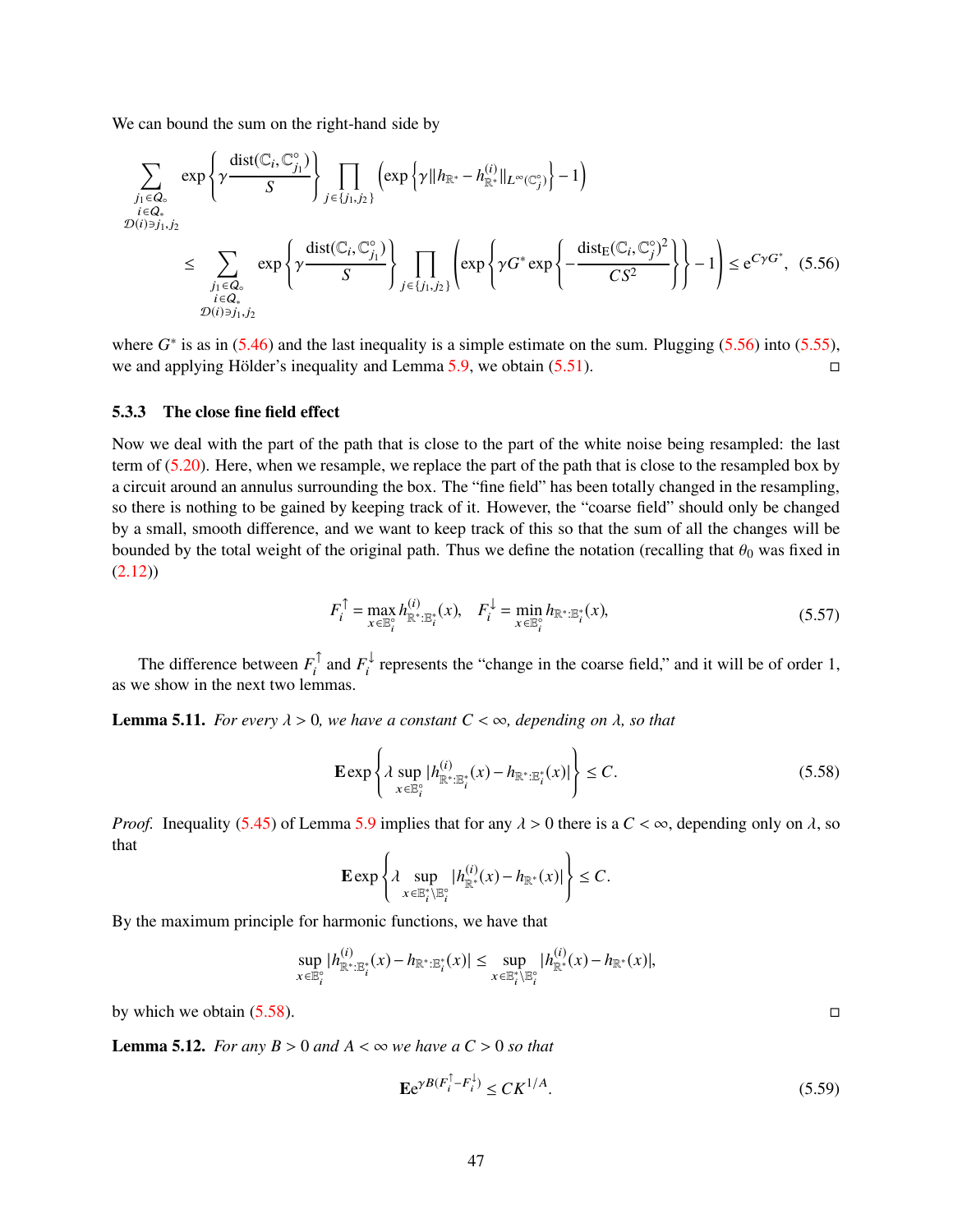We can bound the sum on the right-hand side by

$$
\sum_{\substack{j_1 \in Q_\circ \\ \mathcal{D}(i) \ni j_1, j_2}} \exp \left\{ \gamma \frac{\text{dist}(\mathbb{C}_i, \mathbb{C}^\circ_{j_1})}{S} \right\} \prod_{j \in \{j_1, j_2\}} \left( \exp \left\{ \gamma \| h_{\mathbb{R}^*} - h_{\mathbb{R}^*}^{(i)} \|_{L^\infty(\mathbb{C}^\circ_j)} \right\} - 1 \right)
$$
\n
$$
\leq \sum_{\substack{j_1 \in Q_\circ \\ i \in Q_\circ \\ \mathcal{D}(i) \ni j_1, j_2}} \exp \left\{ \gamma \frac{\text{dist}(\mathbb{C}_i, \mathbb{C}^\circ_{j_1})}{S} \right\} \prod_{j \in \{j_1, j_2\}} \left( \exp \left\{ \gamma G^* \exp \left\{ -\frac{\text{dist}_{E}(\mathbb{C}_i, \mathbb{C}^\circ_j)^2}{CS^2} \right\} \right\} - 1 \right) \leq e^{C\gamma G^*}, \tag{5.56}
$$

where  $G^*$  is as in  $(5.46)$  and the last inequality is a simple estimate on the sum. Plugging  $(5.56)$  into  $(5.55)$ , we and applying Hölder's inequality and Lemma [5.9,](#page-43-4) we obtain  $(5.51)$ .

#### <span id="page-46-0"></span>5.3.3 The close fine field effect

Now we deal with the part of the path that is close to the part of the white noise being resampled: the last term of [\(5.20\)](#page-38-3). Here, when we resample, we replace the part of the path that is close to the resampled box by a circuit around an annulus surrounding the box. The "fine field" has been totally changed in the resampling, so there is nothing to be gained by keeping track of it. However, the "coarse field" should only be changed by a small, smooth difference, and we want to keep track of this so that the sum of all the changes will be bounded by the total weight of the original path. Thus we define the notation (recalling that  $\theta_0$  was fixed in [\(2.12\)](#page-9-5))

<span id="page-46-1"></span>
$$
F_i^{\uparrow} = \max_{x \in \mathbb{E}_i^{\circ}} h_{\mathbb{R}^* : \mathbb{E}_i^*}^{(i)}(x), \quad F_i^{\downarrow} = \min_{x \in \mathbb{E}_i^{\circ}} h_{\mathbb{R}^* : \mathbb{E}_i^*}(x),\tag{5.57}
$$

The difference between  $F_i^{\perp}$  and  $F_i^{\perp}$  represents the "change in the coarse field," and it will be of order 1, as we show in the next two lemmas.

<span id="page-46-3"></span>**Lemma 5.11.** *For every*  $\lambda > 0$ *, we have a constant*  $C < \infty$ *, depending on*  $\lambda$ *, so that* 

<span id="page-46-2"></span>
$$
\mathbf{E} \exp \left\{ \lambda \sup_{x \in \mathbb{B}_i^{\circ}} |h_{\mathbb{R}^* : \mathbb{B}_i^*}^{(i)}(x) - h_{\mathbb{R}^* : \mathbb{B}_i^*}(x)| \right\} \le C. \tag{5.58}
$$

*Proof.* Inequality [\(5.45\)](#page-43-1) of Lemma [5.9](#page-43-4) implies that for any  $\lambda > 0$  there is a  $C < \infty$ , depending only on  $\lambda$ , so that

$$
\mathbf{E}\exp\left\{\lambda\sup_{x\in\mathbb{E}_t^* \backslash \mathbb{E}_t^{\circ}}|h^{(i)}_{\mathbb{R}^*}(x)-h_{\mathbb{R}^*}(x)|\right\}\leq C.
$$

By the maximum principle for harmonic functions, we have that

$$
\sup_{x \in \mathbb{B}_{i}^{\circ}} |h_{\mathbb{R}^{*}:\mathbb{E}_{i}^{*}}^{(i)}(x) - h_{\mathbb{R}^{*}:\mathbb{E}_{i}^{*}}(x)| \leq \sup_{x \in \mathbb{E}_{i}^{*}:\mathbb{E}_{i}^{\circ}} |h_{\mathbb{R}^{*}}^{(i)}(x) - h_{\mathbb{R}^{*}}(x)|,
$$

by which we obtain  $(5.58)$ .

<span id="page-46-6"></span>**Lemma 5.12.** *For any B* > 0 *and A* <  $\infty$  *we have a C* > 0 *so that* 

<span id="page-46-4"></span>
$$
\mathbf{E}e^{\gamma B(F_i^{\uparrow} - F_i^{\downarrow})} \le CK^{1/A}.\tag{5.59}
$$

<span id="page-46-5"></span>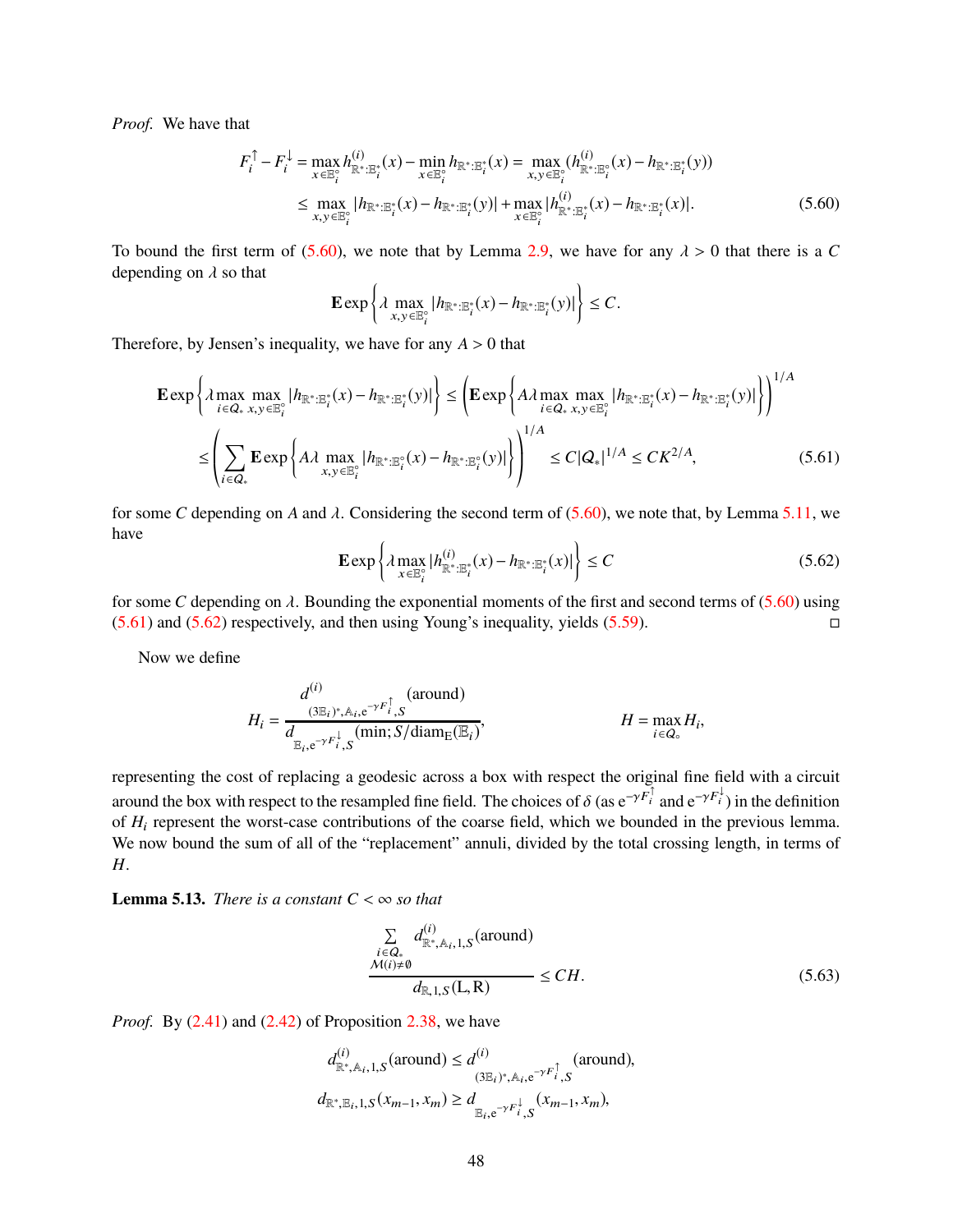*Proof.* We have that

$$
F_i^{\uparrow} - F_i^{\downarrow} = \max_{x \in \mathbb{E}_i^{\circ}} h_{\mathbb{R}^* : \mathbb{B}_i^*}^{(i)}(x) - \min_{x \in \mathbb{E}_i^{\circ}} h_{\mathbb{R}^* : \mathbb{B}_i^*}(x) = \max_{x, y \in \mathbb{B}_i^{\circ}} (h_{\mathbb{R}^* : \mathbb{B}_i^*}^{(i)}(x) - h_{\mathbb{R}^* : \mathbb{B}_i^*}(y))
$$
  
\n
$$
\leq \max_{x, y \in \mathbb{B}_i^{\circ}} |h_{\mathbb{R}^* : \mathbb{B}_i^*}(x) - h_{\mathbb{R}^* : \mathbb{B}_i^*}(y)| + \max_{x \in \mathbb{B}_i^{\circ}} |h_{\mathbb{R}^* : \mathbb{B}_i^*}(x) - h_{\mathbb{R}^* : \mathbb{B}_i^*}(x)|.
$$
\n(5.60)

To bound the first term of [\(5.60\)](#page-47-0), we note that by Lemma [2.9,](#page-8-2) we have for any  $\lambda > 0$  that there is a *C* depending on  $\lambda$  so that

<span id="page-47-0"></span>
$$
\mathbf{E}\exp\left\{\lambda \max_{x,y\in\mathbb{E}_i^{\circ}}|h_{\mathbb{R}^*:\mathbb{E}_i^*}(x)-h_{\mathbb{R}^*:\mathbb{E}_i^*}(y)|\right\}\leq C.
$$

Therefore, by Jensen's inequality, we have for any  $A > 0$  that

$$
\mathbf{E} \exp \left\{ \lambda \max_{i \in Q_*} \max_{x, y \in \mathbb{E}_i^*} |h_{\mathbb{R}^* : \mathbb{E}_i^*}(x) - h_{\mathbb{R}^* : \mathbb{E}_i^*}(y)| \right\} \leq \left( \mathbf{E} \exp \left\{ A \lambda \max_{i \in Q_*} \max_{x, y \in \mathbb{E}_i^*} |h_{\mathbb{R}^* : \mathbb{E}_i^*}(x) - h_{\mathbb{R}^* : \mathbb{E}_i^*}(y)| \right\} \right)^{1/A}
$$
  

$$
\leq \left( \sum_{i \in Q_*} \mathbf{E} \exp \left\{ A \lambda \max_{x, y \in \mathbb{E}_i^*} |h_{\mathbb{R}^* : \mathbb{E}_i^*}(x) - h_{\mathbb{R}^* : \mathbb{E}_i^*}(y)| \right\} \right)^{1/A} \leq C|Q_*|^{1/A} \leq CK^{2/A}, \tag{5.61}
$$

for some *C* depending on *A* and  $\lambda$ . Considering the second term of [\(5.60\)](#page-47-0), we note that, by Lemma [5.11,](#page-46-3) we have

<span id="page-47-2"></span><span id="page-47-1"></span>
$$
\mathbf{E} \exp\left\{\lambda \max_{x \in \mathbb{E}_i^{\circ}} |h_{\mathbb{R}^* : \mathbb{E}_i^*}^{(i)}(x) - h_{\mathbb{R}^* : \mathbb{E}_i^*}(x)|\right\} \le C\tag{5.62}
$$

for some *C* depending on  $\lambda$ . Bounding the exponential moments of the first and second terms of [\(5.60\)](#page-47-0) using  $(5.61)$  and  $(5.62)$  respectively, and then using Young's inequality, yields  $(5.59)$ .

Now we define

$$
H_{i} = \frac{d^{(i)}}{d_{\mathbb{E}_{i}, e^{-\gamma F_{i}^{\dagger}}, S}}(\text{around})
$$
  
\n
$$
H = \max_{i \in Q_{\circ}} H_{i}, \qquad H = \max_{i \in Q_{\circ}} H_{i},
$$

representing the cost of replacing a geodesic across a box with respect the original fine field with a circuit around the box with respect to the resampled fine field. The choices of  $\delta$  (as  $e^{-\gamma F_i^{\dagger}}$  and  $e^{-\gamma F_i^{\dagger}}$ ) in the definition of *H<sub>i</sub>* represent the worst-case contributions of the coarse field, which we bounded in the previous lemma. We now bound the sum of all of the "replacement" annuli, divided by the total crossing length, in terms of *H*.

<span id="page-47-4"></span>**Lemma 5.13.** *There is a constant*  $C < \infty$  *so that* 

<span id="page-47-3"></span>
$$
\frac{\sum\limits_{i \in Q_*} d_{\mathbb{R}^*, \mathbb{A}_i, 1, S}^{(i)}(\text{around})}{\mathcal{M}(i) \neq \emptyset} \leq CH.
$$
\n(5.63)

*Proof.* By [\(2.41\)](#page-18-2) and [\(2.42\)](#page-18-3) of Proposition [2.38,](#page-18-0) we have

$$
d_{\mathbb{R}^*, \mathbb{R}_i, 1, S}^{(i)}(\text{around}) \le d^{(i)}_{(3\mathbb{E}_i)^*, \mathbb{A}_i, e^{-\gamma F_i^{\uparrow}}, S}(\text{around}),
$$
  

$$
d_{\mathbb{R}^*, \mathbb{E}_i, 1, S}(x_{m-1}, x_m) \ge d_{\mathbb{E}_i, e^{-\gamma F_i^{\downarrow}}, S}(x_{m-1}, x_m),
$$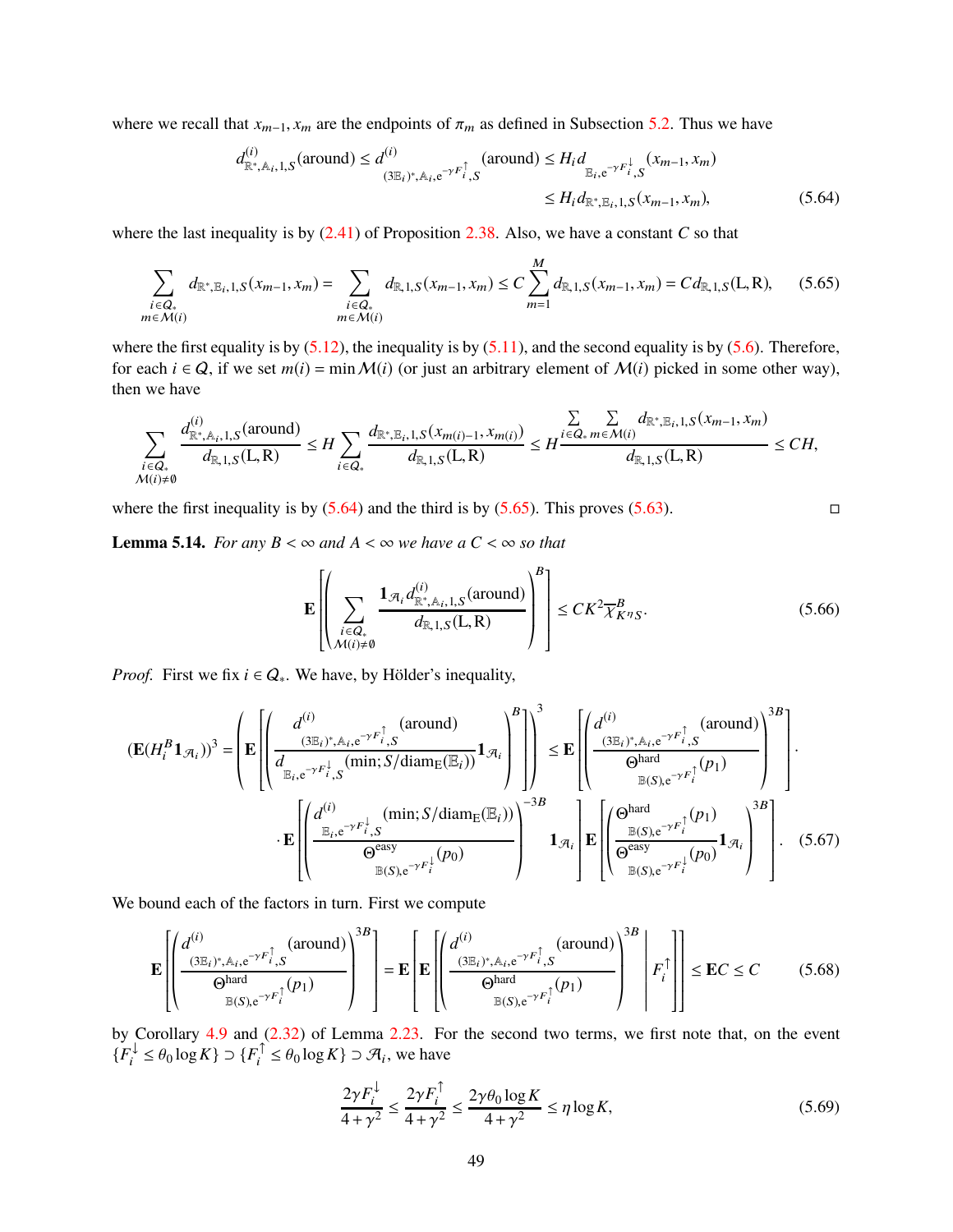where we recall that  $x_{m-1}$ ,  $x_m$  are the endpoints of  $\pi_m$  as defined in Subsection [5.2.](#page-36-1) Thus we have

<span id="page-48-0"></span>
$$
d_{\mathbb{R}^*,\mathbb{A}_i,1,S}^{(i)}(\text{around}) \le d^{(i)}_{(3\mathbb{E}_i)^*,\mathbb{A}_i,e^{-\gamma F_i^{\uparrow}},S}(\text{around}) \le H_i d_{\mathbb{E}_i,e^{-\gamma F_i^{\downarrow}},S}(x_{m-1},x_m)
$$
  
\$\le H\_i d\_{\mathbb{R}^\*,\mathbb{E}\_i,1,S}(x\_{m-1},x\_m)\$, \tag{5.64}

where the last inequality is by  $(2.41)$  of Proposition [2.38.](#page-18-0) Also, we have a constant *C* so that

<span id="page-48-1"></span>
$$
\sum_{\substack{i \in Q_+ \\ m \in \mathcal{M}(i)}} d_{\mathbb{R}^*, \mathbb{E}_i, 1, S}(x_{m-1}, x_m) = \sum_{\substack{i \in Q_+ \\ m \in \mathcal{M}(i)}} d_{\mathbb{R}, 1, S}(x_{m-1}, x_m) \le C \sum_{m=1}^M d_{\mathbb{R}, 1, S}(x_{m-1}, x_m) = C d_{\mathbb{R}, 1, S}(L, R), \quad (5.65)
$$

where the first equality is by  $(5.12)$ , the inequality is by  $(5.11)$ , and the second equality is by  $(5.6)$ . Therefore, for each  $i \in Q$ , if we set  $m(i) = \min M(i)$  (or just an arbitrary element of  $M(i)$  picked in some other way), then we have

$$
\sum_{\substack{i\in Q_*\\ \mathcal{M}(i)\neq\emptyset}}\frac{d^{(i)}_{\mathbb{R}^*,\mathbb{A}_i,1,S}(\text{around})}{d_{\mathbb{R},1,S}(\mathbb{L},\mathbb{R})}\leq H\sum_{i\in Q_*}\frac{d_{\mathbb{R}^*,\mathbb{E}_i,1,S}(x_{m(i)-1},x_{m(i)})}{d_{\mathbb{R},1,S}(\mathbb{L},\mathbb{R})}\leq H\frac{\sum\limits_{i\in Q_*}\sum\limits_{m\in \mathcal{M}(i)}d_{\mathbb{R}^*,\mathbb{E}_i,1,S}(x_{m-1},x_m)}{d_{\mathbb{R},1,S}(\mathbb{L},\mathbb{R})}\leq CH,
$$

where the first inequality is by  $(5.64)$  and the third is by  $(5.65)$ . This proves  $(5.63)$ .

<span id="page-48-6"></span>**Lemma 5.14.** *For any*  $B < \infty$  *and*  $A < \infty$  *we have a*  $C < \infty$  *so that* 

<span id="page-48-5"></span>
$$
\mathbf{E}\left[\left(\sum_{\substack{i\in Q_*\\ \mathcal{M}(i)\neq \emptyset}}\frac{\mathbf{1}_{\mathcal{A}_i}d_{\mathbb{R}^*,\mathbb{A}_i,1,S}^{(i)}(\text{around})}{d_{\mathbb{R},1,S}(L,R)}\right)^B\right] \leq CK^2\overline{\chi}_{K^{\eta}S}^B.
$$
(5.66)

*Proof.* First we fix  $i \in Q_*$ . We have, by Hölder's inequality,

$$
\left(\mathbf{E}(H_{i}^{B}\mathbf{1}_{\mathcal{A}_{i}})\right)^{3} = \left(\mathbf{E}\left[\left(\frac{d^{(i)}}{\sum_{\substack{(3\mathbb{E}_{i})^{*},\mathbb{A}_{i},e^{-\gamma F_{i}^{\dagger}},S}}\left(\min;S/\text{diam}_{E}(\mathbb{E}_{i})\right)}\mathbf{1}_{\mathcal{A}_{i}}\right)^{B}\right]\right)^{3} \leq \mathbf{E}\left[\left(\frac{d^{(i)}}{\sum_{\substack{(3\mathbb{E}_{i})^{*},\mathbb{A}_{i},e^{-\gamma F_{i}^{\dagger}},S}}\left(\min;S/\text{diam}_{E}(\mathbb{E}_{i})\right)}\mathbf{1}_{\mathcal{A}_{i}}\right)^{B}\right] \cdot \mathbf{E}\left[\left(\frac{d^{(i)}}{\sum_{\substack{(3\mathbb{E}_{i})^{*},\mathbb{A}_{i},e^{-\gamma F_{i}^{\dagger}}}^{A}}\left(\mathbf{P}_{i}\right)}\right)^{3B}\right] \cdot \mathbf{E}\left[\left(\frac{d^{(i)}}{\sum_{\substack{(3\mathbb{E}_{i})^{*},\mathbb{A}_{i} \in \mathcal{A}^{F_{i}^{\dagger}}}^{B}}\left(\mathbf{P}_{i}\right)}\right)^{3B}\right] \cdot \mathbf{E}\left[\left(\frac{d^{(i)}}{\sum_{\substack{(3\mathbb{E}_{i})\in \mathcal{A}^{F_{i}^{\dagger}}\left(\mathbf{P}_{i}\right)}^{B}}\right)^{3B}\mathbf{1}_{\mathcal{A}_{i}}\right]\mathbf{E}\left[\left(\frac{\mathbf{Q}^{hard}}{\mathbf{Q}^{easy}}\right)^{B(S)_{i}e^{-\gamma F_{i}^{\dagger}}} \cdot \mathbf{P}_{i}^{\dagger}\left(\mathbf{P}_{0}\right)}\mathbf{1}_{\mathcal{A}_{i}}\right)^{3B}\right].
$$
\n(5.67)

We bound each of the factors in turn. First we compute

<span id="page-48-4"></span>
$$
\mathbf{E}\left[\left(\frac{d^{(i)}}{(\mathbf{3}\mathbb{E}_{i})^{*},A_{i},e^{-\gamma F_{i}^{\uparrow}},S}(\text{around})}{\mathbf{G}^{\text{hard}}_{\mathbb{B}(S),e^{-\gamma F_{i}^{\uparrow}}}(p_{1})}\right)^{3B}\right] = \mathbf{E}\left[\mathbf{E}\left[\left(\frac{d^{(i)}}{(\mathbf{3}\mathbb{E}_{i})^{*},A_{i},e^{-\gamma F_{i}^{\uparrow}},S}(\text{around})}{\mathbf{G}^{\text{hard}}_{\mathbb{B}(S),e^{-\gamma F_{i}^{\uparrow}}}(p_{1})}\right)^{3B}\middle|\mathbf{F}_{i}^{\uparrow}\right]\right] \leq \mathbf{E}C \leq C \quad (5.68)
$$

by Corollary [4.9](#page-29-4) and [\(2.32\)](#page-13-3) of Lemma [2.23.](#page-13-1) For the second two terms, we first note that, on the event  ${F_i^{\downarrow} \leq \theta_0 \log K} \supset {F_i^{\perp} \leq \theta_0 \log K} \supset \mathcal{A}_i$ , we have

<span id="page-48-3"></span><span id="page-48-2"></span>
$$
\frac{2\gamma F_i^{\downarrow}}{4+\gamma^2} \le \frac{2\gamma F_i^{\uparrow}}{4+\gamma^2} \le \frac{2\gamma \theta_0 \log K}{4+\gamma^2} \le \eta \log K,\tag{5.69}
$$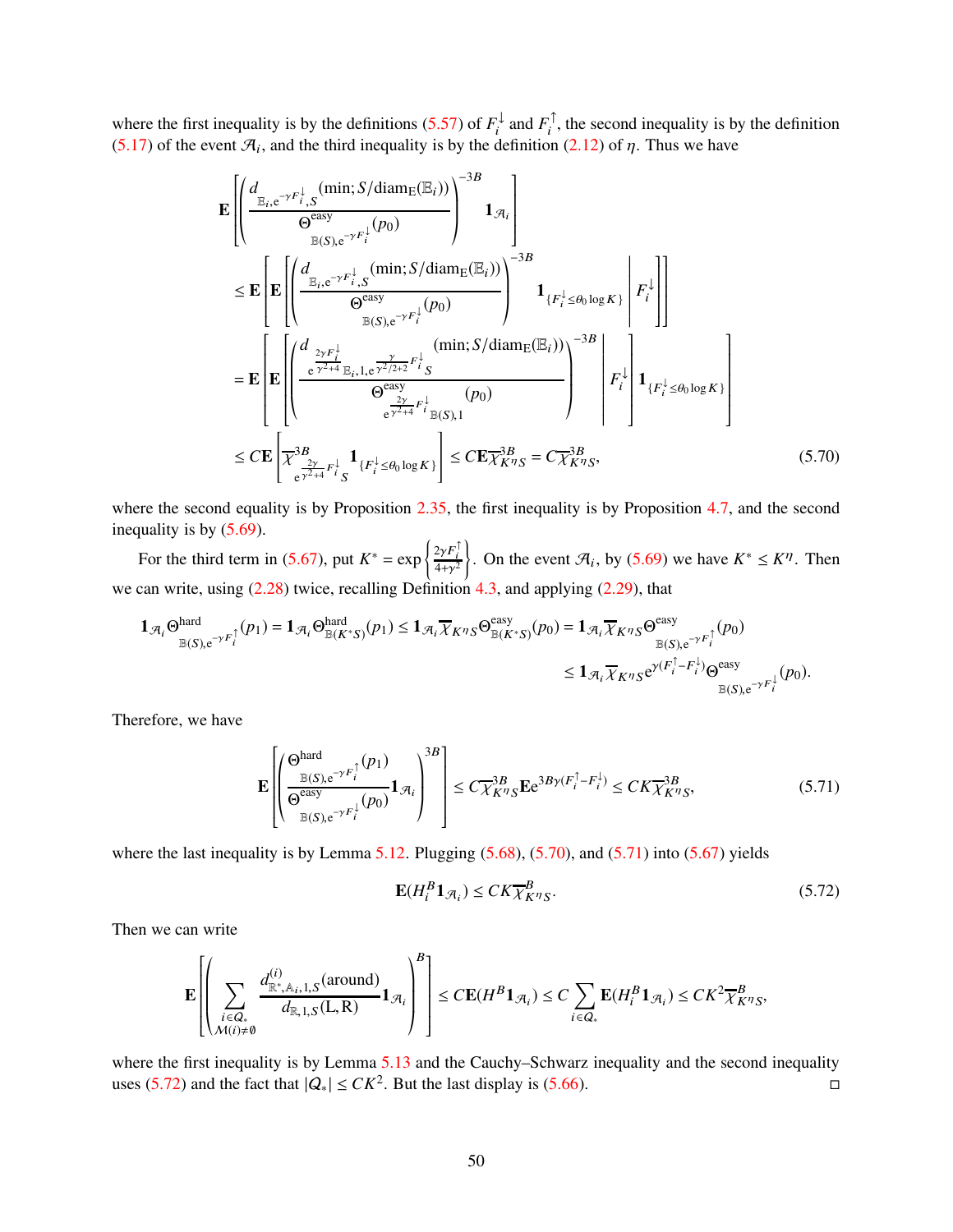where the first inequality is by the definitions [\(5.57\)](#page-46-5) of  $F_i^{\downarrow}$  and  $F_i^{\uparrow}$ , the second inequality is by the definition [\(5.17\)](#page-38-7) of the event  $\mathcal{A}_i$ , and the third inequality is by the definition [\(2.12\)](#page-9-5) of  $\eta$ . Thus we have

$$
\mathbf{E}\left[\left(\frac{d_{\mathbb{E}_{i},e^{-\gamma F_{i,S}^{\downarrow}}(\min; S/\text{diam}_{E}(\mathbb{E}_{i}))}}{\Theta_{\mathbb{E}(S),e^{-\gamma F_{i}^{\downarrow}}(\rho_{0})}}\right)^{-3B}\mathbf{1}_{\mathcal{A}_{i}}\right]
$$
\n
$$
\leq \mathbf{E}\left[\mathbf{E}\left[\left(\frac{d_{\mathbb{E}_{i},e^{-\gamma F_{i,S}^{\downarrow}}(\min; S/\text{diam}_{E}(\mathbb{E}_{i}))}}{\Theta_{\mathbb{E}(S),e^{-\gamma F_{i}^{\downarrow}}(\rho_{0})}}\right)^{-3B}\mathbf{1}_{\{F_{i}^{\downarrow}\leq \theta_{0}\log K\}}\right|F_{i}^{\downarrow}\right]
$$
\n
$$
=\mathbf{E}\left[\mathbf{E}\left[\left(\frac{d_{\frac{2\gamma F_{i}^{\downarrow}}{\Theta_{i}^{\prime}2+\mathbb{E}_{i,S}(\mathbb{E}_{i,S_{i}^{\prime}}\mathbb{E}_{i}^{2}/2+\mathbb{E}_{i,S}^{\prime}}(\min; S/\text{diam}_{E}(\mathbb{E}_{i})))}{\Theta_{\frac{2\gamma F_{i}^{\downarrow}}{\Theta_{i}^{\prime}2+\mathbb{E}_{i,S}(\mathbb{E}_{i,S_{i}^{\prime}})}}(\rho_{0})}\right)^{-3B}\right|F_{i}^{\downarrow}\left[\mathbf{1}_{\{F_{i}^{\downarrow}\leq \theta_{0}\log K\}}\right]
$$
\n
$$
\leq C\mathbf{E}\left[\overline{\chi}_{\frac{3B}{\Theta_{i}^{\prime}2+\mathbb{E}_{i,S}^{\downarrow}}\mathbf{1}_{\{F_{i}^{\downarrow}\leq \theta_{0}\log K\}}}\right]\leq C\mathbf{E}\overline{\chi}_{K\eta_{S}}^{3B} = C\overline{\chi}_{K\eta_{S}}^{3B}, \tag{5.70}
$$

where the second equality is by Proposition [2.35,](#page-17-0) the first inequality is by Proposition [4.7,](#page-28-7) and the second inequality is by [\(5.69\)](#page-48-2).

For the third term in [\(5.67\)](#page-48-3), put  $K^* = \exp\left\{\frac{2\gamma F_i^{\dagger}}{4+\gamma^2}\right\}$  $\overline{1}$ . On the event  $\mathcal{A}_i$ , by [\(5.69\)](#page-48-2) we have  $K^* \leq K^{\eta}$ . Then we can write, using [\(2.28\)](#page-12-0) twice, recalling Definition [4.3,](#page-26-3) and applying [\(2.29\)](#page-12-1), that

$$
\mathbf{1}_{\mathcal{A}_i} \Theta_{\mathbb{B}(S), e^{-\gamma F_i^{\uparrow}}}(p_1) = \mathbf{1}_{\mathcal{A}_i} \Theta_{\mathbb{B}(K^*S)}^{\text{hard}}(p_1) \leq \mathbf{1}_{\mathcal{A}_i} \overline{\chi}_{K^{\eta}S} \Theta_{\mathbb{B}(K^*S)}^{\text{easy}}(p_0) = \mathbf{1}_{\mathcal{A}_i} \overline{\chi}_{K^{\eta}S} \Theta_{\mathbb{B}(S), e^{-\gamma F_i^{\uparrow}}}(p_0)
$$
  

$$
\leq \mathbf{1}_{\mathcal{A}_i} \overline{\chi}_{K^{\eta}S} e^{\gamma (F_i^{\uparrow} - F_i^{\downarrow})} \Theta_{\mathbb{B}(S), e^{-\gamma F_i^{\downarrow}}}(p_0).
$$

Therefore, we have

<span id="page-49-1"></span>
$$
\mathbf{E}\left[\left(\frac{\Theta^{\text{hard}}}{\Theta^{\text{easy}}}\mathbf{1}_{\mathcal{F}_i}\left(p_1\right)\right)^{3B}\right] \leq C\overline{\chi}^{3B}_{K\eta_S}\mathbf{E}e^{3B\gamma(F_i^{\uparrow} - F_i^{\downarrow})} \leq CK\overline{\chi}^{3B}_{K\eta_S},\tag{5.71}
$$

where the last inequality is by Lemma  $5.12$ . Plugging  $(5.68)$ ,  $(5.70)$ , and  $(5.71)$  into  $(5.67)$  yields

<span id="page-49-2"></span><span id="page-49-0"></span>
$$
\mathbf{E}(H_i^B \mathbf{1}_{\mathcal{R}_i}) \le C K \overline{\chi}_{K^{\eta} S}^B. \tag{5.72}
$$

Then we can write

$$
\mathbf{E}\left[\left(\sum_{\substack{i\in Q_*\\M(i)\neq\emptyset}}\frac{d^{(i)}_{\mathbb{R}^*,\mathbb{A}_i,1,S}(\text{around})}{d_{\mathbb{R},1,S}(\mathbf{L},\mathbf{R})}\mathbf{1}_{\mathcal{A}_i}\right)^B\right] \leq C\mathbf{E}(H^B\mathbf{1}_{\mathcal{A}_i}) \leq C\sum_{i\in Q_*}\mathbf{E}(H^B_i\mathbf{1}_{\mathcal{A}_i}) \leq CK^2\overline{\chi}^B_{K^{\eta}S},
$$

where the first inequality is by Lemma [5.13](#page-47-4) and the Cauchy–Schwarz inequality and the second inequality uses [\(5.72\)](#page-49-2) and the fact that  $|Q_*|$  ≤  $CK^2$ . But the last display is [\(5.66\)](#page-48-5).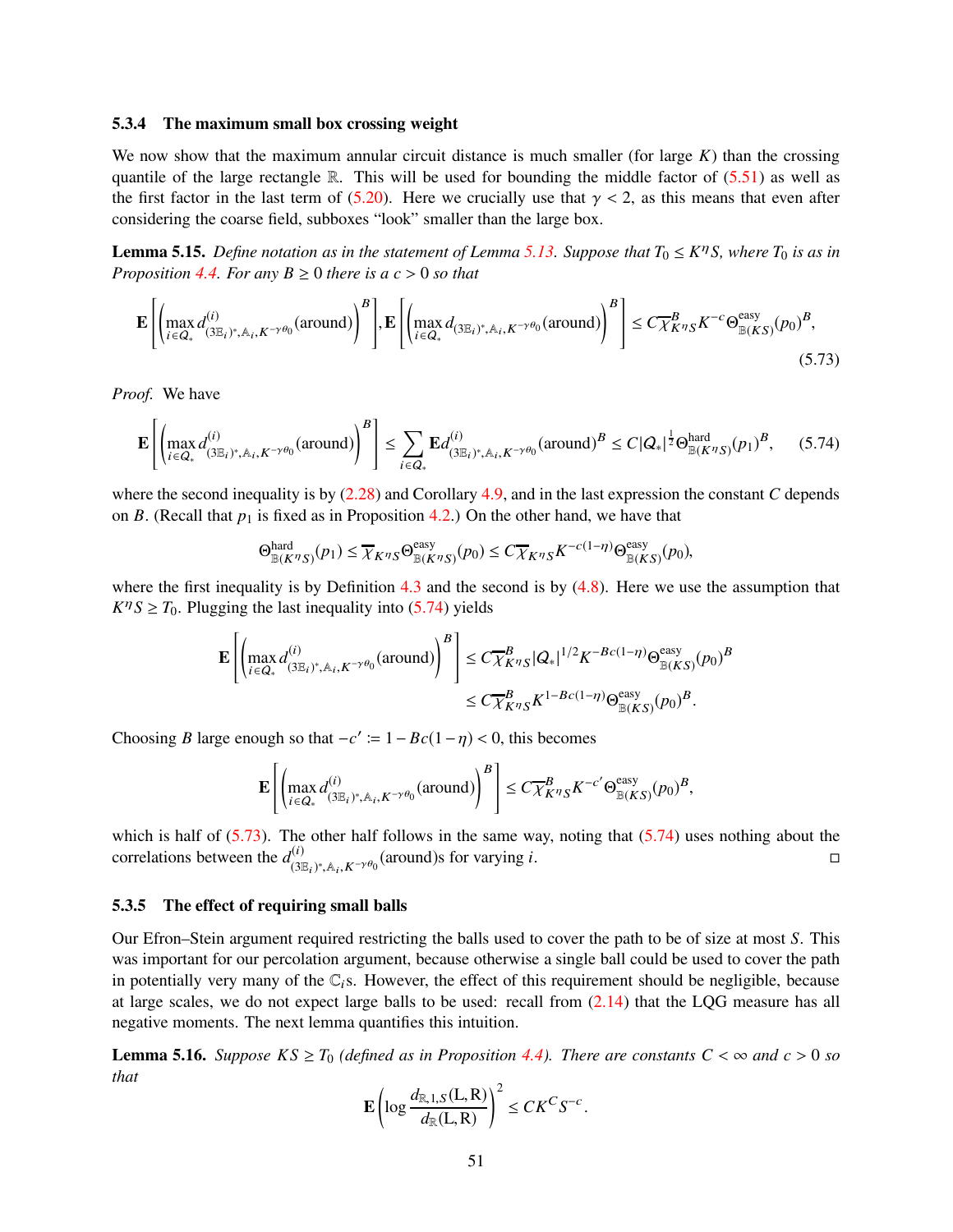#### <span id="page-50-0"></span>5.3.4 The maximum small box crossing weight

We now show that the maximum annular circuit distance is much smaller (for large *K*) than the crossing quantile of the large rectangle R. This will be used for bounding the middle factor of  $(5.51)$  as well as the first factor in the last term of [\(5.20\)](#page-38-3). Here we crucially use that  $\gamma < 2$ , as this means that even after considering the coarse field, subboxes "look" smaller than the large box.

<span id="page-50-4"></span>**Lemma 5.15.** *Define notation as in the statement of Lemma [5.13.](#page-47-4) Suppose that*  $T_0 \leq K^{\eta}S$ , where  $T_0$  *is as in Proposition* [4.4.](#page-27-0) *For any*  $B \ge 0$  *there is a c* > 0 *so that* 

$$
\mathbf{E}\left[\left(\max_{i\in Q_*} d_{(3\mathbb{E}_i)^*,\mathbb{A}_i,K^{-\gamma\theta_0}}^{(i)}(\text{around})\right)^B\right],\mathbf{E}\left[\left(\max_{i\in Q_*} d_{(3\mathbb{E}_i)^*,\mathbb{A}_i,K^{-\gamma\theta_0}}(\text{around})\right)^B\right] \le C\overline{\chi}_{K^{\eta}S}^B K^{-c} \Theta_{\mathbb{B}(KS)}^{\text{easy}}(p_0)^B,
$$
\n(5.73)

*Proof.* We have

<span id="page-50-1"></span>
$$
\mathbf{E}\left[\left(\max_{i\in\mathcal{Q}_*}d_{(3\mathbb{E}_i)^*,\mathbb{A}_i,K^{-\gamma\theta_0}}^{(i)}(\text{around})\right)^B\right] \le \sum_{i\in\mathcal{Q}_*}\mathbf{E}d_{(3\mathbb{E}_i)^*,\mathbb{A}_i,K^{-\gamma\theta_0}}^{(i)}(\text{around})^B \le C|\mathcal{Q}_*|^{\frac{1}{2}}\Theta_{\mathbb{B}(K^{\eta}S)}^{hard}(p_1)^B,\tag{5.74}
$$

where the second inequality is by [\(2.28\)](#page-12-0) and Corollary [4.9,](#page-29-4) and in the last expression the constant *C* depends on *B*. (Recall that  $p_1$  is fixed as in Proposition [4.2.](#page-26-0)) On the other hand, we have that

<span id="page-50-2"></span>
$$
\Theta^{\text{hard}}_{\mathbb{B}(K^{\eta}S)}(p_1) \leq \overline{\chi}_{K^{\eta}S} \Theta^{\text{easy}}_{\mathbb{B}(K^{\eta}S)}(p_0) \leq C \overline{\chi}_{K^{\eta}S} K^{-c(1-\eta)} \Theta^{\text{easy}}_{\mathbb{B}(KS)}(p_0),
$$

where the first inequality is by Definition  $4.3$  and the second is by  $(4.8)$ . Here we use the assumption that  $K^{\eta}S \geq T_0$ . Plugging the last inequality into [\(5.74\)](#page-50-1) yields

$$
\mathbf{E}\left[\left(\max_{i\in Q_*} d_{(3\mathbb{E}_i)^*,\mathbb{A}_i,K^{-\gamma\theta_0}}^{(i)}(\text{around})\right)^B\right] \le C\overline{\chi}_{K^{\eta}S}^B|Q_*|^{1/2}K^{-Bc(1-\eta)}\Theta_{\mathbb{B}(KS)}^{\text{easy}}(p_0)^B
$$
  

$$
\le C\overline{\chi}_{K^{\eta}S}^B K^{1-Bc(1-\eta)}\Theta_{\mathbb{B}(KS)}^{\text{easy}}(p_0)^B.
$$

Choosing *B* large enough so that  $-c' := 1 - Bc(1 - \eta) < 0$ , this becomes

$$
\mathbf{E}\left[\left(\max_{i\in Q_*}d_{(3\mathbb{E}_i)^*,\mathbb{A}_i,K^{-\gamma\theta_0}}^{(i)}(\text{around})\right)^B\right] \leq C\overline{\chi}_{K^{\eta}S}^B K^{-c'} \Theta_{\mathbb{B}(KS)}^{\text{easy}}(p_0)^B,
$$

which is half of  $(5.73)$ . The other half follows in the same way, noting that  $(5.74)$  uses nothing about the correlations between the  $d_{\text{cm}}^{(i)}$ (*i*)  $\Box$ (3E<sub>*i*</sub>)<sup>\*</sup>, A<sub>*i*</sub>, K<sup>-γθ</sup>0</sub> (around)s for varying *i*.  $□$ 

#### 5.3.5 The effect of requiring small balls

Our Efron–Stein argument required restricting the balls used to cover the path to be of size at most *S*. This was important for our percolation argument, because otherwise a single ball could be used to cover the path in potentially very many of the  $\mathbb{C}_i$ s. However, the effect of this requirement should be negligible, because at large scales, we do not expect large balls to be used: recall from  $(2.14)$  that the LQG measure has all negative moments. The next lemma quantifies this intuition.

<span id="page-50-3"></span>**Lemma 5.16.** *Suppose KS*  $\geq T_0$  *(defined as in Proposition [4.4\)](#page-27-0). There are constants C* <  $\infty$  *and c* > 0 *so that*

$$
\mathbf{E}\left(\log\frac{d_{\mathbb{R},1,S}(L,R)}{d_{\mathbb{R}}(L,R)}\right)^2 \leq CK^C S^{-c}.
$$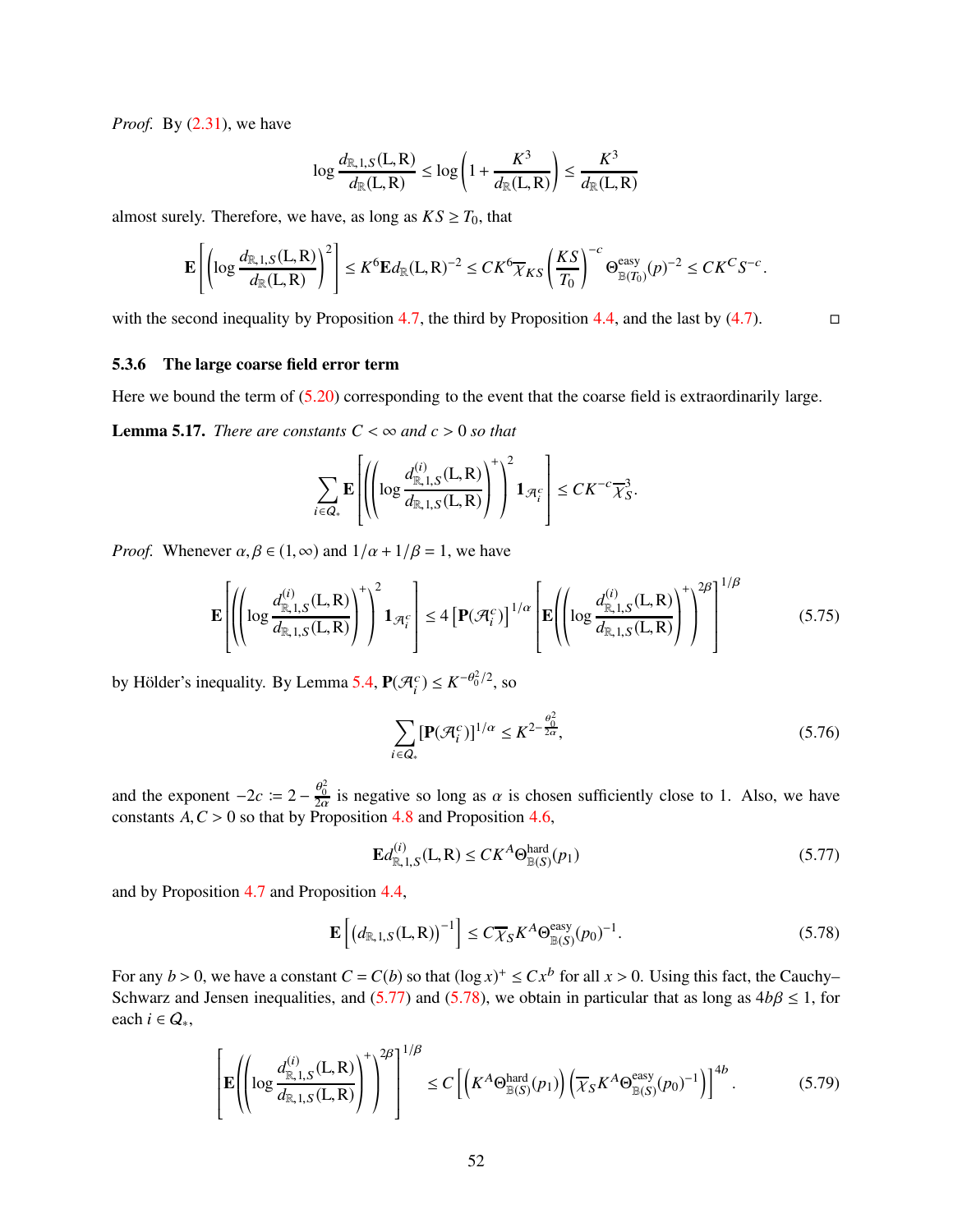*Proof.* By [\(2.31\)](#page-13-2), we have

$$
\log \frac{d_{\mathbb{R},1,S}(L,R)}{d_{\mathbb{R}}(L,R)} \le \log \left(1 + \frac{K^3}{d_{\mathbb{R}}(L,R)}\right) \le \frac{K^3}{d_{\mathbb{R}}(L,R)}
$$

almost surely. Therefore, we have, as long as  $KS \geq T_0$ , that

$$
\mathbf{E}\left[\left(\log\frac{d_{\mathbb{R},1,S}(L,R)}{d_{\mathbb{R}}(L,R)}\right)^2\right] \leq K^6 \mathbf{E}d_{\mathbb{R}}(L,R)^{-2} \leq CK^6 \overline{\chi}_{KS}\left(\frac{KS}{T_0}\right)^{-c} \Theta_{\mathbb{B}(T_0)}^{\text{easy}}(p)^{-2} \leq CK^C S^{-c}.
$$

with the second inequality by Proposition [4.7,](#page-28-7) the third by Proposition [4.4,](#page-27-0) and the last by  $(4.7)$ .

#### <span id="page-51-0"></span>5.3.6 The large coarse field error term

Here we bound the term of  $(5.20)$  corresponding to the event that the coarse field is extraordinarily large.

<span id="page-51-6"></span>**Lemma 5.17.** *There are constants*  $C < \infty$  *and*  $c > 0$  *so that* 

$$
\sum_{i \in Q_*} \mathbf{E} \left[ \left( \left( \log \frac{d_{\mathbb{R},1,S}^{(i)}(L,R)}{d_{\mathbb{R},1,S}(L,R)} \right)^+ \right)^2 \mathbf{1}_{\mathcal{A}_i^c} \right] \leq C K^{-c} \overline{\chi}_S^3.
$$

*Proof.* Whenever  $\alpha, \beta \in (1, \infty)$  and  $1/\alpha + 1/\beta = 1$ , we have

<span id="page-51-3"></span>
$$
\mathbf{E}\left[\left(\left(\log\frac{d_{\mathbb{R},1,S}^{(i)}(L,R)}{d_{\mathbb{R},1,S}(L,R)}\right)^{+}\right)^{2}\mathbf{1}_{\mathcal{A}_{i}^{c}}\right] \leq 4\left[\mathbf{P}(\mathcal{A}_{i}^{c})\right]^{1/\alpha}\left[\mathbf{E}\left(\left(\log\frac{d_{\mathbb{R},1,S}^{(i)}(L,R)}{d_{\mathbb{R},1,S}(L,R)}\right)^{+}\right)^{2\beta}\right]^{1/\beta} \tag{5.75}
$$

by Hölder's inequality. By Lemma [5.4,](#page-38-8)  $P(\mathcal{A}_{i}^{c}) \leq K^{-\theta_0^2/2}$ , so

<span id="page-51-4"></span>
$$
\sum_{i \in Q_*} [\mathbf{P}(\mathcal{A}_i^c)]^{1/\alpha} \le K^{2 - \frac{\theta_0^2}{2\alpha}},\tag{5.76}
$$

and the exponent  $-2c := 2 - \frac{\theta_0^2}{2\alpha}$  is negative so long as  $\alpha$  is chosen sufficiently close to 1. Also, we have constants  $A, C > 0$  so that by Proposition [4.8](#page-29-1) and Proposition [4.6,](#page-28-3)

<span id="page-51-5"></span><span id="page-51-1"></span>
$$
\mathbf{E}d_{\mathbb{R},1,S}^{(i)}(\mathbf{L},\mathbf{R}) \le CK^A \Theta_{\mathbb{B}(S)}^{\text{hard}}(p_1)
$$
\n(5.77)

and by Proposition [4.7](#page-28-7) and Proposition [4.4,](#page-27-0)

<span id="page-51-2"></span>
$$
\mathbf{E}\left[\left(d_{\mathbb{R},1,S}(L,R)\right)^{-1}\right] \le C\overline{\chi}_{S}K^{A}\Theta_{\mathbb{B}(S)}^{\text{easy}}(p_{0})^{-1}.
$$
\n(5.78)

For any  $b > 0$ , we have a constant  $C = C(b)$  so that  $(\log x)^{+} \le Cx^{b}$  for all  $x > 0$ . Using this fact, the Cauchy– Schwarz and Jensen inequalities, and [\(5.77\)](#page-51-1) and [\(5.78\)](#page-51-2), we obtain in particular that as long as  $4b\beta \le 1$ , for each  $i \in Q_*$ ,

$$
\left[\mathbf{E}\left(\left(\log\frac{d_{\mathbb{R},1,S}^{(i)}(L,R)}{d_{\mathbb{R},1,S}(L,R)}\right)^{+\epsilon}\right)^{2\beta}\right]^{1/\beta}\leq C\left[\left(K^{A}\Theta_{\mathbb{B}(S)}^{\text{hard}}(p_{1})\right)\left(\overline{\chi}_{S}K^{A}\Theta_{\mathbb{B}(S)}^{\text{easy}}(p_{0})^{-1}\right)\right]^{4b}.\tag{5.79}
$$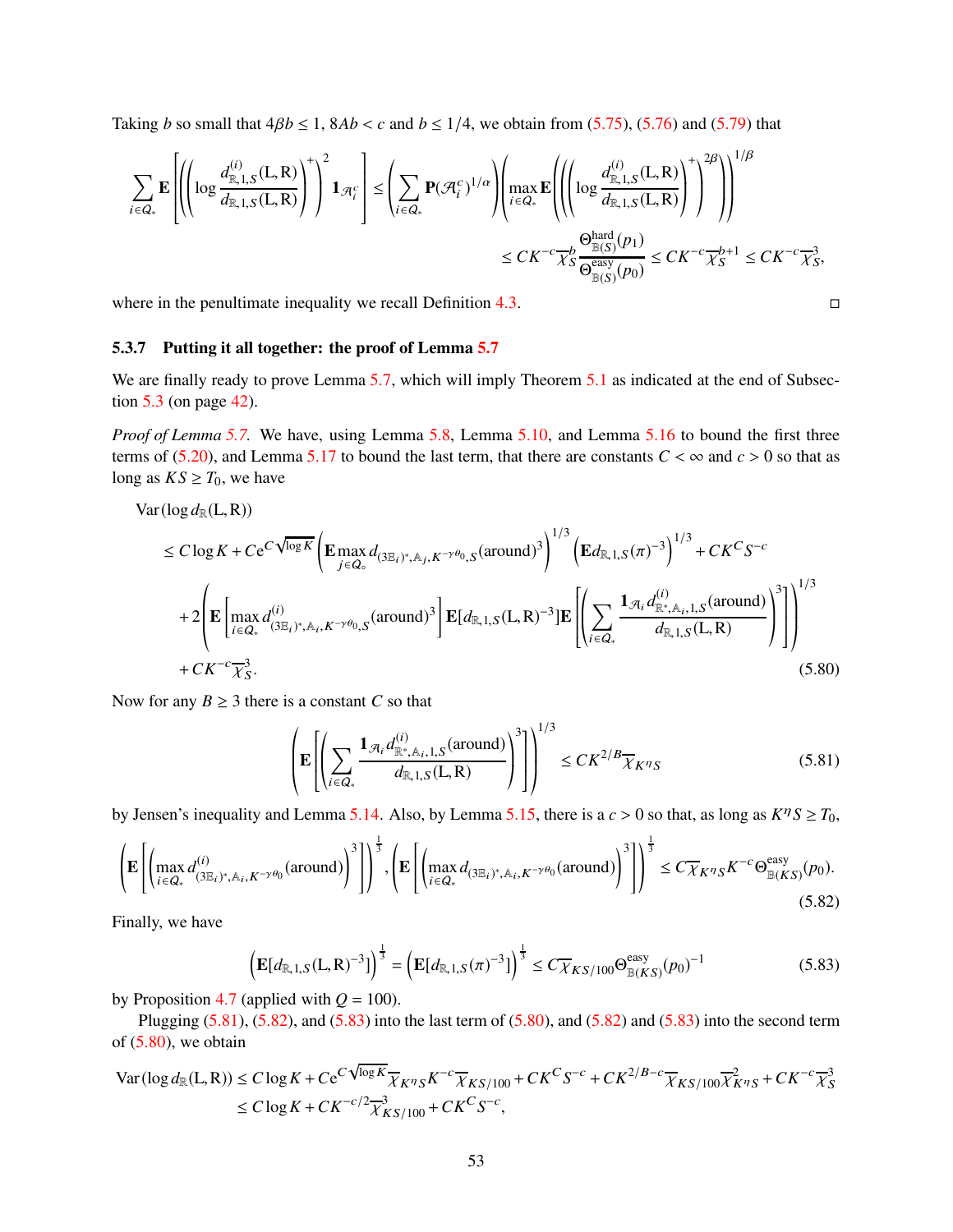Taking *b* so small that  $4\beta b \le 1$ ,  $8Ab < c$  and  $b \le 1/4$ , we obtain from [\(5.75\)](#page-51-3), [\(5.76\)](#page-51-4) and [\(5.79\)](#page-51-5) that

$$
\sum_{i \in Q_*} \mathbf{E} \left[ \left( \left( \log \frac{d_{\mathbb{R},1,S}^{(i)}(\mathbf{L},\mathbf{R})}{d_{\mathbb{R},1,S}(\mathbf{L},\mathbf{R})} \right)^+ \right)^2 \mathbf{1}_{\mathcal{A}_i^c} \right] \leq \left( \sum_{i \in Q_*} \mathbf{P}(\mathcal{A}_i^c)^{1/\alpha} \right) \left( \max_{i \in Q_*} \mathbf{E} \left( \left( \left( \log \frac{d_{\mathbb{R},1,S}^{(i)}(\mathbf{L},\mathbf{R})}{d_{\mathbb{R},1,S}(\mathbf{L},\mathbf{R})} \right)^+ \right)^{2\beta} \right) \right)^{1/\beta} \leq CK^{-c} \frac{1}{K} \frac{\Theta_{\mathbb{R}(S)}^{hard}(p_1)}{\Theta_{\mathbb{R}(S)}^{easy}(p_0)} \leq CK^{-c} \frac{1}{K} \frac{1}{S} + 1 \leq CK^{-c} \frac{1}{K} \frac{1}{S},
$$

where in the penultimate inequality we recall Definition [4.3.](#page-26-3)  $\Box$ 

#### <span id="page-52-0"></span>5.3.7 Putting it all together: the proof of Lemma [5.7](#page-41-0)

We are finally ready to prove Lemma [5.7,](#page-41-0) which will imply Theorem [5.1](#page-34-0) as indicated at the end of Subsection [5.3](#page-38-0) (on page [42\)](#page-41-11).

*Proof of Lemma [5.7.](#page-41-0)* We have, using Lemma [5.8,](#page-42-4) Lemma [5.10,](#page-44-0) and Lemma [5.16](#page-50-3) to bound the first three terms of [\(5.20\)](#page-38-3), and Lemma [5.17](#page-51-6) to bound the last term, that there are constants  $C < \infty$  and  $c > 0$  so that as long as  $KS \geq T_0$ , we have

$$
\operatorname{Var}(\log d_{\mathbb{R}}(L, R))
$$
\n
$$
\leq C \log K + C e^{C \sqrt{\log K}} \left( \mathbf{E} \max_{j \in Q_{\circ}} d_{(3\mathbb{E}_{i})^{*}, \mathbb{A}_{j}, K^{-\gamma \theta_{0}}, S}(\text{around})^{3} \right)^{1/3} \left( \mathbf{E} d_{\mathbb{R}, 1, S}(\pi)^{-3} \right)^{1/3} + C K^{C S^{-c}}
$$
\n
$$
+ 2 \left( \mathbf{E} \left[ \max_{i \in Q_{*}} d_{(3\mathbb{E}_{i})^{*}, \mathbb{A}_{i}, K^{-\gamma \theta_{0}}, S}(\text{around})^{3} \right] \mathbf{E} [d_{\mathbb{R}, 1, S}(L, R)^{-3}] \mathbf{E} \left[ \left( \sum_{i \in Q_{*}} \frac{\mathbf{1}_{\mathcal{A}_{i}} d_{\mathbb{R}^{*}, \mathbb{A}_{i}, 1, S}(\text{around})}{d_{\mathbb{R}, 1, S}(L, R)} \right)^{3} \right] \right)^{1/3}
$$
\n
$$
+ C K^{-c} \overline{\chi}_{S}^{3}.
$$
\n(5.80)

Now for any  $B \ge 3$  there is a constant *C* so that

<span id="page-52-1"></span>
$$
\left(\mathbf{E}\left[\left(\sum_{i\in Q_*} \frac{\mathbf{1}_{\mathcal{R}_i} d_{\mathbb{R}^*,\mathbb{A}_i,1,S}^{(i)}(\text{around})}{d_{\mathbb{R},1,S}(L,R)}\right)^3\right]\right)^{1/3} \leq CK^{2/B} \overline{\chi}_{K^{\eta}S}
$$
(5.81)

by Jensen's inequality and Lemma [5.14.](#page-48-6) Also, by Lemma [5.15,](#page-50-4) there is a  $c > 0$  so that, as long as  $K^{\eta}S \ge T_0$ ,

<span id="page-52-2"></span>
$$
\left(\mathbf{E}\left[\left(\max_{i\in Q_*}d_{(3\mathbb{E}_i)^*,\mathbb{A}_i,K^{-\gamma\theta_0}}^{(i)}(\text{around})\right)^3\right]\right)^{\frac{1}{3}},\left(\mathbf{E}\left[\left(\max_{i\in Q_*}d_{(3\mathbb{E}_i)^*,\mathbb{A}_i,K^{-\gamma\theta_0}}(\text{around})\right)^3\right]\right)^{\frac{1}{3}}\leq C\overline{\chi}_{K^{\eta}S}K^{-c}\Theta_{\mathbb{B}(KS)}^{\text{easy}}(p_0). \tag{5.82}
$$

Finally, we have

<span id="page-52-3"></span>
$$
\left(\mathbf{E}[d_{\mathbb{R},1,S}(L,R)^{-3}]\right)^{\frac{1}{3}} = \left(\mathbf{E}[d_{\mathbb{R},1,S}(\pi)^{-3}]\right)^{\frac{1}{3}} \le C\overline{\chi}_{KS/100}\Theta_{\mathbb{B}(KS)}^{\text{easy}}(p_0)^{-1}
$$
(5.83)

by Proposition [4.7](#page-28-7) (applied with  $Q = 100$ ).

Plugging  $(5.81)$ ,  $(5.82)$ , and  $(5.83)$  into the last term of  $(5.80)$ , and  $(5.82)$  and  $(5.83)$  into the second term of  $(5.80)$ , we obtain

$$
\operatorname{Var}(\log d_{\mathbb{R}}(L, R)) \le C \log K + C e^{C\sqrt{\log K}} \overline{\chi}_{K^{\eta} S} K^{-c} \overline{\chi}_{K S/100} + C K^{C} S^{-c} + C K^{2/B - c} \overline{\chi}_{K S/100} \overline{\chi}_{K^{\eta} S}^2 + C K^{-c} \overline{\chi}_{S}^3
$$
  
 
$$
\le C \log K + C K^{-c/2} \overline{\chi}_{K S/100}^3 + C K^{C} S^{-c},
$$

<span id="page-52-4"></span>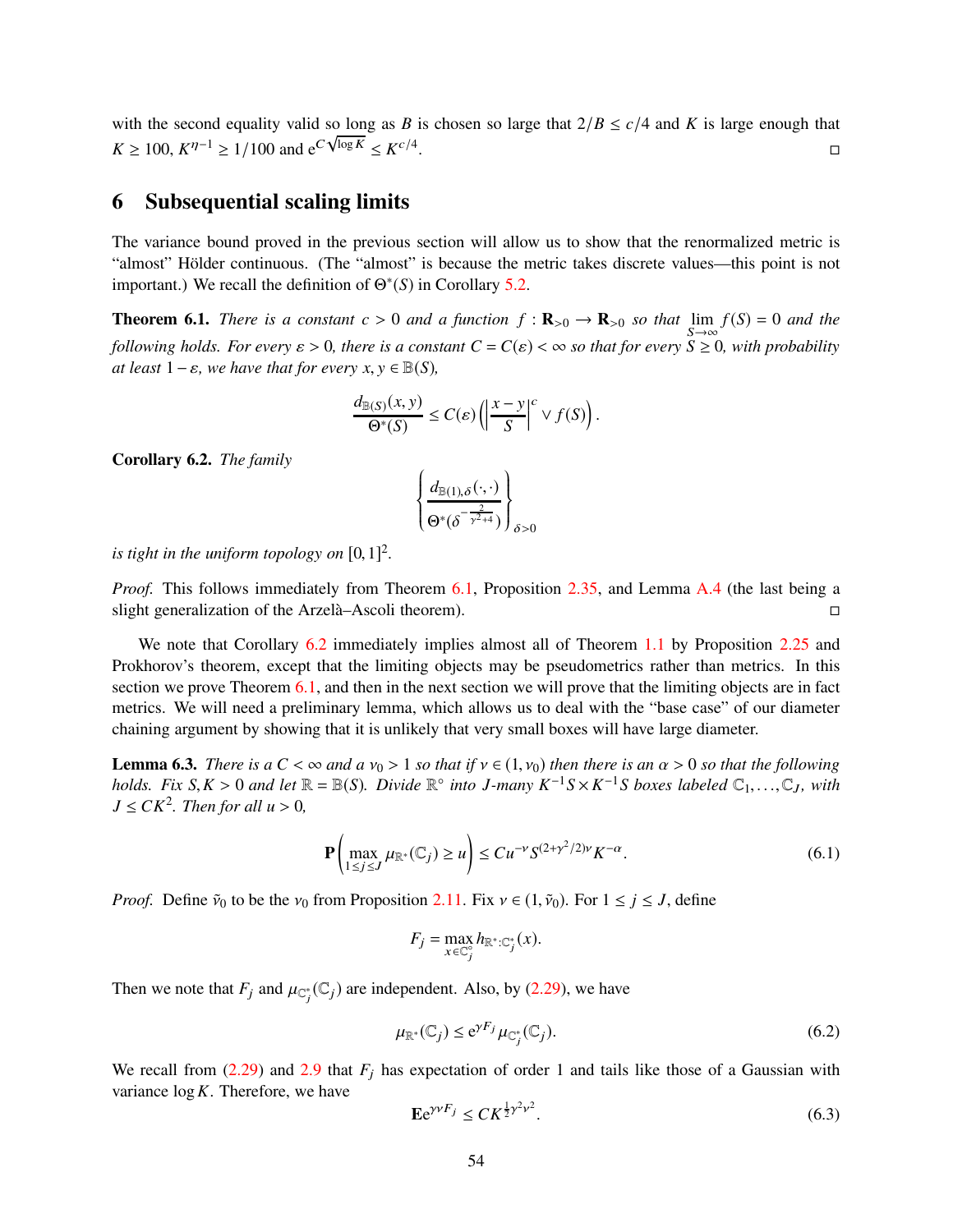with the second equality valid so long as *B* is chosen so large that  $2/B \le c/4$  and *K* is large enough that *K* ≥ 100,  $K^{\eta-1}$  ≥ 1/100 and  $e^{C\sqrt{\log K}}$  ≤  $K^{c/4}$ .<br>1980 - Johann Stein, Amerikaansk politiker († 1905)<br>1980 - Johann Stein, Amerikaansk politiker († 1906)

## <span id="page-53-0"></span>6 Subsequential scaling limits

The variance bound proved in the previous section will allow us to show that the renormalized metric is "almost" Hölder continuous. (The "almost" is because the metric takes discrete values—this point is not important.) We recall the definition of  $\Theta^*(S)$  in Corollary [5.2.](#page-34-4)

<span id="page-53-2"></span>**Theorem 6.1.** *There is a constant c* > 0 *and a function*  $f : \mathbf{R}_{>0} \to \mathbf{R}_{>0}$  *so that*  $\lim_{S \to \infty} f(S) = 0$  *and the following holds. For every*  $\varepsilon > 0$ *, there is a constant*  $C = C(\varepsilon) < \infty$  *so that for every*  $S \ge 0$ *, with probability at least*  $1 - \varepsilon$ *, we have that for every x, y*  $\in \mathbb{B}(S)$ *,* 

$$
\frac{d_{\mathbb{B}(S)}(x,y)}{\Theta^*(S)} \leq C(\varepsilon) \left( \left| \frac{x-y}{S} \right|^c \vee f(S) \right).
$$

<span id="page-53-1"></span>Corollary 6.2. *The family*

$$
\left\{\frac{d_{\mathbb{B}(1),\delta}(\cdot,\cdot)}{\Theta^*(\delta^{-\frac{2}{\gamma^2+4}})}\right\}_{\delta>0}
$$

*is tight in the uniform topology on*  $[0, 1]^2$ *.* 

*Proof.* This follows immediately from Theorem [6.1,](#page-53-2) Proposition [2.35,](#page-17-0) and Lemma [A.4](#page-61-0) (the last being a slight generalization of the Arzelà–Ascoli theorem).

We note that Corollary [6.2](#page-53-1) immediately implies almost all of Theorem [1.1](#page-0-0) by Proposition [2.25](#page-13-0) and Prokhorov's theorem, except that the limiting objects may be pseudometrics rather than metrics. In this section we prove Theorem [6.1,](#page-53-2) and then in the next section we will prove that the limiting objects are in fact metrics. We will need a preliminary lemma, which allows us to deal with the "base case" of our diameter chaining argument by showing that it is unlikely that very small boxes will have large diameter.

<span id="page-53-6"></span>**Lemma 6.3.** *There is a*  $C < \infty$  *and a*  $v_0 > 1$  *so that if*  $v \in (1, v_0)$  *then there is an*  $\alpha > 0$  *so that the following holds.* Fix  $S, K > 0$  and let  $\mathbb{R} = \mathbb{B}(S)$ . Divide  $\mathbb{R}^{\circ}$  into J-many  $K^{-1}S \times K^{-1}S$  boxes labeled  $\mathbb{C}_1, \ldots, \mathbb{C}_J$ , with  $J \leq CK^2$ . Then for all  $u > 0$ ,

<span id="page-53-5"></span>
$$
\mathbf{P}\left(\max_{1 \le j \le J} \mu_{\mathbb{R}^*}(\mathbb{C}_j) \ge u\right) \le C u^{-\nu} S^{(2+\gamma^2/2)\nu} K^{-\alpha}.\tag{6.1}
$$

*Proof.* Define  $\tilde{v}_0$  to be the  $v_0$  from Proposition [2.11.](#page-9-6) Fix  $v \in (1, \tilde{v}_0)$ . For  $1 \le j \le J$ , define

$$
F_j = \max_{x \in \mathbb{C}_j^{\circ}} h_{\mathbb{R}^* : \mathbb{C}_j^*}(x).
$$

Then we note that  $F_j$  and  $\mu_{\mathbb{C}_j^*}(\mathbb{C}_j)$  are independent. Also, by [\(2.29\)](#page-12-1), we have

<span id="page-53-3"></span>
$$
\mu_{\mathbb{R}^*}(\mathbb{C}_j) \le e^{\gamma F_j} \mu_{\mathbb{C}_j^*}(\mathbb{C}_j). \tag{6.2}
$$

We recall from  $(2.29)$  and  $2.9$  that  $F_j$  has expectation of order 1 and tails like those of a Gaussian with variance log*K*. Therefore, we have

<span id="page-53-4"></span>
$$
\mathbf{E}e^{\gamma\nu F_j} \le C K^{\frac{1}{2}\gamma^2 \nu^2}.
$$
\n
$$
(6.3)
$$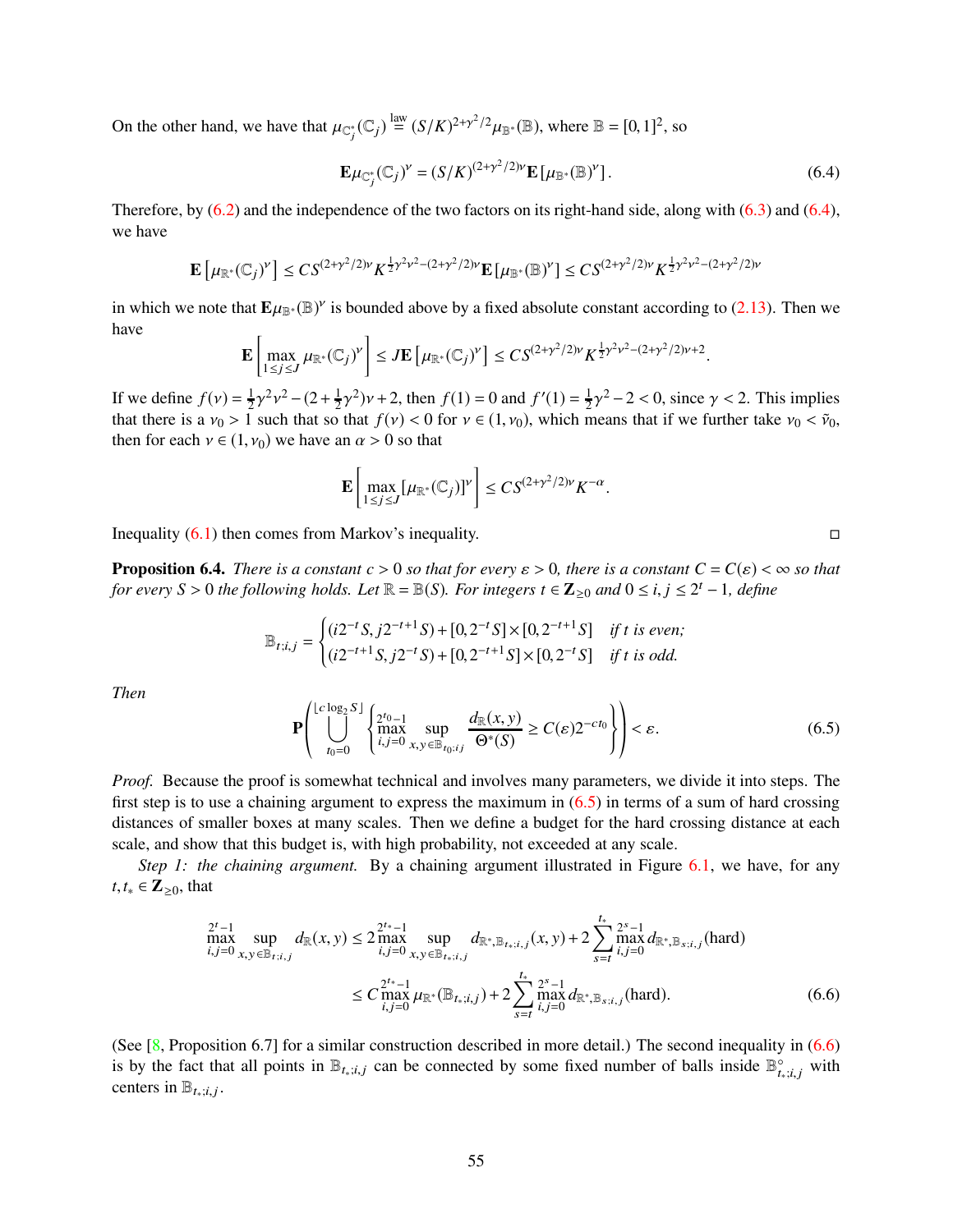On the other hand, we have that  $\mu_{\mathbb{C}_j^*}(\mathbb{C}_j) \stackrel{\text{law}}{=} (S/K)^{2+\gamma^2/2} \mu_{\mathbb{B}^*}(\mathbb{B})$ , where  $\mathbb{B} = [0,1]^2$ , so

<span id="page-54-1"></span>
$$
\mathbf{E}\mu_{\mathbb{C}_j^*}(\mathbb{C}_j)^{\nu} = (S/K)^{(2+\gamma^2/2)\nu} \mathbf{E}\left[\mu_{\mathbb{B}^*}(\mathbb{B})^{\nu}\right].\tag{6.4}
$$

Therefore, by  $(6.2)$  and the independence of the two factors on its right-hand side, along with  $(6.3)$  and  $(6.4)$ , we have

$$
\mathbf{E}\left[\mu_{\mathbb{R}^*}(\mathbb{C}_j)^{\gamma}\right] \leq C S^{(2+\gamma^2/2)\gamma} K^{\frac{1}{2}\gamma^2\nu^2 - (2+\gamma^2/2)\gamma} \mathbf{E}\left[\mu_{\mathbb{B}^*}(\mathbb{B})^{\gamma}\right] \leq C S^{(2+\gamma^2/2)\gamma} K^{\frac{1}{2}\gamma^2\nu^2 - (2+\gamma^2/2)\gamma}
$$

in which we note that  $E\mu_{\mathbb{B}^*}(\mathbb{B})^{\nu}$  is bounded above by a fixed absolute constant according to [\(2.13\)](#page-9-7). Then we have

$$
\mathbf{E}\left[\max_{1\leq j\leq J}\mu_{\mathbb{R}^*}(\mathbb{C}_j)^{\gamma}\right]\leq J\mathbf{E}\left[\mu_{\mathbb{R}^*}(\mathbb{C}_j)^{\gamma}\right]\leq CS^{(2+\gamma^2/2)\gamma}K^{\frac{1}{2}\gamma^2\nu^2-(2+\gamma^2/2)\nu+2}.
$$

If we define  $f(v) = \frac{1}{2}$  $\frac{1}{2}\gamma^2\nu^2 - (2 + \frac{1}{2})$  $(\frac{1}{2}\gamma^2)\nu + 2$ , then  $f(1) = 0$  and  $f'(1) = \frac{1}{2}$  $\frac{1}{2}\gamma^2 - 2 < 0$ , since  $\gamma < 2$ . This implies that there is a  $v_0 > 1$  such that so that  $f(v) < 0$  for  $v \in (1, v_0)$ , which means that if we further take  $v_0 < \tilde{v}_0$ , then for each  $v \in (1, v_0)$  we have an  $\alpha > 0$  so that

$$
\mathbf{E}\left[\max_{1\leq j\leq J}[\mu_{\mathbb{R}^*}(\mathbb{C}_j)]^{\nu}\right]\leq C S^{(2+\gamma^2/2)\nu}K^{-\alpha}.
$$

Inequality  $(6.1)$  then comes from Markov's inequality.

<span id="page-54-0"></span>**Proposition 6.4.** *There is a constant c* > 0 *so that for every*  $\varepsilon$  > 0, *there is a constant*  $C = C(\varepsilon) < \infty$  *so that for every*  $S > 0$  *the following holds. Let*  $\mathbb{R} = \mathbb{B}(S)$ *. For integers*  $t \in \mathbb{Z}_{\geq 0}$  *and*  $0 \leq i, j \leq 2^t - 1$ *, define* 

$$
\mathbb{B}_{t;i,j} = \begin{cases} (i2^{-t}S, j2^{-t+1}S) + [0, 2^{-t}S] \times [0, 2^{-t+1}S] & \text{if } t \text{ is even;}\\ (i2^{-t+1}S, j2^{-t}S) + [0, 2^{-t+1}S] \times [0, 2^{-t}S] & \text{if } t \text{ is odd.} \end{cases}
$$

*Then*

<span id="page-54-2"></span>
$$
\mathbf{P}\left(\bigcup_{t_0=0}^{\lfloor c\log_2 S \rfloor} \left\{\max_{i,j=0}^{2^{t_0}-1} \sup_{x,y \in \mathbb{B}_{t_0;ij}} \frac{d_{\mathbb{R}}(x,y)}{\Theta^*(S)} \ge C(\varepsilon) 2^{-ct_0} \right\}\right) < \varepsilon.
$$
 (6.5)

*Proof.* Because the proof is somewhat technical and involves many parameters, we divide it into steps. The first step is to use a chaining argument to express the maximum in  $(6.5)$  in terms of a sum of hard crossing distances of smaller boxes at many scales. Then we define a budget for the hard crossing distance at each scale, and show that this budget is, with high probability, not exceeded at any scale.

*Step 1: the chaining argument.* By a chaining argument illustrated in Figure [6.1,](#page-55-0) we have, for any *t*,*t*<sup>∗</sup> ∈ **Z**≥0, that

$$
\max_{i,j=0}^{2^t-1} \sup_{x,y \in \mathbb{B}_{t;i,j}} d_{\mathbb{R}}(x,y) \le 2 \max_{i,j=0}^{2^{t*}-1} \sup_{x,y \in \mathbb{B}_{t_i;i,j}} d_{\mathbb{R}^*, \mathbb{B}_{t_i;i,j}}(x,y) + 2 \sum_{s=t}^{t_*} \max_{i,j=0}^{2^s-1} d_{\mathbb{R}^*, \mathbb{B}_{s;i,j}}(\text{hard})
$$
\n
$$
\le C \max_{i,j=0}^{2^{t*}-1} \mu_{\mathbb{R}^*}(\mathbb{B}_{t_i;i,j}) + 2 \sum_{s=t}^{t_*} \max_{i,j=0}^{2^s-1} d_{\mathbb{R}^*, \mathbb{B}_{s;i,j}}(\text{hard}). \tag{6.6}
$$

(See  $[8,$  Proposition 6.7] for a similar construction described in more detail.) The second inequality in [\(6.6\)](#page-54-3) is by the fact that all points in  $\mathbb{B}_{t_*;i,j}$  can be connected by some fixed number of balls inside  $\mathbb{B}_{t_*;i,j}^{\circ}$  with centers in  $\mathbb{B}_{t_*; i,j}$ .

<span id="page-54-3"></span>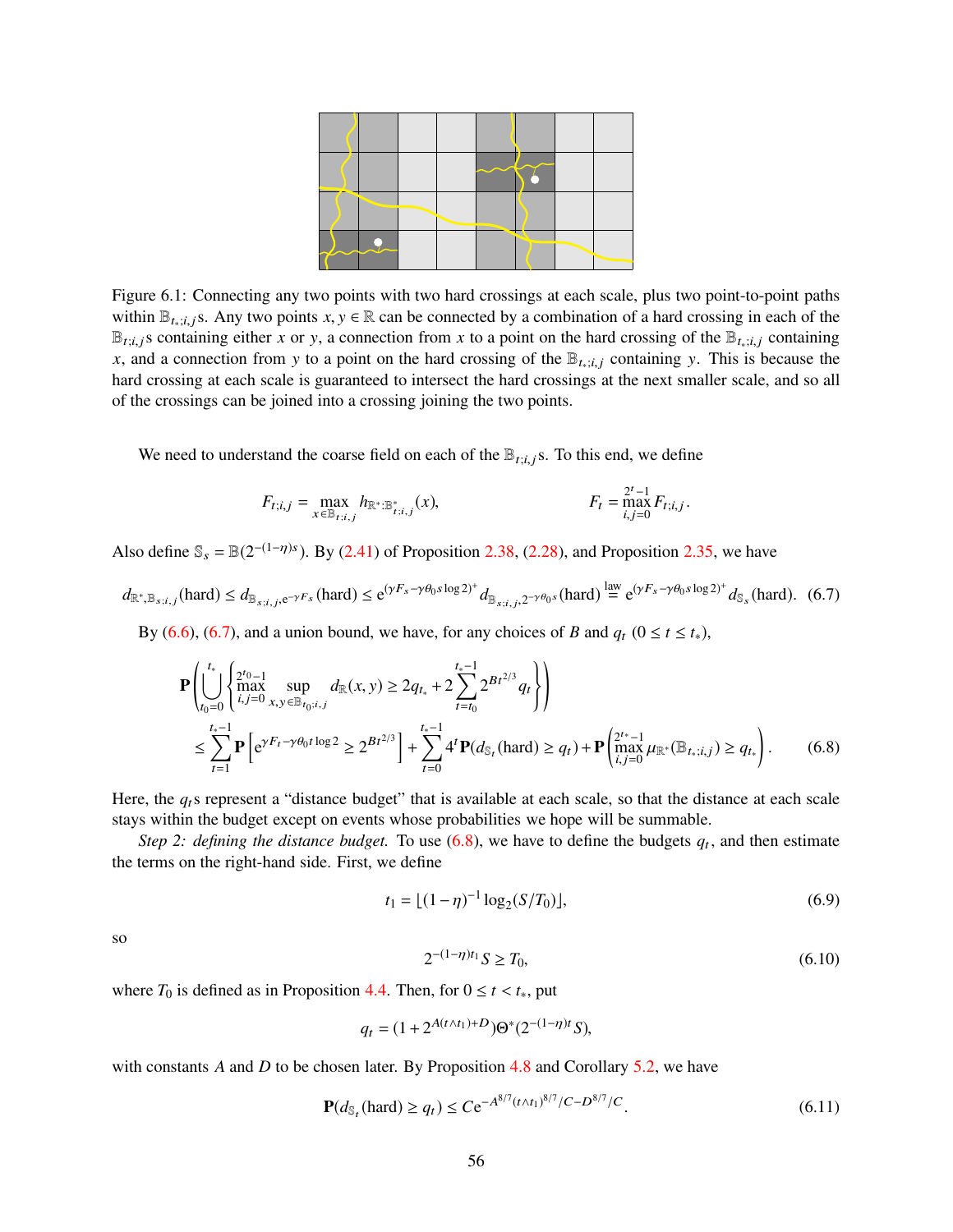<span id="page-55-0"></span>

Figure 6.1: Connecting any two points with two hard crossings at each scale, plus two point-to-point paths within  $\mathbb{B}_{t_i; i_i}$ , Any two points  $x, y \in \mathbb{R}$  can be connected by a combination of a hard crossing in each of the  $\mathbb{B}_{t,i,j}$ s containing either *x* or y, a connection from *x* to a point on the hard crossing of the  $\mathbb{B}_{t_*;i,j}$  containing *x*, and a connection from y to a point on the hard crossing of the  $\mathbb{B}_{t_*;i,j}$  containing y. This is because the hard crossing at each scale is guaranteed to intersect the hard crossings at the next smaller scale, and so all of the crossings can be joined into a crossing joining the two points.

We need to understand the coarse field on each of the  $\mathbb{B}_{t;i,j}$ s. To this end, we define

$$
F_{t;i,j} = \max_{x \in \mathbb{B}_{t;i,j}} h_{\mathbb{R}^* : \mathbb{B}_{t;i,j}^*}(x), \qquad F_t = \max_{i,j=0}^{2^t-1} F_{t;i,j}.
$$

Also define  $\mathcal{S}_s = \mathbb{B}(2^{-(1-\eta)s})$ . By [\(2.41\)](#page-18-2) of Proposition [2.38,](#page-18-0) [\(2.28\)](#page-12-0), and Proposition [2.35,](#page-17-0) we have

<span id="page-55-1"></span> $d_{\mathbb{R}^*,\mathbb{B}_{s;i,j}}(\text{hard}) \leq d_{\mathbb{B}_{s;i,j},e^{-\gamma F_s}}(\text{hard}) \leq e^{(\gamma F_s - \gamma \theta_0 s \log 2)^+} d_{\mathbb{B}_{s;i,j},2^{-\gamma \theta_0 s}}(\text{hard}) \stackrel{\text{law}}{=} e^{(\gamma F_s - \gamma \theta_0 s \log 2)^+} d_{\mathbb{S}_s}(\text{hard}).$  (6.7)

By [\(6.6\)](#page-54-3), [\(6.7\)](#page-55-1), and a union bound, we have, for any choices of *B* and  $q_t$  ( $0 \le t \le t_*$ ),

$$
\mathbf{P}\left(\bigcup_{t_0=0}^{t_*}\left\{\begin{matrix} 2^{t_0}-1\\ \max\limits_{i,j=0}^{t_*-1} \sup\limits_{x,y\in\mathbb{B}_{t_0:i,j}} d_{\mathbb{R}}(x,y) \ge 2q_{t_*} + 2\sum_{t=t_0}^{t_*-1} 2^{Bt^{2/3}} q_t \right\} \right) \\ \le \sum_{t=1}^{t_*-1} \mathbf{P}\left[e^{\gamma F_t - \gamma \theta_0 t \log 2} \ge 2^{Bt^{2/3}}\right] + \sum_{t=0}^{t_*-1} 4^t \mathbf{P}(d_{\mathbb{S}_t}(\text{hard}) \ge q_t) + \mathbf{P}\left(\max_{i,j=0}^{2^{t_*}-1} \mu_{\mathbb{R}^*}(\mathbb{B}_{t_*;i,j}) \ge q_{t_*}\right). \end{matrix} \tag{6.8}
$$

Here, the *q*ts represent a "distance budget" that is available at each scale, so that the distance at each scale stays within the budget except on events whose probabilities we hope will be summable.

*Step 2: defining the distance budget.* To use  $(6.8)$ , we have to define the budgets  $q_t$ , and then estimate the terms on the right-hand side. First, we define

<span id="page-55-5"></span>
$$
t_1 = \lfloor (1 - \eta)^{-1} \log_2(S/T_0) \rfloor,
$$
\n(6.9)

so

<span id="page-55-3"></span><span id="page-55-2"></span>
$$
2^{-(1-\eta)t_1}S \ge T_0,\tag{6.10}
$$

where  $T_0$  is defined as in Proposition [4.4.](#page-27-0) Then, for  $0 \le t < t_*$ , put

$$
q_t = (1 + 2^{A(t \wedge t_1) + D}) \Theta^*(2^{-(1-\eta)t} S),
$$

with constants *A* and *D* to be chosen later. By Proposition [4.8](#page-29-1) and Corollary [5.2,](#page-34-4) we have

<span id="page-55-4"></span>
$$
\mathbf{P}(d_{\mathbb{S}_t}(\text{hard}) \ge q_t) \le C e^{-A^{8/7}(t \wedge t_1)^{8/7}/C - D^{8/7}/C}.
$$
\n(6.11)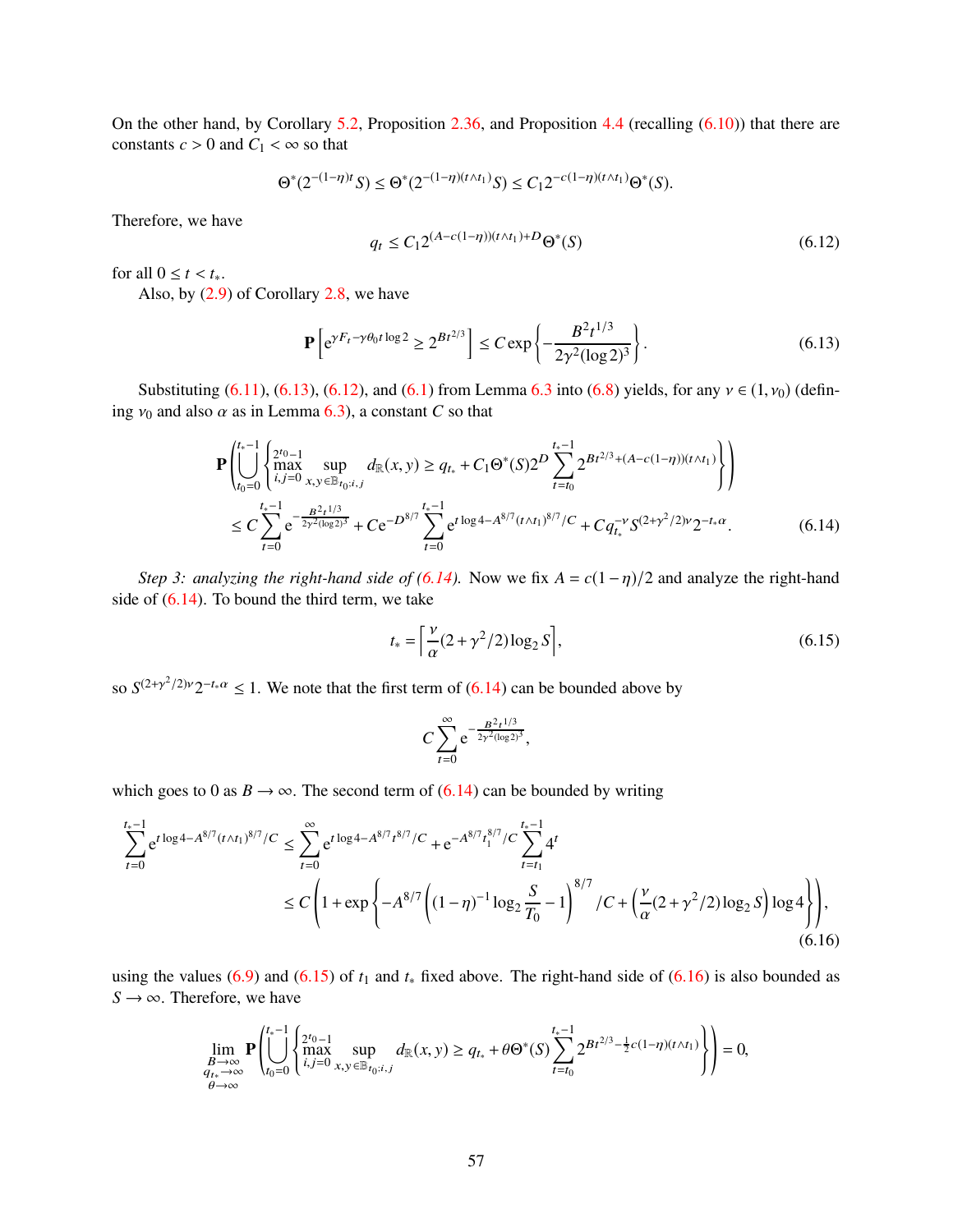On the other hand, by Corollary [5.2,](#page-34-4) Proposition [2.36,](#page-18-6) and Proposition [4.4](#page-27-0) (recalling [\(6.10\)](#page-55-3)) that there are constants  $c > 0$  and  $C_1 < \infty$  so that

$$
\Theta^*(2^{-(1-\eta)t}S) \le \Theta^*(2^{-(1-\eta)(t \wedge t_1)}S) \le C_1 2^{-c(1-\eta)(t \wedge t_1)} \Theta^*(S).
$$

Therefore, we have

<span id="page-56-1"></span>
$$
q_t \le C_1 2^{(A - c(1 - \eta))(t \wedge t_1) + D} \Theta^*(S) \tag{6.12}
$$

for all  $0 \le t < t_*$ .

Also, by [\(2.9\)](#page-7-5) of Corollary [2.8,](#page-7-6) we have

<span id="page-56-0"></span>
$$
\mathbf{P}\left[e^{\gamma F_t - \gamma \theta_0 t \log 2} \ge 2^{Bt^{2/3}}\right] \le C \exp\left\{-\frac{B^2 t^{1/3}}{2\gamma^2 (\log 2)^3}\right\}.
$$
\n(6.13)

Substituting [\(6.11\)](#page-55-4), [\(6.13\)](#page-56-0), [\(6.12\)](#page-56-1), and [\(6.1\)](#page-53-5) from Lemma [6.3](#page-53-6) into [\(6.8\)](#page-55-2) yields, for any  $v \in (1, v_0)$  (defining  $v_0$  and also  $\alpha$  as in Lemma [6.3\)](#page-53-6), a constant *C* so that

$$
\mathbf{P}\left(\bigcup_{t_0=0}^{t_*-1} \begin{cases} 2^{t_0-1} & \text{sup} \\ \prod_{i,j=0}^{2t_0-1} \min_{x,y \in \mathbb{B}_{t_0;i,j}} d_{\mathbb{R}}(x,y) \ge q_{t_*} + C_1 \Theta^*(S) 2^D \sum_{t=t_0}^{t_*-1} 2^{Bt^{2/3} + (A-c(1-\eta))(t \wedge t_1)} \right) \end{cases}\right) \n\le C \sum_{t=0}^{t_*-1} e^{-\frac{B^2t^{1/3}}{2\gamma^2(\log 2)^3}} + Ce^{-D^{8/7} \sum_{t=0}^{t_*-1} e^{t \log 4 - A^{8/7} (t \wedge t_1)^{8/7}/C} + C q_{t_*}^{-\gamma} S^{(2+\gamma^2/2)\gamma} 2^{-t_* \alpha}.
$$
\n(6.14)

*Step 3: analyzing the right-hand side of [\(6.14\)](#page-56-2).* Now we fix  $A = c(1 - \eta)/2$  and analyze the right-hand side of  $(6.14)$ . To bound the third term, we take

<span id="page-56-3"></span><span id="page-56-2"></span>
$$
t_* = \left[\frac{\nu}{\alpha}(2 + \gamma^2/2)\log_2 S\right],\tag{6.15}
$$

so  $S^{(2+\gamma^2/2)\nu}2^{-t_*\alpha} \leq 1$ . We note that the first term of [\(6.14\)](#page-56-2) can be bounded above by

<span id="page-56-4"></span>
$$
C\sum_{t=0}^{\infty} e^{-\frac{B^2t^{1/3}}{2\gamma^2(\log 2)^3}},
$$

which goes to 0 as  $B \to \infty$ . The second term of [\(6.14\)](#page-56-2) can be bounded by writing

$$
\sum_{t=0}^{t_*-1} e^{t \log 4 - A^{8/7} (t \wedge t_1)^{8/7} / C} \le \sum_{t=0}^{\infty} e^{t \log 4 - A^{8/7} t^{8/7} / C} + e^{-A^{8/7} t_1^{8/7} / C} \sum_{t=t_1}^{t_*-1} 4^t
$$
  
\n
$$
\le C \left( 1 + \exp \left\{ -A^{8/7} \left( (1 - \eta)^{-1} \log_2 \frac{S}{T_0} - 1 \right)^{8/7} / C + \left( \frac{\nu}{\alpha} (2 + \gamma^2 / 2) \log_2 S \right) \log 4 \right\} \right), \tag{6.16}
$$

using the values [\(6.9\)](#page-55-5) and [\(6.15\)](#page-56-3) of  $t_1$  and  $t_*$  fixed above. The right-hand side of [\(6.16\)](#page-56-4) is also bounded as  $S \rightarrow \infty$ . Therefore, we have

$$
\lim_{\substack{B \to \infty \\ q_{t_*} \to \infty}} \mathbf{P} \left( \bigcup_{t_0=0}^{t_*-1} \begin{Bmatrix} 2^{t_0-1} & \text{supp} \\ \text{max} & \text{supp} \\ i,j=0 \ x,y \in \mathbb{B}_{t_0:i,j}} \end{Bmatrix} d_{\mathbb{R}}(x,y) \ge q_{t_*} + \theta \Theta^*(S) \sum_{t=t_0}^{t_*-1} 2^{Bt^{2/3} - \frac{1}{2}c(1-\eta)(t \wedge t_1)} \right) = 0,
$$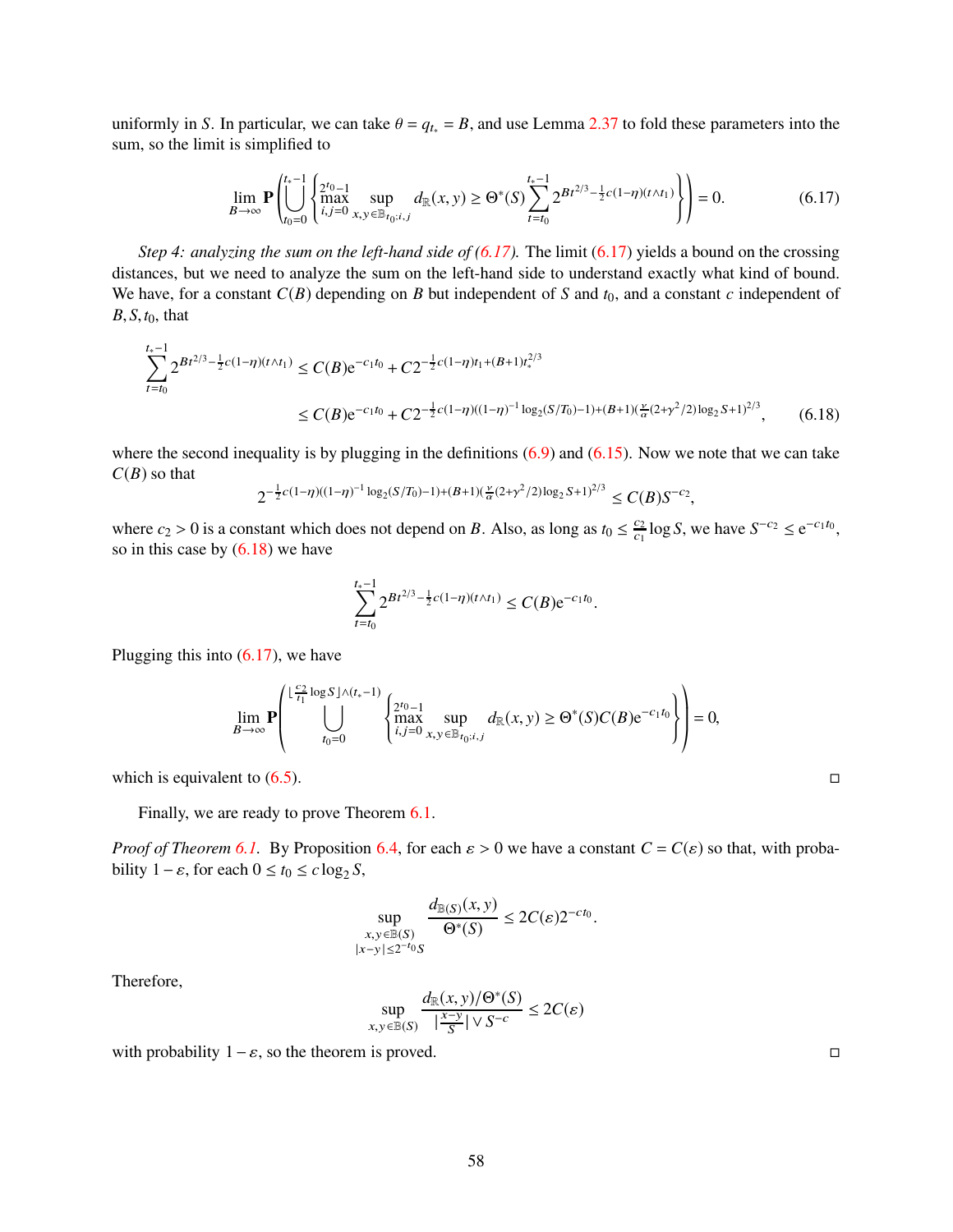uniformly in *S*. In particular, we can take  $\theta = q_{t*} = B$ , and use Lemma [2.37](#page-18-5) to fold these parameters into the sum, so the limit is simplified to

<span id="page-57-0"></span>
$$
\lim_{B \to \infty} \mathbf{P} \left( \bigcup_{t_0=0}^{t_*-1} \left\{ \max_{i,j=0}^{2t_0-1} \sup_{x,y \in \mathbb{B}_{t_0; i,j}} d_{\mathbb{R}}(x,y) \ge \Theta^*(S) \sum_{t=t_0}^{t_*-1} 2^{Bt^{2/3} - \frac{1}{2}c(1-\eta)(t \wedge t_1)} \right\} \right) = 0. \tag{6.17}
$$

*Step 4: analyzing the sum on the left-hand side of [\(6.17\)](#page-57-0).* The limit [\(6.17\)](#page-57-0) yields a bound on the crossing distances, but we need to analyze the sum on the left-hand side to understand exactly what kind of bound. We have, for a constant  $C(B)$  depending on *B* but independent of *S* and  $t_0$ , and a constant *c* independent of *B*, *S*,*t*0, that

$$
\sum_{t=t_0}^{t_*-1} 2^{Bt^{2/3} - \frac{1}{2}c(1-\eta)(t \wedge t_1)} \le C(B)e^{-c_1t_0} + C2^{-\frac{1}{2}c(1-\eta)t_1 + (B+1)t_*^{2/3}}
$$
  
 
$$
\le C(B)e^{-c_1t_0} + C2^{-\frac{1}{2}c(1-\eta)((1-\eta)^{-1}\log_2(S/T_0) - 1) + (B+1)(\frac{\nu}{\alpha}(2+\gamma^2/2)\log_2 S + 1)^{2/3}}, \qquad (6.18)
$$

where the second inequality is by plugging in the definitions  $(6.9)$  and  $(6.15)$ . Now we note that we can take  $C(B)$  so that

$$
2^{-\frac{1}{2}c(1-\eta)((1-\eta)^{-1}\log_2(S/T_0)-1)+(B+1)(\frac{\nu}{\alpha}(2+\gamma^2/2)\log_2S+1)^{2/3}} \leq C(B)S^{-c_2},
$$

where  $c_2 > 0$  is a constant which does not depend on *B*. Also, as long as  $t_0 \leq \frac{c_2}{c_1}$  $\frac{c_2}{c_1} \log S$ , we have  $S^{-c_2} \le e^{-c_1 t_0}$ , so in this case by  $(6.18)$  we have

<span id="page-57-1"></span>
$$
\sum_{t=t_0}^{t_*-1} 2^{Bt^{2/3} - \frac{1}{2}c(1-\eta)(t \wedge t_1)} \leq C(B) e^{-c_1 t_0}.
$$

Plugging this into  $(6.17)$ , we have

$$
\lim_{B \to \infty} \mathbf{P} \left( \bigcup_{t_0 = 0}^{\lfloor \frac{C_2}{t_1} \log S \rfloor \wedge (t_* - 1)} \left\{ \max_{i,j=0}^{2^{t_0} - 1} \sup_{x,y \in \mathbb{B}_{t_0; i,j}} d_{\mathbb{R}}(x,y) \ge \Theta^*(S) C(B) e^{-c_1 t_0} \right\} \right) = 0,
$$

which is equivalent to  $(6.5)$ .

Finally, we are ready to prove Theorem [6.1.](#page-53-2)

*Proof of Theorem* [6.1.](#page-53-2) By Proposition [6.4,](#page-54-0) for each  $\varepsilon > 0$  we have a constant  $C = C(\varepsilon)$  so that, with probability  $1 - \varepsilon$ , for each  $0 \le t_0 \le c \log_2 S$ ,

$$
\sup_{\substack{x,y\in\mathbb{B}(S)\\|x-y|\le 2^{-t_0}S}}\frac{d_{\mathbb{B}(S)}(x,y)}{\Theta^*(S)}\le 2C(\varepsilon)2^{-ct_0}.
$$

Therefore,

$$
\sup_{x,y \in \mathbb{B}(S)} \frac{d_{\mathbb{R}}(x,y)/\Theta^*(S)}{|\frac{x-y}{S}| \vee S^{-c}} \le 2C(\varepsilon)
$$

with probability  $1 - \varepsilon$ , so the theorem is proved.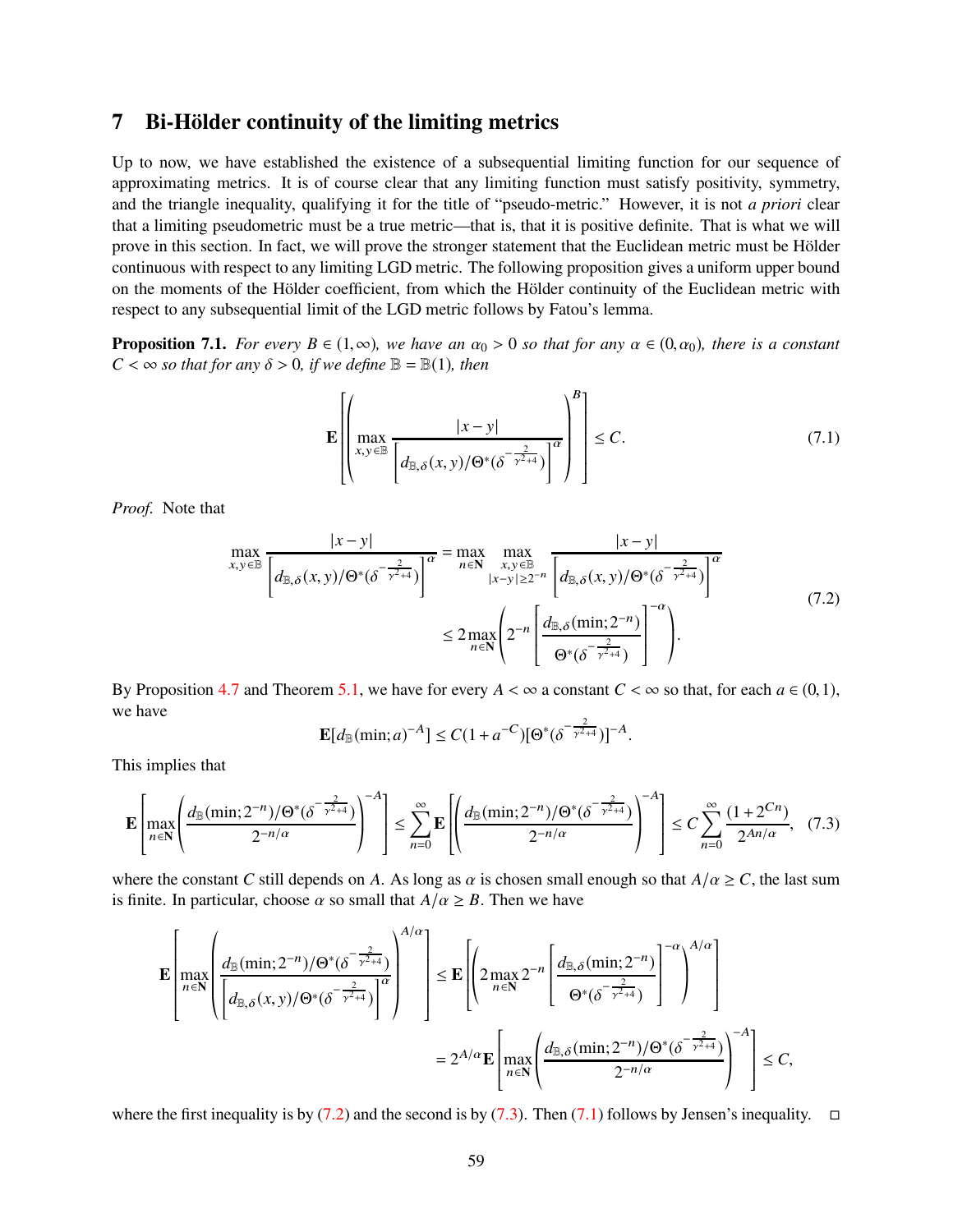# <span id="page-58-0"></span>7 Bi-Hölder continuity of the limiting metrics

Up to now, we have established the existence of a subsequential limiting function for our sequence of approximating metrics. It is of course clear that any limiting function must satisfy positivity, symmetry, and the triangle inequality, qualifying it for the title of "pseudo-metric." However, it is not *a priori* clear that a limiting pseudometric must be a true metric—that is, that it is positive definite. That is what we will prove in this section. In fact, we will prove the stronger statement that the Euclidean metric must be Hölder continuous with respect to any limiting LGD metric. The following proposition gives a uniform upper bound on the moments of the Hölder coefficient, from which the Hölder continuity of the Euclidean metric with respect to any subsequential limit of the LGD metric follows by Fatou's lemma.

**Proposition 7.1.** *For every B*  $\in$  (1, $\infty$ )*, we have an*  $\alpha_0 > 0$  *so that for any*  $\alpha \in (0, \alpha_0)$ *, there is a constant*  $C < \infty$  *so that for any*  $\delta > 0$ *, if we define*  $\mathbb{B} = \mathbb{B}(1)$ *, then* 

<span id="page-58-3"></span>
$$
\mathbf{E}\left[\left(\max_{x,y\in\mathbb{B}}\frac{|x-y|}{\left(d_{\mathbb{B},\delta}(x,y)/\Theta^*(\delta^{-\frac{2}{\gamma^2+4}})\right)^{\alpha}}\right)^{\beta}\right] \leq C.
$$
\n(7.1)

<span id="page-58-1"></span>*Proof.* Note that

$$
\max_{x,y \in \mathbb{B}} \frac{|x-y|}{\left[d_{\mathbb{B},\delta}(x,y)/\Theta^*(\delta^{-\frac{2}{\gamma^2+4}})\right]^\alpha} = \max_{n \in \mathbb{N}} \max_{\substack{x,y \in \mathbb{B} \\ |x-y| \ge 2^{-n} \\ n \in \mathbb{N}}} \frac{|x-y|}{\left[d_{\mathbb{B},\delta}(x,y)/\Theta^*(\delta^{-\frac{2}{\gamma^2+4}})\right]^\alpha}
$$
\n
$$
\le 2 \max_{n \in \mathbb{N}} \left(2^{-n} \left[ \frac{d_{\mathbb{B},\delta}(\min;2^{-n})}{\Theta^*(\delta^{-\frac{2}{\gamma^2+4}})} \right]^{-\alpha} \right).
$$
\n(7.2)

By Proposition [4.7](#page-28-7) and Theorem [5.1,](#page-34-0) we have for every  $A < \infty$  a constant  $C < \infty$  so that, for each  $a \in (0,1)$ , we have

$$
\mathbf{E}[d_{\mathbb{B}}(\min; a)^{-A}] \le C(1 + a^{-C})[\Theta^*(\delta^{-\frac{2}{\gamma^2 + 4}})]^{-A}.
$$

This implies that

<span id="page-58-2"></span>
$$
\mathbf{E}\left[\max_{n\in\mathbf{N}}\left(\frac{d_{\mathbb{B}}(\min;2^{-n})/\Theta^*(\delta^{-\frac{2}{\gamma^2+4}})}{2^{-n/\alpha}}\right)^{-A}\right] \leq \sum_{n=0}^{\infty}\mathbf{E}\left[\left(\frac{d_{\mathbb{B}}(\min;2^{-n})/\Theta^*(\delta^{-\frac{2}{\gamma^2+4}})}{2^{-n/\alpha}}\right)^{-A}\right] \leq C\sum_{n=0}^{\infty}\frac{(1+2^{Cn})}{2^{An/\alpha}},\tag{7.3}
$$

where the constant *C* still depends on *A*. As long as  $\alpha$  is chosen small enough so that  $A/\alpha \ge C$ , the last sum is finite. In particular, choose  $\alpha$  so small that  $A/\alpha \geq B$ . Then we have

$$
\mathbf{E}\left[\max_{n\in\mathbb{N}}\left(\frac{d_{\mathbb{B}}(\min;2^{-n})/\Theta^*(\delta^{-\frac{2}{\gamma^2+4}})}{\left(d_{\mathbb{B},\delta}(x,y)/\Theta^*(\delta^{-\frac{2}{\gamma^2+4}})\right)^{\alpha}}\right)^{A/\alpha}\right] \leq \mathbf{E}\left[\left(2\max_{n\in\mathbb{N}}2^{-n}\left[\frac{d_{\mathbb{B},\delta}(\min;2^{-n})}{\Theta^*(\delta^{-\frac{2}{\gamma^2+4}})}\right]^{-\alpha}\right)^{A/\alpha}\right]
$$

$$
=2^{A/\alpha}\mathbf{E}\left[\max_{n\in\mathbb{N}}\left(\frac{d_{\mathbb{B},\delta}(\min;2^{-n})/\Theta^*(\delta^{-\frac{2}{\gamma^2+4}})}{2^{-n/\alpha}}\right)^{-A}\right] \leq C,
$$

where the first inequality is by [\(7.2\)](#page-58-1) and the second is by [\(7.3\)](#page-58-2). Then [\(7.1\)](#page-58-3) follows by Jensen's inequality.  $\Box$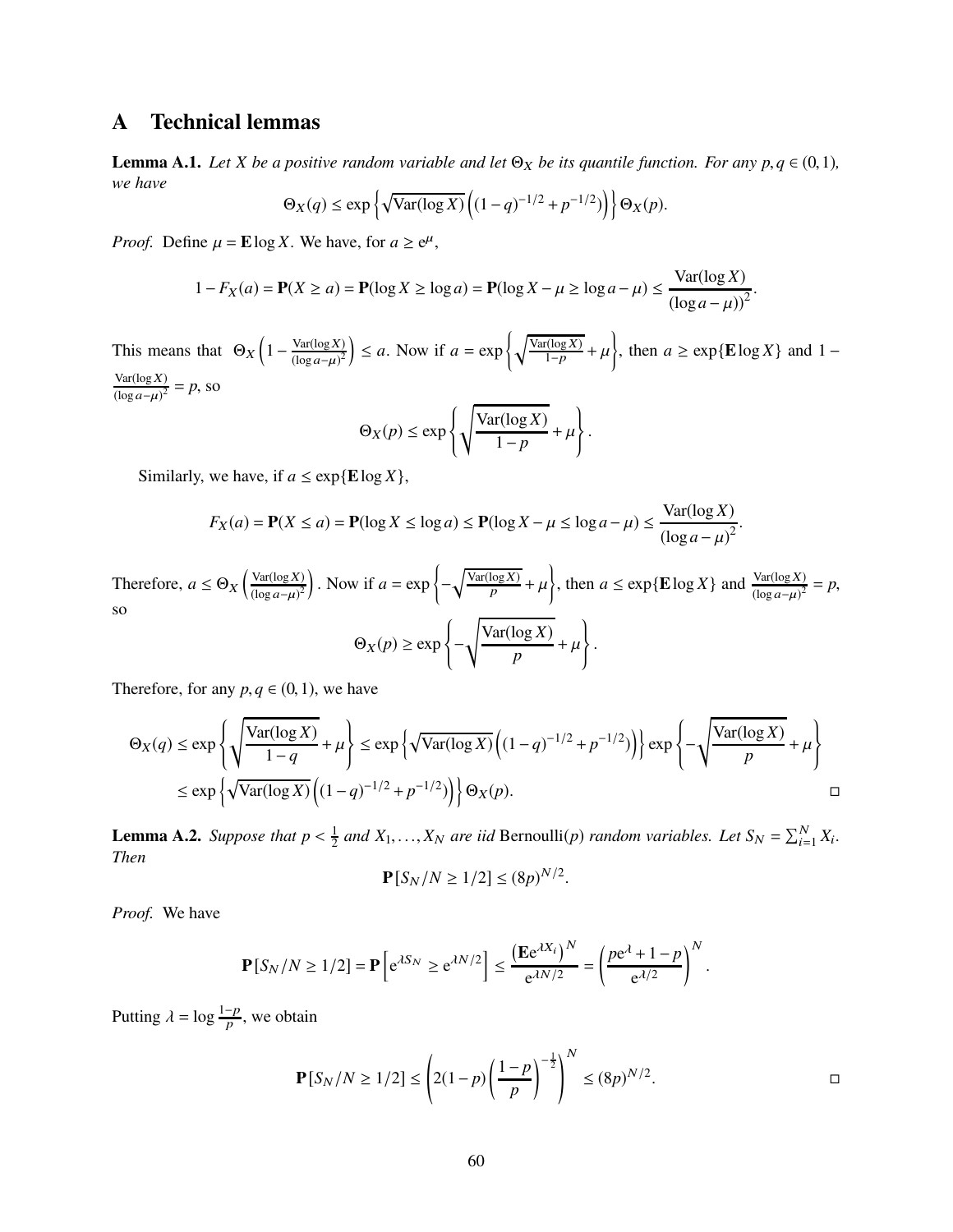# <span id="page-59-1"></span>A Technical lemmas

<span id="page-59-0"></span>**Lemma A.1.** *Let X be a positive random variable and let*  $\Theta_X$  *be its quantile function. For any p, q*  $\in$  (0, 1)*, we have*

$$
\Theta_X(q) \le \exp\left\{ \sqrt{\text{Var}(\log X)} \left( (1-q)^{-1/2} + p^{-1/2}) \right) \right\} \Theta_X(p).
$$

*Proof.* Define  $\mu = \mathbf{E} \log X$ . We have, for  $a \ge e^{\mu}$ ,

$$
1 - F_X(a) = \mathbf{P}(X \ge a) = \mathbf{P}(\log X \ge \log a) = \mathbf{P}(\log X - \mu \ge \log a - \mu) \le \frac{\text{Var}(\log X)}{(\log a - \mu)^2}.
$$

This means that  $\Theta_X \left(1 - \frac{\text{Var}(\log X)}{(\log a - \mu)^2}\right)$  $(\log a-\mu)^2$  $\left( \int \frac{\text{Var}(\log X)}{1-p} \right)$  $\frac{r(\log X)}{1-p} + \mu$  $\overline{1}$ , then  $a \ge \exp{\mathbb{E}\log X}$  and 1 −  $Var(log X)$  $\frac{\text{Var}(\log X)}{(\log a - \mu)^2} = p$ , so  $\overline{)}$ 

$$
\Theta_X(p) \le \exp\left\{ \sqrt{\frac{\text{Var}(\log X)}{1 - p}} + \mu \right\}.
$$

Similarly, we have, if  $a \leq \exp{\mathbb{E} \log X}$ ,

$$
F_X(a) = \mathbf{P}(X \le a) = \mathbf{P}(\log X \le \log a) \le \mathbf{P}(\log X - \mu \le \log a - \mu) \le \frac{\text{Var}(\log X)}{(\log a - \mu)^2}.
$$

Therefore,  $a \leq \Theta_X \left( \frac{\text{Var}(\log X)}{(\log a - \mu)^2} \right)$  $(\log a-\mu)^2$  $\bigg)$ . Now if  $a = \exp \bigg\{-\bigg\}$  $\sqrt{\frac{\text{Var}(\log X)}{p}} + \mu$  $\left\{\right\}$ , then  $a \leq \exp{\mathbf{E} \log X}$  and  $\frac{\text{Var}(\log X)}{(\log a - \mu)^2} = p$ , so  $\Theta_X(p) \geq \exp\left\{-\frac{1}{2}\right\}$  $\sqrt{\text{Var}(\log X)}$  $\frac{\log A}{p} + \mu$  $\overline{ }$ .

Therefore, for any  $p, q \in (0, 1)$ , we have

$$
\Theta_X(q) \le \exp\left\{\sqrt{\frac{\text{Var}(\log X)}{1-q}} + \mu\right\} \le \exp\left\{\sqrt{\text{Var}(\log X)}\left((1-q)^{-1/2} + p^{-1/2})\right)\right\} \exp\left\{-\sqrt{\frac{\text{Var}(\log X)}{p}} + \mu\right\}
$$
  

$$
\le \exp\left\{\sqrt{\text{Var}(\log X)}\left((1-q)^{-1/2} + p^{-1/2})\right)\right\} \Theta_X(p).
$$

<span id="page-59-2"></span>**Lemma A.2.** *Suppose that*  $p < \frac{1}{2}$  $\frac{1}{2}$  *and*  $X_1, \ldots, X_N$  *are iid* Bernoulli(*p*) *random variables. Let*  $S_N = \sum_{i=1}^N X_i$ . *Then*

$$
\mathbf{P}[S_N/N \ge 1/2] \le (8p)^{N/2}.
$$

*Proof.* We have

$$
\mathbf{P}[S_N/N \ge 1/2] = \mathbf{P}\left[e^{\lambda S_N} \ge e^{\lambda N/2}\right] \le \frac{\left(\mathbf{E}e^{\lambda X_i}\right)^N}{e^{\lambda N/2}} = \left(\frac{pe^{\lambda} + 1 - p}{e^{\lambda/2}}\right)^N.
$$

Putting  $\lambda = \log \frac{1-p}{p}$ , we obtain

$$
\mathbf{P}[S_N/N \ge 1/2] \le \left(2(1-p)\left(\frac{1-p}{p}\right)^{-\frac{1}{2}}\right)^N \le (8p)^{N/2}.
$$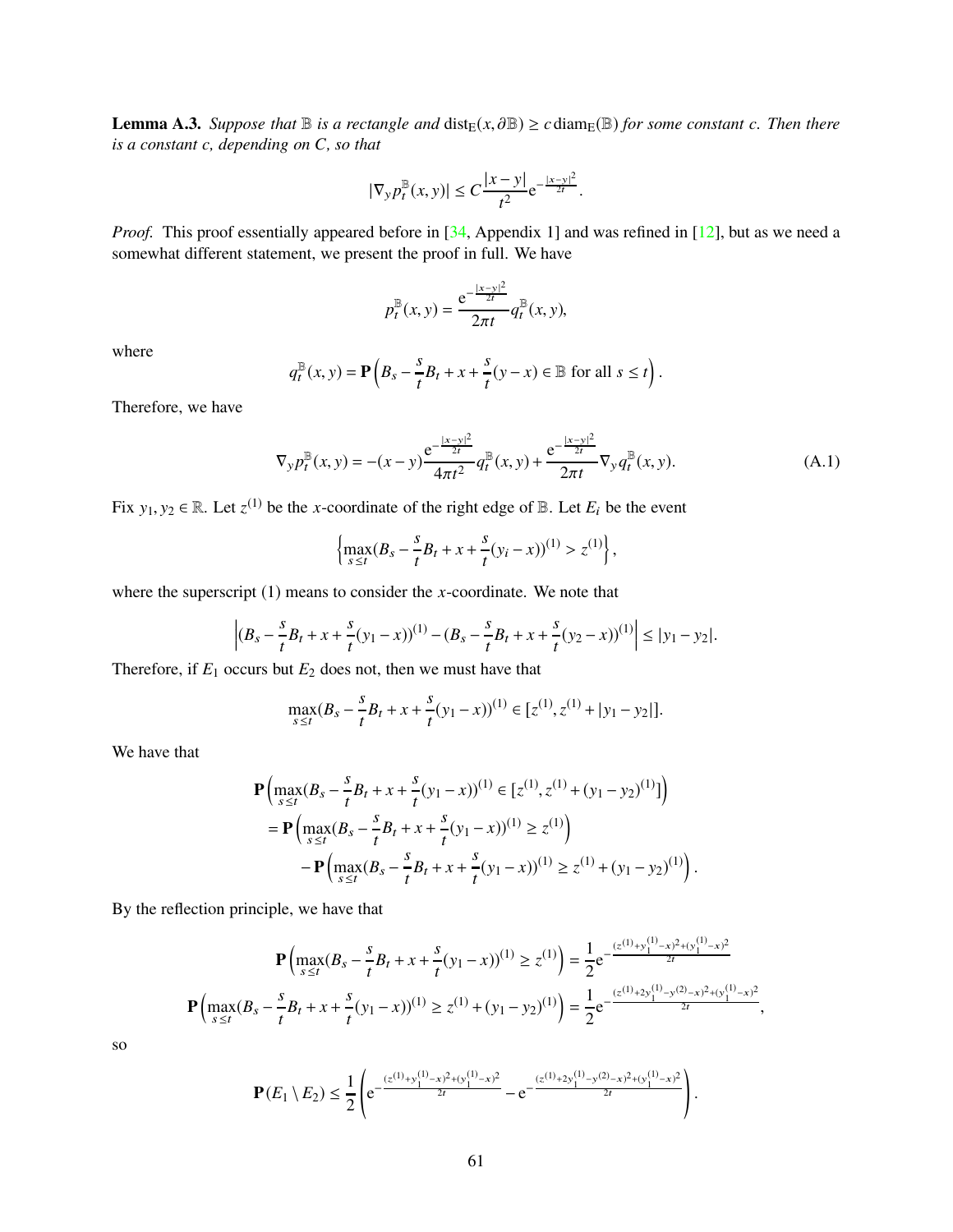<span id="page-60-0"></span>**Lemma A.3.** *Suppose that*  $\mathbb B$  *is a rectangle and*  $dist_E(x, \partial \mathbb B) \ge c \operatorname{diam}_E(\mathbb B)$  *for some constant c. Then there is a constant c, depending on C, so that*

$$
|\nabla_y p_t^{\mathbb{B}}(x, y)| \le C \frac{|x - y|}{t^2} e^{-\frac{|x - y|^2}{2t}}.
$$

*Proof.* This proof essentially appeared before in [\[34,](#page-63-0) Appendix 1] and was refined in [\[12\]](#page-62-10), but as we need a somewhat different statement, we present the proof in full. We have

$$
p_t^{\mathbb{B}}(x, y) = \frac{e^{-\frac{|x - y|^2}{2t}}}{2\pi t} q_t^{\mathbb{B}}(x, y),
$$

where

$$
q_t^{\mathbb{B}}(x, y) = \mathbf{P}\left(B_s - \frac{s}{t}B_t + x + \frac{s}{t}(y - x) \in \mathbb{B} \text{ for all } s \le t\right).
$$

Therefore, we have

<span id="page-60-1"></span>
$$
\nabla_y p_t^{\mathbb{B}}(x, y) = -(x - y) \frac{e^{-\frac{|x - y|^2}{2t}}}{4\pi t^2} q_t^{\mathbb{B}}(x, y) + \frac{e^{-\frac{|x - y|^2}{2t}}}{2\pi t} \nabla_y q_t^{\mathbb{B}}(x, y). \tag{A.1}
$$

Fix  $y_1, y_2 \in \mathbb{R}$ . Let  $z^{(1)}$  be the *x*-coordinate of the right edge of  $\mathbb{B}$ . Let  $E_i$  be the event

$$
\left\{\max_{s\leq t} (B_s - \frac{s}{t}B_t + x + \frac{s}{t}(y_i - x))^{(1)} > z^{(1)}\right\},\right.
$$

where the superscript (1) means to consider the *x*-coordinate. We note that

$$
\left| (B_s - \frac{s}{t}B_t + x + \frac{s}{t}(y_1 - x))^{(1)} - (B_s - \frac{s}{t}B_t + x + \frac{s}{t}(y_2 - x))^{(1)} \right| \le |y_1 - y_2|.
$$

Therefore, if  $E_1$  occurs but  $E_2$  does not, then we must have that

$$
\max_{s\leq t}(B_s-\frac{s}{t}B_t+x+\frac{s}{t}(y_1-x))^{(1)}\in [z^{(1)},z^{(1)}+|y_1-y_2|].
$$

We have that

$$
\mathbf{P}\left(\max_{s\leq t} (B_s - \frac{s}{t}B_t + x + \frac{s}{t}(y_1 - x))^{(1)} \in [z^{(1)}, z^{(1)} + (y_1 - y_2)^{(1)}]\right)
$$
  
= 
$$
\mathbf{P}\left(\max_{s\leq t} (B_s - \frac{s}{t}B_t + x + \frac{s}{t}(y_1 - x))^{(1)} \geq z^{(1)}\right)
$$
  
- 
$$
\mathbf{P}\left(\max_{s\leq t} (B_s - \frac{s}{t}B_t + x + \frac{s}{t}(y_1 - x))^{(1)} \geq z^{(1)} + (y_1 - y_2)^{(1)}\right).
$$

By the reflection principle, we have that

$$
\mathbf{P}\left(\max_{s\leq t}(B_s - \frac{s}{t}B_t + x + \frac{s}{t}(y_1 - x))^{(1)} \geq z^{(1)}\right) = \frac{1}{2}e^{-\frac{(z^{(1)}+y_1^{(1)}-x)^2+(y_1^{(1)}-x)^2}{2t}}
$$

$$
\mathbf{P}\left(\max_{s\leq t}(B_s - \frac{s}{t}B_t + x + \frac{s}{t}(y_1 - x))^{(1)} \geq z^{(1)} + (y_1 - y_2)^{(1)}\right) = \frac{1}{2}e^{-\frac{(z^{(1)}+2y_1^{(1)}-y^{(2)}-x)^2+(y_1^{(1)}-x)^2}{2t}},
$$

so

$$
\mathbf{P}(E_1 \setminus E_2) \leq \frac{1}{2} \left( e^{-\frac{(z^{(1)} + y_1^{(1)} - x)^2 + (y_1^{(1)} - x)^2}{2t}} - e^{-\frac{(z^{(1)} + 2y_1^{(1)} - y^{(2)} - x)^2 + (y_1^{(1)} - x)^2}{2t}} \right).
$$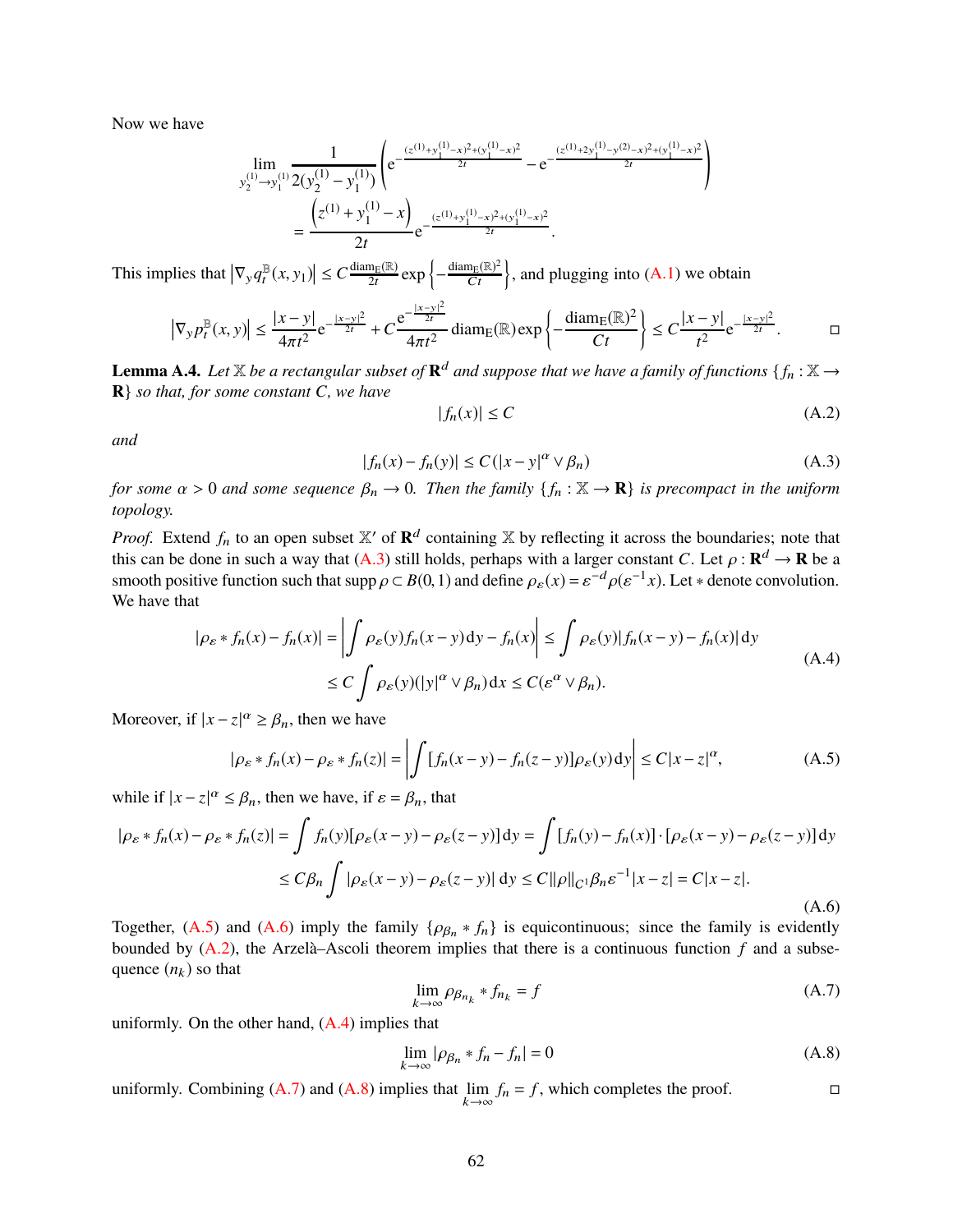Now we have

$$
\lim_{y_2^{(1)} \to y_1^{(1)}} \frac{1}{2(y_2^{(1)} - y_1^{(1)})} \left( e^{-\frac{(z^{(1)} + y_1^{(1)} - x)^2 + (y_1^{(1)} - x)^2}{2t}} - e^{-\frac{(z^{(1)} + 2y_1^{(1)} - y^{(2)} - x)^2 + (y_1^{(1)} - x)^2}{2t}} \right)
$$
\n
$$
= \frac{\left(z^{(1)} + y_1^{(1)} - x\right)}{2t} e^{-\frac{(z^{(1)} + y_1^{(1)} - x)^2 + (y_1^{(1)} - x)^2}{2t}}.
$$

This implies that  $|\nabla_y q_t^{\mathbb{B}}|$  $\mathbb{E}[f(x, y_1)| \leq C \frac{\text{diam}_{E}(\mathbb{R})}{2t} \exp \left\{-\frac{\text{diam}_{E}(\mathbb{R})^2}{Ct}\right\}$ , and plugging into  $(A.1)$  we obtain

$$
\left|\nabla_y p_t^{\mathbb{B}}(x,y)\right| \le \frac{|x-y|}{4\pi t^2} e^{-\frac{|x-y|^2}{2t}} + C\frac{e^{-\frac{|x-y|^2}{2t}}}{4\pi t^2} \operatorname{diam}_E(\mathbb{R}) \exp\left\{-\frac{\operatorname{diam}_E(\mathbb{R})^2}{Ct}\right\} \le C\frac{|x-y|}{t^2} e^{-\frac{|x-y|^2}{2t}}. \qquad \Box
$$

<span id="page-61-0"></span>**Lemma A.4.** Let  $\mathbb{X}$  be a rectangular subset of  $\mathbb{R}^d$  and suppose that we have a family of functions  $\{f_n : \mathbb{X} \to \mathbb{R}^d\}$ **R**} *so that, for some constant C, we have*

<span id="page-61-4"></span>
$$
|f_n(x)| \le C \tag{A.2}
$$

!

*and*

<span id="page-61-1"></span>
$$
|f_n(x) - f_n(y)| \le C(|x - y|^\alpha \vee \beta_n)
$$
\n(A.3)

*for some*  $\alpha > 0$  *and some sequence*  $\beta_n \to 0$ . Then the family  $\{f_n : \mathbb{X} \to \mathbb{R}\}$  is precompact in the uniform *topology.*

*Proof.* Extend  $f_n$  to an open subset  $X'$  of  $\mathbb{R}^d$  containing X by reflecting it across the boundaries; note that this can be done in such a way that  $(A.3)$  still holds, perhaps with a larger constant *C*. Let  $\rho : \mathbf{R}^d \to \mathbf{R}$  be a smooth positive function such that  $\text{supp}\,\rho \subset B(0,1)$  and define  $\rho_{\varepsilon}(x) = \varepsilon^{-d}\rho(\varepsilon^{-1}x)$ . Let \* denote convolution. We have that

<span id="page-61-5"></span>
$$
|\rho_{\varepsilon} * f_n(x) - f_n(x)| = \left| \int \rho_{\varepsilon}(y) f_n(x - y) dy - f_n(x) \right| \le \int \rho_{\varepsilon}(y) |f_n(x - y) - f_n(x)| dy
$$
  
\n
$$
\le C \int \rho_{\varepsilon}(y) (|y|^\alpha \vee \beta_n) dx \le C(\varepsilon^\alpha \vee \beta_n).
$$
\n(A.4)

Moreover, if  $|x - z|^{\alpha} \ge \beta_n$ , then we have

$$
|\rho_{\varepsilon} * f_n(x) - \rho_{\varepsilon} * f_n(z)| = \left| \int [f_n(x - y) - f_n(z - y)] \rho_{\varepsilon}(y) dy \right| \le C|x - z|^{\alpha}, \tag{A.5}
$$

while if  $|x - z|^{\alpha} \leq \beta_n$ , then we have, if  $\varepsilon = \beta_n$ , that

<span id="page-61-3"></span>
$$
|\rho_{\varepsilon} * f_n(x) - \rho_{\varepsilon} * f_n(z)| = \int f_n(y)[\rho_{\varepsilon}(x - y) - \rho_{\varepsilon}(z - y)] dy = \int [f_n(y) - f_n(x)] \cdot [\rho_{\varepsilon}(x - y) - \rho_{\varepsilon}(z - y)] dy
$$
  

$$
\le C\beta_n \int |\rho_{\varepsilon}(x - y) - \rho_{\varepsilon}(z - y)| dy \le C ||\rho||_{C^1}\beta_n \varepsilon^{-1} |x - z| = C|x - z|.
$$
 (A.6)

Together, [\(A.5\)](#page-61-2) and [\(A.6\)](#page-61-3) imply the family  $\{\rho_{\beta_n} * f_n\}$  is equicontinuous; since the family is evidently bounded by [\(A.2\)](#page-61-4), the Arzelà–Ascoli theorem implies that there is a continuous function *f* and a subsequence  $(n_k)$  so that

<span id="page-61-6"></span><span id="page-61-2"></span>
$$
\lim_{k \to \infty} \rho_{\beta_{n_k}} * f_{n_k} = f \tag{A.7}
$$

uniformly. On the other hand,  $(A.4)$  implies that

<span id="page-61-7"></span>
$$
\lim_{k \to \infty} |\rho_{\beta_n} * f_n - f_n| = 0 \tag{A.8}
$$

uniformly. Combining  $(A.7)$  and  $(A.8)$  implies that lim  $k \rightarrow \infty$  $f_n = f$ , which completes the proof.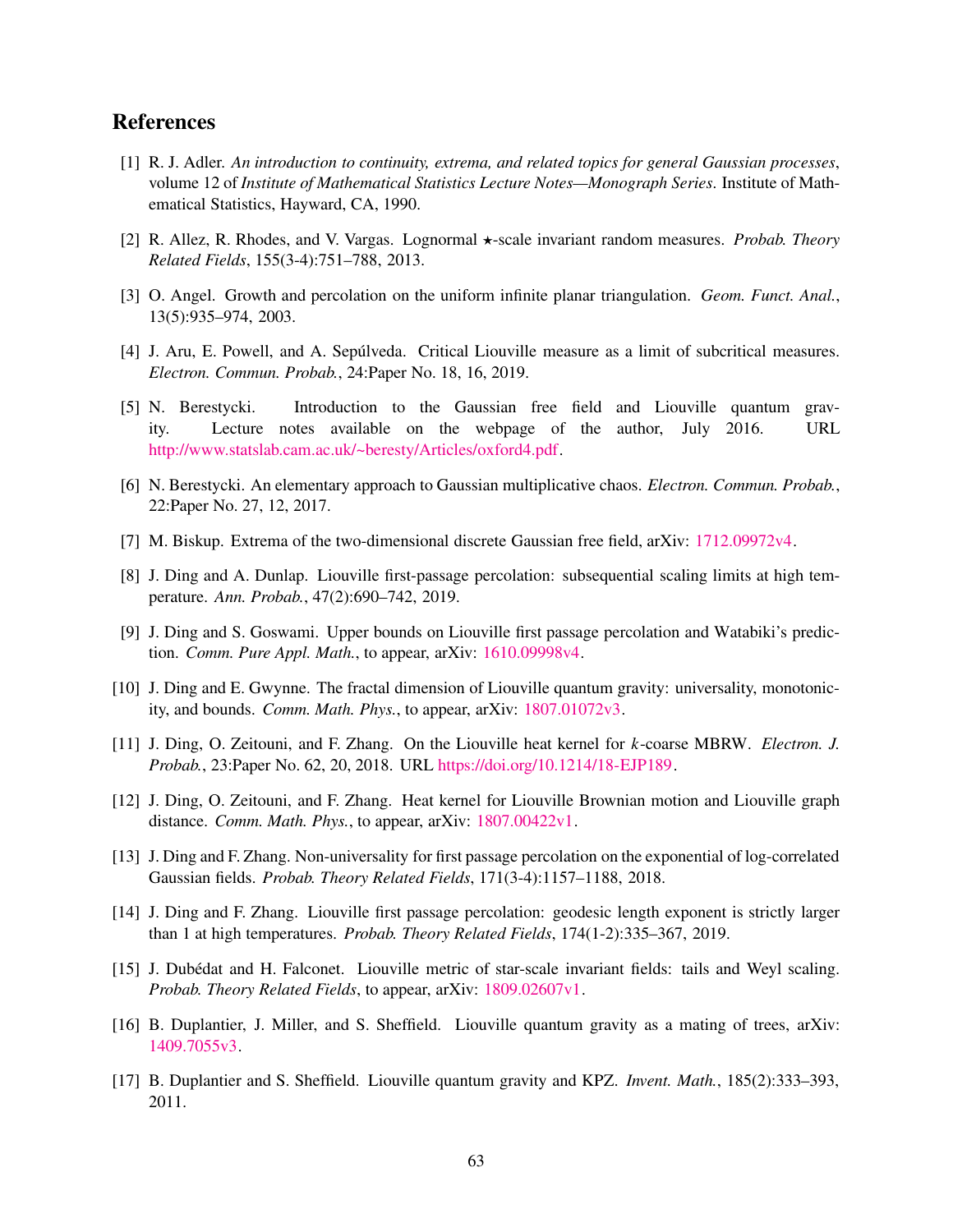## <span id="page-62-15"></span>References

- [1] R. J. Adler. *An introduction to continuity, extrema, and related topics for general Gaussian processes*, volume 12 of *Institute of Mathematical Statistics Lecture Notes—Monograph Series*. Institute of Mathematical Statistics, Hayward, CA, 1990.
- <span id="page-62-14"></span><span id="page-62-11"></span>[2] R. Allez, R. Rhodes, and V. Vargas. Lognormal ⋆-scale invariant random measures. *Probab. Theory Related Fields*, 155(3-4):751–788, 2013.
- <span id="page-62-3"></span>[3] O. Angel. Growth and percolation on the uniform infinite planar triangulation. *Geom. Funct. Anal.*, 13(5):935–974, 2003.
- <span id="page-62-0"></span>[4] J. Aru, E. Powell, and A. Sepúlveda. Critical Liouville measure as a limit of subcritical measures. *Electron. Commun. Probab.*, 24:Paper No. 18, 16, 2019.
- [5] N. Berestycki. Introduction to the Gaussian free field and Liouville quantum gravity. Lecture notes available on the webpage of the author, July 2016. URL [http://www.statslab.cam.ac.uk/~beresty/Articles/oxford4.pdf.](http://www.statslab.cam.ac.uk/~beresty/Articles/oxford4.pdf)
- <span id="page-62-16"></span><span id="page-62-2"></span>[6] N. Berestycki. An elementary approach to Gaussian multiplicative chaos. *Electron. Commun. Probab.*, 22:Paper No. 27, 12, 2017.
- <span id="page-62-12"></span>[7] M. Biskup. Extrema of the two-dimensional discrete Gaussian free field, arXiv: [1712.09972v4.](http://arxiv.org/abs/1712.09972v4)
- [8] J. Ding and A. Dunlap. Liouville first-passage percolation: subsequential scaling limits at high temperature. *Ann. Probab.*, 47(2):690–742, 2019.
- <span id="page-62-7"></span><span id="page-62-6"></span>[9] J. Ding and S. Goswami. Upper bounds on Liouville first passage percolation and Watabiki's prediction. *Comm. Pure Appl. Math.*, to appear, arXiv: [1610.09998v4.](http://arxiv.org/abs/1610.09998v4)
- <span id="page-62-9"></span>[10] J. Ding and E. Gwynne. The fractal dimension of Liouville quantum gravity: universality, monotonicity, and bounds. *Comm. Math. Phys.*, to appear, arXiv: [1807.01072v3.](http://arxiv.org/abs/1807.01072v3)
- <span id="page-62-10"></span>[11] J. Ding, O. Zeitouni, and F. Zhang. On the Liouville heat kernel for *k*-coarse MBRW. *Electron. J. Probab.*, 23:Paper No. 62, 20, 2018. URL [https://doi.org/10.1214/18-EJP189.](https://doi.org/10.1214/18-EJP189)
- [12] J. Ding, O. Zeitouni, and F. Zhang. Heat kernel for Liouville Brownian motion and Liouville graph distance. *Comm. Math. Phys.*, to appear, arXiv: [1807.00422v1.](http://arxiv.org/abs/1807.00422v1)
- <span id="page-62-8"></span>[13] J. Ding and F. Zhang. Non-universality for first passage percolation on the exponential of log-correlated Gaussian fields. *Probab. Theory Related Fields*, 171(3-4):1157–1188, 2018.
- <span id="page-62-5"></span>[14] J. Ding and F. Zhang. Liouville first passage percolation: geodesic length exponent is strictly larger than 1 at high temperatures. *Probab. Theory Related Fields*, 174(1-2):335–367, 2019.
- <span id="page-62-13"></span>[15] J. Dubédat and H. Falconet. Liouville metric of star-scale invariant fields: tails and Weyl scaling. *Probab. Theory Related Fields*, to appear, arXiv: [1809.02607v1.](http://arxiv.org/abs/1809.02607v1)
- <span id="page-62-4"></span><span id="page-62-1"></span>[16] B. Duplantier, J. Miller, and S. Sheffield. Liouville quantum gravity as a mating of trees, arXiv: [1409.7055v3.](http://arxiv.org/abs/1409.7055v3)
- [17] B. Duplantier and S. Sheffield. Liouville quantum gravity and KPZ. *Invent. Math.*, 185(2):333–393, 2011.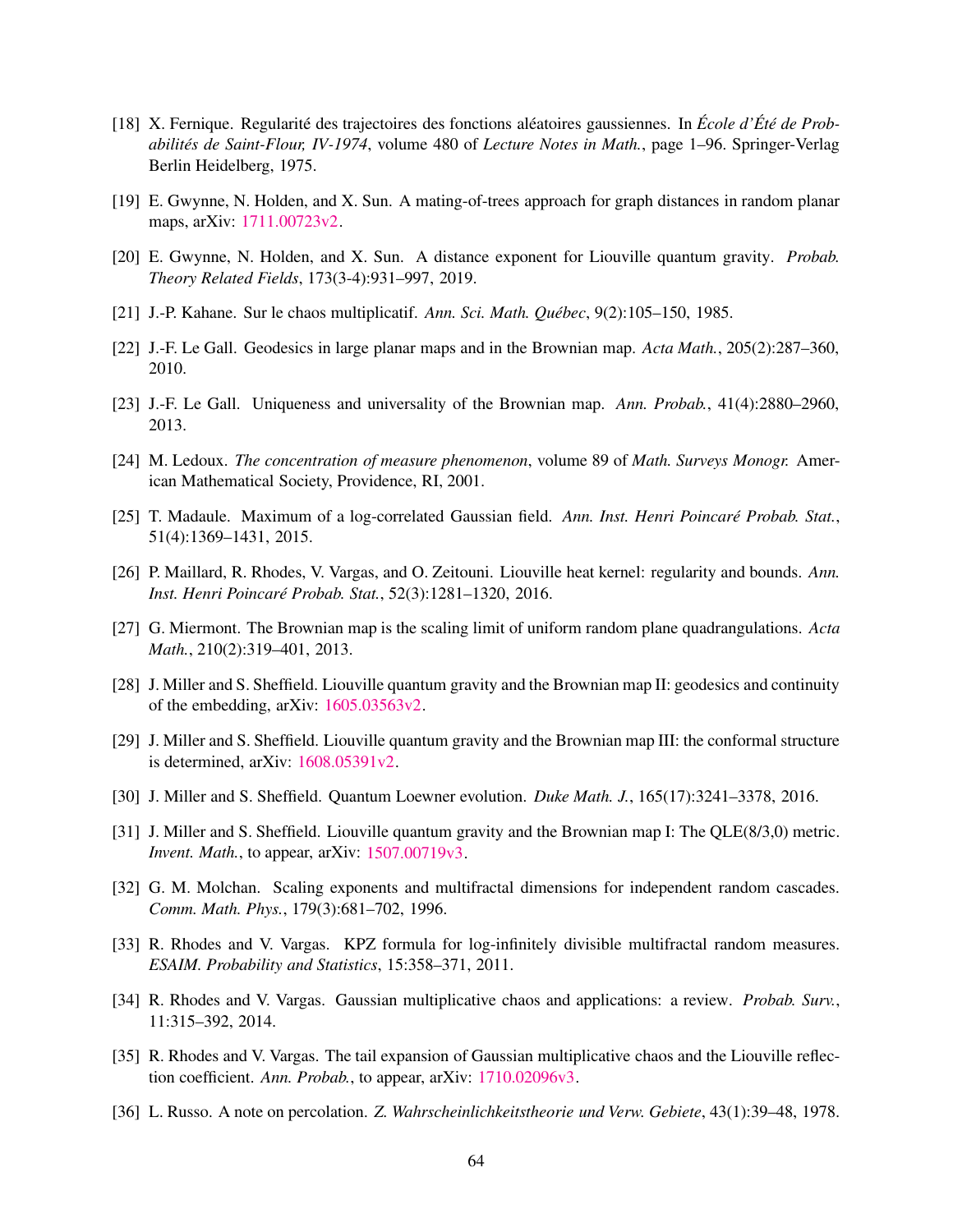- <span id="page-63-16"></span>[18] X. Fernique. Regularité des trajectoires des fonctions aléatoires gaussiennes. In *École d'Été de Probabilités de Saint-Flour, IV-1974*, volume 480 of *Lecture Notes in Math.*, page 1–96. Springer-Verlag Berlin Heidelberg, 1975.
- <span id="page-63-12"></span><span id="page-63-11"></span>[19] E. Gwynne, N. Holden, and X. Sun. A mating-of-trees approach for graph distances in random planar maps, arXiv: [1711.00723v2.](http://arxiv.org/abs/1711.00723v2)
- <span id="page-63-1"></span>[20] E. Gwynne, N. Holden, and X. Sun. A distance exponent for Liouville quantum gravity. *Probab. Theory Related Fields*, 173(3-4):931–997, 2019.
- <span id="page-63-8"></span>[21] J.-P. Kahane. Sur le chaos multiplicatif. *Ann. Sci. Math. Québec*, 9(2):105–150, 1985.
- <span id="page-63-9"></span>[22] J.-F. Le Gall. Geodesics in large planar maps and in the Brownian map. *Acta Math.*, 205(2):287–360, 2010.
- <span id="page-63-17"></span>[23] J.-F. Le Gall. Uniqueness and universality of the Brownian map. *Ann. Probab.*, 41(4):2880–2960, 2013.
- <span id="page-63-14"></span>[24] M. Ledoux. *The concentration of measure phenomenon*, volume 89 of *Math. Surveys Monogr.* American Mathematical Society, Providence, RI, 2001.
- <span id="page-63-13"></span>[25] T. Madaule. Maximum of a log-correlated Gaussian field. *Ann. Inst. Henri Poincaré Probab. Stat.*, 51(4):1369–1431, 2015.
- <span id="page-63-10"></span>[26] P. Maillard, R. Rhodes, V. Vargas, and O. Zeitouni. Liouville heat kernel: regularity and bounds. *Ann. Inst. Henri Poincaré Probab. Stat.*, 52(3):1281–1320, 2016.
- <span id="page-63-6"></span>[27] G. Miermont. The Brownian map is the scaling limit of uniform random plane quadrangulations. *Acta Math.*, 210(2):319–401, 2013.
- <span id="page-63-7"></span>[28] J. Miller and S. Sheffield. Liouville quantum gravity and the Brownian map II: geodesics and continuity of the embedding, arXiv: [1605.03563v2.](http://arxiv.org/abs/1605.03563v2)
- <span id="page-63-4"></span>[29] J. Miller and S. Sheffield. Liouville quantum gravity and the Brownian map III: the conformal structure is determined, arXiv: [1608.05391v2.](http://arxiv.org/abs/1608.05391v2)
- <span id="page-63-5"></span>[30] J. Miller and S. Sheffield. Quantum Loewner evolution. *Duke Math. J.*, 165(17):3241–3378, 2016.
- [31] J. Miller and S. Sheffield. Liouville quantum gravity and the Brownian map I: The QLE(8/3,0) metric. *Invent. Math.*, to appear, arXiv: [1507.00719v3.](http://arxiv.org/abs/1507.00719v3)
- <span id="page-63-18"></span>[32] G. M. Molchan. Scaling exponents and multifractal dimensions for independent random cascades. *Comm. Math. Phys.*, 179(3):681–702, 1996.
- <span id="page-63-2"></span>[33] R. Rhodes and V. Vargas. KPZ formula for log-infinitely divisible multifractal random measures. *ESAIM. Probability and Statistics*, 15:358–371, 2011.
- <span id="page-63-0"></span>[34] R. Rhodes and V. Vargas. Gaussian multiplicative chaos and applications: a review. *Probab. Surv.*, 11:315–392, 2014.
- <span id="page-63-3"></span>[35] R. Rhodes and V. Vargas. The tail expansion of Gaussian multiplicative chaos and the Liouville reflection coefficient. *Ann. Probab.*, to appear, arXiv: [1710.02096v3.](http://arxiv.org/abs/1710.02096v3)
- <span id="page-63-15"></span>[36] L. Russo. A note on percolation. *Z. Wahrscheinlichkeitstheorie und Verw. Gebiete*, 43(1):39–48, 1978.